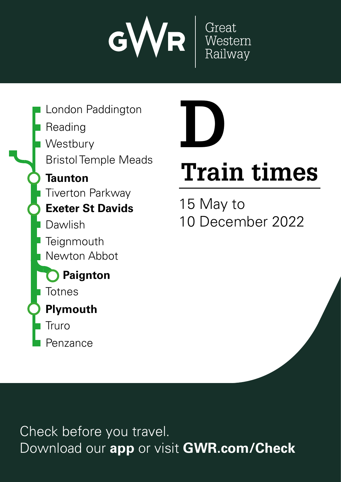

Penzance **Plymouth Paignton** Reading London Paddington Bristol Temple Meads **Totnes Exeter St Davids Teignmouth** Newton Abbot Dawlish **Westbury Taunton** Tiverton Parkway Truro



# **Train times**

15 May to 10 December 2022

Check before you travel. Download our **app** or visit **GWR.com/Check**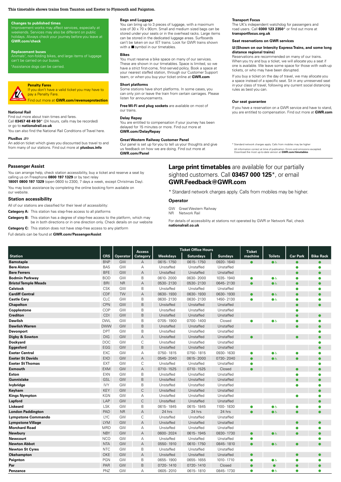#### **This timetable shows trains from Taunton and Exeter to Plymouth and Paignton.**

#### **Changes to published times**

Improvement works may affect services, especially at<br>weekends. Services may also be different on public ys. Always check your journey before you leave at **GWR.com/check** 

#### **Replacement buses**

Animals<sup>t</sup>, non-folding bikes, and large items of luggage can't be carried on our buse

h Assistance dogs can be carried.



# **Penalty Fares**

If you don't have a valid ticket you may have to pay a Penalty Fare. Find out more at **GWR.com/revenueprotection**

#### **National Rail**

Find out more about train times and fares. Call **03457 48 49 50**\* (24 hours, calls may be recorded) or go to **nationalrail.co.uk**

You can also find the National Rail Conditions of Travel here.

#### **PlusBus** ¬

An add-on ticket which gives you discounted bus travel to and from many of our stations. Find out more at **plusbus.info**

#### **Bags and Luggage**

You can bring up to 3 pieces of luggage, with a maximum size of 30 x 70 x 90cm. Small and medium sized bags can be stored under your seats or in the overhead racks. Large items can be stored in the dedicated luggage areas. Surfboards can't be taken on our IET trains. Look for GWR trains shown with a  $\blacksquare$  symbol in our timetables.

#### **Bikes**

You must reserve a bike space on many of our services. These are shown in our timetables. Space is limited, so we have a strict first-come, first-served policy. Book a space at<br>your nearest staffed station, through our Customer Support team, or when you buy your ticket online at **GWR.com**

#### **Short platforms**

Some stations have short platforms. In some cases, you can only join or leave the train from certain carriages. Please listen for announcements.

**Free Wi-Fi and plug sockets** are available on most of our trains.

#### **Delay Repay**

You are entitled to compensation if your journey has been delayed for 15 minutes or more. Find out more at **GWR.com/DelayRepay**

#### **Great Western Railway Customer Panel**

Our panel is set up for you to tell us your thoughts and give us feedback on how we are doing. Find out more at **GWR.com/Panel**

**Passenger Assist**

You can arrange help, check station accessibility, buy a ticket and reserve a seat by calling us on Freephone **0800 197 1329** or by text relay

**18001 0800 197 1329** (open 0600 to 2300, 7 days a week, except Christmas Day). You may book assistance by completing the online booking form available on our website.

#### **Station accessibility**

All of our stations are classified for their level of accessibility:

**Category A:** This station has step-free access to all platforms

**Category B:** This station has a degree of step-free access to the platform, which may be in both directions or in one direction only. Check details on our website

**Category C:** This station does not have step-free access to any platform

Full details can be found at **GWR.com/PassengerAssist**

#### **Transport Focus**

The UK's independent watchdog for passengers and<br>road users. Call **0300 123 2350**\* or find out more at **transportfocus.org.uk**

#### **Seat reservations on GWR services**

#### $\boxtimes$  **(Shown on our Intercity Express Trains, and some long distance regional trains)**

Reservations are recommended on many of our trains. When you try and buy a ticket, we will allocate you a seat if one is available. We leave some space for those with walk-up tickets, or who may have been disrupted.

If you buy a ticket on the day of travel, we may allocate you<br>a space instead of a specific seat. Sit in any unreserved seat in your class of travel, following any current social distancing rules as best you can.

#### **Our seat guarantee**

If you have a reservation on a GWR service and have to stand, you are entitled to compensation. Find out more at **GWR.com**

tard network charges apply. Calls from mobiles may be highe All information correct at time of publication. Errors and omissions excepted. Download the most up-to-date version at **GWR.com/timetables**

## **Large print timetables** are available for our partially sighted customers. Call **03457 000 125**\*, or email **GWR.Feedback@GWR.com**

\* Standard network charges apply. Calls from mobiles may be higher.

#### **Operator**

GW Great Western Railway

NR Network Rail

For details of accessibility at stations not operated by GWR or Network Rail, check **nationalrail.co.uk**

|                             |            |                 | <b>Access</b>  |                 | <b>Ticket Office Hours</b> |                | <b>Ticket</b> |                |                 |                  |
|-----------------------------|------------|-----------------|----------------|-----------------|----------------------------|----------------|---------------|----------------|-----------------|------------------|
| <b>Station</b>              | <b>CRS</b> | <b>Operator</b> | Category       | <b>Weekdays</b> | <b>Saturdays</b>           | <b>Sundays</b> | machine       | <b>Toilets</b> | <b>Car Park</b> | <b>Bike Rack</b> |
| <b>Barnstaple</b>           | <b>BNP</b> | GW              | $\overline{A}$ | 0615-1750       | 0615-1750                  | 0920-1640      |               | $\bullet$      |                 |                  |
| <b>Bere Alston</b>          | <b>BAS</b> | GW              | А              | Unstaffed       | Unstaffed                  | Unstaffed      |               |                |                 |                  |
| <b>Bere Ferrers</b>         | <b>BFE</b> | GW              | А              | Unstaffed       | Unstaffed                  | Unstaffed      |               |                |                 |                  |
| <b>Bodmin Parkway</b>       | <b>BOD</b> | GW              | B              | 0610-2000       | 0630-2000                  | 1035-1940      | Ō             | $\bullet$      |                 |                  |
| <b>Bristol Temple Meads</b> | <b>BRI</b> | <b>NR</b>       | A              | 0530-2130       | 0530-2130                  | 0645-2130      |               | $\bullet$      |                 |                  |
| <b>Calstock</b>             | <b>CSK</b> | GW              | B              | Unstaffed       | Unstaffed                  | Unstaffed      |               |                | ●               |                  |
| <b>Cardiff Central</b>      | CDF        | <b>TW</b>       | $\overline{A}$ | 0630-1930       | 0630-1930                  | 0630-1930      |               | $\bullet$      |                 |                  |
| <b>Castle Cary</b>          | CLC        | GW              | B              | 0630-2130       | 0630-2130                  | 1450-2130      | $\bullet$     | $\bullet$      | ●               |                  |
| <b>Chapelton</b>            | CPN        | GW              | B              | Unstaffed       | Unstaffed                  | Unstaffed      |               |                |                 |                  |
| Copplestone                 | COP        | GW              | B              | Unstaffed       | Unstaffed                  | Unstaffed      |               |                |                 |                  |
| <b>Crediton</b>             | CDI        | GW              | B              | Unstaffed       | Unstaffed                  | Unstaffed      |               |                |                 | ∙                |
| <b>Dawlish</b>              | <b>DWL</b> | GW              | B              | 0705-1900       | 0700-1400                  | Closed         |               | $\bullet$      |                 |                  |
| <b>Dawlish Warren</b>       | <b>DWW</b> | GW              | B              | Unstaffed       | Unstaffed                  | Unstaffed      |               |                |                 |                  |
| <b>Devonport</b>            | <b>DPT</b> | GW              | B              | Unstaffed       | Unstaffed                  | Unstaffed      |               |                |                 |                  |
| Digby & Sowton              | DIG        | GW              | $\overline{A}$ | Unstaffed       | Unstaffed                  | Unstaffed      |               |                |                 |                  |
| Dockyard                    | <b>DOC</b> | GW              | С              | Unstaffed       | Unstaffed                  | Unstaffed      |               |                |                 |                  |
| Eggesford                   | EGG        | GW              | B              | Unstaffed       | Unstaffed                  | Unstaffed      |               |                |                 |                  |
| <b>Exeter Central</b>       | EXC        | GW              | А              | 0750-1815       | 0750-1815                  | 0930-1630      | Ō             | $\bullet$      |                 | e                |
| <b>Exeter St Davids</b>     | <b>EXD</b> | GW              | $\overline{A}$ | 0545-2040       | 0615-2000                  | 0730-2040      | $\bullet$     | $\bullet$      |                 |                  |
| <b>Exeter St Thomas</b>     | <b>EXT</b> | GW              | C              | Unstaffed       | Unstaffed                  | Unstaffed      |               |                |                 |                  |
| <b>Exmouth</b>              | <b>EXM</b> | GW              | A              | 0710-1525       | 0710-1525                  | Closed         | ∙             |                |                 |                  |
| <b>Exton</b>                | EXN        | GW              | B              | Unstaffed       | Unstaffed                  | Unstaffed      |               |                |                 |                  |
| <b>Gunnislake</b>           | GSL        | GW              | B              | Unstaffed       | Unstaffed                  | Unstaffed      |               |                |                 |                  |
| lvybridge                   | <b>IVY</b> | GW              | B              | Unstaffed       | Unstaffed                  | Unstaffed      |               |                |                 |                  |
| Keyham                      | <b>KEY</b> | GW              | C              | Unstaffed       | Unstaffed                  | Unstaffed      |               |                |                 |                  |
| <b>Kings Nympton</b>        | <b>KGN</b> | GW              | А              | Unstaffed       | Unstaffed                  | Unstaffed      |               |                | 0               |                  |
| Lapford                     | LAP        | GW              | C              | Unstaffed       | Unstaffed                  | Unstaffed      |               |                |                 |                  |
| Liskeard                    | <b>LSK</b> | GW              | B              | 0615-1845       | 0615-1845                  | 1100-1830      |               | $\bullet$      |                 |                  |
| <b>London Paddington</b>    | PAD        | <b>NR</b>       | $\overline{A}$ | 24 hrs          | 24 hrs                     | 24 hrs         |               | 06             |                 |                  |
| Lympstone Commando          | LYC        | GW              | C              | Unstaffed       | Unstaffed                  | Unstaffed      |               |                |                 |                  |
| <b>Lympstone Village</b>    | <b>LYM</b> | GW              | $\overline{A}$ | Unstaffed       | Unstaffed                  | Unstaffed      |               |                |                 |                  |
| <b>Morchard Road</b>        | <b>MRD</b> | GW              | Α              | Unstaffed       | Unstaffed                  | Unstaffed      |               |                |                 |                  |
| <b>Newbury</b>              | <b>NBY</b> | GW              | Α              | 0600-2024       | 0615-1945                  | 0830-1730      |               | $\bullet$      |                 |                  |
| <b>Newcourt</b>             | <b>NCO</b> | GW              | А              | Unstaffed       | Unstaffed                  | Unstaffed      | ●             |                |                 |                  |
| <b>Newton Abbot</b>         | <b>NTA</b> | GW              | $\overline{A}$ | 0550-1910       | 0610-1750                  | 0845-1810      |               | $\bullet$      |                 |                  |
| <b>Newton St Cyres</b>      | <b>NTC</b> | GW              | B              | Unstaffed       | Unstaffed                  | Unstaffed      |               |                |                 |                  |
| Okehampton                  | OKE        | GW              | $\overline{A}$ | Unstaffed       | Unstaffed                  | Unstaffed      | $\bullet$     |                |                 |                  |
| Paignton                    | <b>PGN</b> | GW              | B              | 0655-1900       | 0655-1655                  | 1010-1710      | $\bullet$     | $\bullet$      |                 |                  |
| Par                         | PAR        | GW              | B              | 0720-1410       | 0720-1410                  | Closed         |               |                |                 |                  |
| Penzance                    | PNZ        | GW              | А              | 0605-2010       | 0615-1810                  | 0845-1730      | $\bullet$     | $\bullet$      |                 |                  |

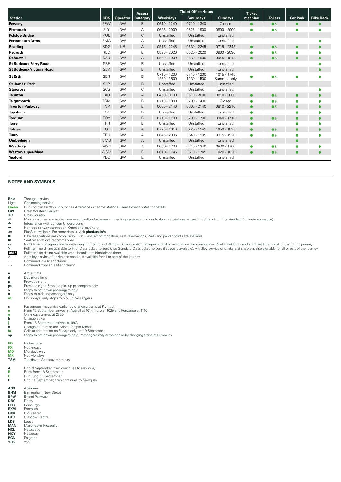|                                 |            |                 | <b>Access</b>   |                            | <b>Ticket Office Hours</b>   |                            | <b>Ticket</b> |                |                 |                  |
|---------------------------------|------------|-----------------|-----------------|----------------------------|------------------------------|----------------------------|---------------|----------------|-----------------|------------------|
| <b>Station</b>                  | <b>CRS</b> | <b>Operator</b> | <b>Category</b> | <b>Weekdays</b>            | <b>Saturdays</b>             | <b>Sundays</b>             | machine       | <b>Toilets</b> | <b>Car Park</b> | <b>Bike Rack</b> |
| Pewsey                          | PEW        | GW              | B               | $0610 - 1240$              | 0710 - 1340                  | Closed                     |               | $\bullet$      |                 |                  |
| Plymouth                        | PLY        | GW              | Α               | $0625 - 2000$              | 0625 - 1900                  | 0800 - 2000                | $\bullet$     | $\bullet$      | $\bullet$       |                  |
| <b>Polsloe Bridge</b>           | POL        | GW              | С               | Unstaffed                  | Unstaffed                    | Unstaffed                  |               |                |                 |                  |
| <b>Portsmouth Arms</b>          | <b>PMA</b> | GW              | Α               | Unstaffed                  | Unstaffed                    | Unstaffed                  |               |                |                 |                  |
| Reading                         | <b>RDG</b> | <b>NR</b>       | A               | 0515 - 2245                | 0530 - 2245                  | $0715 - 2245$              | $\bullet$     | $\bullet$      | $\bullet$       |                  |
| Redruth                         | <b>RED</b> | GW              | B               | 0520 - 2020                | 0520 - 2020                  | 0900 - 2030                | $\bullet$     | $\bullet$      |                 |                  |
| <b>St Austell</b>               | SAU        | GW              | A               | 0550 - 1900                | 0650 - 1900                  | 0945 - 1645                | $\bullet$     | $\bullet$      | $\bullet$       |                  |
| <b>St Budeaux Ferry Road</b>    | <b>SBF</b> | GW              | B               | Unstaffed                  | Unstaffed                    | Unstaffed                  |               |                |                 |                  |
| <b>St Budeaux Victoria Road</b> | <b>SBV</b> | GW              | B               | Unstaffed                  | Unstaffed                    | Unstaffed                  |               |                |                 |                  |
| <b>St Erth</b>                  | <b>SER</b> | GW              | B               | 0715 - 1200<br>1230 - 1500 | $0715 - 1200$<br>1230 - 1500 | 1015 - 1745<br>Summer only |               | $\bullet$      |                 |                  |
| <b>St James' Park</b>           | <b>SJP</b> | GW              | B               | Unstaffed                  | Unstaffed                    | Unstaffed                  |               |                |                 |                  |
| <b>Starcross</b>                | SCS        | GW              | С               | Unstaffed                  | Unstaffed                    | Unstaffed                  |               |                |                 |                  |
| <b>Taunton</b>                  | <b>TAU</b> | GW              | A               | $0450 - 0100$              | $0610 - 2000$                | 0810 - 2000                | $\bullet$     | $\bullet$      | $\bullet$       |                  |
| Teignmouth                      | <b>TGM</b> | GW              | B               | 0710 - 1900                | $0700 - 1400$                | Closed                     | $\bullet$     | $\bullet$      |                 |                  |
| <b>Tiverton Parkway</b>         | <b>TVP</b> | GW              | B               | 0605 - 2140                | 0605 - 2140                  | 0810 - 2210                | $\bullet$     | $\bullet$      | $\bullet$       |                  |
| Topsham                         | <b>TOP</b> | GW              | B               | Unstaffed                  | Unstaffed                    | Unstaffed                  | $\bullet$     |                |                 |                  |
| <b>Torquay</b>                  | <b>TQY</b> | GW              | B               | $0710 - 1700$              | $0700 - 1700$                | 0940 - 1710                | $\bullet$     | $\bullet$      | $\bullet$       |                  |
| <b>Torre</b>                    | <b>TRR</b> | GW              | B               | Unstaffed                  | Unstaffed                    | Unstaffed                  | $\bullet$     |                |                 |                  |
| <b>Totnes</b>                   | <b>TOT</b> | GW              | Α               | $0725 - 1610$              | $0725 - 1545$                | 1050 - 1825                | $\bullet$     | $\bullet$      | $\bullet$       |                  |
| <b>Truro</b>                    | <b>TRU</b> | GW              | Α               | 0645 - 2005                | 0640 - 1905                  | 0915 - 1920                | $\bullet$     | $\bullet$      |                 |                  |
| Umberleigh                      | <b>UMB</b> | GW              | Α               | Unstaffed                  | Unstaffed                    | Unstaffed                  |               |                | $\bullet$       |                  |
| Westbury                        | <b>WSB</b> | GW              | А               | 0650 - 1700                | 0740 - 1340                  | 0830 - 1700                | $\bullet$     | $\bullet$      |                 |                  |
| <b>Weston-super-Mare</b>        | <b>WSM</b> | GW              | B               | $0610 - 1745$              | $0610 - 1745$                | 1020 - 1820                | $\bullet$     | $\bullet$      | $\bullet$       | $\bullet$        |
| Yeoford                         | <b>YEO</b> | GW              | B               | Unstaffed                  | Unstaffed                    | Unstaffed                  |               |                |                 |                  |

#### **NOTES AND SYMBOLS**

**Bold** Through service<br>
Light Connecting serv<br> **Green** Runs on certain Light Connecting service **Green** Runs on certain days only, or has differences at some stations. Please check notes for details

**GW** Great Western Railway<br>**XC** CrossCountry

® Minimum time, in minutes, you need to allow between connecting services (this is only shown at stations where this differs from the standard 5 minute allowance)<br>● Minterchange with London Underground

**XC** CrossCountry<br> **ConsCountry**<br> **ConsCountry**<br> **ConsCountry**<br> **ConsCountry**<br> **ConsCountry** 

> Heritage railway connection. Operating days vary ¬ PlusBus available. For more details, visit **plusbus.info**

ക്ക PlusBus available. For more details, visit **plusbus.info**<br>■ Bike reservations are compulsory. First Class accommodation, seat reservations, Wi-Fi and power points are available<br>■ Seat reservations recommended

ங Seat reservations recommended<br>ء Night Riviera Sleeper service with sleeping berths and Standard Class seating. Sleeper and bike reservations are compulsory. Drinks and light snacks are available for all or part of the × Pullman fine dining available to First Class ticket holders (also Standard Class ticket holders if space is available). A trolley service of drinks and snacks is also available for all or part of the journey<br>0815 Pullm

 $\leftarrow$  Continued in a later column<br>Continued from an earlier co Continued from an earlier column

**a** Arrival time<br>**d** Departure time

**Departure time** 

**p** Previous night<br> **pu** Previous night.

**pu** Previous night. Stops to pick up passengers only<br> **s** Stops to set down passengers only

**s** Stops to set down passengers only<br> **u** Stops to pick up passengers only

**u** Stops to pick up passengers only<br> **uf** On Fridays, only stops to pick up On Fridays, only stops to pick up passengers

**c** Passengers may arrive earlier by changing trains at Plymouth **e** From 12 September arrives St Austell at 1014, Truro at 1029 and Penzance at 1110

**g** On Fridays arrives at 2320 **h** Change at Par

**j** From 18 September arrives at 1803

**k** Change at Taunton and Bristol Temple Meads **fa** Calls at this station on Fridays only until 9 September

**sp** Stops to set down passengers only. Passengers may arrive earlier by changing trains at Plymouth

| FO         | Fridays only                 |
|------------|------------------------------|
| FX         | Not Fridavs                  |
| мо         | Mondavs only                 |
| мx         | Not Mondays                  |
| <b>TSM</b> | Tuesday to Saturday mornings |

**A** Until 9 September, train continues to Newquay<br> **B** Buns from 18 September

**B** Runs from 18 September<br> **C** Runs until 11 September

**D** Until 11 September, train continues to Newquay

| <b>ABD</b> | Aberdeen               |
|------------|------------------------|
| <b>BHM</b> | Birmingham New Street  |
| <b>BPW</b> | <b>Bristol Parkway</b> |
| <b>DBY</b> | Derby                  |
| <b>EDB</b> | Edinburgh              |
| <b>EXM</b> | <b>Fxmouth</b>         |
| <b>GCR</b> | Gloucester             |
| GLC        | Glasgow Central        |
| <b>LDS</b> | I eeds                 |
| <b>MAN</b> | Manchester Piccadilly  |
| <b>NCL</b> | Newcastle              |
| <b>NQY</b> | Newguay                |
| <b>PGN</b> | Paignton               |
|            |                        |

**YRK** York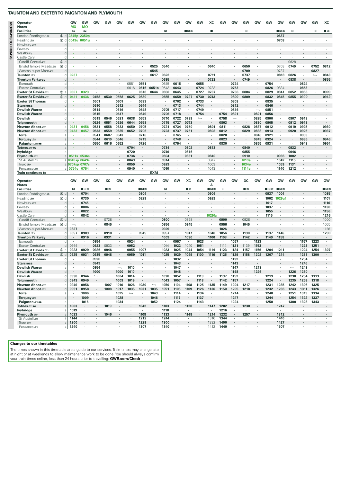| 酉<br>酉<br>в<br>∎⊞ऊ<br>в<br>∎⊓ਡ<br>R<br>R<br>∎ѫ<br>г<br>15 d<br>2345p<br>2350 <sub>p</sub><br>0637<br>0703<br>$^\circledR$<br>0049u<br>0051u<br>O<br>d<br>C<br>d<br>d<br>Cardiff Central s<br>$\circledD$ d<br>0628<br>0703<br>0749<br>0752<br>0812<br>0525<br>0540<br>0640<br>0650<br>Bristol Temple Meads<br>O<br>٠<br>Weston-super-Mare<br>0545<br>0709<br>0737<br>0827<br>d<br>0622<br>0711<br>0826<br>0843<br>Taunton <i>s</i> ⊟<br>0237<br>0617<br>0737<br>0818<br>d<br>$\cdot$<br>$\overline{\phantom{a}}$<br>٠<br>٠<br><b>Tiverton Parkway</b><br>0635<br>0723<br>0749<br>0838<br>0855<br>d<br>0551<br>0551<br>0615<br>0655<br>0724<br>0754<br>0824<br>Exmouth<br>d<br>0615<br>$\cdot$<br>$\cdot$<br>$\cdot$<br>×<br>×<br>×<br>$\cdot$<br>٠<br>$\cdot$<br>$\cdot$<br>٠<br>Exeter Central<br>0616<br>0651a<br>0643<br>0724<br>0753<br>0826<br>0834<br>0853<br>d<br>0616<br>0643<br>0733<br>Exeter St Davids <i>a</i><br>6a<br>0323<br>0618<br>0644<br>0650<br>0645<br>0727<br>0737<br>0756<br>0804<br>0829<br>0841<br>0852<br>0856<br>0909<br>0307<br>Exeter St Davids<br>6d<br>0458<br>0625<br>0727<br>0730<br>0800<br>0809<br>0832<br>0845<br>0855<br>0900<br>0912<br>0411<br>0436<br>0530<br>0558<br>0630<br>0655<br>0659<br>0743<br>÷,<br>$\cdot$<br>0501<br>0601<br>0702<br>0733<br>0803<br><b>Exeter St Thomas</b><br>0633<br>0835<br>d<br>$\cdot$<br>$\cdot$<br>$\cdot$<br>$\cdot$<br>$\cdot$<br>$\cdot$<br>$\cdot$<br>$\cdot$<br>٠.<br>$\overline{\phantom{a}}$<br>$\cdot$<br><b>Starcross</b><br>0510<br>0612<br>0644<br>0713<br>0744<br>0812<br>0846<br>d<br>0514<br>0616<br>0648<br>0705<br>0717<br>0749<br>0816<br>0851<br>a<br>٠<br>0515<br>0617<br>0649<br>0706<br>0718<br>0754<br>0754<br>0821<br>0821<br>0856<br>$\cdot$<br>d<br>0638<br>0739<br>0758<br>0519<br>0546<br>0621<br>0653<br>0710<br>0722<br>$\longmapsto$<br>0825<br>0900<br>0907<br>0913<br>$\longmapsto$<br>d<br>٠<br>0803<br>0830<br>0524<br>0551<br>0626<br>0644<br>0658<br>0715<br>0743<br>0905<br>0912<br>0918<br>0727<br>d<br>0705<br>0828<br>0930<br>0456<br>0531<br>0558<br>0633<br>0650<br>0721<br>0734<br>0750<br>0801<br>0811<br>0837<br>0912<br>0919<br>0925<br>0431<br>a<br>$\cdot$<br>0937<br>0433<br>0457<br>0533<br>0559<br>0635<br>0652<br>0706<br>0723<br>0737<br>0751<br>0802<br>0812<br>0829<br>0838<br>0913<br>0920<br>0925<br>÷,<br>$\cdot$<br>d<br>0820<br><b>Torre</b><br>0541<br>0607<br>0643<br>0716<br>0745<br>0846<br>0921<br>0933<br>٠<br>$\cdot$<br>$\cdot$<br>$\cdot$<br>$\cdot$<br>$\blacksquare$<br>a<br>0646<br>0823<br>0924<br>0946<br>0544<br>0610<br>0719<br>0849<br>0936<br>Torquay =<br>0748<br>a<br>0954<br>Paignton = W<br>0550<br>0616<br>0652<br>0726<br>0830<br>0855<br>0931<br>0943<br>$\cdot$<br>0754<br>$\cdot$<br>$\cdot$<br>$\cdot$<br>a<br>0704<br>0734<br>0802<br>0813<br>0840<br>0932<br>Totnes sam<br>a<br>$\cdot$<br>٠<br>lvybridge<br>0720<br>0749<br>0816<br>0855<br>0946<br>٠<br>a<br>$\cdot$<br>$\cdot$<br>٠<br>$\cdot$<br>٠<br>$\cdot$<br>٠<br>1002<br>Plymouth $\equiv$<br>0536s<br>0736<br>0804<br>0831<br>0840<br>0910<br>0936<br>a<br>0511 <sub>s</sub><br>1115<br>St Austell s<br>a 0649sp 0649s<br>0843<br>0914<br>0947<br>1019e<br>1042<br>$\cdot$<br>٠<br>٠<br>0707sp 0707s<br>0859<br>0929<br>1003<br>1034e<br>1059<br>1131<br>Truro $\equiv$<br>a<br>0940<br>1010<br>1212<br>Penzance s<br>0754c<br>0754<br>1043<br>1114e<br>1140<br>a<br><b>EXM</b><br><b>Train continues to</b><br>GW<br>XC<br>XC<br>GW<br><b>GW</b><br>GW<br>GW<br>XC<br>GW<br>GW<br>GW<br>GW<br>GW<br>GW<br>GW<br>GW<br>GW<br>GW<br><b>GW</b><br>GW<br><b>GW</b><br>GW<br>GW<br>Operator<br><b>Notes</b><br>А<br><b>Facilities</b><br>R<br>∎⊞क्र<br>■B*<br>П<br>∎ म<br>∎в≂<br>R<br>∎≖<br>∎⊞ऊ<br>∎в≂<br>∎в≂<br>■┻<br>0804<br>1035<br>London Paddington $\bullet$<br>15 d<br>0704<br>0904<br>0937<br>1004<br>⑦ d<br>0730<br>0829<br>0929<br>1029uf<br>1101<br>Reading se<br>1002<br>0745<br>1017<br>1116<br><del>دھ</del> Newbury<br>d<br>0804<br>1037<br>1138<br>d<br>٠<br>0822<br>1055<br>1156<br>d<br>1216<br>0842<br>1029fa<br>1115<br>d<br>٠<br>Cardiff Central s<br>7 d<br>0728<br>0800<br>0828<br>0900<br>0928<br>1000<br>$\cdot$<br>0945<br>0956<br>Bristol Temple Meads<br>10 d<br>0845<br>0856<br>1045<br>1055<br>٠<br>$\cdot$<br>٠<br>٠<br>$\blacksquare$<br>٠<br>$\cdot$<br>٠<br>٠<br>1026<br>1126<br>Weston-super-Mare<br>0827<br>0929<br>d<br>0903<br>0918<br>0945<br>1017<br>1048<br>1130<br>1137<br>d<br>0857<br>0957<br>1056<br>1146<br>1238<br>$\cdot$<br>٠<br>$\cdot$<br>$\cdot$<br>$\cdot$<br>$\cdot$<br>$\cdot$<br>٠<br>٠<br>0931<br>1030<br>1108<br>d<br>0916<br>1009<br>1100<br>1142<br>1149<br>1158<br>$\cdot$<br>$\ddot{\phantom{a}}$<br>$\epsilon$<br>$\sim$<br>1123<br>0854<br>0924<br>0957<br>1023<br>1057<br>1157<br>1223<br>Exmouth<br>d<br>$\cdot$<br>٠<br>٠<br>٠<br>$\cdot$<br>$\cdot$<br>×<br>٠<br>٠<br>$\cdot$<br>0923<br>0933<br>0952<br>1040<br>1051<br>1153<br>Exeter Central<br>0914<br>1014<br>1022<br>1114<br>1121<br>1139<br>1221<br>1251<br>d<br>٠<br>0929<br>1211<br>$^{\circ}$<br>0926<br>0946<br>0955<br>1007<br>1023<br>1025<br>1044<br>1054<br>1114<br>1123<br>1124<br>1157<br>1156<br>1204<br>1224<br>1254<br>1307<br>0923<br>a<br>$\cdot$<br>0925<br>0935<br>0948<br>1049<br>1129<br>1214<br>6 d<br>0931<br>0959<br>1011<br>1025<br>1029<br>1100<br>1116<br>1125<br>1158<br>1202<br>1207<br>1231<br>1300<br>0938<br>1032<br>1132<br>1234<br>d<br>$\cdot$<br>$\cdot$<br>$\cdot$<br>$\cdot$<br>$\cdot$<br>$\cdot$<br>0949<br>1043<br>1143<br>1245<br>d<br>0954<br>1010<br>1047<br>1147<br>1213<br>1249<br>a<br>1000<br>1010<br>1048<br>1148<br>1226<br>1250<br>0944<br>1014<br>1038<br>1052<br>1113<br>1137<br>1152<br>1219<br>1230<br>1254<br>1313<br>0938<br>$\longmapsto$<br>1004<br>$\longmapsto$<br>d<br>$\cdot$<br>$\cdot$<br>$\cdot$<br>$\cdot$<br>$\cdot$<br>$\blacksquare$<br>1118<br>1224<br>1259<br>1318<br>0943<br>0949<br>1009<br>1019<br>1043<br>1057<br>1142<br>1157<br>1235<br>d<br>0949<br>0956<br>1007<br>1016<br>1026<br>1030<br>1050<br>1104<br>1108<br>1125<br>1135<br>1149<br>1204<br>1217<br>1231<br>1235<br>1242<br>1306<br>1325<br>$\longleftarrow$<br>a<br>٠<br>٠<br>1008<br>1017<br>1035<br>1126<br>1150<br>1205<br>1218<br>1232<br>1236<br>1243<br>1311<br>1326<br>0951<br>0958<br>1035<br>1031<br>1051<br>1105<br>1109<br>1136<br>d<br>$\epsilon$<br>$\cdot$<br>×.<br>1134<br>1240<br>1251<br>1319<br>1334<br>1006<br>1025<br>$\longmapsto$<br>1043<br>1114<br>1214<br>$\cdot$<br>$\cdot$<br>$\sim$<br>$\cdot$<br>$\sim$<br>$\cdot$<br>٠<br>a<br>$\cdot$<br>$\cdot$<br>٠<br>٠<br>٠<br>1046<br>1137<br>1217<br>1244<br>1254<br>1337<br>1009<br>1028<br>1117<br>1322<br>a<br>$\cdot$<br>$\sim$<br>Paignton = mi<br>1016<br>1034<br>1052<br>1124<br>1143<br>1224<br>1250<br>1300<br>1328<br>1343<br>a<br>٠<br>$\cdot$<br>$\cdot$<br>$\cdot$<br>٠<br>$\cdot$<br>$\sim$<br>×<br>٠<br>$\cdot$<br>1019<br>1202<br>1003<br>1042<br>1103<br>1120<br>1147<br>1230<br>1247<br>$\cdot$<br>$\cdot$<br>$\cdot$<br>a<br>$\cdot$<br>$\cdot$<br>$\cdot$<br>$\cdot$<br>$\cdot$<br>٠<br>$\cdot$<br>$\cdot$<br>٠<br>$\blacksquare$<br>1216<br>1019<br>1118<br>٠<br>٠<br>٠<br>$\cdot$<br>$\cdot$<br>$\cdot$<br>$\cdot$<br>$\cdot$<br>$\cdot$<br>$\blacksquare$<br>٠<br>$\cdot$<br>$\cdot$<br>٠<br>a<br>1133<br>1232<br>1257<br>1033<br>1046<br>1108<br>1148<br>1214<br>1312<br>a<br>$\cdot$<br>٠<br>$\cdot$<br>$\cdot$<br>$\sim$<br>$\cdot$<br>$\cdot$<br>٠<br>$\cdot$<br>٠<br>$\cdot$<br>٠<br>$\cdot$<br>St Austell s<br>1144<br>1212<br>1244<br>1316<br>1344<br>1410<br>a<br>٠<br>٠<br>$\cdot$<br>×<br>$\blacksquare$<br>٠<br>٠<br>٠<br>٠<br>Truro s<br>1200<br>1229<br>1300<br>1332<br>1400<br>1427<br>a<br>٠<br>$\cdot$<br>٠<br>٠<br>Penzance s<br>1240<br>1307<br>1340<br>1412<br>1440<br>1507<br>a<br>$\sim$<br>$\cdot$<br>$\overline{\phantom{a}}$<br>$\cdot$ | <b>Operator</b><br><b>Notes</b>                                                                                                                                                                                                                                                       | <b>GW</b><br>МX | GW<br><b>MO</b> | GW | GW | GW | GW | GW | GW | GW | GW | GW | GW | xс | GW | GW | GW | GW | GW | GW | GW | GW | GW | XC |
|--------------------------------------------------------------------------------------------------------------------------------------------------------------------------------------------------------------------------------------------------------------------------------------------------------------------------------------------------------------------------------------------------------------------------------------------------------------------------------------------------------------------------------------------------------------------------------------------------------------------------------------------------------------------------------------------------------------------------------------------------------------------------------------------------------------------------------------------------------------------------------------------------------------------------------------------------------------------------------------------------------------------------------------------------------------------------------------------------------------------------------------------------------------------------------------------------------------------------------------------------------------------------------------------------------------------------------------------------------------------------------------------------------------------------------------------------------------------------------------------------------------------------------------------------------------------------------------------------------------------------------------------------------------------------------------------------------------------------------------------------------------------------------------------------------------------------------------------------------------------------------------------------------------------------------------------------------------------------------------------------------------------------------------------------------------------------------------------------------------------------------------------------------------------------------------------------------------------------------------------------------------------------------------------------------------------------------------------------------------------------------------------------------------------------------------------------------------------------------------------------------------------------------------------------------------------------------------------------------------------------------------------------------------------------------------------------------------------------------------------------------------------------------------------------------------------------------------------------------------------------------------------------------------------------------------------------------------------------------------------------------------------------------------------------------------------------------------------------------------------------------------------------------------------------------------------------------------------------------------------------------------------------------------------------------------------------------------------------------------------------------------------------------------------------------------------------------------------------------------------------------------------------------------------------------------------------------------------------------------------------------------------------------------------------------------------------------------------------------------------------------------------------------------------------------------------------------------------------------------------------------------------------------------------------------------------------------------------------------------------------------------------------------------------------------------------------------------------------------------------------------------------------------------------------------------------------------------------------------------------------------------------------------------------------------------------------------------------------------------------------------------------------------------------------------------------------------------------------------------------------------------------------------------------------------------------------------------------------------------------------------------------------------------------------------------------------------------------------------------------------------------------------------------------------------------------------------------------------------------------------------------------------------------------------------------------------------------------------------------------------------------------------------------------------------------------------------------------------------------------------------------------------------------------------------------------------------------------------------------------------------------------------------------------------------------------------------------------------------------------------------------------------------------------------------------------------------------------------------------------------------------------------------------------------------------------------------------------------------------------------------------------------------------------------------------------------------------------------------------------------------------------------------------------------------------------------------------------------------------------------------------------------------------------------------------------------------------------------------------------------------------------------------------------------------------------------------------------------------------------------------------------------------------------------------------------------------------------------------------------------------------------------------------------------------------------------------------------------------------------------------------------------------------------------------------------------------------------------------------------------------------------------------------------------------------------------------------------------------------------------------------------------------------------------------------------------------------------------------------------------------------------------------------------------------------------------------------------------------------------------------------------------------------------------------------------------------------------------------------------------------------------------------------------------------------------------------------------------------------------------------------------------------------------------------------------------------------------------------------------------------------------------------------------------------------------------------------------------------------------------------------------------------------------------------------------------------------------------------------------------------------------------------------------------------------------------------------------------------------------------------------------------------------------------------------------------------------------------------------------------------------------------------------------------------------------------------------------------------|---------------------------------------------------------------------------------------------------------------------------------------------------------------------------------------------------------------------------------------------------------------------------------------|-----------------|-----------------|----|----|----|----|----|----|----|----|----|----|----|----|----|----|----|----|----|----|----|----|----|
|                                                                                                                                                                                                                                                                                                                                                                                                                                                                                                                                                                                                                                                                                                                                                                                                                                                                                                                                                                                                                                                                                                                                                                                                                                                                                                                                                                                                                                                                                                                                                                                                                                                                                                                                                                                                                                                                                                                                                                                                                                                                                                                                                                                                                                                                                                                                                                                                                                                                                                                                                                                                                                                                                                                                                                                                                                                                                                                                                                                                                                                                                                                                                                                                                                                                                                                                                                                                                                                                                                                                                                                                                                                                                                                                                                                                                                                                                                                                                                                                                                                                                                                                                                                                                                                                                                                                                                                                                                                                                                                                                                                                                                                                                                                                                                                                                                                                                                                                                                                                                                                                                                                                                                                                                                                                                                                                                                                                                                                                                                                                                                                                                                                                                                                                                                                                                                                                                                                                                                                                                                                                                                                                                                                                                                                                                                                                                                                                                                                                                                                                                                                                                                                                                                                                                                                                                                                                                                                                                                                                                                                                                                                                                                                                                                                                                                                                                                                                                                                                                                                                                                                                                                                                                                                                                                                                                                                        | <b>Facilities</b>                                                                                                                                                                                                                                                                     |                 |                 |    |    |    |    |    |    |    |    |    |    |    |    |    |    |    |    |    |    |    |    |    |
|                                                                                                                                                                                                                                                                                                                                                                                                                                                                                                                                                                                                                                                                                                                                                                                                                                                                                                                                                                                                                                                                                                                                                                                                                                                                                                                                                                                                                                                                                                                                                                                                                                                                                                                                                                                                                                                                                                                                                                                                                                                                                                                                                                                                                                                                                                                                                                                                                                                                                                                                                                                                                                                                                                                                                                                                                                                                                                                                                                                                                                                                                                                                                                                                                                                                                                                                                                                                                                                                                                                                                                                                                                                                                                                                                                                                                                                                                                                                                                                                                                                                                                                                                                                                                                                                                                                                                                                                                                                                                                                                                                                                                                                                                                                                                                                                                                                                                                                                                                                                                                                                                                                                                                                                                                                                                                                                                                                                                                                                                                                                                                                                                                                                                                                                                                                                                                                                                                                                                                                                                                                                                                                                                                                                                                                                                                                                                                                                                                                                                                                                                                                                                                                                                                                                                                                                                                                                                                                                                                                                                                                                                                                                                                                                                                                                                                                                                                                                                                                                                                                                                                                                                                                                                                                                                                                                                                                        | London Paddington $\bullet$                                                                                                                                                                                                                                                           |                 |                 |    |    |    |    |    |    |    |    |    |    |    |    |    |    |    |    |    |    |    |    |    |
|                                                                                                                                                                                                                                                                                                                                                                                                                                                                                                                                                                                                                                                                                                                                                                                                                                                                                                                                                                                                                                                                                                                                                                                                                                                                                                                                                                                                                                                                                                                                                                                                                                                                                                                                                                                                                                                                                                                                                                                                                                                                                                                                                                                                                                                                                                                                                                                                                                                                                                                                                                                                                                                                                                                                                                                                                                                                                                                                                                                                                                                                                                                                                                                                                                                                                                                                                                                                                                                                                                                                                                                                                                                                                                                                                                                                                                                                                                                                                                                                                                                                                                                                                                                                                                                                                                                                                                                                                                                                                                                                                                                                                                                                                                                                                                                                                                                                                                                                                                                                                                                                                                                                                                                                                                                                                                                                                                                                                                                                                                                                                                                                                                                                                                                                                                                                                                                                                                                                                                                                                                                                                                                                                                                                                                                                                                                                                                                                                                                                                                                                                                                                                                                                                                                                                                                                                                                                                                                                                                                                                                                                                                                                                                                                                                                                                                                                                                                                                                                                                                                                                                                                                                                                                                                                                                                                                                                        | Reading se                                                                                                                                                                                                                                                                            |                 |                 |    |    |    |    |    |    |    |    |    |    |    |    |    |    |    |    |    |    |    |    |    |
|                                                                                                                                                                                                                                                                                                                                                                                                                                                                                                                                                                                                                                                                                                                                                                                                                                                                                                                                                                                                                                                                                                                                                                                                                                                                                                                                                                                                                                                                                                                                                                                                                                                                                                                                                                                                                                                                                                                                                                                                                                                                                                                                                                                                                                                                                                                                                                                                                                                                                                                                                                                                                                                                                                                                                                                                                                                                                                                                                                                                                                                                                                                                                                                                                                                                                                                                                                                                                                                                                                                                                                                                                                                                                                                                                                                                                                                                                                                                                                                                                                                                                                                                                                                                                                                                                                                                                                                                                                                                                                                                                                                                                                                                                                                                                                                                                                                                                                                                                                                                                                                                                                                                                                                                                                                                                                                                                                                                                                                                                                                                                                                                                                                                                                                                                                                                                                                                                                                                                                                                                                                                                                                                                                                                                                                                                                                                                                                                                                                                                                                                                                                                                                                                                                                                                                                                                                                                                                                                                                                                                                                                                                                                                                                                                                                                                                                                                                                                                                                                                                                                                                                                                                                                                                                                                                                                                                                        | Newbury se                                                                                                                                                                                                                                                                            |                 |                 |    |    |    |    |    |    |    |    |    |    |    |    |    |    |    |    |    |    |    |    |    |
|                                                                                                                                                                                                                                                                                                                                                                                                                                                                                                                                                                                                                                                                                                                                                                                                                                                                                                                                                                                                                                                                                                                                                                                                                                                                                                                                                                                                                                                                                                                                                                                                                                                                                                                                                                                                                                                                                                                                                                                                                                                                                                                                                                                                                                                                                                                                                                                                                                                                                                                                                                                                                                                                                                                                                                                                                                                                                                                                                                                                                                                                                                                                                                                                                                                                                                                                                                                                                                                                                                                                                                                                                                                                                                                                                                                                                                                                                                                                                                                                                                                                                                                                                                                                                                                                                                                                                                                                                                                                                                                                                                                                                                                                                                                                                                                                                                                                                                                                                                                                                                                                                                                                                                                                                                                                                                                                                                                                                                                                                                                                                                                                                                                                                                                                                                                                                                                                                                                                                                                                                                                                                                                                                                                                                                                                                                                                                                                                                                                                                                                                                                                                                                                                                                                                                                                                                                                                                                                                                                                                                                                                                                                                                                                                                                                                                                                                                                                                                                                                                                                                                                                                                                                                                                                                                                                                                                                        | Pewsey                                                                                                                                                                                                                                                                                |                 |                 |    |    |    |    |    |    |    |    |    |    |    |    |    |    |    |    |    |    |    |    |    |
|                                                                                                                                                                                                                                                                                                                                                                                                                                                                                                                                                                                                                                                                                                                                                                                                                                                                                                                                                                                                                                                                                                                                                                                                                                                                                                                                                                                                                                                                                                                                                                                                                                                                                                                                                                                                                                                                                                                                                                                                                                                                                                                                                                                                                                                                                                                                                                                                                                                                                                                                                                                                                                                                                                                                                                                                                                                                                                                                                                                                                                                                                                                                                                                                                                                                                                                                                                                                                                                                                                                                                                                                                                                                                                                                                                                                                                                                                                                                                                                                                                                                                                                                                                                                                                                                                                                                                                                                                                                                                                                                                                                                                                                                                                                                                                                                                                                                                                                                                                                                                                                                                                                                                                                                                                                                                                                                                                                                                                                                                                                                                                                                                                                                                                                                                                                                                                                                                                                                                                                                                                                                                                                                                                                                                                                                                                                                                                                                                                                                                                                                                                                                                                                                                                                                                                                                                                                                                                                                                                                                                                                                                                                                                                                                                                                                                                                                                                                                                                                                                                                                                                                                                                                                                                                                                                                                                                                        | Westbury                                                                                                                                                                                                                                                                              |                 |                 |    |    |    |    |    |    |    |    |    |    |    |    |    |    |    |    |    |    |    |    |    |
|                                                                                                                                                                                                                                                                                                                                                                                                                                                                                                                                                                                                                                                                                                                                                                                                                                                                                                                                                                                                                                                                                                                                                                                                                                                                                                                                                                                                                                                                                                                                                                                                                                                                                                                                                                                                                                                                                                                                                                                                                                                                                                                                                                                                                                                                                                                                                                                                                                                                                                                                                                                                                                                                                                                                                                                                                                                                                                                                                                                                                                                                                                                                                                                                                                                                                                                                                                                                                                                                                                                                                                                                                                                                                                                                                                                                                                                                                                                                                                                                                                                                                                                                                                                                                                                                                                                                                                                                                                                                                                                                                                                                                                                                                                                                                                                                                                                                                                                                                                                                                                                                                                                                                                                                                                                                                                                                                                                                                                                                                                                                                                                                                                                                                                                                                                                                                                                                                                                                                                                                                                                                                                                                                                                                                                                                                                                                                                                                                                                                                                                                                                                                                                                                                                                                                                                                                                                                                                                                                                                                                                                                                                                                                                                                                                                                                                                                                                                                                                                                                                                                                                                                                                                                                                                                                                                                                                                        | Castle Cary                                                                                                                                                                                                                                                                           |                 |                 |    |    |    |    |    |    |    |    |    |    |    |    |    |    |    |    |    |    |    |    |    |
|                                                                                                                                                                                                                                                                                                                                                                                                                                                                                                                                                                                                                                                                                                                                                                                                                                                                                                                                                                                                                                                                                                                                                                                                                                                                                                                                                                                                                                                                                                                                                                                                                                                                                                                                                                                                                                                                                                                                                                                                                                                                                                                                                                                                                                                                                                                                                                                                                                                                                                                                                                                                                                                                                                                                                                                                                                                                                                                                                                                                                                                                                                                                                                                                                                                                                                                                                                                                                                                                                                                                                                                                                                                                                                                                                                                                                                                                                                                                                                                                                                                                                                                                                                                                                                                                                                                                                                                                                                                                                                                                                                                                                                                                                                                                                                                                                                                                                                                                                                                                                                                                                                                                                                                                                                                                                                                                                                                                                                                                                                                                                                                                                                                                                                                                                                                                                                                                                                                                                                                                                                                                                                                                                                                                                                                                                                                                                                                                                                                                                                                                                                                                                                                                                                                                                                                                                                                                                                                                                                                                                                                                                                                                                                                                                                                                                                                                                                                                                                                                                                                                                                                                                                                                                                                                                                                                                                                        |                                                                                                                                                                                                                                                                                       |                 |                 |    |    |    |    |    |    |    |    |    |    |    |    |    |    |    |    |    |    |    |    |    |
|                                                                                                                                                                                                                                                                                                                                                                                                                                                                                                                                                                                                                                                                                                                                                                                                                                                                                                                                                                                                                                                                                                                                                                                                                                                                                                                                                                                                                                                                                                                                                                                                                                                                                                                                                                                                                                                                                                                                                                                                                                                                                                                                                                                                                                                                                                                                                                                                                                                                                                                                                                                                                                                                                                                                                                                                                                                                                                                                                                                                                                                                                                                                                                                                                                                                                                                                                                                                                                                                                                                                                                                                                                                                                                                                                                                                                                                                                                                                                                                                                                                                                                                                                                                                                                                                                                                                                                                                                                                                                                                                                                                                                                                                                                                                                                                                                                                                                                                                                                                                                                                                                                                                                                                                                                                                                                                                                                                                                                                                                                                                                                                                                                                                                                                                                                                                                                                                                                                                                                                                                                                                                                                                                                                                                                                                                                                                                                                                                                                                                                                                                                                                                                                                                                                                                                                                                                                                                                                                                                                                                                                                                                                                                                                                                                                                                                                                                                                                                                                                                                                                                                                                                                                                                                                                                                                                                                                        |                                                                                                                                                                                                                                                                                       |                 |                 |    |    |    |    |    |    |    |    |    |    |    |    |    |    |    |    |    |    |    |    |    |
|                                                                                                                                                                                                                                                                                                                                                                                                                                                                                                                                                                                                                                                                                                                                                                                                                                                                                                                                                                                                                                                                                                                                                                                                                                                                                                                                                                                                                                                                                                                                                                                                                                                                                                                                                                                                                                                                                                                                                                                                                                                                                                                                                                                                                                                                                                                                                                                                                                                                                                                                                                                                                                                                                                                                                                                                                                                                                                                                                                                                                                                                                                                                                                                                                                                                                                                                                                                                                                                                                                                                                                                                                                                                                                                                                                                                                                                                                                                                                                                                                                                                                                                                                                                                                                                                                                                                                                                                                                                                                                                                                                                                                                                                                                                                                                                                                                                                                                                                                                                                                                                                                                                                                                                                                                                                                                                                                                                                                                                                                                                                                                                                                                                                                                                                                                                                                                                                                                                                                                                                                                                                                                                                                                                                                                                                                                                                                                                                                                                                                                                                                                                                                                                                                                                                                                                                                                                                                                                                                                                                                                                                                                                                                                                                                                                                                                                                                                                                                                                                                                                                                                                                                                                                                                                                                                                                                                                        |                                                                                                                                                                                                                                                                                       |                 |                 |    |    |    |    |    |    |    |    |    |    |    |    |    |    |    |    |    |    |    |    |    |
|                                                                                                                                                                                                                                                                                                                                                                                                                                                                                                                                                                                                                                                                                                                                                                                                                                                                                                                                                                                                                                                                                                                                                                                                                                                                                                                                                                                                                                                                                                                                                                                                                                                                                                                                                                                                                                                                                                                                                                                                                                                                                                                                                                                                                                                                                                                                                                                                                                                                                                                                                                                                                                                                                                                                                                                                                                                                                                                                                                                                                                                                                                                                                                                                                                                                                                                                                                                                                                                                                                                                                                                                                                                                                                                                                                                                                                                                                                                                                                                                                                                                                                                                                                                                                                                                                                                                                                                                                                                                                                                                                                                                                                                                                                                                                                                                                                                                                                                                                                                                                                                                                                                                                                                                                                                                                                                                                                                                                                                                                                                                                                                                                                                                                                                                                                                                                                                                                                                                                                                                                                                                                                                                                                                                                                                                                                                                                                                                                                                                                                                                                                                                                                                                                                                                                                                                                                                                                                                                                                                                                                                                                                                                                                                                                                                                                                                                                                                                                                                                                                                                                                                                                                                                                                                                                                                                                                                        |                                                                                                                                                                                                                                                                                       |                 |                 |    |    |    |    |    |    |    |    |    |    |    |    |    |    |    |    |    |    |    |    |    |
|                                                                                                                                                                                                                                                                                                                                                                                                                                                                                                                                                                                                                                                                                                                                                                                                                                                                                                                                                                                                                                                                                                                                                                                                                                                                                                                                                                                                                                                                                                                                                                                                                                                                                                                                                                                                                                                                                                                                                                                                                                                                                                                                                                                                                                                                                                                                                                                                                                                                                                                                                                                                                                                                                                                                                                                                                                                                                                                                                                                                                                                                                                                                                                                                                                                                                                                                                                                                                                                                                                                                                                                                                                                                                                                                                                                                                                                                                                                                                                                                                                                                                                                                                                                                                                                                                                                                                                                                                                                                                                                                                                                                                                                                                                                                                                                                                                                                                                                                                                                                                                                                                                                                                                                                                                                                                                                                                                                                                                                                                                                                                                                                                                                                                                                                                                                                                                                                                                                                                                                                                                                                                                                                                                                                                                                                                                                                                                                                                                                                                                                                                                                                                                                                                                                                                                                                                                                                                                                                                                                                                                                                                                                                                                                                                                                                                                                                                                                                                                                                                                                                                                                                                                                                                                                                                                                                                                                        |                                                                                                                                                                                                                                                                                       |                 |                 |    |    |    |    |    |    |    |    |    |    |    |    |    |    |    |    |    |    |    |    |    |
|                                                                                                                                                                                                                                                                                                                                                                                                                                                                                                                                                                                                                                                                                                                                                                                                                                                                                                                                                                                                                                                                                                                                                                                                                                                                                                                                                                                                                                                                                                                                                                                                                                                                                                                                                                                                                                                                                                                                                                                                                                                                                                                                                                                                                                                                                                                                                                                                                                                                                                                                                                                                                                                                                                                                                                                                                                                                                                                                                                                                                                                                                                                                                                                                                                                                                                                                                                                                                                                                                                                                                                                                                                                                                                                                                                                                                                                                                                                                                                                                                                                                                                                                                                                                                                                                                                                                                                                                                                                                                                                                                                                                                                                                                                                                                                                                                                                                                                                                                                                                                                                                                                                                                                                                                                                                                                                                                                                                                                                                                                                                                                                                                                                                                                                                                                                                                                                                                                                                                                                                                                                                                                                                                                                                                                                                                                                                                                                                                                                                                                                                                                                                                                                                                                                                                                                                                                                                                                                                                                                                                                                                                                                                                                                                                                                                                                                                                                                                                                                                                                                                                                                                                                                                                                                                                                                                                                                        |                                                                                                                                                                                                                                                                                       |                 |                 |    |    |    |    |    |    |    |    |    |    |    |    |    |    |    |    |    |    |    |    |    |
|                                                                                                                                                                                                                                                                                                                                                                                                                                                                                                                                                                                                                                                                                                                                                                                                                                                                                                                                                                                                                                                                                                                                                                                                                                                                                                                                                                                                                                                                                                                                                                                                                                                                                                                                                                                                                                                                                                                                                                                                                                                                                                                                                                                                                                                                                                                                                                                                                                                                                                                                                                                                                                                                                                                                                                                                                                                                                                                                                                                                                                                                                                                                                                                                                                                                                                                                                                                                                                                                                                                                                                                                                                                                                                                                                                                                                                                                                                                                                                                                                                                                                                                                                                                                                                                                                                                                                                                                                                                                                                                                                                                                                                                                                                                                                                                                                                                                                                                                                                                                                                                                                                                                                                                                                                                                                                                                                                                                                                                                                                                                                                                                                                                                                                                                                                                                                                                                                                                                                                                                                                                                                                                                                                                                                                                                                                                                                                                                                                                                                                                                                                                                                                                                                                                                                                                                                                                                                                                                                                                                                                                                                                                                                                                                                                                                                                                                                                                                                                                                                                                                                                                                                                                                                                                                                                                                                                                        |                                                                                                                                                                                                                                                                                       |                 |                 |    |    |    |    |    |    |    |    |    |    |    |    |    |    |    |    |    |    |    |    |    |
|                                                                                                                                                                                                                                                                                                                                                                                                                                                                                                                                                                                                                                                                                                                                                                                                                                                                                                                                                                                                                                                                                                                                                                                                                                                                                                                                                                                                                                                                                                                                                                                                                                                                                                                                                                                                                                                                                                                                                                                                                                                                                                                                                                                                                                                                                                                                                                                                                                                                                                                                                                                                                                                                                                                                                                                                                                                                                                                                                                                                                                                                                                                                                                                                                                                                                                                                                                                                                                                                                                                                                                                                                                                                                                                                                                                                                                                                                                                                                                                                                                                                                                                                                                                                                                                                                                                                                                                                                                                                                                                                                                                                                                                                                                                                                                                                                                                                                                                                                                                                                                                                                                                                                                                                                                                                                                                                                                                                                                                                                                                                                                                                                                                                                                                                                                                                                                                                                                                                                                                                                                                                                                                                                                                                                                                                                                                                                                                                                                                                                                                                                                                                                                                                                                                                                                                                                                                                                                                                                                                                                                                                                                                                                                                                                                                                                                                                                                                                                                                                                                                                                                                                                                                                                                                                                                                                                                                        |                                                                                                                                                                                                                                                                                       |                 |                 |    |    |    |    |    |    |    |    |    |    |    |    |    |    |    |    |    |    |    |    |    |
|                                                                                                                                                                                                                                                                                                                                                                                                                                                                                                                                                                                                                                                                                                                                                                                                                                                                                                                                                                                                                                                                                                                                                                                                                                                                                                                                                                                                                                                                                                                                                                                                                                                                                                                                                                                                                                                                                                                                                                                                                                                                                                                                                                                                                                                                                                                                                                                                                                                                                                                                                                                                                                                                                                                                                                                                                                                                                                                                                                                                                                                                                                                                                                                                                                                                                                                                                                                                                                                                                                                                                                                                                                                                                                                                                                                                                                                                                                                                                                                                                                                                                                                                                                                                                                                                                                                                                                                                                                                                                                                                                                                                                                                                                                                                                                                                                                                                                                                                                                                                                                                                                                                                                                                                                                                                                                                                                                                                                                                                                                                                                                                                                                                                                                                                                                                                                                                                                                                                                                                                                                                                                                                                                                                                                                                                                                                                                                                                                                                                                                                                                                                                                                                                                                                                                                                                                                                                                                                                                                                                                                                                                                                                                                                                                                                                                                                                                                                                                                                                                                                                                                                                                                                                                                                                                                                                                                                        |                                                                                                                                                                                                                                                                                       |                 |                 |    |    |    |    |    |    |    |    |    |    |    |    |    |    |    |    |    |    |    |    |    |
|                                                                                                                                                                                                                                                                                                                                                                                                                                                                                                                                                                                                                                                                                                                                                                                                                                                                                                                                                                                                                                                                                                                                                                                                                                                                                                                                                                                                                                                                                                                                                                                                                                                                                                                                                                                                                                                                                                                                                                                                                                                                                                                                                                                                                                                                                                                                                                                                                                                                                                                                                                                                                                                                                                                                                                                                                                                                                                                                                                                                                                                                                                                                                                                                                                                                                                                                                                                                                                                                                                                                                                                                                                                                                                                                                                                                                                                                                                                                                                                                                                                                                                                                                                                                                                                                                                                                                                                                                                                                                                                                                                                                                                                                                                                                                                                                                                                                                                                                                                                                                                                                                                                                                                                                                                                                                                                                                                                                                                                                                                                                                                                                                                                                                                                                                                                                                                                                                                                                                                                                                                                                                                                                                                                                                                                                                                                                                                                                                                                                                                                                                                                                                                                                                                                                                                                                                                                                                                                                                                                                                                                                                                                                                                                                                                                                                                                                                                                                                                                                                                                                                                                                                                                                                                                                                                                                                                                        |                                                                                                                                                                                                                                                                                       |                 |                 |    |    |    |    |    |    |    |    |    |    |    |    |    |    |    |    |    |    |    |    |    |
|                                                                                                                                                                                                                                                                                                                                                                                                                                                                                                                                                                                                                                                                                                                                                                                                                                                                                                                                                                                                                                                                                                                                                                                                                                                                                                                                                                                                                                                                                                                                                                                                                                                                                                                                                                                                                                                                                                                                                                                                                                                                                                                                                                                                                                                                                                                                                                                                                                                                                                                                                                                                                                                                                                                                                                                                                                                                                                                                                                                                                                                                                                                                                                                                                                                                                                                                                                                                                                                                                                                                                                                                                                                                                                                                                                                                                                                                                                                                                                                                                                                                                                                                                                                                                                                                                                                                                                                                                                                                                                                                                                                                                                                                                                                                                                                                                                                                                                                                                                                                                                                                                                                                                                                                                                                                                                                                                                                                                                                                                                                                                                                                                                                                                                                                                                                                                                                                                                                                                                                                                                                                                                                                                                                                                                                                                                                                                                                                                                                                                                                                                                                                                                                                                                                                                                                                                                                                                                                                                                                                                                                                                                                                                                                                                                                                                                                                                                                                                                                                                                                                                                                                                                                                                                                                                                                                                                                        |                                                                                                                                                                                                                                                                                       |                 |                 |    |    |    |    |    |    |    |    |    |    |    |    |    |    |    |    |    |    |    |    |    |
|                                                                                                                                                                                                                                                                                                                                                                                                                                                                                                                                                                                                                                                                                                                                                                                                                                                                                                                                                                                                                                                                                                                                                                                                                                                                                                                                                                                                                                                                                                                                                                                                                                                                                                                                                                                                                                                                                                                                                                                                                                                                                                                                                                                                                                                                                                                                                                                                                                                                                                                                                                                                                                                                                                                                                                                                                                                                                                                                                                                                                                                                                                                                                                                                                                                                                                                                                                                                                                                                                                                                                                                                                                                                                                                                                                                                                                                                                                                                                                                                                                                                                                                                                                                                                                                                                                                                                                                                                                                                                                                                                                                                                                                                                                                                                                                                                                                                                                                                                                                                                                                                                                                                                                                                                                                                                                                                                                                                                                                                                                                                                                                                                                                                                                                                                                                                                                                                                                                                                                                                                                                                                                                                                                                                                                                                                                                                                                                                                                                                                                                                                                                                                                                                                                                                                                                                                                                                                                                                                                                                                                                                                                                                                                                                                                                                                                                                                                                                                                                                                                                                                                                                                                                                                                                                                                                                                                                        |                                                                                                                                                                                                                                                                                       |                 |                 |    |    |    |    |    |    |    |    |    |    |    |    |    |    |    |    |    |    |    |    |    |
|                                                                                                                                                                                                                                                                                                                                                                                                                                                                                                                                                                                                                                                                                                                                                                                                                                                                                                                                                                                                                                                                                                                                                                                                                                                                                                                                                                                                                                                                                                                                                                                                                                                                                                                                                                                                                                                                                                                                                                                                                                                                                                                                                                                                                                                                                                                                                                                                                                                                                                                                                                                                                                                                                                                                                                                                                                                                                                                                                                                                                                                                                                                                                                                                                                                                                                                                                                                                                                                                                                                                                                                                                                                                                                                                                                                                                                                                                                                                                                                                                                                                                                                                                                                                                                                                                                                                                                                                                                                                                                                                                                                                                                                                                                                                                                                                                                                                                                                                                                                                                                                                                                                                                                                                                                                                                                                                                                                                                                                                                                                                                                                                                                                                                                                                                                                                                                                                                                                                                                                                                                                                                                                                                                                                                                                                                                                                                                                                                                                                                                                                                                                                                                                                                                                                                                                                                                                                                                                                                                                                                                                                                                                                                                                                                                                                                                                                                                                                                                                                                                                                                                                                                                                                                                                                                                                                                                                        | <b>Dawlish Warren</b>                                                                                                                                                                                                                                                                 |                 |                 |    |    |    |    |    |    |    |    |    |    |    |    |    |    |    |    |    |    |    |    |    |
|                                                                                                                                                                                                                                                                                                                                                                                                                                                                                                                                                                                                                                                                                                                                                                                                                                                                                                                                                                                                                                                                                                                                                                                                                                                                                                                                                                                                                                                                                                                                                                                                                                                                                                                                                                                                                                                                                                                                                                                                                                                                                                                                                                                                                                                                                                                                                                                                                                                                                                                                                                                                                                                                                                                                                                                                                                                                                                                                                                                                                                                                                                                                                                                                                                                                                                                                                                                                                                                                                                                                                                                                                                                                                                                                                                                                                                                                                                                                                                                                                                                                                                                                                                                                                                                                                                                                                                                                                                                                                                                                                                                                                                                                                                                                                                                                                                                                                                                                                                                                                                                                                                                                                                                                                                                                                                                                                                                                                                                                                                                                                                                                                                                                                                                                                                                                                                                                                                                                                                                                                                                                                                                                                                                                                                                                                                                                                                                                                                                                                                                                                                                                                                                                                                                                                                                                                                                                                                                                                                                                                                                                                                                                                                                                                                                                                                                                                                                                                                                                                                                                                                                                                                                                                                                                                                                                                                                        | <b>Dawlish Warren</b>                                                                                                                                                                                                                                                                 |                 |                 |    |    |    |    |    |    |    |    |    |    |    |    |    |    |    |    |    |    |    |    |    |
|                                                                                                                                                                                                                                                                                                                                                                                                                                                                                                                                                                                                                                                                                                                                                                                                                                                                                                                                                                                                                                                                                                                                                                                                                                                                                                                                                                                                                                                                                                                                                                                                                                                                                                                                                                                                                                                                                                                                                                                                                                                                                                                                                                                                                                                                                                                                                                                                                                                                                                                                                                                                                                                                                                                                                                                                                                                                                                                                                                                                                                                                                                                                                                                                                                                                                                                                                                                                                                                                                                                                                                                                                                                                                                                                                                                                                                                                                                                                                                                                                                                                                                                                                                                                                                                                                                                                                                                                                                                                                                                                                                                                                                                                                                                                                                                                                                                                                                                                                                                                                                                                                                                                                                                                                                                                                                                                                                                                                                                                                                                                                                                                                                                                                                                                                                                                                                                                                                                                                                                                                                                                                                                                                                                                                                                                                                                                                                                                                                                                                                                                                                                                                                                                                                                                                                                                                                                                                                                                                                                                                                                                                                                                                                                                                                                                                                                                                                                                                                                                                                                                                                                                                                                                                                                                                                                                                                                        | <b>Dawlish</b>                                                                                                                                                                                                                                                                        |                 |                 |    |    |    |    |    |    |    |    |    |    |    |    |    |    |    |    |    |    |    |    |    |
|                                                                                                                                                                                                                                                                                                                                                                                                                                                                                                                                                                                                                                                                                                                                                                                                                                                                                                                                                                                                                                                                                                                                                                                                                                                                                                                                                                                                                                                                                                                                                                                                                                                                                                                                                                                                                                                                                                                                                                                                                                                                                                                                                                                                                                                                                                                                                                                                                                                                                                                                                                                                                                                                                                                                                                                                                                                                                                                                                                                                                                                                                                                                                                                                                                                                                                                                                                                                                                                                                                                                                                                                                                                                                                                                                                                                                                                                                                                                                                                                                                                                                                                                                                                                                                                                                                                                                                                                                                                                                                                                                                                                                                                                                                                                                                                                                                                                                                                                                                                                                                                                                                                                                                                                                                                                                                                                                                                                                                                                                                                                                                                                                                                                                                                                                                                                                                                                                                                                                                                                                                                                                                                                                                                                                                                                                                                                                                                                                                                                                                                                                                                                                                                                                                                                                                                                                                                                                                                                                                                                                                                                                                                                                                                                                                                                                                                                                                                                                                                                                                                                                                                                                                                                                                                                                                                                                                                        | Teignmouth                                                                                                                                                                                                                                                                            |                 |                 |    |    |    |    |    |    |    |    |    |    |    |    |    |    |    |    |    |    |    |    |    |
|                                                                                                                                                                                                                                                                                                                                                                                                                                                                                                                                                                                                                                                                                                                                                                                                                                                                                                                                                                                                                                                                                                                                                                                                                                                                                                                                                                                                                                                                                                                                                                                                                                                                                                                                                                                                                                                                                                                                                                                                                                                                                                                                                                                                                                                                                                                                                                                                                                                                                                                                                                                                                                                                                                                                                                                                                                                                                                                                                                                                                                                                                                                                                                                                                                                                                                                                                                                                                                                                                                                                                                                                                                                                                                                                                                                                                                                                                                                                                                                                                                                                                                                                                                                                                                                                                                                                                                                                                                                                                                                                                                                                                                                                                                                                                                                                                                                                                                                                                                                                                                                                                                                                                                                                                                                                                                                                                                                                                                                                                                                                                                                                                                                                                                                                                                                                                                                                                                                                                                                                                                                                                                                                                                                                                                                                                                                                                                                                                                                                                                                                                                                                                                                                                                                                                                                                                                                                                                                                                                                                                                                                                                                                                                                                                                                                                                                                                                                                                                                                                                                                                                                                                                                                                                                                                                                                                                                        | Newton Abbot æ                                                                                                                                                                                                                                                                        |                 |                 |    |    |    |    |    |    |    |    |    |    |    |    |    |    |    |    |    |    |    |    |    |
|                                                                                                                                                                                                                                                                                                                                                                                                                                                                                                                                                                                                                                                                                                                                                                                                                                                                                                                                                                                                                                                                                                                                                                                                                                                                                                                                                                                                                                                                                                                                                                                                                                                                                                                                                                                                                                                                                                                                                                                                                                                                                                                                                                                                                                                                                                                                                                                                                                                                                                                                                                                                                                                                                                                                                                                                                                                                                                                                                                                                                                                                                                                                                                                                                                                                                                                                                                                                                                                                                                                                                                                                                                                                                                                                                                                                                                                                                                                                                                                                                                                                                                                                                                                                                                                                                                                                                                                                                                                                                                                                                                                                                                                                                                                                                                                                                                                                                                                                                                                                                                                                                                                                                                                                                                                                                                                                                                                                                                                                                                                                                                                                                                                                                                                                                                                                                                                                                                                                                                                                                                                                                                                                                                                                                                                                                                                                                                                                                                                                                                                                                                                                                                                                                                                                                                                                                                                                                                                                                                                                                                                                                                                                                                                                                                                                                                                                                                                                                                                                                                                                                                                                                                                                                                                                                                                                                                                        | Newton Abbot <i>≅</i> ≡                                                                                                                                                                                                                                                               |                 |                 |    |    |    |    |    |    |    |    |    |    |    |    |    |    |    |    |    |    |    |    |    |
|                                                                                                                                                                                                                                                                                                                                                                                                                                                                                                                                                                                                                                                                                                                                                                                                                                                                                                                                                                                                                                                                                                                                                                                                                                                                                                                                                                                                                                                                                                                                                                                                                                                                                                                                                                                                                                                                                                                                                                                                                                                                                                                                                                                                                                                                                                                                                                                                                                                                                                                                                                                                                                                                                                                                                                                                                                                                                                                                                                                                                                                                                                                                                                                                                                                                                                                                                                                                                                                                                                                                                                                                                                                                                                                                                                                                                                                                                                                                                                                                                                                                                                                                                                                                                                                                                                                                                                                                                                                                                                                                                                                                                                                                                                                                                                                                                                                                                                                                                                                                                                                                                                                                                                                                                                                                                                                                                                                                                                                                                                                                                                                                                                                                                                                                                                                                                                                                                                                                                                                                                                                                                                                                                                                                                                                                                                                                                                                                                                                                                                                                                                                                                                                                                                                                                                                                                                                                                                                                                                                                                                                                                                                                                                                                                                                                                                                                                                                                                                                                                                                                                                                                                                                                                                                                                                                                                                                        |                                                                                                                                                                                                                                                                                       |                 |                 |    |    |    |    |    |    |    |    |    |    |    |    |    |    |    |    |    |    |    |    |    |
|                                                                                                                                                                                                                                                                                                                                                                                                                                                                                                                                                                                                                                                                                                                                                                                                                                                                                                                                                                                                                                                                                                                                                                                                                                                                                                                                                                                                                                                                                                                                                                                                                                                                                                                                                                                                                                                                                                                                                                                                                                                                                                                                                                                                                                                                                                                                                                                                                                                                                                                                                                                                                                                                                                                                                                                                                                                                                                                                                                                                                                                                                                                                                                                                                                                                                                                                                                                                                                                                                                                                                                                                                                                                                                                                                                                                                                                                                                                                                                                                                                                                                                                                                                                                                                                                                                                                                                                                                                                                                                                                                                                                                                                                                                                                                                                                                                                                                                                                                                                                                                                                                                                                                                                                                                                                                                                                                                                                                                                                                                                                                                                                                                                                                                                                                                                                                                                                                                                                                                                                                                                                                                                                                                                                                                                                                                                                                                                                                                                                                                                                                                                                                                                                                                                                                                                                                                                                                                                                                                                                                                                                                                                                                                                                                                                                                                                                                                                                                                                                                                                                                                                                                                                                                                                                                                                                                                                        |                                                                                                                                                                                                                                                                                       |                 |                 |    |    |    |    |    |    |    |    |    |    |    |    |    |    |    |    |    |    |    |    |    |
|                                                                                                                                                                                                                                                                                                                                                                                                                                                                                                                                                                                                                                                                                                                                                                                                                                                                                                                                                                                                                                                                                                                                                                                                                                                                                                                                                                                                                                                                                                                                                                                                                                                                                                                                                                                                                                                                                                                                                                                                                                                                                                                                                                                                                                                                                                                                                                                                                                                                                                                                                                                                                                                                                                                                                                                                                                                                                                                                                                                                                                                                                                                                                                                                                                                                                                                                                                                                                                                                                                                                                                                                                                                                                                                                                                                                                                                                                                                                                                                                                                                                                                                                                                                                                                                                                                                                                                                                                                                                                                                                                                                                                                                                                                                                                                                                                                                                                                                                                                                                                                                                                                                                                                                                                                                                                                                                                                                                                                                                                                                                                                                                                                                                                                                                                                                                                                                                                                                                                                                                                                                                                                                                                                                                                                                                                                                                                                                                                                                                                                                                                                                                                                                                                                                                                                                                                                                                                                                                                                                                                                                                                                                                                                                                                                                                                                                                                                                                                                                                                                                                                                                                                                                                                                                                                                                                                                                        |                                                                                                                                                                                                                                                                                       |                 |                 |    |    |    |    |    |    |    |    |    |    |    |    |    |    |    |    |    |    |    |    |    |
|                                                                                                                                                                                                                                                                                                                                                                                                                                                                                                                                                                                                                                                                                                                                                                                                                                                                                                                                                                                                                                                                                                                                                                                                                                                                                                                                                                                                                                                                                                                                                                                                                                                                                                                                                                                                                                                                                                                                                                                                                                                                                                                                                                                                                                                                                                                                                                                                                                                                                                                                                                                                                                                                                                                                                                                                                                                                                                                                                                                                                                                                                                                                                                                                                                                                                                                                                                                                                                                                                                                                                                                                                                                                                                                                                                                                                                                                                                                                                                                                                                                                                                                                                                                                                                                                                                                                                                                                                                                                                                                                                                                                                                                                                                                                                                                                                                                                                                                                                                                                                                                                                                                                                                                                                                                                                                                                                                                                                                                                                                                                                                                                                                                                                                                                                                                                                                                                                                                                                                                                                                                                                                                                                                                                                                                                                                                                                                                                                                                                                                                                                                                                                                                                                                                                                                                                                                                                                                                                                                                                                                                                                                                                                                                                                                                                                                                                                                                                                                                                                                                                                                                                                                                                                                                                                                                                                                                        |                                                                                                                                                                                                                                                                                       |                 |                 |    |    |    |    |    |    |    |    |    |    |    |    |    |    |    |    |    |    |    |    |    |
|                                                                                                                                                                                                                                                                                                                                                                                                                                                                                                                                                                                                                                                                                                                                                                                                                                                                                                                                                                                                                                                                                                                                                                                                                                                                                                                                                                                                                                                                                                                                                                                                                                                                                                                                                                                                                                                                                                                                                                                                                                                                                                                                                                                                                                                                                                                                                                                                                                                                                                                                                                                                                                                                                                                                                                                                                                                                                                                                                                                                                                                                                                                                                                                                                                                                                                                                                                                                                                                                                                                                                                                                                                                                                                                                                                                                                                                                                                                                                                                                                                                                                                                                                                                                                                                                                                                                                                                                                                                                                                                                                                                                                                                                                                                                                                                                                                                                                                                                                                                                                                                                                                                                                                                                                                                                                                                                                                                                                                                                                                                                                                                                                                                                                                                                                                                                                                                                                                                                                                                                                                                                                                                                                                                                                                                                                                                                                                                                                                                                                                                                                                                                                                                                                                                                                                                                                                                                                                                                                                                                                                                                                                                                                                                                                                                                                                                                                                                                                                                                                                                                                                                                                                                                                                                                                                                                                                                        |                                                                                                                                                                                                                                                                                       |                 |                 |    |    |    |    |    |    |    |    |    |    |    |    |    |    |    |    |    |    |    |    |    |
|                                                                                                                                                                                                                                                                                                                                                                                                                                                                                                                                                                                                                                                                                                                                                                                                                                                                                                                                                                                                                                                                                                                                                                                                                                                                                                                                                                                                                                                                                                                                                                                                                                                                                                                                                                                                                                                                                                                                                                                                                                                                                                                                                                                                                                                                                                                                                                                                                                                                                                                                                                                                                                                                                                                                                                                                                                                                                                                                                                                                                                                                                                                                                                                                                                                                                                                                                                                                                                                                                                                                                                                                                                                                                                                                                                                                                                                                                                                                                                                                                                                                                                                                                                                                                                                                                                                                                                                                                                                                                                                                                                                                                                                                                                                                                                                                                                                                                                                                                                                                                                                                                                                                                                                                                                                                                                                                                                                                                                                                                                                                                                                                                                                                                                                                                                                                                                                                                                                                                                                                                                                                                                                                                                                                                                                                                                                                                                                                                                                                                                                                                                                                                                                                                                                                                                                                                                                                                                                                                                                                                                                                                                                                                                                                                                                                                                                                                                                                                                                                                                                                                                                                                                                                                                                                                                                                                                                        |                                                                                                                                                                                                                                                                                       |                 |                 |    |    |    |    |    |    |    |    |    |    |    |    |    |    |    |    |    |    |    |    |    |
|                                                                                                                                                                                                                                                                                                                                                                                                                                                                                                                                                                                                                                                                                                                                                                                                                                                                                                                                                                                                                                                                                                                                                                                                                                                                                                                                                                                                                                                                                                                                                                                                                                                                                                                                                                                                                                                                                                                                                                                                                                                                                                                                                                                                                                                                                                                                                                                                                                                                                                                                                                                                                                                                                                                                                                                                                                                                                                                                                                                                                                                                                                                                                                                                                                                                                                                                                                                                                                                                                                                                                                                                                                                                                                                                                                                                                                                                                                                                                                                                                                                                                                                                                                                                                                                                                                                                                                                                                                                                                                                                                                                                                                                                                                                                                                                                                                                                                                                                                                                                                                                                                                                                                                                                                                                                                                                                                                                                                                                                                                                                                                                                                                                                                                                                                                                                                                                                                                                                                                                                                                                                                                                                                                                                                                                                                                                                                                                                                                                                                                                                                                                                                                                                                                                                                                                                                                                                                                                                                                                                                                                                                                                                                                                                                                                                                                                                                                                                                                                                                                                                                                                                                                                                                                                                                                                                                                                        |                                                                                                                                                                                                                                                                                       |                 |                 |    |    |    |    |    |    |    |    |    |    |    |    |    |    |    |    |    |    |    |    |    |
|                                                                                                                                                                                                                                                                                                                                                                                                                                                                                                                                                                                                                                                                                                                                                                                                                                                                                                                                                                                                                                                                                                                                                                                                                                                                                                                                                                                                                                                                                                                                                                                                                                                                                                                                                                                                                                                                                                                                                                                                                                                                                                                                                                                                                                                                                                                                                                                                                                                                                                                                                                                                                                                                                                                                                                                                                                                                                                                                                                                                                                                                                                                                                                                                                                                                                                                                                                                                                                                                                                                                                                                                                                                                                                                                                                                                                                                                                                                                                                                                                                                                                                                                                                                                                                                                                                                                                                                                                                                                                                                                                                                                                                                                                                                                                                                                                                                                                                                                                                                                                                                                                                                                                                                                                                                                                                                                                                                                                                                                                                                                                                                                                                                                                                                                                                                                                                                                                                                                                                                                                                                                                                                                                                                                                                                                                                                                                                                                                                                                                                                                                                                                                                                                                                                                                                                                                                                                                                                                                                                                                                                                                                                                                                                                                                                                                                                                                                                                                                                                                                                                                                                                                                                                                                                                                                                                                                                        |                                                                                                                                                                                                                                                                                       |                 |                 |    |    |    |    |    |    |    |    |    |    |    |    |    |    |    |    |    |    |    |    |    |
|                                                                                                                                                                                                                                                                                                                                                                                                                                                                                                                                                                                                                                                                                                                                                                                                                                                                                                                                                                                                                                                                                                                                                                                                                                                                                                                                                                                                                                                                                                                                                                                                                                                                                                                                                                                                                                                                                                                                                                                                                                                                                                                                                                                                                                                                                                                                                                                                                                                                                                                                                                                                                                                                                                                                                                                                                                                                                                                                                                                                                                                                                                                                                                                                                                                                                                                                                                                                                                                                                                                                                                                                                                                                                                                                                                                                                                                                                                                                                                                                                                                                                                                                                                                                                                                                                                                                                                                                                                                                                                                                                                                                                                                                                                                                                                                                                                                                                                                                                                                                                                                                                                                                                                                                                                                                                                                                                                                                                                                                                                                                                                                                                                                                                                                                                                                                                                                                                                                                                                                                                                                                                                                                                                                                                                                                                                                                                                                                                                                                                                                                                                                                                                                                                                                                                                                                                                                                                                                                                                                                                                                                                                                                                                                                                                                                                                                                                                                                                                                                                                                                                                                                                                                                                                                                                                                                                                                        |                                                                                                                                                                                                                                                                                       |                 |                 |    |    |    |    |    |    |    |    |    |    |    |    |    |    |    |    |    |    |    |    |    |
|                                                                                                                                                                                                                                                                                                                                                                                                                                                                                                                                                                                                                                                                                                                                                                                                                                                                                                                                                                                                                                                                                                                                                                                                                                                                                                                                                                                                                                                                                                                                                                                                                                                                                                                                                                                                                                                                                                                                                                                                                                                                                                                                                                                                                                                                                                                                                                                                                                                                                                                                                                                                                                                                                                                                                                                                                                                                                                                                                                                                                                                                                                                                                                                                                                                                                                                                                                                                                                                                                                                                                                                                                                                                                                                                                                                                                                                                                                                                                                                                                                                                                                                                                                                                                                                                                                                                                                                                                                                                                                                                                                                                                                                                                                                                                                                                                                                                                                                                                                                                                                                                                                                                                                                                                                                                                                                                                                                                                                                                                                                                                                                                                                                                                                                                                                                                                                                                                                                                                                                                                                                                                                                                                                                                                                                                                                                                                                                                                                                                                                                                                                                                                                                                                                                                                                                                                                                                                                                                                                                                                                                                                                                                                                                                                                                                                                                                                                                                                                                                                                                                                                                                                                                                                                                                                                                                                                                        |                                                                                                                                                                                                                                                                                       |                 |                 |    |    |    |    |    |    |    |    |    |    |    |    |    |    |    |    |    |    |    |    |    |
|                                                                                                                                                                                                                                                                                                                                                                                                                                                                                                                                                                                                                                                                                                                                                                                                                                                                                                                                                                                                                                                                                                                                                                                                                                                                                                                                                                                                                                                                                                                                                                                                                                                                                                                                                                                                                                                                                                                                                                                                                                                                                                                                                                                                                                                                                                                                                                                                                                                                                                                                                                                                                                                                                                                                                                                                                                                                                                                                                                                                                                                                                                                                                                                                                                                                                                                                                                                                                                                                                                                                                                                                                                                                                                                                                                                                                                                                                                                                                                                                                                                                                                                                                                                                                                                                                                                                                                                                                                                                                                                                                                                                                                                                                                                                                                                                                                                                                                                                                                                                                                                                                                                                                                                                                                                                                                                                                                                                                                                                                                                                                                                                                                                                                                                                                                                                                                                                                                                                                                                                                                                                                                                                                                                                                                                                                                                                                                                                                                                                                                                                                                                                                                                                                                                                                                                                                                                                                                                                                                                                                                                                                                                                                                                                                                                                                                                                                                                                                                                                                                                                                                                                                                                                                                                                                                                                                                                        |                                                                                                                                                                                                                                                                                       |                 |                 |    |    |    |    |    |    |    |    |    |    |    |    |    |    |    |    |    |    |    |    |    |
|                                                                                                                                                                                                                                                                                                                                                                                                                                                                                                                                                                                                                                                                                                                                                                                                                                                                                                                                                                                                                                                                                                                                                                                                                                                                                                                                                                                                                                                                                                                                                                                                                                                                                                                                                                                                                                                                                                                                                                                                                                                                                                                                                                                                                                                                                                                                                                                                                                                                                                                                                                                                                                                                                                                                                                                                                                                                                                                                                                                                                                                                                                                                                                                                                                                                                                                                                                                                                                                                                                                                                                                                                                                                                                                                                                                                                                                                                                                                                                                                                                                                                                                                                                                                                                                                                                                                                                                                                                                                                                                                                                                                                                                                                                                                                                                                                                                                                                                                                                                                                                                                                                                                                                                                                                                                                                                                                                                                                                                                                                                                                                                                                                                                                                                                                                                                                                                                                                                                                                                                                                                                                                                                                                                                                                                                                                                                                                                                                                                                                                                                                                                                                                                                                                                                                                                                                                                                                                                                                                                                                                                                                                                                                                                                                                                                                                                                                                                                                                                                                                                                                                                                                                                                                                                                                                                                                                                        |                                                                                                                                                                                                                                                                                       |                 |                 |    |    |    |    |    |    |    |    |    |    |    |    |    |    |    |    |    |    |    |    |    |
|                                                                                                                                                                                                                                                                                                                                                                                                                                                                                                                                                                                                                                                                                                                                                                                                                                                                                                                                                                                                                                                                                                                                                                                                                                                                                                                                                                                                                                                                                                                                                                                                                                                                                                                                                                                                                                                                                                                                                                                                                                                                                                                                                                                                                                                                                                                                                                                                                                                                                                                                                                                                                                                                                                                                                                                                                                                                                                                                                                                                                                                                                                                                                                                                                                                                                                                                                                                                                                                                                                                                                                                                                                                                                                                                                                                                                                                                                                                                                                                                                                                                                                                                                                                                                                                                                                                                                                                                                                                                                                                                                                                                                                                                                                                                                                                                                                                                                                                                                                                                                                                                                                                                                                                                                                                                                                                                                                                                                                                                                                                                                                                                                                                                                                                                                                                                                                                                                                                                                                                                                                                                                                                                                                                                                                                                                                                                                                                                                                                                                                                                                                                                                                                                                                                                                                                                                                                                                                                                                                                                                                                                                                                                                                                                                                                                                                                                                                                                                                                                                                                                                                                                                                                                                                                                                                                                                                                        |                                                                                                                                                                                                                                                                                       |                 |                 |    |    |    |    |    |    |    |    |    |    |    |    |    |    |    |    |    |    |    |    |    |
|                                                                                                                                                                                                                                                                                                                                                                                                                                                                                                                                                                                                                                                                                                                                                                                                                                                                                                                                                                                                                                                                                                                                                                                                                                                                                                                                                                                                                                                                                                                                                                                                                                                                                                                                                                                                                                                                                                                                                                                                                                                                                                                                                                                                                                                                                                                                                                                                                                                                                                                                                                                                                                                                                                                                                                                                                                                                                                                                                                                                                                                                                                                                                                                                                                                                                                                                                                                                                                                                                                                                                                                                                                                                                                                                                                                                                                                                                                                                                                                                                                                                                                                                                                                                                                                                                                                                                                                                                                                                                                                                                                                                                                                                                                                                                                                                                                                                                                                                                                                                                                                                                                                                                                                                                                                                                                                                                                                                                                                                                                                                                                                                                                                                                                                                                                                                                                                                                                                                                                                                                                                                                                                                                                                                                                                                                                                                                                                                                                                                                                                                                                                                                                                                                                                                                                                                                                                                                                                                                                                                                                                                                                                                                                                                                                                                                                                                                                                                                                                                                                                                                                                                                                                                                                                                                                                                                                                        |                                                                                                                                                                                                                                                                                       |                 |                 |    |    |    |    |    |    |    |    |    |    |    |    |    |    |    |    |    |    |    |    |    |
|                                                                                                                                                                                                                                                                                                                                                                                                                                                                                                                                                                                                                                                                                                                                                                                                                                                                                                                                                                                                                                                                                                                                                                                                                                                                                                                                                                                                                                                                                                                                                                                                                                                                                                                                                                                                                                                                                                                                                                                                                                                                                                                                                                                                                                                                                                                                                                                                                                                                                                                                                                                                                                                                                                                                                                                                                                                                                                                                                                                                                                                                                                                                                                                                                                                                                                                                                                                                                                                                                                                                                                                                                                                                                                                                                                                                                                                                                                                                                                                                                                                                                                                                                                                                                                                                                                                                                                                                                                                                                                                                                                                                                                                                                                                                                                                                                                                                                                                                                                                                                                                                                                                                                                                                                                                                                                                                                                                                                                                                                                                                                                                                                                                                                                                                                                                                                                                                                                                                                                                                                                                                                                                                                                                                                                                                                                                                                                                                                                                                                                                                                                                                                                                                                                                                                                                                                                                                                                                                                                                                                                                                                                                                                                                                                                                                                                                                                                                                                                                                                                                                                                                                                                                                                                                                                                                                                                                        |                                                                                                                                                                                                                                                                                       |                 |                 |    |    |    |    |    |    |    |    |    |    |    |    |    |    |    |    |    |    |    |    |    |
|                                                                                                                                                                                                                                                                                                                                                                                                                                                                                                                                                                                                                                                                                                                                                                                                                                                                                                                                                                                                                                                                                                                                                                                                                                                                                                                                                                                                                                                                                                                                                                                                                                                                                                                                                                                                                                                                                                                                                                                                                                                                                                                                                                                                                                                                                                                                                                                                                                                                                                                                                                                                                                                                                                                                                                                                                                                                                                                                                                                                                                                                                                                                                                                                                                                                                                                                                                                                                                                                                                                                                                                                                                                                                                                                                                                                                                                                                                                                                                                                                                                                                                                                                                                                                                                                                                                                                                                                                                                                                                                                                                                                                                                                                                                                                                                                                                                                                                                                                                                                                                                                                                                                                                                                                                                                                                                                                                                                                                                                                                                                                                                                                                                                                                                                                                                                                                                                                                                                                                                                                                                                                                                                                                                                                                                                                                                                                                                                                                                                                                                                                                                                                                                                                                                                                                                                                                                                                                                                                                                                                                                                                                                                                                                                                                                                                                                                                                                                                                                                                                                                                                                                                                                                                                                                                                                                                                                        |                                                                                                                                                                                                                                                                                       |                 |                 |    |    |    |    |    |    |    |    |    |    |    |    |    |    |    |    |    |    |    |    |    |
|                                                                                                                                                                                                                                                                                                                                                                                                                                                                                                                                                                                                                                                                                                                                                                                                                                                                                                                                                                                                                                                                                                                                                                                                                                                                                                                                                                                                                                                                                                                                                                                                                                                                                                                                                                                                                                                                                                                                                                                                                                                                                                                                                                                                                                                                                                                                                                                                                                                                                                                                                                                                                                                                                                                                                                                                                                                                                                                                                                                                                                                                                                                                                                                                                                                                                                                                                                                                                                                                                                                                                                                                                                                                                                                                                                                                                                                                                                                                                                                                                                                                                                                                                                                                                                                                                                                                                                                                                                                                                                                                                                                                                                                                                                                                                                                                                                                                                                                                                                                                                                                                                                                                                                                                                                                                                                                                                                                                                                                                                                                                                                                                                                                                                                                                                                                                                                                                                                                                                                                                                                                                                                                                                                                                                                                                                                                                                                                                                                                                                                                                                                                                                                                                                                                                                                                                                                                                                                                                                                                                                                                                                                                                                                                                                                                                                                                                                                                                                                                                                                                                                                                                                                                                                                                                                                                                                                                        |                                                                                                                                                                                                                                                                                       |                 |                 |    |    |    |    |    |    |    |    |    |    |    |    |    |    |    |    |    |    |    |    |    |
|                                                                                                                                                                                                                                                                                                                                                                                                                                                                                                                                                                                                                                                                                                                                                                                                                                                                                                                                                                                                                                                                                                                                                                                                                                                                                                                                                                                                                                                                                                                                                                                                                                                                                                                                                                                                                                                                                                                                                                                                                                                                                                                                                                                                                                                                                                                                                                                                                                                                                                                                                                                                                                                                                                                                                                                                                                                                                                                                                                                                                                                                                                                                                                                                                                                                                                                                                                                                                                                                                                                                                                                                                                                                                                                                                                                                                                                                                                                                                                                                                                                                                                                                                                                                                                                                                                                                                                                                                                                                                                                                                                                                                                                                                                                                                                                                                                                                                                                                                                                                                                                                                                                                                                                                                                                                                                                                                                                                                                                                                                                                                                                                                                                                                                                                                                                                                                                                                                                                                                                                                                                                                                                                                                                                                                                                                                                                                                                                                                                                                                                                                                                                                                                                                                                                                                                                                                                                                                                                                                                                                                                                                                                                                                                                                                                                                                                                                                                                                                                                                                                                                                                                                                                                                                                                                                                                                                                        |                                                                                                                                                                                                                                                                                       |                 |                 |    |    |    |    |    |    |    |    |    |    |    |    |    |    |    |    |    |    |    |    |    |
|                                                                                                                                                                                                                                                                                                                                                                                                                                                                                                                                                                                                                                                                                                                                                                                                                                                                                                                                                                                                                                                                                                                                                                                                                                                                                                                                                                                                                                                                                                                                                                                                                                                                                                                                                                                                                                                                                                                                                                                                                                                                                                                                                                                                                                                                                                                                                                                                                                                                                                                                                                                                                                                                                                                                                                                                                                                                                                                                                                                                                                                                                                                                                                                                                                                                                                                                                                                                                                                                                                                                                                                                                                                                                                                                                                                                                                                                                                                                                                                                                                                                                                                                                                                                                                                                                                                                                                                                                                                                                                                                                                                                                                                                                                                                                                                                                                                                                                                                                                                                                                                                                                                                                                                                                                                                                                                                                                                                                                                                                                                                                                                                                                                                                                                                                                                                                                                                                                                                                                                                                                                                                                                                                                                                                                                                                                                                                                                                                                                                                                                                                                                                                                                                                                                                                                                                                                                                                                                                                                                                                                                                                                                                                                                                                                                                                                                                                                                                                                                                                                                                                                                                                                                                                                                                                                                                                                                        |                                                                                                                                                                                                                                                                                       |                 |                 |    |    |    |    |    |    |    |    |    |    |    |    |    |    |    |    |    |    |    |    |    |
|                                                                                                                                                                                                                                                                                                                                                                                                                                                                                                                                                                                                                                                                                                                                                                                                                                                                                                                                                                                                                                                                                                                                                                                                                                                                                                                                                                                                                                                                                                                                                                                                                                                                                                                                                                                                                                                                                                                                                                                                                                                                                                                                                                                                                                                                                                                                                                                                                                                                                                                                                                                                                                                                                                                                                                                                                                                                                                                                                                                                                                                                                                                                                                                                                                                                                                                                                                                                                                                                                                                                                                                                                                                                                                                                                                                                                                                                                                                                                                                                                                                                                                                                                                                                                                                                                                                                                                                                                                                                                                                                                                                                                                                                                                                                                                                                                                                                                                                                                                                                                                                                                                                                                                                                                                                                                                                                                                                                                                                                                                                                                                                                                                                                                                                                                                                                                                                                                                                                                                                                                                                                                                                                                                                                                                                                                                                                                                                                                                                                                                                                                                                                                                                                                                                                                                                                                                                                                                                                                                                                                                                                                                                                                                                                                                                                                                                                                                                                                                                                                                                                                                                                                                                                                                                                                                                                                                                        |                                                                                                                                                                                                                                                                                       |                 |                 |    |    |    |    |    |    |    |    |    |    |    |    |    |    |    |    |    |    |    |    |    |
|                                                                                                                                                                                                                                                                                                                                                                                                                                                                                                                                                                                                                                                                                                                                                                                                                                                                                                                                                                                                                                                                                                                                                                                                                                                                                                                                                                                                                                                                                                                                                                                                                                                                                                                                                                                                                                                                                                                                                                                                                                                                                                                                                                                                                                                                                                                                                                                                                                                                                                                                                                                                                                                                                                                                                                                                                                                                                                                                                                                                                                                                                                                                                                                                                                                                                                                                                                                                                                                                                                                                                                                                                                                                                                                                                                                                                                                                                                                                                                                                                                                                                                                                                                                                                                                                                                                                                                                                                                                                                                                                                                                                                                                                                                                                                                                                                                                                                                                                                                                                                                                                                                                                                                                                                                                                                                                                                                                                                                                                                                                                                                                                                                                                                                                                                                                                                                                                                                                                                                                                                                                                                                                                                                                                                                                                                                                                                                                                                                                                                                                                                                                                                                                                                                                                                                                                                                                                                                                                                                                                                                                                                                                                                                                                                                                                                                                                                                                                                                                                                                                                                                                                                                                                                                                                                                                                                                                        |                                                                                                                                                                                                                                                                                       |                 |                 |    |    |    |    |    |    |    |    |    |    |    |    |    |    |    |    |    |    |    |    |    |
|                                                                                                                                                                                                                                                                                                                                                                                                                                                                                                                                                                                                                                                                                                                                                                                                                                                                                                                                                                                                                                                                                                                                                                                                                                                                                                                                                                                                                                                                                                                                                                                                                                                                                                                                                                                                                                                                                                                                                                                                                                                                                                                                                                                                                                                                                                                                                                                                                                                                                                                                                                                                                                                                                                                                                                                                                                                                                                                                                                                                                                                                                                                                                                                                                                                                                                                                                                                                                                                                                                                                                                                                                                                                                                                                                                                                                                                                                                                                                                                                                                                                                                                                                                                                                                                                                                                                                                                                                                                                                                                                                                                                                                                                                                                                                                                                                                                                                                                                                                                                                                                                                                                                                                                                                                                                                                                                                                                                                                                                                                                                                                                                                                                                                                                                                                                                                                                                                                                                                                                                                                                                                                                                                                                                                                                                                                                                                                                                                                                                                                                                                                                                                                                                                                                                                                                                                                                                                                                                                                                                                                                                                                                                                                                                                                                                                                                                                                                                                                                                                                                                                                                                                                                                                                                                                                                                                                                        |                                                                                                                                                                                                                                                                                       |                 |                 |    |    |    |    |    |    |    |    |    |    |    |    |    |    |    |    |    |    |    |    |    |
|                                                                                                                                                                                                                                                                                                                                                                                                                                                                                                                                                                                                                                                                                                                                                                                                                                                                                                                                                                                                                                                                                                                                                                                                                                                                                                                                                                                                                                                                                                                                                                                                                                                                                                                                                                                                                                                                                                                                                                                                                                                                                                                                                                                                                                                                                                                                                                                                                                                                                                                                                                                                                                                                                                                                                                                                                                                                                                                                                                                                                                                                                                                                                                                                                                                                                                                                                                                                                                                                                                                                                                                                                                                                                                                                                                                                                                                                                                                                                                                                                                                                                                                                                                                                                                                                                                                                                                                                                                                                                                                                                                                                                                                                                                                                                                                                                                                                                                                                                                                                                                                                                                                                                                                                                                                                                                                                                                                                                                                                                                                                                                                                                                                                                                                                                                                                                                                                                                                                                                                                                                                                                                                                                                                                                                                                                                                                                                                                                                                                                                                                                                                                                                                                                                                                                                                                                                                                                                                                                                                                                                                                                                                                                                                                                                                                                                                                                                                                                                                                                                                                                                                                                                                                                                                                                                                                                                                        |                                                                                                                                                                                                                                                                                       |                 |                 |    |    |    |    |    |    |    |    |    |    |    |    |    |    |    |    |    |    |    |    |    |
|                                                                                                                                                                                                                                                                                                                                                                                                                                                                                                                                                                                                                                                                                                                                                                                                                                                                                                                                                                                                                                                                                                                                                                                                                                                                                                                                                                                                                                                                                                                                                                                                                                                                                                                                                                                                                                                                                                                                                                                                                                                                                                                                                                                                                                                                                                                                                                                                                                                                                                                                                                                                                                                                                                                                                                                                                                                                                                                                                                                                                                                                                                                                                                                                                                                                                                                                                                                                                                                                                                                                                                                                                                                                                                                                                                                                                                                                                                                                                                                                                                                                                                                                                                                                                                                                                                                                                                                                                                                                                                                                                                                                                                                                                                                                                                                                                                                                                                                                                                                                                                                                                                                                                                                                                                                                                                                                                                                                                                                                                                                                                                                                                                                                                                                                                                                                                                                                                                                                                                                                                                                                                                                                                                                                                                                                                                                                                                                                                                                                                                                                                                                                                                                                                                                                                                                                                                                                                                                                                                                                                                                                                                                                                                                                                                                                                                                                                                                                                                                                                                                                                                                                                                                                                                                                                                                                                                                        |                                                                                                                                                                                                                                                                                       |                 |                 |    |    |    |    |    |    |    |    |    |    |    |    |    |    |    |    |    |    |    |    |    |
|                                                                                                                                                                                                                                                                                                                                                                                                                                                                                                                                                                                                                                                                                                                                                                                                                                                                                                                                                                                                                                                                                                                                                                                                                                                                                                                                                                                                                                                                                                                                                                                                                                                                                                                                                                                                                                                                                                                                                                                                                                                                                                                                                                                                                                                                                                                                                                                                                                                                                                                                                                                                                                                                                                                                                                                                                                                                                                                                                                                                                                                                                                                                                                                                                                                                                                                                                                                                                                                                                                                                                                                                                                                                                                                                                                                                                                                                                                                                                                                                                                                                                                                                                                                                                                                                                                                                                                                                                                                                                                                                                                                                                                                                                                                                                                                                                                                                                                                                                                                                                                                                                                                                                                                                                                                                                                                                                                                                                                                                                                                                                                                                                                                                                                                                                                                                                                                                                                                                                                                                                                                                                                                                                                                                                                                                                                                                                                                                                                                                                                                                                                                                                                                                                                                                                                                                                                                                                                                                                                                                                                                                                                                                                                                                                                                                                                                                                                                                                                                                                                                                                                                                                                                                                                                                                                                                                                                        | Castle Cary                                                                                                                                                                                                                                                                           |                 |                 |    |    |    |    |    |    |    |    |    |    |    |    |    |    |    |    |    |    |    |    |    |
|                                                                                                                                                                                                                                                                                                                                                                                                                                                                                                                                                                                                                                                                                                                                                                                                                                                                                                                                                                                                                                                                                                                                                                                                                                                                                                                                                                                                                                                                                                                                                                                                                                                                                                                                                                                                                                                                                                                                                                                                                                                                                                                                                                                                                                                                                                                                                                                                                                                                                                                                                                                                                                                                                                                                                                                                                                                                                                                                                                                                                                                                                                                                                                                                                                                                                                                                                                                                                                                                                                                                                                                                                                                                                                                                                                                                                                                                                                                                                                                                                                                                                                                                                                                                                                                                                                                                                                                                                                                                                                                                                                                                                                                                                                                                                                                                                                                                                                                                                                                                                                                                                                                                                                                                                                                                                                                                                                                                                                                                                                                                                                                                                                                                                                                                                                                                                                                                                                                                                                                                                                                                                                                                                                                                                                                                                                                                                                                                                                                                                                                                                                                                                                                                                                                                                                                                                                                                                                                                                                                                                                                                                                                                                                                                                                                                                                                                                                                                                                                                                                                                                                                                                                                                                                                                                                                                                                                        |                                                                                                                                                                                                                                                                                       |                 |                 |    |    |    |    |    |    |    |    |    |    |    |    |    |    |    |    |    |    |    |    |    |
|                                                                                                                                                                                                                                                                                                                                                                                                                                                                                                                                                                                                                                                                                                                                                                                                                                                                                                                                                                                                                                                                                                                                                                                                                                                                                                                                                                                                                                                                                                                                                                                                                                                                                                                                                                                                                                                                                                                                                                                                                                                                                                                                                                                                                                                                                                                                                                                                                                                                                                                                                                                                                                                                                                                                                                                                                                                                                                                                                                                                                                                                                                                                                                                                                                                                                                                                                                                                                                                                                                                                                                                                                                                                                                                                                                                                                                                                                                                                                                                                                                                                                                                                                                                                                                                                                                                                                                                                                                                                                                                                                                                                                                                                                                                                                                                                                                                                                                                                                                                                                                                                                                                                                                                                                                                                                                                                                                                                                                                                                                                                                                                                                                                                                                                                                                                                                                                                                                                                                                                                                                                                                                                                                                                                                                                                                                                                                                                                                                                                                                                                                                                                                                                                                                                                                                                                                                                                                                                                                                                                                                                                                                                                                                                                                                                                                                                                                                                                                                                                                                                                                                                                                                                                                                                                                                                                                                                        |                                                                                                                                                                                                                                                                                       |                 |                 |    |    |    |    |    |    |    |    |    |    |    |    |    |    |    |    |    |    |    |    |    |
|                                                                                                                                                                                                                                                                                                                                                                                                                                                                                                                                                                                                                                                                                                                                                                                                                                                                                                                                                                                                                                                                                                                                                                                                                                                                                                                                                                                                                                                                                                                                                                                                                                                                                                                                                                                                                                                                                                                                                                                                                                                                                                                                                                                                                                                                                                                                                                                                                                                                                                                                                                                                                                                                                                                                                                                                                                                                                                                                                                                                                                                                                                                                                                                                                                                                                                                                                                                                                                                                                                                                                                                                                                                                                                                                                                                                                                                                                                                                                                                                                                                                                                                                                                                                                                                                                                                                                                                                                                                                                                                                                                                                                                                                                                                                                                                                                                                                                                                                                                                                                                                                                                                                                                                                                                                                                                                                                                                                                                                                                                                                                                                                                                                                                                                                                                                                                                                                                                                                                                                                                                                                                                                                                                                                                                                                                                                                                                                                                                                                                                                                                                                                                                                                                                                                                                                                                                                                                                                                                                                                                                                                                                                                                                                                                                                                                                                                                                                                                                                                                                                                                                                                                                                                                                                                                                                                                                                        |                                                                                                                                                                                                                                                                                       |                 |                 |    |    |    |    |    |    |    |    |    |    |    |    |    |    |    |    |    |    |    |    |    |
|                                                                                                                                                                                                                                                                                                                                                                                                                                                                                                                                                                                                                                                                                                                                                                                                                                                                                                                                                                                                                                                                                                                                                                                                                                                                                                                                                                                                                                                                                                                                                                                                                                                                                                                                                                                                                                                                                                                                                                                                                                                                                                                                                                                                                                                                                                                                                                                                                                                                                                                                                                                                                                                                                                                                                                                                                                                                                                                                                                                                                                                                                                                                                                                                                                                                                                                                                                                                                                                                                                                                                                                                                                                                                                                                                                                                                                                                                                                                                                                                                                                                                                                                                                                                                                                                                                                                                                                                                                                                                                                                                                                                                                                                                                                                                                                                                                                                                                                                                                                                                                                                                                                                                                                                                                                                                                                                                                                                                                                                                                                                                                                                                                                                                                                                                                                                                                                                                                                                                                                                                                                                                                                                                                                                                                                                                                                                                                                                                                                                                                                                                                                                                                                                                                                                                                                                                                                                                                                                                                                                                                                                                                                                                                                                                                                                                                                                                                                                                                                                                                                                                                                                                                                                                                                                                                                                                                                        |                                                                                                                                                                                                                                                                                       |                 |                 |    |    |    |    |    |    |    |    |    |    |    |    |    |    |    |    |    |    |    |    |    |
|                                                                                                                                                                                                                                                                                                                                                                                                                                                                                                                                                                                                                                                                                                                                                                                                                                                                                                                                                                                                                                                                                                                                                                                                                                                                                                                                                                                                                                                                                                                                                                                                                                                                                                                                                                                                                                                                                                                                                                                                                                                                                                                                                                                                                                                                                                                                                                                                                                                                                                                                                                                                                                                                                                                                                                                                                                                                                                                                                                                                                                                                                                                                                                                                                                                                                                                                                                                                                                                                                                                                                                                                                                                                                                                                                                                                                                                                                                                                                                                                                                                                                                                                                                                                                                                                                                                                                                                                                                                                                                                                                                                                                                                                                                                                                                                                                                                                                                                                                                                                                                                                                                                                                                                                                                                                                                                                                                                                                                                                                                                                                                                                                                                                                                                                                                                                                                                                                                                                                                                                                                                                                                                                                                                                                                                                                                                                                                                                                                                                                                                                                                                                                                                                                                                                                                                                                                                                                                                                                                                                                                                                                                                                                                                                                                                                                                                                                                                                                                                                                                                                                                                                                                                                                                                                                                                                                                                        |                                                                                                                                                                                                                                                                                       |                 |                 |    |    |    |    |    |    |    |    |    |    |    |    |    |    |    |    |    |    |    |    |    |
|                                                                                                                                                                                                                                                                                                                                                                                                                                                                                                                                                                                                                                                                                                                                                                                                                                                                                                                                                                                                                                                                                                                                                                                                                                                                                                                                                                                                                                                                                                                                                                                                                                                                                                                                                                                                                                                                                                                                                                                                                                                                                                                                                                                                                                                                                                                                                                                                                                                                                                                                                                                                                                                                                                                                                                                                                                                                                                                                                                                                                                                                                                                                                                                                                                                                                                                                                                                                                                                                                                                                                                                                                                                                                                                                                                                                                                                                                                                                                                                                                                                                                                                                                                                                                                                                                                                                                                                                                                                                                                                                                                                                                                                                                                                                                                                                                                                                                                                                                                                                                                                                                                                                                                                                                                                                                                                                                                                                                                                                                                                                                                                                                                                                                                                                                                                                                                                                                                                                                                                                                                                                                                                                                                                                                                                                                                                                                                                                                                                                                                                                                                                                                                                                                                                                                                                                                                                                                                                                                                                                                                                                                                                                                                                                                                                                                                                                                                                                                                                                                                                                                                                                                                                                                                                                                                                                                                                        |                                                                                                                                                                                                                                                                                       |                 |                 |    |    |    |    |    |    |    |    |    |    |    |    |    |    |    |    |    |    |    |    |    |
|                                                                                                                                                                                                                                                                                                                                                                                                                                                                                                                                                                                                                                                                                                                                                                                                                                                                                                                                                                                                                                                                                                                                                                                                                                                                                                                                                                                                                                                                                                                                                                                                                                                                                                                                                                                                                                                                                                                                                                                                                                                                                                                                                                                                                                                                                                                                                                                                                                                                                                                                                                                                                                                                                                                                                                                                                                                                                                                                                                                                                                                                                                                                                                                                                                                                                                                                                                                                                                                                                                                                                                                                                                                                                                                                                                                                                                                                                                                                                                                                                                                                                                                                                                                                                                                                                                                                                                                                                                                                                                                                                                                                                                                                                                                                                                                                                                                                                                                                                                                                                                                                                                                                                                                                                                                                                                                                                                                                                                                                                                                                                                                                                                                                                                                                                                                                                                                                                                                                                                                                                                                                                                                                                                                                                                                                                                                                                                                                                                                                                                                                                                                                                                                                                                                                                                                                                                                                                                                                                                                                                                                                                                                                                                                                                                                                                                                                                                                                                                                                                                                                                                                                                                                                                                                                                                                                                                                        | Taunton <i>s</i> ⊟<br>Exeter St Davids <i>a</i>                                                                                                                                                                                                                                       |                 |                 |    |    |    |    |    |    |    |    |    |    |    |    |    |    |    |    |    |    |    |    |    |
|                                                                                                                                                                                                                                                                                                                                                                                                                                                                                                                                                                                                                                                                                                                                                                                                                                                                                                                                                                                                                                                                                                                                                                                                                                                                                                                                                                                                                                                                                                                                                                                                                                                                                                                                                                                                                                                                                                                                                                                                                                                                                                                                                                                                                                                                                                                                                                                                                                                                                                                                                                                                                                                                                                                                                                                                                                                                                                                                                                                                                                                                                                                                                                                                                                                                                                                                                                                                                                                                                                                                                                                                                                                                                                                                                                                                                                                                                                                                                                                                                                                                                                                                                                                                                                                                                                                                                                                                                                                                                                                                                                                                                                                                                                                                                                                                                                                                                                                                                                                                                                                                                                                                                                                                                                                                                                                                                                                                                                                                                                                                                                                                                                                                                                                                                                                                                                                                                                                                                                                                                                                                                                                                                                                                                                                                                                                                                                                                                                                                                                                                                                                                                                                                                                                                                                                                                                                                                                                                                                                                                                                                                                                                                                                                                                                                                                                                                                                                                                                                                                                                                                                                                                                                                                                                                                                                                                                        |                                                                                                                                                                                                                                                                                       |                 |                 |    |    |    |    |    |    |    |    |    |    |    |    |    |    |    |    |    |    |    |    |    |
|                                                                                                                                                                                                                                                                                                                                                                                                                                                                                                                                                                                                                                                                                                                                                                                                                                                                                                                                                                                                                                                                                                                                                                                                                                                                                                                                                                                                                                                                                                                                                                                                                                                                                                                                                                                                                                                                                                                                                                                                                                                                                                                                                                                                                                                                                                                                                                                                                                                                                                                                                                                                                                                                                                                                                                                                                                                                                                                                                                                                                                                                                                                                                                                                                                                                                                                                                                                                                                                                                                                                                                                                                                                                                                                                                                                                                                                                                                                                                                                                                                                                                                                                                                                                                                                                                                                                                                                                                                                                                                                                                                                                                                                                                                                                                                                                                                                                                                                                                                                                                                                                                                                                                                                                                                                                                                                                                                                                                                                                                                                                                                                                                                                                                                                                                                                                                                                                                                                                                                                                                                                                                                                                                                                                                                                                                                                                                                                                                                                                                                                                                                                                                                                                                                                                                                                                                                                                                                                                                                                                                                                                                                                                                                                                                                                                                                                                                                                                                                                                                                                                                                                                                                                                                                                                                                                                                                                        |                                                                                                                                                                                                                                                                                       |                 |                 |    |    |    |    |    |    |    |    |    |    |    |    |    |    |    |    |    |    |    |    |    |
|                                                                                                                                                                                                                                                                                                                                                                                                                                                                                                                                                                                                                                                                                                                                                                                                                                                                                                                                                                                                                                                                                                                                                                                                                                                                                                                                                                                                                                                                                                                                                                                                                                                                                                                                                                                                                                                                                                                                                                                                                                                                                                                                                                                                                                                                                                                                                                                                                                                                                                                                                                                                                                                                                                                                                                                                                                                                                                                                                                                                                                                                                                                                                                                                                                                                                                                                                                                                                                                                                                                                                                                                                                                                                                                                                                                                                                                                                                                                                                                                                                                                                                                                                                                                                                                                                                                                                                                                                                                                                                                                                                                                                                                                                                                                                                                                                                                                                                                                                                                                                                                                                                                                                                                                                                                                                                                                                                                                                                                                                                                                                                                                                                                                                                                                                                                                                                                                                                                                                                                                                                                                                                                                                                                                                                                                                                                                                                                                                                                                                                                                                                                                                                                                                                                                                                                                                                                                                                                                                                                                                                                                                                                                                                                                                                                                                                                                                                                                                                                                                                                                                                                                                                                                                                                                                                                                                                                        |                                                                                                                                                                                                                                                                                       |                 |                 |    |    |    |    |    |    |    |    |    |    |    |    |    |    |    |    |    |    |    |    |    |
|                                                                                                                                                                                                                                                                                                                                                                                                                                                                                                                                                                                                                                                                                                                                                                                                                                                                                                                                                                                                                                                                                                                                                                                                                                                                                                                                                                                                                                                                                                                                                                                                                                                                                                                                                                                                                                                                                                                                                                                                                                                                                                                                                                                                                                                                                                                                                                                                                                                                                                                                                                                                                                                                                                                                                                                                                                                                                                                                                                                                                                                                                                                                                                                                                                                                                                                                                                                                                                                                                                                                                                                                                                                                                                                                                                                                                                                                                                                                                                                                                                                                                                                                                                                                                                                                                                                                                                                                                                                                                                                                                                                                                                                                                                                                                                                                                                                                                                                                                                                                                                                                                                                                                                                                                                                                                                                                                                                                                                                                                                                                                                                                                                                                                                                                                                                                                                                                                                                                                                                                                                                                                                                                                                                                                                                                                                                                                                                                                                                                                                                                                                                                                                                                                                                                                                                                                                                                                                                                                                                                                                                                                                                                                                                                                                                                                                                                                                                                                                                                                                                                                                                                                                                                                                                                                                                                                                                        |                                                                                                                                                                                                                                                                                       |                 |                 |    |    |    |    |    |    |    |    |    |    |    |    |    |    |    |    |    |    |    |    |    |
|                                                                                                                                                                                                                                                                                                                                                                                                                                                                                                                                                                                                                                                                                                                                                                                                                                                                                                                                                                                                                                                                                                                                                                                                                                                                                                                                                                                                                                                                                                                                                                                                                                                                                                                                                                                                                                                                                                                                                                                                                                                                                                                                                                                                                                                                                                                                                                                                                                                                                                                                                                                                                                                                                                                                                                                                                                                                                                                                                                                                                                                                                                                                                                                                                                                                                                                                                                                                                                                                                                                                                                                                                                                                                                                                                                                                                                                                                                                                                                                                                                                                                                                                                                                                                                                                                                                                                                                                                                                                                                                                                                                                                                                                                                                                                                                                                                                                                                                                                                                                                                                                                                                                                                                                                                                                                                                                                                                                                                                                                                                                                                                                                                                                                                                                                                                                                                                                                                                                                                                                                                                                                                                                                                                                                                                                                                                                                                                                                                                                                                                                                                                                                                                                                                                                                                                                                                                                                                                                                                                                                                                                                                                                                                                                                                                                                                                                                                                                                                                                                                                                                                                                                                                                                                                                                                                                                                                        |                                                                                                                                                                                                                                                                                       |                 |                 |    |    |    |    |    |    |    |    |    |    |    |    |    |    |    |    |    |    |    |    |    |
|                                                                                                                                                                                                                                                                                                                                                                                                                                                                                                                                                                                                                                                                                                                                                                                                                                                                                                                                                                                                                                                                                                                                                                                                                                                                                                                                                                                                                                                                                                                                                                                                                                                                                                                                                                                                                                                                                                                                                                                                                                                                                                                                                                                                                                                                                                                                                                                                                                                                                                                                                                                                                                                                                                                                                                                                                                                                                                                                                                                                                                                                                                                                                                                                                                                                                                                                                                                                                                                                                                                                                                                                                                                                                                                                                                                                                                                                                                                                                                                                                                                                                                                                                                                                                                                                                                                                                                                                                                                                                                                                                                                                                                                                                                                                                                                                                                                                                                                                                                                                                                                                                                                                                                                                                                                                                                                                                                                                                                                                                                                                                                                                                                                                                                                                                                                                                                                                                                                                                                                                                                                                                                                                                                                                                                                                                                                                                                                                                                                                                                                                                                                                                                                                                                                                                                                                                                                                                                                                                                                                                                                                                                                                                                                                                                                                                                                                                                                                                                                                                                                                                                                                                                                                                                                                                                                                                                                        |                                                                                                                                                                                                                                                                                       |                 |                 |    |    |    |    |    |    |    |    |    |    |    |    |    |    |    |    |    |    |    |    |    |
|                                                                                                                                                                                                                                                                                                                                                                                                                                                                                                                                                                                                                                                                                                                                                                                                                                                                                                                                                                                                                                                                                                                                                                                                                                                                                                                                                                                                                                                                                                                                                                                                                                                                                                                                                                                                                                                                                                                                                                                                                                                                                                                                                                                                                                                                                                                                                                                                                                                                                                                                                                                                                                                                                                                                                                                                                                                                                                                                                                                                                                                                                                                                                                                                                                                                                                                                                                                                                                                                                                                                                                                                                                                                                                                                                                                                                                                                                                                                                                                                                                                                                                                                                                                                                                                                                                                                                                                                                                                                                                                                                                                                                                                                                                                                                                                                                                                                                                                                                                                                                                                                                                                                                                                                                                                                                                                                                                                                                                                                                                                                                                                                                                                                                                                                                                                                                                                                                                                                                                                                                                                                                                                                                                                                                                                                                                                                                                                                                                                                                                                                                                                                                                                                                                                                                                                                                                                                                                                                                                                                                                                                                                                                                                                                                                                                                                                                                                                                                                                                                                                                                                                                                                                                                                                                                                                                                                                        |                                                                                                                                                                                                                                                                                       |                 |                 |    |    |    |    |    |    |    |    |    |    |    |    |    |    |    |    |    |    |    |    |    |
|                                                                                                                                                                                                                                                                                                                                                                                                                                                                                                                                                                                                                                                                                                                                                                                                                                                                                                                                                                                                                                                                                                                                                                                                                                                                                                                                                                                                                                                                                                                                                                                                                                                                                                                                                                                                                                                                                                                                                                                                                                                                                                                                                                                                                                                                                                                                                                                                                                                                                                                                                                                                                                                                                                                                                                                                                                                                                                                                                                                                                                                                                                                                                                                                                                                                                                                                                                                                                                                                                                                                                                                                                                                                                                                                                                                                                                                                                                                                                                                                                                                                                                                                                                                                                                                                                                                                                                                                                                                                                                                                                                                                                                                                                                                                                                                                                                                                                                                                                                                                                                                                                                                                                                                                                                                                                                                                                                                                                                                                                                                                                                                                                                                                                                                                                                                                                                                                                                                                                                                                                                                                                                                                                                                                                                                                                                                                                                                                                                                                                                                                                                                                                                                                                                                                                                                                                                                                                                                                                                                                                                                                                                                                                                                                                                                                                                                                                                                                                                                                                                                                                                                                                                                                                                                                                                                                                                                        |                                                                                                                                                                                                                                                                                       |                 |                 |    |    |    |    |    |    |    |    |    |    |    |    |    |    |    |    |    |    |    |    |    |
|                                                                                                                                                                                                                                                                                                                                                                                                                                                                                                                                                                                                                                                                                                                                                                                                                                                                                                                                                                                                                                                                                                                                                                                                                                                                                                                                                                                                                                                                                                                                                                                                                                                                                                                                                                                                                                                                                                                                                                                                                                                                                                                                                                                                                                                                                                                                                                                                                                                                                                                                                                                                                                                                                                                                                                                                                                                                                                                                                                                                                                                                                                                                                                                                                                                                                                                                                                                                                                                                                                                                                                                                                                                                                                                                                                                                                                                                                                                                                                                                                                                                                                                                                                                                                                                                                                                                                                                                                                                                                                                                                                                                                                                                                                                                                                                                                                                                                                                                                                                                                                                                                                                                                                                                                                                                                                                                                                                                                                                                                                                                                                                                                                                                                                                                                                                                                                                                                                                                                                                                                                                                                                                                                                                                                                                                                                                                                                                                                                                                                                                                                                                                                                                                                                                                                                                                                                                                                                                                                                                                                                                                                                                                                                                                                                                                                                                                                                                                                                                                                                                                                                                                                                                                                                                                                                                                                                                        |                                                                                                                                                                                                                                                                                       |                 |                 |    |    |    |    |    |    |    |    |    |    |    |    |    |    |    |    |    |    |    |    |    |
|                                                                                                                                                                                                                                                                                                                                                                                                                                                                                                                                                                                                                                                                                                                                                                                                                                                                                                                                                                                                                                                                                                                                                                                                                                                                                                                                                                                                                                                                                                                                                                                                                                                                                                                                                                                                                                                                                                                                                                                                                                                                                                                                                                                                                                                                                                                                                                                                                                                                                                                                                                                                                                                                                                                                                                                                                                                                                                                                                                                                                                                                                                                                                                                                                                                                                                                                                                                                                                                                                                                                                                                                                                                                                                                                                                                                                                                                                                                                                                                                                                                                                                                                                                                                                                                                                                                                                                                                                                                                                                                                                                                                                                                                                                                                                                                                                                                                                                                                                                                                                                                                                                                                                                                                                                                                                                                                                                                                                                                                                                                                                                                                                                                                                                                                                                                                                                                                                                                                                                                                                                                                                                                                                                                                                                                                                                                                                                                                                                                                                                                                                                                                                                                                                                                                                                                                                                                                                                                                                                                                                                                                                                                                                                                                                                                                                                                                                                                                                                                                                                                                                                                                                                                                                                                                                                                                                                                        |                                                                                                                                                                                                                                                                                       |                 |                 |    |    |    |    |    |    |    |    |    |    |    |    |    |    |    |    |    |    |    |    |    |
|                                                                                                                                                                                                                                                                                                                                                                                                                                                                                                                                                                                                                                                                                                                                                                                                                                                                                                                                                                                                                                                                                                                                                                                                                                                                                                                                                                                                                                                                                                                                                                                                                                                                                                                                                                                                                                                                                                                                                                                                                                                                                                                                                                                                                                                                                                                                                                                                                                                                                                                                                                                                                                                                                                                                                                                                                                                                                                                                                                                                                                                                                                                                                                                                                                                                                                                                                                                                                                                                                                                                                                                                                                                                                                                                                                                                                                                                                                                                                                                                                                                                                                                                                                                                                                                                                                                                                                                                                                                                                                                                                                                                                                                                                                                                                                                                                                                                                                                                                                                                                                                                                                                                                                                                                                                                                                                                                                                                                                                                                                                                                                                                                                                                                                                                                                                                                                                                                                                                                                                                                                                                                                                                                                                                                                                                                                                                                                                                                                                                                                                                                                                                                                                                                                                                                                                                                                                                                                                                                                                                                                                                                                                                                                                                                                                                                                                                                                                                                                                                                                                                                                                                                                                                                                                                                                                                                                                        |                                                                                                                                                                                                                                                                                       |                 |                 |    |    |    |    |    |    |    |    |    |    |    |    |    |    |    |    |    |    |    |    |    |
|                                                                                                                                                                                                                                                                                                                                                                                                                                                                                                                                                                                                                                                                                                                                                                                                                                                                                                                                                                                                                                                                                                                                                                                                                                                                                                                                                                                                                                                                                                                                                                                                                                                                                                                                                                                                                                                                                                                                                                                                                                                                                                                                                                                                                                                                                                                                                                                                                                                                                                                                                                                                                                                                                                                                                                                                                                                                                                                                                                                                                                                                                                                                                                                                                                                                                                                                                                                                                                                                                                                                                                                                                                                                                                                                                                                                                                                                                                                                                                                                                                                                                                                                                                                                                                                                                                                                                                                                                                                                                                                                                                                                                                                                                                                                                                                                                                                                                                                                                                                                                                                                                                                                                                                                                                                                                                                                                                                                                                                                                                                                                                                                                                                                                                                                                                                                                                                                                                                                                                                                                                                                                                                                                                                                                                                                                                                                                                                                                                                                                                                                                                                                                                                                                                                                                                                                                                                                                                                                                                                                                                                                                                                                                                                                                                                                                                                                                                                                                                                                                                                                                                                                                                                                                                                                                                                                                                                        |                                                                                                                                                                                                                                                                                       |                 |                 |    |    |    |    |    |    |    |    |    |    |    |    |    |    |    |    |    |    |    |    |    |
|                                                                                                                                                                                                                                                                                                                                                                                                                                                                                                                                                                                                                                                                                                                                                                                                                                                                                                                                                                                                                                                                                                                                                                                                                                                                                                                                                                                                                                                                                                                                                                                                                                                                                                                                                                                                                                                                                                                                                                                                                                                                                                                                                                                                                                                                                                                                                                                                                                                                                                                                                                                                                                                                                                                                                                                                                                                                                                                                                                                                                                                                                                                                                                                                                                                                                                                                                                                                                                                                                                                                                                                                                                                                                                                                                                                                                                                                                                                                                                                                                                                                                                                                                                                                                                                                                                                                                                                                                                                                                                                                                                                                                                                                                                                                                                                                                                                                                                                                                                                                                                                                                                                                                                                                                                                                                                                                                                                                                                                                                                                                                                                                                                                                                                                                                                                                                                                                                                                                                                                                                                                                                                                                                                                                                                                                                                                                                                                                                                                                                                                                                                                                                                                                                                                                                                                                                                                                                                                                                                                                                                                                                                                                                                                                                                                                                                                                                                                                                                                                                                                                                                                                                                                                                                                                                                                                                                                        |                                                                                                                                                                                                                                                                                       |                 |                 |    |    |    |    |    |    |    |    |    |    |    |    |    |    |    |    |    |    |    |    |    |
|                                                                                                                                                                                                                                                                                                                                                                                                                                                                                                                                                                                                                                                                                                                                                                                                                                                                                                                                                                                                                                                                                                                                                                                                                                                                                                                                                                                                                                                                                                                                                                                                                                                                                                                                                                                                                                                                                                                                                                                                                                                                                                                                                                                                                                                                                                                                                                                                                                                                                                                                                                                                                                                                                                                                                                                                                                                                                                                                                                                                                                                                                                                                                                                                                                                                                                                                                                                                                                                                                                                                                                                                                                                                                                                                                                                                                                                                                                                                                                                                                                                                                                                                                                                                                                                                                                                                                                                                                                                                                                                                                                                                                                                                                                                                                                                                                                                                                                                                                                                                                                                                                                                                                                                                                                                                                                                                                                                                                                                                                                                                                                                                                                                                                                                                                                                                                                                                                                                                                                                                                                                                                                                                                                                                                                                                                                                                                                                                                                                                                                                                                                                                                                                                                                                                                                                                                                                                                                                                                                                                                                                                                                                                                                                                                                                                                                                                                                                                                                                                                                                                                                                                                                                                                                                                                                                                                                                        |                                                                                                                                                                                                                                                                                       |                 |                 |    |    |    |    |    |    |    |    |    |    |    |    |    |    |    |    |    |    |    |    |    |
|                                                                                                                                                                                                                                                                                                                                                                                                                                                                                                                                                                                                                                                                                                                                                                                                                                                                                                                                                                                                                                                                                                                                                                                                                                                                                                                                                                                                                                                                                                                                                                                                                                                                                                                                                                                                                                                                                                                                                                                                                                                                                                                                                                                                                                                                                                                                                                                                                                                                                                                                                                                                                                                                                                                                                                                                                                                                                                                                                                                                                                                                                                                                                                                                                                                                                                                                                                                                                                                                                                                                                                                                                                                                                                                                                                                                                                                                                                                                                                                                                                                                                                                                                                                                                                                                                                                                                                                                                                                                                                                                                                                                                                                                                                                                                                                                                                                                                                                                                                                                                                                                                                                                                                                                                                                                                                                                                                                                                                                                                                                                                                                                                                                                                                                                                                                                                                                                                                                                                                                                                                                                                                                                                                                                                                                                                                                                                                                                                                                                                                                                                                                                                                                                                                                                                                                                                                                                                                                                                                                                                                                                                                                                                                                                                                                                                                                                                                                                                                                                                                                                                                                                                                                                                                                                                                                                                                                        | Torre<br>Torquay $\equiv$                                                                                                                                                                                                                                                             |                 |                 |    |    |    |    |    |    |    |    |    |    |    |    |    |    |    |    |    |    |    |    |    |
|                                                                                                                                                                                                                                                                                                                                                                                                                                                                                                                                                                                                                                                                                                                                                                                                                                                                                                                                                                                                                                                                                                                                                                                                                                                                                                                                                                                                                                                                                                                                                                                                                                                                                                                                                                                                                                                                                                                                                                                                                                                                                                                                                                                                                                                                                                                                                                                                                                                                                                                                                                                                                                                                                                                                                                                                                                                                                                                                                                                                                                                                                                                                                                                                                                                                                                                                                                                                                                                                                                                                                                                                                                                                                                                                                                                                                                                                                                                                                                                                                                                                                                                                                                                                                                                                                                                                                                                                                                                                                                                                                                                                                                                                                                                                                                                                                                                                                                                                                                                                                                                                                                                                                                                                                                                                                                                                                                                                                                                                                                                                                                                                                                                                                                                                                                                                                                                                                                                                                                                                                                                                                                                                                                                                                                                                                                                                                                                                                                                                                                                                                                                                                                                                                                                                                                                                                                                                                                                                                                                                                                                                                                                                                                                                                                                                                                                                                                                                                                                                                                                                                                                                                                                                                                                                                                                                                                                        |                                                                                                                                                                                                                                                                                       |                 |                 |    |    |    |    |    |    |    |    |    |    |    |    |    |    |    |    |    |    |    |    |    |
|                                                                                                                                                                                                                                                                                                                                                                                                                                                                                                                                                                                                                                                                                                                                                                                                                                                                                                                                                                                                                                                                                                                                                                                                                                                                                                                                                                                                                                                                                                                                                                                                                                                                                                                                                                                                                                                                                                                                                                                                                                                                                                                                                                                                                                                                                                                                                                                                                                                                                                                                                                                                                                                                                                                                                                                                                                                                                                                                                                                                                                                                                                                                                                                                                                                                                                                                                                                                                                                                                                                                                                                                                                                                                                                                                                                                                                                                                                                                                                                                                                                                                                                                                                                                                                                                                                                                                                                                                                                                                                                                                                                                                                                                                                                                                                                                                                                                                                                                                                                                                                                                                                                                                                                                                                                                                                                                                                                                                                                                                                                                                                                                                                                                                                                                                                                                                                                                                                                                                                                                                                                                                                                                                                                                                                                                                                                                                                                                                                                                                                                                                                                                                                                                                                                                                                                                                                                                                                                                                                                                                                                                                                                                                                                                                                                                                                                                                                                                                                                                                                                                                                                                                                                                                                                                                                                                                                                        | Pewsey<br>Westbury<br><b>Tiverton Parkway</b><br>Exeter St Davids<br><b>Exeter St Thomas</b><br><b>Starcross</b><br><b>Dawlish Warren</b><br><b>Dawlish Warren</b><br><b>Dawlish</b><br>Teignmouth<br><b>Newton Abbot</b><br>Newton Abbot 2<br>Totnes = Mi<br>lvybridge<br>Plymouth = |                 |                 |    |    |    |    |    |    |    |    |    |    |    |    |    |    |    |    |    |    |    |    |    |

## **Changes to our timetables**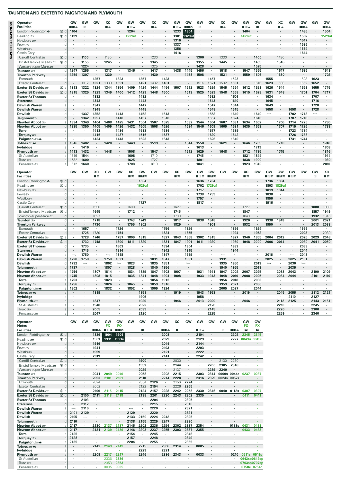|                  | <b>Operator</b>                                                |                   | GW                   | GW                       | GW              | XC              | GW                                     | GW                     | GW              | ХC                       | GW                 | GW                        | GW                        | GW                 | GW                  | XC              | GW           | GW              | GW                                      | GW                       | хc             | GW             | GW            | GW                               | GW                    |
|------------------|----------------------------------------------------------------|-------------------|----------------------|--------------------------|-----------------|-----------------|----------------------------------------|------------------------|-----------------|--------------------------|--------------------|---------------------------|---------------------------|--------------------|---------------------|-----------------|--------------|-----------------|-----------------------------------------|--------------------------|----------------|----------------|---------------|----------------------------------|-----------------------|
| <b>OLSAVGNOW</b> | <b>Facilities</b>                                              |                   | ⊟ਸ਼ਨ                 | B                        |                 | ■≖              |                                        | ⊟ਸ਼ਨ                   |                 | ∎ म्र                    |                    | ∎⊪ਸ਼ਨ                     | $\blacksquare$ E $\times$ | П                  |                     | ∎≖              |              | ∎⊟ਨ             | R                                       |                          | ∎ਨ             |                | ∎⊓∓           |                                  | ∎в≂                   |
|                  | London Paddington $\Theta$<br>15 d<br>$\circledD$<br>Reading s |                   | 1104<br>1129         |                          |                 |                 |                                        | 1204<br>1229uf         |                 |                          |                    | 1233<br>1301              | 1304<br>1329uf            | $\cdot$            |                     |                 |              | 1404<br>1429uf  |                                         |                          |                |                | 1436<br>1502  |                                  | 1504<br><b>1529uf</b> |
|                  | Newbury &                                                      | d                 |                      |                          |                 |                 |                                        |                        |                 |                          |                    | 1316                      |                           |                    |                     |                 |              |                 |                                         |                          |                |                | 1517          |                                  |                       |
|                  | Pewsey                                                         | d                 |                      |                          |                 |                 |                                        | ï                      |                 |                          |                    | 1337                      |                           |                    |                     |                 |              |                 |                                         |                          |                |                | 1536          |                                  |                       |
| <b>FRIDAYS</b>   | Westbury<br>Castle Cary                                        | d                 |                      |                          |                 |                 |                                        |                        |                 |                          |                    | 1356<br>1416              |                           |                    |                     |                 |              |                 |                                         |                          |                |                | 1554<br>1614  |                                  |                       |
|                  | $\circledcirc$ d<br>Cardiff Central                            |                   |                      | 1100                     |                 | 1130            |                                        |                        |                 | 1230                     |                    |                           |                           | 1300               |                     | 1330            |              |                 | 1400                                    |                          | 1430           |                |               |                                  |                       |
|                  | Bristol Temple Meads<br><b>®</b>                               | d                 |                      | 1155<br>1224             | ٠               | 1245            |                                        |                        |                 | 1345<br>1325             |                    |                           |                           | 1355<br>1428       | ٠                   | 1445            | ٠            |                 | 1455<br>1525                            | $\cdot$                  | 1545           |                |               |                                  |                       |
|                  | Weston-super-Mare<br>Taunton #                                 | d<br>d            | 1247                 | 1255                     | $\cdot$         | 1317            | ٠                                      | 1346                   | $\cdot$         | 1417                     | $\cdot$            | 1438                      | 1445                      | 1456               |                     | 1518            | $\cdot$      | 1547            | 1555                                    | $\cdot$                  | 1617           | $\blacksquare$ | 1635          | $\cdot$                          | 1649                  |
|                  | <b>Tiverton Parkway</b>                                        | d                 | 1259                 | 1307                     | $\cdot$         | 1330            |                                        |                        |                 | 1430                     |                    |                           | 1458                      | 1508               |                     | 1531            |              | 1559            | 1606                                    |                          | 1630           | ÷,             |               |                                  | 1702                  |
|                  | Exmouth<br>Exeter Central                                      | d<br>d            |                      | ٠<br>1312                | 1257<br>1321    | 1339            | 1323<br>1351                           | $\cdot$                | 1357<br>1421    | $\cdot$<br>1432          | 1423<br>1451       | ٠                         |                           | $\cdot$<br>1514    | 1457<br>1521        | 1532            | 1523<br>1551 |                 | 1613                                    | 1555<br>1623             | 1638           | $\blacksquare$ | 1623<br>1652  | 1623<br>1652                     | $\cdot$               |
|                  | Exeter St Davids<br>$^{\circ}$                                 | $\overline{a}$    | 1313                 | 1322                     | 1324            | 1344            | 1354                                   | 1409                   | 1424            | 1444                     | 1454               | 1507                      | 1512                      | 1523               | 1524                | 1545            | 1554         | 1612            | 1621                                    | 1626                     | 1644           | $\cdot$        | 1659          | 1655                             | 1715                  |
|                  | Exeter St Davids<br>$\circledR$                                | d                 | 1315                 | 1325                     | 1329            | 1349            | 1400                                   | 1412                   | 1429            | 1448                     | 1500               |                           | 1513                      | 1525               | 1529                | 1548            | 1558         | 1615            | 1628                                    | 1631                     | 1648           | ÷,             | 1701          | 1704                             | 1717                  |
|                  | <b>Exeter St Thomas</b><br><b>Starcross</b>                    | d<br>d            | $\cdot$              | $\cdot$                  | 1332<br>1343    |                 | $\cdot$                                | $\cdot$                | 1432<br>1443    | $\cdot$                  |                    |                           |                           | $\cdot$            | 1532<br>1543        | $\cdot$         | 1601<br>1610 |                 | $\cdot$                                 | 1634<br>1645             | $\mathbf{r}$   | $\cdot$        | $\cdot$       | 1707<br>1716                     | $\cdot$               |
|                  | <b>Dawlish Warren</b>                                          | a                 |                      |                          | 1347            |                 |                                        |                        | 1447            |                          |                    |                           |                           |                    | 1547                |                 | 1614         |                 |                                         | 1649                     |                |                |               | 1720                             |                       |
|                  | <b>Dawlish Warren</b><br><b>Dawlish</b>                        | d<br>d            | ٠                    | 1337                     | 1348<br>1352    |                 | 1413                                   | ٠                      | 1448<br>1452    |                          | 1513               |                           |                           |                    | 1548<br>1552        |                 | 1615<br>1619 |                 | 1640                                    | 1658<br>$\longmapsto$    |                | 1658<br>1702   | 1713          | 1728<br>$\overline{\phantom{a}}$ |                       |
|                  | Teignmouth                                                     | d                 |                      | 1342                     | 1357            |                 | 1418                                   |                        | 1457            |                          | 1518               |                           |                           |                    | 1557                |                 | 1624         |                 | 1645                                    |                          |                | 1707           | 1718          |                                  |                       |
|                  | Newton Abbot                                                   | a                 | 1334                 | 1349                     | 1404            | 1408            | 1425                                   | 1431                   | 1504            | 1507                     | 1525               |                           | 1532                      | 1544               | 1604                | 1607            | 1631         | 1634            | 1652                                    |                          | 1706           | 1714           | 1725          |                                  | 1736                  |
|                  | Newton Abbot <i>≅</i> ≡<br><b>Torre</b>                        | a                 | 1335                 | 1350                     | 1405<br>1413    | 1409            | 1426<br>1434                           | 1432<br>$\cdot$        | 1505<br>1513    | 1508<br>$\cdot$          | 1526<br>1534       |                           | 1534                      | 1546               | 1609<br>1617        | 1609            | 1631<br>1639 | 1635            | 1653                                    |                          | 1707           | 1715<br>1723   | 1726<br>1734  | ×                                | 1738                  |
|                  | Torquay $\equiv$                                               | a                 |                      |                          | 1416            |                 | 1437                                   |                        | 1516            |                          | 1537               |                           |                           |                    | 1620                |                 | 1642         |                 |                                         |                          |                | 1726           | 1738          |                                  |                       |
|                  | Paignton = W                                                   | a                 |                      | $\cdot$<br>1402          | 1424            | 1420            | 1443                                   | $\cdot$<br>1443        | 1523            | $\cdot$<br>1519          | 1543               |                           | 1544                      | $\cdot$<br>1558    | 1626                | $\cdot$<br>1621 | 1649         | 1646            | $\cdot$<br>1705                         |                          | 1718           | 1731           | 1744          |                                  | $\cdot$<br>1748       |
|                  | Totnes <i>s</i> wi<br>lvybridge                                | a<br>a            | 1346                 | 1416                     | ٠               |                 |                                        |                        |                 |                          |                    |                           |                           | 1613               | ٠                   |                 | ٠            |                 | 1719                                    | ٠                        |                |                |               | $\cdot$                          | 1803                  |
|                  | Plymouth $\equiv$                                              | a                 | 1413                 | 1432                     |                 | 1448            |                                        | 1508                   |                 | 1547                     |                    |                           | 1612                      | 1629               |                     | 1648            |              | 1712            | 1735                                    |                          | 1745           |                |               |                                  | 1816                  |
|                  | St Austell<br>Truro $\equiv$                                   | a<br>a            | 1516<br>1532         | 1544<br>1600             | ٠               |                 | ٠                                      | 1608<br>1625           | $\cdot$         | 1710<br>1727             | $\cdot$            |                           |                           | 1745<br>1801       | ٠                   |                 | $\cdot$      | 1821<br>1838    | 1844<br>1900                            |                          |                |                | ٠             |                                  | 1914<br>1930          |
|                  | Penzance s                                                     | a                 | 1612                 | 1640                     | $\cdot$         |                 |                                        | 1708                   |                 | 1810                     |                    | ٠                         |                           | 1841               |                     |                 | ٠            | 1923            | 1940                                    | ٠                        |                |                |               |                                  | 2010                  |
|                  | Operator                                                       |                   | GW                   | GW                       | XC              | <b>GW</b>       | <b>GW</b>                              | XC                     | GW              | GW                       | GW                 | ХC                        | GW                        | GW                 | GW                  | GW              | GW           | XC              | GW                                      | GW                       | GW             | GW             | GW            | GW                               | XC                    |
|                  | <b>Facilities</b>                                              |                   |                      |                          | ∎ क्र           |                 |                                        | ∎≖                     | ∎Bæ             |                          |                    | ∎⊶                        |                           | ∎в≂                | ∎вж                 |                 |              | ∎ѫ              |                                         | ⊞ਸ਼ਲ                     | ∎⊪ਸ਼ਨ          | ∎B⊶            |               | B                                | ∎ਨ                    |
|                  | London Paddington $\Theta$<br>(f) d                            |                   |                      |                          |                 |                 |                                        |                        | 1604            |                          |                    |                           |                           | 1636               | 1704                |                 |              |                 |                                         | 1736                     | 1804           |                |               |                                  |                       |
|                  | Reading s<br>℗<br>Newbury se                                   | d<br>d            |                      |                          |                 |                 |                                        | ٠                      | 1629uf          |                          |                    |                           |                           | 1702<br>1717       | 1729uf              |                 |              |                 |                                         | 1803<br>1819             | 1829ut<br>1844 |                |               |                                  |                       |
|                  | Pewsey                                                         | d                 |                      |                          |                 |                 |                                        |                        |                 |                          |                    |                           |                           | 1738               | 1759                |                 |              |                 |                                         | 1838                     |                |                |               |                                  |                       |
|                  | Westbury                                                       | d<br>d            |                      |                          | J.              |                 |                                        | $\ddot{\phantom{a}}$   | 1727            |                          |                    | $\lambda$                 |                           | 1757               |                     |                 |              |                 |                                         | 1856                     |                |                |               |                                  | $\cdot$               |
|                  | Castle Cary<br>$\circledD$ d<br>Cardiff Central s              |                   |                      |                          | 1530            |                 |                                        | 1600                   |                 |                          |                    | 1627                      |                           | 1817               |                     |                 |              | 1727            |                                         | 1916                     |                |                |               | 1800                             | 1830                  |
|                  | Bristol Temple Meads<br><b>10</b>                              | d                 |                      |                          | 1645            |                 |                                        | 1712                   |                 |                          |                    | 1745                      |                           | $\cdot$            |                     |                 | ٠            | 1847            |                                         |                          |                |                |               | 1857                             | 1949                  |
|                  | Weston-super-Mare<br>Taunton #                                 | d                 | $\cdot$              | $\cdot$                  | 1627<br>1718    | $\cdot$         | ٠                                      | 1743                   | 1749            | ٠                        | $\cdot$            | 1730<br>1817              | $\cdot$                   | 1838               | 1848                |                 | $\cdot$      | 1843<br>1920    | $\cdot$                                 | 1938                     | 1949           | $\cdot$        | ٠             | 1932<br>2001                     | 1945<br>2021          |
|                  | Tiverton Parkway                                               | d<br>d            |                      |                          | 1730            |                 |                                        | 1755                   | 1802            |                          |                    | 1829                      |                           |                    | 1901                |                 |              | 1932            |                                         | 1950                     |                |                |               | 2013                             | 2033                  |
|                  | Exmouth                                                        | d                 | $\cdot$              | 1657                     | $\blacksquare$  |                 | 1726                                   | $\cdot$                |                 |                          | 1756               | ٠                         | 1826                      | $\cdot$            | ٠                   |                 | 1856         | ٠               | 1924                                    | ٠                        |                | $\blacksquare$ | 1956          |                                  | $\blacksquare$        |
|                  | Exeter Central<br>Exeter St Davids<br>6a                       | d                 |                      | 1725<br>1728             | 1739<br>1746    |                 | 1754<br>1757                           | $\blacksquare$<br>1809 | 1815            |                          | 1824<br>1827       | 1843                      | 1855<br>1858              | 1902               | 1915                |                 | 1924<br>1927 | 1946            | 1952<br>1955                            | 2004                     | 2012           |                | 2023<br>2026  | 2029                             | 2039<br>2048          |
|                  | Exeter St Davids<br>$^{\circ}$                                 | d                 | $\cdot$              | 1732                     | 1748            |                 | 1800                                   | 1811                   | 1820            |                          | 1831               | 1847                      | 1901                      | 1911               | 1920                |                 | 1930         | 1948            | 2000                                    | 2006                     | 2014           |                | 2030          | 2041                             | 2050                  |
|                  | <b>Exeter St Thomas</b>                                        | d                 | ٠                    | 1735                     | ٠               |                 | 1803                                   | ٠                      |                 | ٠                        | 1834               | $\cdot$                   | 1904                      |                    |                     |                 | 1933         |                 | $\cdot$                                 |                          |                | $\cdot$        | 2033          |                                  | $\cdot$               |
|                  | <b>Starcross</b><br><b>Dawlish Warren</b>                      | a                 |                      | 1746<br>1750             | ٠               |                 | 1814<br>1818                           | $\cdot$                |                 | $\overline{\phantom{0}}$ | 1842<br>1847       |                           | 1915<br>1919              | $\cdot$            |                     |                 | 1944<br>٠    |                 |                                         | 2016                     |                |                | 2044<br>2048  |                                  |                       |
|                  | <b>Dawlish Warren</b>                                          | d                 | 1728                 | 1758                     |                 | 1758            | 1831                                   |                        |                 | 1831                     | 1847               |                           | 1931                      |                    |                     | 1931            |              |                 |                                         | 2025                     |                | 2025           | 2101          |                                  |                       |
|                  | <b>Dawlish</b>                                                 |                   | 1732                 | $\overline{\phantom{a}}$ | ٠               | 1802            | $\overline{\phantom{a}}$               | 1823                   |                 | 1835                     | 1851               |                           | $\overline{\phantom{a}}$  |                    |                     | 1935            | 1950         |                 | 2013                                    | $\overline{\phantom{a}}$ |                | 2030           | $\longmapsto$ |                                  |                       |
|                  | Teignmouth<br>Newton Abbot ≅                                   | a                 | 1737<br>1744         |                          | 1807            | 1807<br>1814    |                                        | 1828<br>1834           | 1839            | 1840<br>1847             | 1856<br>1903       | 1907                      |                           | 1931               | 1941                | 1940<br>1947    | 1955<br>2002 | 2007            | 2018<br>2025                            | ٠                        | 2033           | 2035<br>2043   | ٠             | 2100                             | 2109                  |
|                  | Newton Abbot ப                                                 | d                 | 1745                 |                          | 1808            | 1815            |                                        | 1835                   | 1841            | 1848                     | 1904               | 1908                      |                           | 1933               | 1943                | 1948            | 2010         | 2008            | 2025                                    |                          | 2034           | 2044           |               | 2101                             | 2110                  |
|                  | <b>Torre</b><br>Torquay $\equiv$                               | a<br>a            | 1753<br>1756         |                          | $\cdot$         | 1823<br>1826    |                                        | $\cdot$<br>1845        | ٠               | 1856<br>1859             | 1912<br>1916       | ٠                         |                           | $\cdot$            | ٠                   | 1956<br>1959    | 2018<br>2021 | ٠               | 2033<br>2036                            | ٠                        | $\cdot$        | $\cdot$        |               | ٠                                | ٠                     |
|                  | Paignton = mi                                                  | a                 | 1802                 |                          | $\cdot$         | 1832            | ٠                                      | 1852                   | $\cdot$         | 1909                     | 1924               | ×.                        |                           | $\cdot$            |                     | 2005            | 2027         | ٠               | 2044                                    | ٠                        |                | $\cdot$        |               |                                  | ٠                     |
|                  | Totnes <i>a</i> mi<br>lvybridge                                | a<br>a            | $\cdot$<br>٠         | $\cdot$                  | 1819<br>$\cdot$ |                 | ÷,<br>$\cdot$                          | $\cdot$<br>٠           | 1851<br>1906    | $\cdot$<br>٠             | $\cdot$<br>$\cdot$ | 1919<br>$\cdot$           |                           | 1943<br>1958       | 1953<br>٠           |                 | $\cdot$<br>٠ | 2019<br>$\cdot$ | $\cdot$<br>$\cdot$                      | $\cdot$<br>٠             | 2045           | 2055<br>2110   | $\cdot$<br>٠  | 2112<br>2127                     | 2121<br>$\cdot$       |
|                  | Plymouth $\equiv$                                              | a                 |                      |                          | 1847            |                 |                                        | ٠                      | 1920            | ٠                        |                    | 1946                      |                           | 2013               | 2020                |                 | ٠            | 2046            |                                         | ٠                        | 2112           | 2125           | ٠             | 2143                             | 2151                  |
|                  | St Austell s                                                   | a                 |                      | ٠                        | 1948            | $\cdot$         | ٠                                      |                        | 2022            | $\ddot{\phantom{a}}$     | $\cdot$            |                           |                           | $\cdot$            | 2128                |                 | ٠            |                 | $\cdot$                                 |                          | 2210           | $\cdot$        | $\cdot$       | 2245                             | $\cdot$               |
|                  | Truro $\equiv$<br>Penzance s                                   | a<br>a            |                      | ٠                        | 2005<br>2047    | $\cdot$         | ٠                                      | $\cdot$                | 2039<br>2120    | ٠                        |                    |                           | ٠                         | $\cdot$            | 2145<br>2225        | $\cdot$         | ٠            |                 | $\cdot$                                 | ٠                        | 2226<br>2259   | $\blacksquare$ | ٠             | 2300<br>2340                     | ٠                     |
|                  |                                                                |                   |                      |                          |                 |                 |                                        |                        |                 |                          |                    |                           |                           |                    |                     |                 |              |                 |                                         |                          |                |                |               |                                  |                       |
|                  | Operator<br><b>Notes</b>                                       |                   | GW                   | GW                       | GW              | GW<br><b>FX</b> | GW<br><b>FO</b>                        | GW                     | GW              | GW                       | GW                 | XC                        | GW                        | GW                 | GW                  | GW              | GW           | GW<br><b>FO</b> | GW<br><b>FX</b>                         |                          |                |                |               |                                  |                       |
|                  | <b>Facilities</b>                                              |                   |                      |                          | ∎в≂             | ∎⊟×             | $\blacksquare$ $\blacksquare$ $\times$ |                        | R               |                          | ■⊓⊼                | п                         |                           | ∎⊟ਨ                |                     | B               | ∎⊟ਨ          | 囱               | 酉                                       |                          |                |                |               |                                  |                       |
|                  | London Paddington $\Theta$<br>$^{\circledR}$                   | d                 |                      | ٠                        | 1836            | 1904<br>1931    | 1904<br>1931u                          | $\cdot$                |                 |                          | 2003<br>2029       | $\ddot{\phantom{0}}$<br>٠ |                           | 2104<br>2129       | ٠                   |                 | 2202         | 2345<br>0049u   | 2345                                    |                          |                |                |               |                                  |                       |
|                  | Reading<br>⑦ d<br>Newbury                                      | d                 |                      |                          | 1901<br>1916    |                 |                                        |                        | ٠               |                          | 2044               |                           |                           | 2144               |                     |                 | 2227         |                 | 0049u                                   |                          |                |                |               |                                  |                       |
|                  | Pewsey                                                         | d                 | ٠                    |                          | 1941            |                 |                                        |                        |                 |                          | 2103               | ×,                        |                           | 2203               | ٠                   |                 |              |                 |                                         |                          |                |                |               |                                  |                       |
|                  | Westbury<br>Castle Cary                                        | d<br>d            | ٠                    |                          | 1959<br>2019    |                 |                                        |                        |                 |                          | 2121<br>2141       | ٠                         |                           | 2222<br>2242       | ٠                   |                 |              |                 |                                         |                          |                |                |               |                                  |                       |
|                  | Cardiff Central s<br>$\circledcirc$ d                          |                   |                      |                          |                 |                 |                                        |                        | 1900            |                          |                    | 2030                      |                           | $\cdot$            |                     | 2130            | 2230         |                 |                                         |                          |                |                |               |                                  |                       |
|                  | Bristol Temple Meads                                           | d                 | ٠                    |                          | ٠               |                 |                                        | ٠                      | 1953            | ٠                        | $\cdot$            | 2144                      | ٠                         | $\cdot$            | 2200                | 2305            | 2348         |                 |                                         |                          |                |                |               |                                  |                       |
|                  | Weston-super-Mare<br>Taunton <b>27</b>                         | d<br>d            | $\ddot{\phantom{a}}$ | $\cdot$                  | 2041            | 2049            | 2049                                   | ٠<br>$\cdot$           | 2029<br>2058    | ٠                        | 2202               | 2137<br>2215              | ٠                         | 2303               | 2239<br>2314        | 2340<br>0009s   | 0044s        | 0237            | 0237                                    |                          |                |                |               |                                  |                       |
|                  | <b>Tiverton Parkway</b>                                        | d                 |                      |                          | 2053            | 2101            | 2101                                   |                        | 2110            |                          | 2214               | 2228                      |                           | 2316               | 2329                |                 | 0024s 0057s  |                 | $\mathcal{L}^{\mathcal{L}}$             |                          |                |                |               |                                  |                       |
|                  | Exmouth<br>Exeter Central                                      | d<br>d            |                      | ٠                        | 2024<br>2052    |                 | ×                                      | $\cdot$                | 2054<br>2122    | 2126<br>2154             | $\cdot$            | 2156<br>2226              | 2224<br>2255              | $\cdot$<br>$\cdot$ |                     |                 |              | ×.              | $\mathbf{r}$<br>$\mathbf{R}^{\prime}$ . |                          |                |                |               |                                  |                       |
|                  | Exeter St Davids<br>6a                                         |                   | $\cdot$              | ٠                        | 2109            | 2115            | 2115                                   | $\cdot$                | 2124            | 2157                     | 2228               | 2242                      | 2258                      | 2330               | 2346                | 0040            | 0112s        | 0307            | 0307                                    |                          |                |                |               |                                  |                       |
|                  | Exeter St Davids<br>6d                                         |                   | $\cdot$              | 2100                     | 2111            | 2118            | 2118                                   |                        | 2138            | 2201                     | 2230               | 2243                      | 2302                      | 2335               |                     |                 |              | 0411            | 0411                                    |                          |                |                |               |                                  |                       |
|                  | <b>Exeter St Thomas</b><br><b>Starcross</b>                    | d<br>d            | $\cdot$<br>$\cdot$   | 2103<br>2112             | $\cdot$         |                 |                                        | ٠                      |                 | 2204<br>2215             | $\cdot$            | $\blacksquare$<br>$\cdot$ | 2305<br>2316              | $\cdot$            |                     |                 |              |                 |                                         |                          |                |                |               |                                  |                       |
|                  | <b>Dawlish Warren</b>                                          | a                 |                      | 2116                     | ٠               |                 |                                        |                        | $\cdot$         | 2220                     | $\sim$             | $\blacksquare$            | 2321                      | $\sim$             | ٠                   |                 |              |                 | ×.                                      |                          |                |                |               |                                  |                       |
|                  | <b>Dawlish Warren</b>                                          | d                 | 2101                 | 2129                     |                 |                 |                                        | 2129                   |                 | 2220                     |                    |                           | 2321                      |                    |                     |                 |              |                 |                                         |                          |                |                |               |                                  |                       |
|                  | <b>Dawlish</b><br>Teignmouth                                   | d<br>d            | 2105<br>2110         | $\overline{\phantom{a}}$ | $\cdot$         |                 |                                        | 2133<br>2138           | 2150<br>2155    | 2224<br>2229             | 2242<br>2247       | $\sim$                    | 2325<br>2330              | $\cdot$<br>$\cdot$ |                     |                 |              |                 |                                         |                          |                |                |               |                                  |                       |
|                  | Newton Abbot 2                                                 | a                 | 2117                 | $\cdot$                  | 2130            | 2137            | 2137                                   | 2145                   | 2202            | 2236                     | 2254               | 2302                      | 2337                      | 2354               | $\cdot$             |                 | 0133s        | 0431            | 0431                                    |                          |                |                |               |                                  |                       |
|                  | Newton Abbot 2                                                 | d<br>a            | 2117<br>2125         | ٠                        | 2131            | 2139            | 2139                                   | 2146<br>2154           | 2203<br>$\cdot$ | 2237<br>2245             | 2255<br>$\cdot$    | 2303<br>×,                | 2337<br>2346              | 2355<br>$\cdot$    |                     |                 |              | 0433            | 0433                                    |                          |                |                |               |                                  |                       |
|                  | <b>Torre</b><br>Torquay $\equiv$                               | $\mathsf{a}$      | 2128                 |                          |                 |                 |                                        | 2157                   |                 | 2248                     |                    |                           | 2349                      |                    |                     |                 |              |                 |                                         |                          |                |                |               |                                  |                       |
|                  | Paignton = mi                                                  | a                 | 2135                 | ٠                        |                 |                 |                                        | 2204                   | ٠               | 2255                     | $\cdot$            | ٠                         | 2355                      | $\cdot$            |                     |                 |              |                 |                                         |                          |                |                |               |                                  |                       |
|                  | Totnes <i>a</i> mi<br>lvybridge                                | $\mathsf{a}$<br>a | $\cdot$              | $\cdot$                  | 2142            | 2149            | 2149<br>×                              | ٠                      | 2215<br>2229    |                          | 2306<br>2321       | 2314<br>٠                 |                           | 0005<br>$\cdot$    | $\overline{a}$<br>٠ |                 | ٠            |                 |                                         |                          |                |                |               |                                  |                       |
|                  | Plymouth $\equiv$                                              | $\mathsf a$       |                      |                          | 2209            | 2217            | 2217                                   | $\ddot{\phantom{a}}$   | 2246            |                          | 2336               | 2343                      |                           | 0033               |                     |                 | 0210         |                 | 0511s 0511s                             |                          |                |                |               |                                  |                       |
|                  | St Austell s<br>Truro s                                        | a<br>a            | ٠                    | ٠                        | ٠               | 2336<br>2353    | 2336<br>2353                           | ٠                      | ٠               | ٠                        | $\cdot$            | $\cdot$                   | ٠                         | $\cdot$            |                     |                 | ×.           |                 | 0643sp0649sp<br>0703sp0707sp            |                          |                |                |               |                                  |                       |
|                  | Penzance s                                                     | a                 |                      |                          |                 | 0035            | 0035                                   |                        |                 |                          |                    |                           |                           |                    |                     |                 |              |                 | 0750c 0754c                             |                          |                |                |               |                                  |                       |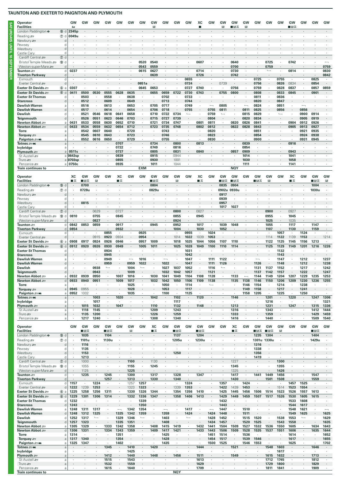**SATURDAYS UNTIL 10 SEPTEMBER**

SATURDAYS UNTIL 10 SEPTEMBER

| Operator                                        |                  | GW                     | GW      | GW      | GW             | GW                       | <b>GW</b>      | GW         | GW                       | <b>GW</b> | <b>GW</b> | GW                       | ХC<br>▬ | GW                       | GW                       | GW         | GW                       | GW      | GW                       | GW             | GW      | GW      | GW      | GW                       |
|-------------------------------------------------|------------------|------------------------|---------|---------|----------------|--------------------------|----------------|------------|--------------------------|-----------|-----------|--------------------------|---------|--------------------------|--------------------------|------------|--------------------------|---------|--------------------------|----------------|---------|---------|---------|--------------------------|
| <b>Facilities</b><br>London Paddington $\Theta$ | 160 d            | 酉<br>2345 <sub>p</sub> |         |         |                |                          |                |            | B                        |           |           |                          |         |                          | B                        | ⊞ਸ਼ਨ       | B                        |         |                          |                | ■■ਨ     |         |         |                          |
|                                                 |                  |                        |         |         |                |                          |                |            |                          |           |           |                          |         |                          |                          |            |                          |         |                          |                |         |         |         |                          |
| Reading s                                       | $\circledcirc$ d | 0049u                  |         |         |                |                          |                |            |                          |           |           |                          |         |                          |                          |            |                          |         |                          |                |         |         |         |                          |
| Newbury s                                       | d                |                        |         |         |                |                          |                |            |                          |           |           |                          |         |                          |                          |            |                          |         |                          |                |         |         |         |                          |
| Pewsey                                          | d                |                        |         |         |                |                          |                |            |                          |           |           |                          |         |                          |                          |            |                          |         |                          |                |         |         |         |                          |
| Westbury                                        | d<br>d           |                        |         |         |                |                          |                |            |                          |           |           |                          |         |                          |                          |            |                          |         |                          |                |         |         |         |                          |
| Castle Cary                                     |                  |                        |         |         |                |                          |                |            |                          |           |           |                          |         |                          |                          |            |                          |         |                          |                |         |         |         |                          |
| Cardiff Central s                               | $\circledcirc$ d |                        |         |         |                |                          |                |            |                          |           |           |                          |         |                          |                          |            |                          |         |                          |                |         |         |         |                          |
| Bristol Temple Meads                            | <b>10</b><br>d   |                        |         |         |                |                          |                | 0520       | 0540                     |           |           |                          | 0607    |                          |                          | 0640       |                          |         | 0725                     |                | 0742    |         |         | $\overline{\phantom{0}}$ |
| Weston-super-Mare                               | d                |                        |         |         |                |                          |                | 0543       | 0559                     |           |           |                          |         |                          |                          | 0700       |                          |         | 0759                     |                |         |         |         | 0759                     |
| Taunton =                                       | d                | 0237                   |         |         |                |                          |                | 0615       | 0627                     |           |           |                          | 0714    | ٠                        |                          | 0730       |                          |         | $\overline{\phantom{a}}$ |                | 0814    |         | $\cdot$ | 0830                     |
| <b>Tiverton Parkway</b>                         | d                |                        |         |         |                |                          | $\overline{a}$ |            | 0639                     | $\cdot$   |           |                          | 0726    | $\mathbf{r}$             | $\mathbf{r}$             | 0742       | $\cdot$                  | $\cdot$ |                          | $\cdot$        | $\cdot$ |         | $\cdot$ | 0842                     |
| Exmouth                                         | d                |                        |         |         | $\cdot$        |                          |                |            | $\overline{\phantom{a}}$ | ٠         | ٠         | 0655                     | $\cdot$ | $\cdot$                  |                          | $\cdot$    | ٠                        | 0725    | ٠                        | 0755           | $\cdot$ | ٠       | 0825    | $\cdot$                  |
| Exeter Central                                  | d                |                        |         |         |                |                          |                | 0651a      |                          |           |           | 0724                     | $\cdot$ |                          | 0739                     | $\cdot$    |                          | 0756    |                          | 0826           | 0834    |         | 0854    | ٠                        |
| Exeter St Davids                                | 6a               | 0307                   | $\cdot$ |         | $\cdot$        | $\cdot$                  | $\cdot$        | 0645       | 0653                     | $\cdot$   | $\cdot$   | 0727                     | 0740    | $\cdot$                  |                          | 0756       | ٠                        | 0759    | $\cdot$                  | 0828           | 0837    | $\cdot$ | 0857    | 0859                     |
| Exeter St Davids                                | 6d               | 0411                   | 0500    | 0530    | 0555           | 0628                     | 0635           |            | 0655                     | 0659      | 0722      | 0730                     | 0743    |                          | 0755                     | 0800       | $\cdot$                  | 0808    |                          | 0833           | 0845    |         | 0901    |                          |
| <b>Exeter St Thomas</b>                         | d                |                        | 0503    | ٠       | 0558           | ٠                        | 0638           | $\cdot$    | $\cdot$                  | 0702      | $\cdot$   | 0733                     | $\cdot$ | $\cdot$                  | $\ddot{\phantom{a}}$     |            | $\cdot$                  | 0811    | $\cdot$                  | 0836           | $\cdot$ | ٠       | $\cdot$ | $\mathbf{r}$             |
| <b>Starcross</b>                                | d                |                        | 0512    |         | 0609           |                          | 0649           |            |                          | 0713      |           | 0744                     |         |                          |                          |            |                          | 0820    |                          | 0847           |         |         |         |                          |
| <b>Dawlish Warren</b>                           | $\overline{a}$   |                        | 0516    | $\cdot$ | 0613           | $\cdot$                  | 0653           |            | 0705                     | 0717      | $\cdot$   | 0749                     | $\cdot$ | $\overline{\phantom{0}}$ | 0805                     |            | $\overline{\phantom{0}}$ | 0824    |                          | 0851           |         |         |         |                          |
| <b>Dawlish Warren</b>                           | d                |                        | 0517    |         | 0614           |                          | 0654           |            | 0706                     | 0718      |           | 0755                     |         | 0755                     | 0811                     |            | 0811                     | 0825    |                          | 0856           |         | 0856    |         |                          |
| <b>Dawlish</b>                                  | d                |                        | 0521    | 0546    | 0618           | 0641                     | 0658           | $\cdot$    | 0710                     | 0722      | 0734      | $\overline{\phantom{a}}$ | $\cdot$ | 0759                     | $\overline{\phantom{a}}$ |            | 0815                     | 0829    | ٠                        | $\longmapsto$  |         | 0900    | 0914    |                          |
| Teignmouth                                      | d                |                        | 0526    | 0551    | 0623           | 0646                     | 0703           |            | 0715                     | 0727      | 0739      |                          |         | 0804                     |                          |            | 0820                     | 0834    |                          |                |         | 0905    | 0919    |                          |
| Newton Abbot ാ                                  | $\overline{a}$   | 0431                   | 0533    | 0558    | 0630           | 0652                     | 0710           | $\cdot$    | 0721                     | 0734      | 0747      |                          | 0801    | 0811                     | $\cdot$                  | 0820       | 0826                     | 0841    | $\cdot$                  | $\cdot$        | 0904    | 0912    | 0926    |                          |
| Newton Abbot                                    | d                | 0433                   | 0534    | 0559    | 0632           | 0654                     | 0712           |            | 0723                     | 0735      | 0748      |                          | 0802    | 0812                     |                          | 0822       | 0828                     | 0843    |                          |                | 0905    | 0913    | 0927    |                          |
| <b>Torre</b>                                    | a                |                        | 0542    | 0607    | 0640           | $\lambda$                | 0720           | ٠.         |                          | 0743      | $\cdot$   | $\cdot$                  |         | 0820                     | $\cdot$                  |            | $\cdot$                  | 0851    | $\cdot$                  | $\cdot$        |         | 0921    | 0935    | ×.                       |
| Torquay $=$                                     | a                |                        | 0545    | 0610    | 0643           |                          | 0723           |            |                          | 0746      |           |                          |         | 0823                     |                          |            |                          | 0854    |                          |                |         | 0924    | 0938    |                          |
| Paignton = Mi                                   | a                |                        | 0552    | 0616    | 0650           | ٠                        | 0729           |            |                          | 0755      |           |                          |         | 0830                     |                          |            | $\cdot$                  | 0900    |                          | $\cdot$        | $\cdot$ | 0931    | 0945    |                          |
| Totnes saw                                      | $\overline{a}$   |                        |         |         |                | 0707                     |                |            | 0734                     |           | 0800      |                          | 0813    |                          |                          |            | 0839                     |         |                          |                | 0916    |         |         |                          |
| lvybridge                                       | a                |                        |         |         |                | 0722                     |                |            | 0749                     |           | 0816      |                          | ÷,      |                          |                          |            | 0854                     |         |                          |                |         |         |         |                          |
| Plymouth s                                      | a                | 0511s                  |         | $\cdot$ | $\sim$         | 0737                     | $\cdot$        | $\cdot$    | 0805                     | $\cdot$   | 0831      |                          | 0840    | $\cdot$                  | $\cdot$                  | 0857       | 0909                     | $\cdot$ | $\cdot$                  | $\blacksquare$ | 0943    | $\cdot$ | $\cdot$ |                          |
| St Austell                                      |                  | a 0643sp               |         |         | $\cdot$        | 0839                     | ٠              |            | 0915                     | $\cdot$   | 0944      |                          |         | ٠                        | $\ddot{\phantom{a}}$     |            | 1014                     |         |                          |                | 1041    | ٠       | $\cdot$ |                          |
| Truro se                                        |                  | a 0703sp               |         |         |                | 0855                     |                |            | 0930                     |           | 1001      |                          |         |                          |                          |            | 1030                     |         |                          |                | 1058    |         |         |                          |
| Penzance s                                      |                  | $a$ 0750 $c$           | $\cdot$ |         | ٠              | 0935                     | $\cdot$        | $\cdot$    | 1011                     | ٠         | 1044      |                          |         | ٠                        | ٠                        | $\cdot$    | 1111                     | $\cdot$ | ٠                        |                | 1141    | ٠       |         |                          |
| <b>Train continues to</b>                       |                  |                        |         |         |                |                          |                | <b>EXM</b> |                          |           |           |                          |         |                          |                          | <b>NQY</b> |                          |         |                          |                |         |         |         |                          |
| Operator                                        |                  | XC                     | GW      | GW      | GW             | XC                       | GW             | GW         | GW                       | GW        | GW        | GW                       | XC      | GW                       | GW                       | GW         | GW                       | GW      | GW                       | GW             | XC      | GW      | GW      | GW                       |
| <b>Facilities</b>                               |                  | ■≖                     | ■日素     | B       |                | ■≖                       |                |            | ∎в≖                      |           | B         |                          | ∎≖      |                          | ⊞ਸ਼ਨ                     | ■日素        |                          | ⊞ਸ਼ਲ    | B                        |                | ■≖      |         | ⊟ਸ਼ਨ    | R                        |
| London Paddington $\Theta$                      | (fi) d           |                        | 0700    |         |                |                          |                |            | 0804                     |           |           |                          |         | ٠                        | 0835                     | 0904       |                          |         |                          |                |         |         | 1004    |                          |
|                                                 | $^{\circledR}$ d |                        | 0728u   |         |                |                          |                |            | 0829u                    |           |           |                          |         |                          | 0902u                    | 0930u      | ٠                        |         |                          |                |         |         | 1030u   |                          |
| Reading s                                       | d                |                        |         |         |                |                          |                |            |                          |           |           |                          |         |                          | 0917                     |            |                          |         |                          |                |         |         |         |                          |
| Newbury s                                       | d                |                        |         |         |                |                          |                |            |                          |           |           |                          |         |                          | 0939                     | $\cdot$    |                          |         |                          |                |         |         |         |                          |
| Pewsey                                          | d                |                        |         |         |                |                          |                |            |                          |           |           |                          |         |                          | 0957                     |            |                          |         |                          |                |         |         |         |                          |
| Westbury<br>Castle Carv                         | d                |                        | 0815    |         |                |                          |                |            |                          |           |           |                          |         |                          | 1017                     | 1027       |                          |         |                          |                |         |         |         |                          |
|                                                 |                  |                        |         |         |                |                          |                |            |                          |           |           |                          |         |                          |                          |            |                          |         |                          |                |         |         |         |                          |
| Cardiff Central                                 | (7) d            |                        |         | 0629    |                | 0727                     |                |            |                          |           | 0800      |                          | 0827    |                          |                          |            |                          |         | 0900                     |                | 0927    |         |         |                          |
| Bristol Temple Meads                            | <b>®</b><br>d    | 0810                   |         | 0755    | $\blacksquare$ | 0845                     |                |            |                          |           | 0855      |                          | 0945    | ٠                        |                          |            |                          |         | 0955                     | $\cdot$        | 1045    |         |         |                          |
| Weston-super-Mare                               | d                |                        |         | 0827    | $\cdot$        | $\overline{\phantom{a}}$ |                |            |                          |           | 0924      |                          | $\cdot$ | $\mathbf{r}$             | $\ddot{\phantom{a}}$     |            |                          |         | 1025                     | $\cdot$        | 1035    |         | $\cdot$ |                          |
| Taunton =                                       | $\mathsf{d}$     | 0842                   | 0853    | 0859    | ×,             | 0917                     |                |            | 0945                     |           | 0952      |                          | 1017    | $\cdot$                  | 1039                     | 1048       |                          |         | 1055                     | $\cdot$        | 1117    |         | 1147    |                          |
| <b>Tiverton Parkway</b>                         | d                | 0854                   | $\cdot$ |         | $\cdot$        | 0932                     | $\cdot$        |            |                          | ٠         | 1004      |                          | 1030    | $\cdot$                  | 1052                     |            | $\cdot$                  | $\cdot$ | 1107                     | $\blacksquare$ | 1130    | $\cdot$ | 1159    | $\cdot$                  |
| Exmouth                                         | d                |                        | ٠       |         | 0855           | ٠                        |                | 0925       |                          |           |           | 0955                     |         | 1024                     |                          |            |                          |         |                          | 1057           |         | 1124    | $\cdot$ |                          |
| Exeter Central                                  | d                |                        |         | 0915    | 0923           | 0934                     |                | 0954       |                          |           | 1014      | 1022                     | 1039    | 1053                     |                          |            |                          |         | 1114                     | 1122           | 1139    | 1153    | $\cdot$ | 1214                     |
| Exeter St Davids                                | 6a               | 0908                   | 0917    | 0924    | 0926           | 0946                     |                | 0957       | 1009                     |           | 1018      | 1025                     | 1044    | 1056                     | 1107                     | 1110       |                          |         | 1122                     | 1125           | 1145    | 1156    | 1213    |                          |
| Exeter St Davids                                | $\circledR$<br>d | 0912                   | 0920    | 0926    | 0930           | 0949                     |                | 1005       | 1011                     |           | 1025      | 1028                     | 1049    | 1100                     | 1110                     | 1114       |                          |         | 1125                     | 1129           | 1149    | 1201    | 1216    | 1226                     |

| ıaunτon .≔                 | O                | U842    |         | U859                     |               | UY L                     |                          |               |              |                          | UY52                     |                          | 10 L                     |                          | 1039                     | 1048    |                          |                | פטו                      |                          | ш                        |                          | 1147                     |                          |
|----------------------------|------------------|---------|---------|--------------------------|---------------|--------------------------|--------------------------|---------------|--------------|--------------------------|--------------------------|--------------------------|--------------------------|--------------------------|--------------------------|---------|--------------------------|----------------|--------------------------|--------------------------|--------------------------|--------------------------|--------------------------|--------------------------|
| <b>Tiverton Parkway</b>    | d                | 0854    |         |                          |               | 0932                     |                          |               |              |                          | 1004                     |                          | 1030                     |                          | 1052                     |         |                          |                | 1107                     |                          | 1130                     |                          | 1159                     |                          |
| Exmouth                    | d                | $\cdot$ | $\cdot$ |                          | 0855          | $\cdot$                  | $\cdot$                  | 0925          | $\cdot$      |                          | $\overline{\phantom{a}}$ | 0955                     | $\cdot$                  | 1024                     | $\cdot$                  | $\cdot$ | $\lambda$                |                |                          | 1057                     |                          | 1124                     | $\cdot$                  |                          |
| Exeter Central             | $\mathsf{d}$     |         |         | 0915                     | 0923          | 0934                     |                          | 0954          | $\cdot$      |                          | 1014                     | 1022                     | 1039                     | 1053                     | $\cdot$                  |         |                          |                | 1114                     | 1122                     | 1139                     | 1153                     |                          | 1214                     |
| Exeter St Davids           | 6a               | 0908    | 0917    | 0924                     | 0926          | 0946                     | $\ddot{\phantom{a}}$     | 0957          | 1009         |                          | 1018                     | 1025                     | 1044                     | 1056                     | 1107                     | 1110    |                          |                | 1122                     | 1125                     | 1145                     | 1156                     | 1213                     | $\mathbf{r}$             |
| Exeter St Davids           | 6d               | 0912    | 0920    | 0926                     | 0930          | 0949                     |                          | 1005          | 1011         |                          | 1025                     | 1028                     | 1049                     | 1100                     | 1110                     | 1114    |                          |                | 1125                     | 1129                     | 1149                     | 1201                     | 1216                     | 1226                     |
| <b>Exeter St Thomas</b>    | d                |         |         | ÷.                       | 0934          | $\cdot$                  | $\cdot$                  | ÷.            |              |                          | $\overline{\phantom{a}}$ | 1031                     | $\overline{a}$           |                          |                          |         | $\lambda$                | $\overline{a}$ |                          | 1132                     | $\overline{\phantom{a}}$ | ÷.                       |                          |                          |
|                            |                  |         |         |                          | 0945          |                          |                          |               |              |                          |                          | 1042                     |                          |                          |                          |         |                          |                |                          | 1143                     |                          |                          |                          |                          |
| <b>Starcross</b>           | d                |         |         |                          |               |                          |                          |               |              |                          |                          |                          |                          |                          |                          |         |                          |                |                          |                          |                          |                          |                          |                          |
| <b>Dawlish Warren</b>      | $\overline{a}$   |         |         | $\cdot$                  | 0949          | ٠                        | $\overline{\phantom{0}}$ | 1016          | $\cdot$      |                          |                          | 1047                     | $\cdot$                  | 1111                     | 1122                     |         |                          |                |                          | 1147                     |                          | 1212                     |                          | 1237                     |
| <b>Dawlish Warren</b>      | d                |         |         |                          | 0959          |                          | 0959                     | 1022          |              | 1022                     |                          | 1047                     |                          | 1111                     | 1126                     |         |                          | 1126           |                          | 1148                     |                          | 1212                     |                          | 1238                     |
| <b>Dawlish</b>             | d                |         |         | 0938                     | $\longmapsto$ | ٠                        | 1004                     | $\mathbf{L}$  | $\cdot$      | 1027                     | 1037                     | 1052                     | ä,                       | 1116                     | L.                       |         |                          | 1131           | 1137                     | 1152                     |                          | 1217                     |                          | 1242                     |
| Teignmouth                 | $\sigma$         |         |         | 0943                     |               |                          | 1009                     |               |              | 1032                     | 1042                     | 1057                     |                          | 1121                     |                          |         |                          | 1137           | 1142                     | 1157                     |                          | 1222                     |                          | 1247                     |
| Newton Abbot =             | $\overline{a}$   | 0932    | 0939    | 0950                     |               | 1007                     | 1016                     |               | 1030         | 1041                     | 1049                     | 1104                     | 1108                     | 1128                     |                          | 1133    | $\overline{\phantom{0}}$ | 1144           | 1149                     | 1204                     | 1207                     | 1229                     | 1235                     | 1253                     |
| Newton Abbot <del></del>   | $\sigma$         | 0933    | 0940    | 0951                     |               | 1009                     | 1017                     | $\cdot$       | 1032         | 1042                     | 1050                     | 1106                     | 1109                     | 1138                     | $\overline{\phantom{a}}$ | 1135    | 1138                     | 1146           | 1150                     | 1206                     | 1209                     | 1230                     | 1236                     | 1255                     |
| <b>Torre</b>               | a                |         | ٠       |                          |               | $\cdot$                  | 1025                     | $\cdot$       | $\cdot$      | 1050                     | $\cdot$                  | 1114                     | $\cdot$                  | $\overline{\phantom{a}}$ | $\cdot$                  | ٠       | 1146                     | 1154           | $\cdot$                  | 1214                     | $\cdot$                  | 1238                     | $\cdot$                  |                          |
| Torquay $\equiv$           | a                | 0945    | 0955    |                          |               |                          | 1028                     |               |              | 1053                     |                          | 1117                     |                          |                          |                          |         | 1149                     | 1158           |                          | 1217                     |                          | 1241                     |                          |                          |
| Paignton = Mi              | a                | 0952    | 1002    |                          |               | $\cdot$                  | 1035                     | ٠             | $\mathbf{r}$ | 1100                     | $\cdot$                  | 1125                     | $\cdot$                  |                          | $\cdot$                  | $\cdot$ | 1158                     | 1205           | $\overline{\phantom{a}}$ | 1225                     | $\cdot$                  | 1250                     | $\lambda$                |                          |
| Totnes <i>a</i> mi         |                  |         | $\cdot$ | 1003                     |               | 1020                     |                          |               | 1042         |                          | 1102                     |                          | 1120                     |                          |                          | 1146    |                          |                | 1201                     |                          | 1220                     |                          | 1247                     | 1306                     |
|                            | a                |         |         |                          |               |                          | $\overline{\phantom{a}}$ |               |              |                          |                          |                          |                          |                          |                          |         |                          |                |                          |                          |                          |                          | $\overline{\phantom{a}}$ |                          |
| lvybridge                  | a                | ٠       | $\cdot$ | 1017                     |               | ٠                        |                          |               | $\cdot$      | $\cdot$                  | 1117                     | ٠                        | $\cdot$                  |                          |                          | $\cdot$ | $\ddot{\phantom{a}}$     |                | 1216                     | $\cdot$                  | $\cdot$                  | $\cdot$                  |                          | 1321                     |
| Plymouth $\equiv$          | a                |         | 1015    | 1032                     |               | 1047                     |                          |               | 1110         |                          | 1132                     |                          | 1148                     |                          |                          | 1213    | $\ddot{\phantom{a}}$     |                | 1231                     |                          | 1247                     |                          | 1315                     | 1336                     |
| St Austell s               | a                |         | 1118    | 1145                     | $\cdot$       |                          | $\cdot$                  |               | 1209         |                          | 1243                     | ٠                        |                          |                          |                          | 1316    | ٠                        |                | 1343                     | ٠                        |                          |                          | 1412                     | 1444                     |
| Truro $\equiv$             | a                |         | 1135    | 1200                     |               |                          |                          |               | 1226         |                          | 1259                     |                          |                          |                          |                          | 1333    |                          |                | 1359                     |                          |                          |                          | 1429                     | 1459                     |
| Penzance s                 | a                |         | 1217    | 1240                     | $\cdot$       | ٠                        | ٠                        |               | 1308         | $\cdot$                  | 1340                     | ٠                        | $\cdot$                  |                          | $\cdot$                  | 1416    | $\cdot$                  |                | 1440                     | $\cdot$                  | $\cdot$                  | $\cdot$                  | 1509                     | 1540                     |
|                            |                  |         |         |                          |               |                          |                          |               |              |                          |                          |                          |                          |                          |                          |         |                          |                |                          |                          |                          |                          |                          |                          |
| Operator                   |                  | GW      | GW      | GW                       | GW            | GW                       | GW                       | GW            | XC           | GW                       | GW                       | GW                       | GW                       | <b>GW</b>                | GW                       | XC      | GW                       | GW             | GW                       | GW                       | GW                       | GW                       | GW                       | GW                       |
| <b>Facilities</b>          |                  |         | ∎⊞क्र   |                          | ∎⊡ਨ           |                          | B                        |               | ∎≂           |                          | ∎⊡ਨ                      |                          | ∎⊪ਸ਼ਨ                    |                          |                          | ∎≂      |                          | ∎⊟ਨ            | ∎⊞क्र                    | B                        |                          |                          | ∎⊡ਨ                      |                          |
| London Paddington $\Theta$ | 15 d             |         | 1035    |                          | 1104          |                          |                          |               |              |                          | 1137                     |                          | 1204                     |                          |                          |         |                          | 1235           | 1304                     |                          |                          |                          | 1404                     |                          |
| Reading s                  | $\circledcirc$ d |         | 1101u   |                          | 1130u         |                          |                          |               |              |                          | 1205u                    |                          | 1230u                    |                          |                          |         |                          | 1301u          | 1330u                    |                          |                          |                          | 1429u                    |                          |
| Newbury s                  | $\Omega$         |         | 1116    |                          |               |                          |                          |               |              |                          |                          |                          |                          |                          |                          |         |                          | 1316           |                          |                          |                          |                          |                          |                          |
|                            | $\mathfrak{g}$   |         |         |                          |               |                          |                          |               |              |                          |                          |                          |                          |                          |                          |         |                          | 1338           |                          |                          |                          |                          |                          |                          |
| Pewsey                     |                  |         | 1135    |                          |               |                          |                          |               |              |                          |                          |                          |                          |                          |                          |         |                          |                |                          |                          |                          |                          |                          |                          |
| Westbury                   | $\Omega$         |         | 1153    |                          |               |                          |                          |               |              |                          | 1250                     |                          |                          |                          |                          |         |                          | 1356           |                          |                          |                          |                          |                          |                          |
| Castle Cary                | $\mathfrak{g}$   |         | 1213    |                          |               |                          |                          |               |              |                          |                          |                          |                          |                          |                          |         |                          | 1419           |                          |                          |                          |                          |                          |                          |
| Cardiff Central            | $\circledcirc$ d |         | 1000    |                          |               |                          | 1100                     |               | 1130         |                          |                          |                          |                          |                          |                          | 1227    |                          |                |                          | 1300                     |                          |                          |                          |                          |
| Bristol Temple Meads       | 10 d             | ٠       | 1055    |                          |               | ٠                        | 1155                     | ٠             | 1245         |                          |                          |                          |                          |                          |                          | 1345    |                          |                |                          | 1355                     |                          |                          |                          |                          |
| Weston-super-Mare          | $\sigma$         |         | 1125    |                          |               |                          | 1225                     |               |              |                          |                          |                          |                          |                          |                          | 1325    |                          |                |                          | 1426                     |                          |                          |                          |                          |
| Taunton =                  | d                | $\cdot$ | 1235    | ٠                        | 1245          | $\cdot$                  | 1300                     | $\cdot$       | 1317         |                          | 1328                     | $\cdot$                  | 1347                     |                          |                          | 1417    | $\cdot$                  | 1441           | 1449                     | 1456                     |                          | ٠                        | 1547                     | ٠                        |
| <b>Tiverton Parkway</b>    | d                |         | $\cdot$ |                          | 1257          | $\cdot$                  | 1313                     | $\cdot$       | 1330         |                          | 1340                     |                          | $\cdot$                  |                          |                          | 1430    |                          | $\cdot$        | 1501                     | 1508                     |                          | $\ddot{\phantom{0}}$     | 1559                     |                          |
| Exmouth                    | $\mathfrak{g}$   | 1157    | $\cdot$ | 1224                     |               | $\cdot$                  | 1257                     | 1257          | $\cdot$      |                          | ٠                        | 1324                     | $\cdot$                  |                          | 1357                     |         | 1424                     | $\cdot$        |                          |                          | 1457                     | 1525                     |                          |                          |
| Exeter Central             | $\Omega$         | 1222    | 1239    | 1253                     |               |                          | 1323                     | 1323          |              |                          | 1339                     | 1353                     |                          |                          | 1422                     | 1439    | 1453                     |                |                          | 1514                     | 1523                     | 1554                     |                          |                          |
| Exeter St Davids           | 6a               | 1225    | 1258    | 1256                     | 1311          | $\cdot$                  | 1330                     | 1326          | 1344         |                          | 1354                     | 1356                     | 1410                     |                          | 1425                     | 1445    | 1456                     | 1506           | 1514                     | 1523                     | 1526                     | 1557                     | 1613                     |                          |
| Exeter St Davids           | 6d               | 1229    |         |                          |               |                          |                          |               | 1347         |                          |                          |                          |                          |                          |                          | 1449    |                          |                |                          |                          |                          |                          |                          |                          |
|                            |                  |         | 1301    | 1306                     | 1314          |                          | 1332                     | 1336          |              |                          | 1358                     | 1406                     | 1413                     |                          | 1429                     |         | 1459                     | 1507           | 1517                     | 1526                     | 1530                     | 1605                     | 1615                     |                          |
| <b>Exeter St Thomas</b>    | d                | 1232    | ٠       |                          |               | ٠                        |                          | 1339          |              |                          |                          | ï                        |                          |                          | 1432                     | ٠       | ٠                        |                |                          |                          | 1533                     | 1608                     |                          |                          |
| <b>Starcross</b>           | $\sqrt{2}$       | 1243    |         |                          |               |                          |                          | 1350          |              |                          |                          |                          |                          |                          | 1443                     |         |                          |                |                          |                          | 1544                     | 1617                     |                          |                          |
| <b>Dawlish Warren</b>      | $\overline{a}$   | 1248    | 1311    | 1317                     |               | $\overline{\phantom{0}}$ | 1342                     | 1354          |              | $\overline{\phantom{0}}$ |                          | 1417                     |                          | $\overline{\phantom{0}}$ | 1447                     | ٠       | 1510                     |                |                          |                          | 1548                     | 1621                     |                          | $\overline{\phantom{0}}$ |
| <b>Dawlish Warren</b>      | $\sigma$         | 1248    | 1312    | 1325                     |               | 1325                     | 1342                     | 1359          |              | 1359                     |                          | 1424                     |                          | 1424                     | 1448                     |         | 1511                     |                |                          |                          | 1549                     | 1625                     |                          | 1625                     |
| <b>Dawlish</b>             | <sub>c</sub>     | 1252    | 1317    | $\overline{\phantom{a}}$ |               | 1329                     | 1346                     | $\longmapsto$ | $\cdot$      | 1403                     | ٠                        |                          | $\cdot$                  | 1428                     | 1452                     | $\cdot$ | 1515                     | 1520           | $\cdot$                  | 1538                     | 1553                     | $\overline{\phantom{a}}$ | $\cdot$                  | 1629                     |
| <b>Teignmouth</b>          | $\sigma$         | 1257    | 1323    |                          |               | 1335                     | 1351                     |               |              | 1408                     |                          |                          |                          | 1434                     | 1457                     |         | 1520                     | 1525           |                          | 1543                     | 1558                     |                          |                          | 1635                     |
| Newton Abbot æ             | a                | 1305    | 1329    | $\mathbf{r}$             | 1333          | 1342                     | 1358                     | ÷.            | 1408         | 1415                     | 1419                     | $\overline{\phantom{a}}$ | 1432                     | 1441                     | 1504                     | 1509    | 1527                     | 1532           | 1536                     | 1550                     | 1605                     | ÷.                       | 1634                     | 1643                     |
| Newton Abbot $\equiv$      | $\circ$          | 1306    | 1331    |                          | 1334          | 1343                     | 1359                     |               | 1409         | 1417                     | 1421                     |                          | 1433                     | 1443                     | 1506                     | 1509    | 1528                     | 1535           | 1537                     | 1551                     | 1606                     |                          | 1635                     | 1644                     |
| <b>Torre</b>               | a                | 1314    |         | $\mathbf{r}$             |               | 1351                     | $\overline{\phantom{a}}$ | ×.            |              | 1425                     | $\overline{\phantom{a}}$ | $\cdot$                  |                          | 1451                     | 1514                     | ٠       | 1536                     |                |                          | $\overline{\phantom{a}}$ | 1614                     | $\cdot$                  |                          | 1652                     |
|                            | a                | 1317    | 1340    |                          |               | 1354                     |                          |               |              | 1428                     |                          |                          |                          | 1454                     | 1517                     |         | 1539                     | 1546           |                          |                          | 1617                     |                          |                          | 1655                     |
| Torquay $\equiv$           |                  |         |         | ÷.                       |               | 1402                     | $\mathbf{r}$             |               | $\cdot$      | 1435                     |                          |                          | $\overline{\phantom{a}}$ |                          | 1525                     | ÷.      |                          |                | $\sim$                   | $\mathbf{r}$             | 1625                     | ٠                        | ٠.                       |                          |
| Paignton = Mi              | a                | 1325    | 1347    |                          |               |                          |                          |               |              |                          |                          |                          |                          | 1500                     |                          |         | 1546                     | 1553           |                          |                          |                          |                          |                          | 1702                     |
| Totnes = M                 | a                |         |         |                          | 1345          |                          | 1410                     |               | 1420         |                          |                          |                          | 1444                     |                          |                          | 1521    |                          |                | 1548                     | 1603                     |                          |                          | 1646                     |                          |
| lvybridge                  | a                | ×       | ٠       | $\overline{\phantom{a}}$ |               | $\cdot$                  | 1425                     | ٠.            |              |                          |                          | ٠                        |                          |                          | $\overline{\phantom{a}}$ |         | $\overline{\phantom{a}}$ | ٠.             |                          | 1617                     | $\overline{\phantom{a}}$ | ٠                        |                          |                          |
| Plymouth =                 | a                |         |         |                          | 1412          | $\cdot$                  | 1440                     | $\cdot$       | 1448         |                          | 1456                     |                          | 1511                     |                          |                          | 1549    |                          |                | 1615                     | 1632                     | $\cdot$                  |                          | 1713                     |                          |
| St Austell s               | $\overline{a}$   |         |         |                          | 1515          | $\cdot$                  | 1543                     | $\cdot$       |              |                          | $\lambda$                |                          | 1613                     |                          |                          |         |                          |                | 1712                     | 1745                     | $\cdot$                  |                          | 1812                     |                          |
| Truro se                   | a                |         |         |                          | 1532          |                          | 1559                     |               |              |                          |                          |                          | 1629                     |                          |                          |         |                          |                | 1729                     | 1800                     |                          |                          | 1829                     |                          |
| Penzance s                 | a                | $\cdot$ | $\cdot$ | $\cdot$                  | 1615          | $\cdot$                  | 1640                     | $\mathbf{r}$  | $\mathbf{r}$ | $\mathbf{r}$             | $\overline{\phantom{a}}$ | ÷.                       | 1709                     | $\cdot$                  | $\lambda$                |         | $\cdot$                  |                | 1811                     | 1841                     | $\cdot$                  | $\cdot$                  | 1909                     | $\sim$                   |
| <b>Train continues to</b>  |                  |         |         |                          |               |                          |                          |               |              |                          | <b>NQY</b>               |                          |                          |                          |                          |         |                          |                |                          |                          |                          |                          |                          |                          |
|                            |                  |         |         |                          |               |                          |                          |               |              |                          |                          |                          |                          |                          |                          |         |                          |                |                          |                          |                          |                          |                          |                          |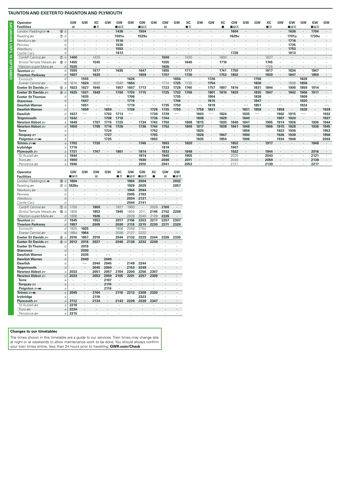**SATURDAYS UNTIL 10 SEPTEMBER**

SATURDAYS UNTIL 10 SEPTEMBER

| Operator                    |              | GV   | GW                | XC      | GW   | GW    | GW            | GW      | GW   | GW      | GW            | XC      | GW   | GW                | XC   | GW      | GW                       | GW            | XC   | <b>GW</b> | GW    | GW            | GW      | GW                       |
|-----------------------------|--------------|------|-------------------|---------|------|-------|---------------|---------|------|---------|---------------|---------|------|-------------------|------|---------|--------------------------|---------------|------|-----------|-------|---------------|---------|--------------------------|
| <b>Facilities</b>           |              | в    |                   | ■≖      |      | ∎в≖   |               | ■日素     |      | в       |               | ■≖      |      |                   |      | ■日本     |                          |               | ■≖   |           | ■日素   |               | ∎⊡⊼     |                          |
| London Paddington $\bullet$ | (fb) d       |      |                   |         |      | 1436  |               | 1504    |      |         |               |         |      |                   |      | 1604    |                          |               |      |           | 1636  |               | 1704    |                          |
| Reading                     | $(7)$ d      |      |                   |         |      | 1501u |               | 1529u   |      |         |               |         |      |                   |      | 1629u   |                          |               |      |           | 1701u |               | 1730u   |                          |
| Newbury s                   | d            |      |                   |         |      | 1516  |               |         |      |         |               |         |      |                   |      |         |                          |               |      |           | 1716  |               |         |                          |
| Pewsey                      | d            |      |                   |         |      | 1535  |               |         |      |         |               |         |      |                   |      |         |                          |               |      |           | 1735  |               |         |                          |
| Westbury                    | d            |      |                   |         |      | 1553  |               |         |      |         |               |         |      |                   |      |         |                          |               |      |           | 1753  |               |         |                          |
| Castle Cary                 | d            |      |                   |         |      | 1613  |               |         |      |         |               |         |      |                   |      | 1728    |                          |               |      |           | 1813  |               |         |                          |
| Cardiff Central             | $(7)$ d      | 1400 |                   | 1430    |      |       |               |         |      | 1500    |               | 1530    |      | ٠                 | 1600 |         |                          |               | 1627 |           |       |               |         |                          |
| Bristol Temple Meads        | 60d          | 1455 |                   | 1545    |      |       |               |         |      | 1555    |               | 1645    |      |                   | 1710 |         |                          |               | 1745 |           |       |               |         |                          |
| Weston-super-Mare           | d            | 1525 | $\cdot$           | ٠       |      |       |               |         |      | 1625    |               |         | ٠    |                   |      |         |                          |               | 1725 | $\cdot$   |       |               | ۰.      |                          |
| Taunton =                   | d            | 1555 | $\cdot$           | 1617    |      | 1635  |               | 1647    |      | 1655    |               | 1717    |      |                   | 1741 | 1750    |                          |               | 1817 | $\cdot$   | 1834  |               | 1847    |                          |
| <b>Tiverton Parkway</b>     | d            | 1607 | $\bullet$         | 1630    |      |       |               | 1659    |      | 1707    |               | 1730    |      | ٠                 | 1753 | 1802    | ٠                        |               | 1830 | $\cdot$   | 1847  | ٠             | 1859    |                          |
| Exmouth                     | d.           |      | 1555              |         |      |       | 1626          |         |      |         | 1656          |         |      | 1726              |      |         |                          | 1756          |      |           |       | 1828          | $\cdot$ |                          |
| Exeter Central              | d            | 1614 | 1624              | 1632    |      | 1640  | 1654          |         |      | 1714    | 1725          | 1733    |      | 1754              |      |         |                          | 1828          |      |           | 1838  | 1856          |         |                          |
| Exeter St Davids            | 6a           | 1623 | 1627              | 1646    |      | 1657  | 1657          | 1713    |      | 1723    | 1728          | 1745    |      | 1757              | 1807 | 1816    |                          | 1831          | 1844 |           | 1900  | 1859          | 1914    |                          |
| Exeter St Davids            | 6d           | 1625 | 1631              | 1649    |      | 1700  | 1703          | 1715    |      | 1725    | 1732          | 1749    | ٠    | 1801              | 1810 | 1820    | $\cdot$                  | 1835          | 1847 |           | 1902  | 1906          | 1917    |                          |
| <b>Exeter St Thomas</b>     | d            |      | 1635              | ٠       |      |       | 1706          |         |      |         | 1735          |         |      | 1804              |      |         |                          | 1838          |      |           |       | 1909          | $\cdot$ |                          |
| <b>Starcross</b>            | <sub>d</sub> |      | 1647              | ٠       |      |       | 1715          |         |      |         | 1746          | $\cdot$ |      | 1815              |      |         |                          | 1847          |      |           |       | 1920          | $\cdot$ |                          |
| <b>Dawlish Warren</b>       | a            |      | 1651              |         |      |       | 1719          |         |      | 1735    | 1750          |         |      | 1819              |      |         | $\overline{\phantom{0}}$ | 1851          |      |           |       | 1924          |         | $\overline{\phantom{0}}$ |
| <b>Dawlish Warren</b>       | <sub>d</sub> |      | 1659              | $\cdot$ | 1659 |       | 1726          |         | 1726 | 1735    | 1759          |         | 1759 | 1831              |      |         | 1831                     | 1858          |      | 1858      |       | 1928          | $\cdot$ | 1928                     |
| <b>Dawlish</b>              | d            | 1637 | $\longrightarrow$ |         | 1703 | 1713  | $\longmapsto$ |         | 1730 | 1739    | $\longmapsto$ |         | 1803 | $\longrightarrow$ | 1824 |         | 1835                     | $\longmapsto$ |      | 1902      | 1915  | $\longmapsto$ |         | 1932                     |
| Teignmouth                  | <sub>d</sub> | 1642 | $\cdot$           | $\cdot$ | 1708 | 1718  |               |         | 1736 | 1744    |               |         | 1808 | $\sim$            | 1829 |         | 1840                     | ٠             |      | 1907      | 1920  |               |         | 1937                     |
| Newton Abbot ₽              | a            | 1649 |                   | 1707    | 1715 | 1725  | $\cdot$       | 1734    | 1743 | 1750    |               | 1808    | 1815 |                   | 1835 | 1840    | 1847                     |               | 1905 | 1914      | 1926  |               | 1936    | 1944                     |
| Newton Abbot =              | $\mathsf{d}$ | 1650 | $\cdot$           | 1709    | 1716 | 1726  | $\cdot$       | 1736    | 1744 | 1752    |               | 1809    | 1817 | $\cdot$           | 1838 | 1841    | 1848                     |               | 1906 | 1915      | 1928  |               | 1938    | 1945                     |
| <b>Torre</b>                | a            |      |                   |         | 1724 |       |               |         | 1752 |         |               |         | 1825 |                   |      |         | 1856                     |               |      | 1923      | 1936  |               | $\cdot$ | 1953                     |
| Torquay $\equiv$            | a            |      |                   | ٠       | 1727 |       |               | $\cdot$ | 1755 | $\cdot$ |               |         | 1828 | $\cdot$           | 1847 |         | 1900                     | $\cdot$       |      | 1926      | 1939  | ٠             | $\cdot$ | 1956                     |
| Paignton = M                | a            |      |                   |         | 1735 |       |               |         | 1802 | ٠       |               |         | 1835 |                   | 1854 | $\cdot$ | 1906                     |               |      | 1934      | 1946  |               |         | 2003                     |
| Totnes ani                  | a            | 1702 | $\sim$            | 1720    |      |       |               | 1746    |      | 1803    |               | 1820    |      |                   |      | 1852    | $\sim$                   |               | 1917 |           |       |               | 1948    |                          |
| lvybridge                   | a            | 1716 |                   |         |      |       |               |         |      | 1818    |               |         |      |                   |      | 1907    |                          |               |      |           |       |               |         |                          |
| Plymouth =                  | a            | 1731 |                   | 1747    |      | 180   |               | 1814    |      | 1833    |               | 1848    |      |                   |      | 1922    |                          |               | 1944 |           |       |               | 2016    |                          |
| St Austell s                | a            | 1844 |                   |         |      |       |               | 1914    |      | 1945    |               | 1955    |      |                   |      | 2025    | ٠                        |               | 2043 |           |       |               | 2121    |                          |
| Truro $\equiv$              |              | 1900 |                   |         |      |       |               | 1930    |      | 2000    |               | 2011    |      |                   |      | 2040    |                          |               | 2059 |           |       |               | 2138    |                          |
| Penzance s                  | a            | 1940 |                   |         |      |       |               | 2010    |      | 2041    |               | 2053    |      |                   |      | 2121    |                          |               | 2139 |           |       |               | 2217    |                          |

| <b>Operator</b><br><b>Facilities</b>  |                  | GW<br>∎⊡ਨ    | GW            | GW<br>R      | GW                       | XC<br>■≖                  | GW<br>■日素            | GW<br>∎⊡ਨ      | XC<br>п              | GW<br>E.             | GW<br>∎⊟ਨ            |
|---------------------------------------|------------------|--------------|---------------|--------------|--------------------------|---------------------------|----------------------|----------------|----------------------|----------------------|----------------------|
| London Paddington $\Theta$            | (15) d           | 1804         | ä,            | ٠            | $\cdot$                  | $\cdot$                   | 1904                 | 2004           | ٠                    | ٠                    | 2032                 |
| Reading s                             | $\circled7$<br>d | 1829u        | ï             | ï            | ï                        | $\cdot$                   | 1929                 | 2029           | ï                    | ٠                    | 2057                 |
| Newbury s                             | d                |              |               |              |                          |                           | 1944                 | 2044           | ٠                    | ٠                    |                      |
| Pewsey                                | d                |              | ٠<br>ï        | $\cdot$<br>ï | ٠                        | $\blacksquare$<br>$\cdot$ | 2005                 | 2103           | ï                    |                      | $\blacksquare$       |
| Westbury                              | $\overline{d}$   | ٠            | ٠             | ٠            | $\cdot$                  | $\cdot$                   | 2024                 | 2121           |                      |                      | ٠                    |
| Castle Cary                           | d                |              | $\cdot$       | i.           |                          | $\cdot$                   | 2044                 | 2141           | ä,                   |                      | $\cdot$              |
| Cardiff Central                       | $\circledcirc$ d | 1700         | ×.            | 1800         |                          | 1827                      | 1900                 | $\blacksquare$ | 2029                 | 2100                 |                      |
|                                       | $\mathbf d$      | 1808         |               | 1853         |                          | 1945                      | 1955                 | 2011           | 2145                 | 2152                 | 2208                 |
| Bristol Temple Meads                  | $^{\circledR}$   |              | ×.            |              |                          |                           |                      |                |                      |                      |                      |
| Weston-super-Mare<br>Taunton $\equiv$ | d<br>d           | 1836<br>1945 |               | 1926         | $\ddot{\phantom{0}}$     | ٠<br>2017                 | 2028<br>2106         | 2040           | 2139<br>2217         | 2226                 | $\blacksquare$       |
|                                       |                  |              | ×.            | 1953         | ٠                        |                           |                      | 2203           |                      | 2257                 | 2307                 |
| <b>Tiverton Parkway</b><br>Fxmouth    | d<br>d           | 1957<br>1925 | ٠<br>1925     | 2005         | ٠                        | 2030<br>1958              | 2118<br>2058         | 2215<br>2154   | 2230                 | 2311                 | 2320                 |
| Exeter Central                        |                  | 1954         |               | ×            | ٠                        |                           | 2127                 |                |                      |                      | $\cdot$              |
|                                       | d                |              | 1954          | ٠            | ٠                        | 2026                      |                      | 2222           | ٠                    | $\ddot{\phantom{0}}$ | $\cdot$              |
| Exeter St Davids                      | $^{\circ}$<br>a  | 2010         | 1957          | 2019         |                          | 2044                      | 2132                 | 2229           | 2244                 | 2326                 | 2335                 |
| Exeter St Davids                      | 6d               | 2013         | 2016          | 2027         | $\ddot{\phantom{0}}$     | 2046                      | 2136                 | 2232           | 2249                 |                      |                      |
| <b>Exeter St Thomas</b>               | d                |              | 2019          |              |                          |                           |                      |                |                      |                      | $\cdot$              |
| <b>Starcross</b>                      | d                | ٠            | 2030          | ٠            |                          | $\blacksquare$            |                      | ٠              | $\cdot$              |                      | $\cdot$              |
| <b>Dawlish Warren</b>                 | a                |              | 2035          | ٠            | $\overline{\phantom{0}}$ | $\cdot$                   |                      | $\cdot$        |                      |                      |                      |
| <b>Dawlish Warren</b>                 | d                | ٠            | 2040          | ä,           | 2040                     | $\cdot$                   |                      |                | ä,                   |                      | $\cdot$              |
| <b>Dawlish</b>                        | d                |              | $\longmapsto$ | 2040         | 2045                     | $\ddot{\phantom{a}}$      | 2148                 | 2244           |                      |                      |                      |
| <b>Teignmouth</b>                     | d                |              | ٠             | 2045         | 2050                     | $\ddot{\phantom{a}}$      | 2153                 | 2249           | $\ddot{\phantom{0}}$ |                      | $\cdot$              |
| Newton Abbot ₽                        | a                | 2033         | ×.            | 2051         | 2057                     | 2104                      | 2200                 | 2256           | 2307                 | ٠                    | ٠                    |
| Newton Abbot =                        | d                | 2034         | ×.            | 2053         | 2059                     | 2105                      | 2201                 | 2257           | 2309                 | $\cdot$              | $\blacksquare$       |
| Torre                                 | a                |              | ×.            | ٠            | 2107                     |                           |                      | $\cdot$        |                      |                      |                      |
| Torquay $\equiv$                      | a                | ٠            | ٠             | ä,           | 2110                     |                           |                      | ×,             | ٠                    | $\cdot$              | ٠                    |
| Paignton = Mi                         | a                |              | $\cdot$       | ä,           | 2116                     |                           |                      | ×.             |                      |                      |                      |
| Totnes = Mi                           | a                | 2045         | ٠             | 2104         | $\ddot{\phantom{0}}$     | 2116                      | 2212                 | 2308           | 2320                 |                      | $\ddot{\phantom{a}}$ |
| lvybridge                             | a                |              | $\cdot$       | 2119         |                          |                           |                      | 2323           |                      |                      |                      |
| Plymouth s                            | a                | 2112         |               | 2134         | ٠                        | 2143                      | 2239                 | 2338           | 2347                 |                      |                      |
| St Austell and                        | a                | 2218         | ä,            | ×            | ٠                        |                           |                      |                |                      |                      | $\cdot$              |
| Truro se                              | a                | 2234         | ٠             | ٠            | $\cdot$                  | $\cdot$                   | $\ddot{\phantom{0}}$ | ٠              | $\cdot$              |                      | $\cdot$              |
| Penzance s                            | a                | 2315         | ٠             | ٠            | ٠                        | $\cdot$                   | ٠                    | ٠              | ٠                    | ٠                    | $\cdot$              |

## **Changes to our timetables**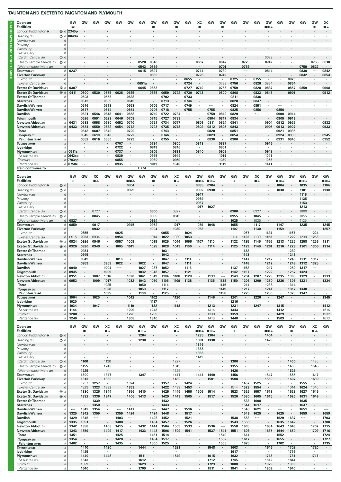| <b>Operator</b>                                |                          | GW                   | GW                       | GW                    | GW                       | GW                       | GW              | GW            | GW                     | GW                   | GW                   | GW                       | хc                              | GW           | GW                               | GW           | GW                       | <b>GW</b>                        | GW                | GW                       | GW                 | GW                       | GW                       | XC                       |
|------------------------------------------------|--------------------------|----------------------|--------------------------|-----------------------|--------------------------|--------------------------|-----------------|---------------|------------------------|----------------------|----------------------|--------------------------|---------------------------------|--------------|----------------------------------|--------------|--------------------------|----------------------------------|-------------------|--------------------------|--------------------|--------------------------|--------------------------|--------------------------|
| <b>Facilities</b>                              |                          | that                 |                          |                       |                          |                          |                 |               | B                      |                      | в                    |                          | г                               |              | B                                |              |                          |                                  | ■⊓ਸ               |                          |                    |                          | в                        | ∎≖                       |
| London Paddington $\Theta$                     |                          | <b>6 d 2345p</b>     |                          |                       |                          |                          |                 |               |                        |                      |                      |                          |                                 |              |                                  |              |                          |                                  |                   |                          |                    |                          |                          |                          |
| Reading s<br>Newbury s                         | $^{\circ}$<br>d<br>d     | 0049u                |                          |                       |                          |                          |                 |               |                        |                      |                      |                          |                                 |              |                                  |              |                          |                                  |                   |                          |                    |                          |                          |                          |
| Pewsey                                         | d                        |                      |                          |                       |                          |                          |                 |               |                        |                      |                      |                          |                                 |              |                                  |              |                          |                                  |                   |                          |                    |                          |                          |                          |
| Westbury                                       | d                        |                      |                          |                       |                          |                          |                 |               |                        |                      |                      |                          |                                 |              |                                  |              |                          |                                  |                   |                          |                    |                          |                          |                          |
| Castle Cary                                    | d                        |                      |                          |                       |                          |                          |                 |               |                        |                      |                      |                          |                                 |              |                                  |              |                          |                                  |                   |                          |                    |                          |                          |                          |
| Cardiff Central                                | 7 d<br><b>®</b>          |                      |                          |                       |                          |                          |                 | 0520          | 0540                   |                      |                      |                          | 0607                            |              | 0642                             |              | 0725                     |                                  | 0629<br>0742      |                          |                    |                          | 0755                     | 0810                     |
| Bristol Temple Meads<br>Weston-super-Mare s    | d<br>d                   |                      |                          |                       |                          |                          |                 | 0543          | 0559                   |                      |                      |                          |                                 |              | 0701                             |              | 0759                     |                                  |                   |                          |                    | 0759                     | 0827                     |                          |
| Taunton #                                      | d                        | 0237                 |                          |                       |                          |                          |                 | 0615          | 0627                   |                      |                      |                          | 0714                            | ٠            | 0730                             |              | $\overline{\phantom{a}}$ |                                  | 0814              |                          |                    | 0830                     | $\longmapsto$            | 0842                     |
| <b>Tiverton Parkway</b>                        | d                        |                      |                          |                       |                          |                          |                 |               | 0639                   |                      |                      |                          | 0726                            |              | 0742                             |              | $\cdot$                  |                                  |                   |                          |                    | 0842                     | $\cdot$                  | 0854                     |
| Exmouth                                        | d                        |                      |                          |                       |                          |                          |                 |               |                        |                      |                      | 0655                     |                                 |              |                                  | 0725         |                          | 0755                             | ٠                 | ٠                        | 0825               |                          | $\cdot$                  |                          |
| Exeter Central<br>Exeter St Davids             | d<br>6a                  | 0307                 |                          |                       |                          |                          |                 | 0651a<br>0645 | $\blacksquare$<br>0653 |                      |                      | 0724<br>0727             | $\epsilon$<br>0740              | ٠            | 0739<br>0756                     | 0756<br>0759 | ٠                        | 0826<br>0828                     | 0834<br>0837      | $\cdot$                  | 0854<br>0857       | $\blacksquare$<br>0859   | $\cdot$                  | 0908                     |
| Exeter St Davids                               | 6d                       | 0411                 | 0500                     | 0530                  | 0555                     | 0628                     | 0635            |               | 0655                   | 0659                 | 0722                 | 0730                     | 0743                            |              | 0800                             | 0808         |                          | 0833                             | 0845              |                          | 0901               |                          |                          | 0912                     |
| <b>Exeter St Thomas</b>                        | d                        |                      | 0503                     | ٠                     | 0558                     | ٠                        | 0638            | $\cdot$       |                        | 0702                 |                      | 0733                     | $\cdot$                         |              |                                  | 0811         |                          | 0836                             | ٠                 | ٠                        |                    |                          |                          |                          |
| <b>Starcross</b>                               | d                        |                      | 0512                     | $\cdot$               | 0609                     | ٠                        | 0649            |               |                        | 0713                 |                      | 0744                     |                                 |              |                                  | 0820         |                          | 0847                             |                   |                          |                    |                          |                          |                          |
| Dawlish Warren                                 | a                        | $\cdot$              | 0516                     | $\cdot$               | 0613                     | $\cdot$                  | 0653            | $\cdot$       | 0705                   | 0717                 | $\cdot$              | 0749                     | $\cdot$                         |              | ٠                                | 0824         | $\cdot$                  | 0851                             | ٠                 | $\overline{\phantom{0}}$ |                    |                          |                          |                          |
| <b>Dawlish Warren</b><br><b>Dawlish</b>        | d<br>d                   | ٠                    | 0517<br>0521             | $\cdot$<br>0546       | 0614<br>0618             | ٠<br>0641                | 0654<br>0658    |               | 0706<br>0710           | 0718<br>0722         | 0734                 | 0755<br>$\overline{a}$   | $\cdot$                         | 0755<br>0759 | 0812                             | 0825<br>0829 | ٠                        | 0856<br>$\overline{\phantom{a}}$ |                   | 0856<br>0900             | 0914               |                          |                          |                          |
| Teignmouth                                     |                          |                      | 0526                     | 0551                  | 0623                     | 0646                     | 0703            |               | 0715                   | 0727                 | 0739                 |                          |                                 | 0804         | 0817                             | 0834         |                          |                                  |                   | 0905                     | 0919               |                          |                          |                          |
| Newton Abbot æ                                 | a                        | 0431                 | 0533                     | 0558                  | 0630                     | 0652                     | 0710            | $\cdot$       | 0721                   | 0734                 | 0747                 | $\cdot$                  | 0801                            | 0811         | 0824                             | 0841         | ٠                        | $\overline{\phantom{a}}$         | 0904              | 0912                     | 0926               |                          | $\cdot$                  | 0932                     |
| Newton Abbot                                   | d                        | 0433                 | 0534                     | 0559                  | 0632                     | 0654                     | 0712            |               | 0723                   | 0735                 | 0748                 | $\cdot$                  | 0802                            | 0812         | 0825                             | 0843         |                          |                                  | 0905              | 0913                     | 0927               |                          |                          | 0933                     |
| <b>Torre</b>                                   | a                        |                      | 0542                     | 0607                  | 0640                     | $\cdot$                  | 0720            |               |                        | 0743                 |                      | $\cdot$                  |                                 | 0820         |                                  | 0851         |                          |                                  |                   | 0921                     | 0935               |                          |                          | 0945                     |
| Torquay $\equiv$<br>Paignton = Mi              | a<br>a                   |                      | 0545<br>0552             | 0610<br>0616          | 0643<br>0650             | ٠                        | 0723<br>0729    | $\cdot$       |                        | 0746<br>0755         | ٠                    | ٠                        |                                 | 0823<br>0830 | ٠                                | 0854<br>0900 | ٠                        |                                  | ٠                 | 0924<br>0931             | 0938<br>0945       | ٠                        | $\cdot$                  | 0952                     |
| Totnes <i>a</i> m                              | a                        |                      |                          |                       |                          | 0707                     |                 |               | 0734                   | $\epsilon$           | 0800                 | $\cdot$                  | 0813                            |              | 0837                             |              |                          |                                  | 0916              |                          |                    |                          |                          |                          |
| lvybridge                                      | a                        |                      |                          |                       |                          | 0722                     | $\cdot$         |               | 0749                   | $\sim$               | 0816                 | $\cdot$                  | $\cdot$                         | $\cdot$      | 0851                             |              |                          |                                  | $\cdot$           |                          |                    |                          |                          |                          |
| Plymouth =                                     | a                        | 0511s                |                          |                       |                          | 0737                     |                 |               | 0805                   | $\cdot$              | 0831                 |                          | 0840                            |              | 0908                             |              |                          |                                  | 0943              |                          |                    |                          |                          |                          |
| St Austell s<br>Truro se                       |                          | a 0643sp<br>a 0703sp |                          | $\cdot$               |                          | 0839<br>0855             | $\cdot$         |               | 0915<br>0930           | $\cdot$              | 0944<br>0959         | $\cdot$                  | ٠                               | ٠            | 1014<br>1030                     |              | ٠                        |                                  | 1041<br>1058      | ٠                        |                    |                          | $\cdot$                  | ä,                       |
| Penzance s                                     |                          | a   0750c            |                          |                       |                          | 0935                     |                 |               | 1011                   |                      | 1040                 |                          |                                 |              | 1111                             |              |                          |                                  | 1141              |                          |                    |                          |                          |                          |
| Train continues to                             |                          |                      |                          |                       |                          |                          |                 | <b>EXM</b>    |                        |                      |                      |                          |                                 |              |                                  |              |                          |                                  |                   |                          |                    |                          |                          |                          |
| Operator                                       |                          | GW                   | GW                       | XC                    | GW                       | GW                       | GW              | GW            | GW                     | GW                   | XC                   | GW                       | GW                              | GW           | GW                               | GW           | GW                       | XC                               | GW                | GW                       | GW                 | GW                       | GW                       | GW                       |
| <b>Facilities</b>                              |                          | $\mathbb{R}$         |                          | ■≖                    |                          |                          | ∎⊡ਨ             |               | R                      |                      | ■≖                   |                          | ⊞ਸ਼ਨ                            | ∎⊡⊼          |                                  | R            |                          | ■≖                               |                   | ■੩ਨ                      |                    | ■⊓≂                      |                          | ∎⊪∓                      |
| London Paddington $\Theta$                     | (f) d                    |                      |                          |                       |                          |                          | 0804            |               |                        |                      |                      |                          | 0835                            | 0904         |                                  |              |                          |                                  |                   | 1004                     |                    | 1035                     |                          | 1104                     |
| Reading                                        | ⑦ d                      |                      |                          |                       |                          |                          | 0829            |               |                        |                      |                      |                          | 0902                            | 0930         |                                  |              |                          |                                  |                   | 1030                     |                    | 1101                     | $\cdot$                  | 1130                     |
| Newbury s<br>Pewsey                            | d<br>d                   |                      |                          |                       |                          |                          |                 |               |                        |                      |                      |                          | 0917<br>0939                    |              |                                  |              |                          |                                  |                   |                          |                    | 1116<br>1135             | $\cdot$                  |                          |
| Westbury                                       | d                        |                      |                          |                       |                          |                          |                 |               |                        |                      |                      |                          | 0957                            |              |                                  |              |                          |                                  |                   |                          |                    | 1153                     |                          |                          |
| Castle Cary                                    | d                        |                      |                          |                       |                          |                          |                 |               |                        |                      |                      |                          | 1017                            | 1027         |                                  |              |                          |                                  |                   |                          |                    | 1213                     |                          |                          |
| Cardiff Central s                              | 7 d                      |                      |                          | 0727                  |                          |                          |                 |               | 0800                   |                      | 0827                 |                          |                                 |              |                                  | 0900         | ٠                        | 0927                             |                   |                          |                    | 1000                     |                          |                          |
| Bristol Temple Meads                           | <b>®</b><br>d            |                      | ٠                        | 0845                  |                          |                          |                 |               | 0855                   | $\epsilon$           | 0945                 | $\cdot$                  |                                 |              |                                  | 0955         | ٠                        | 1045                             |                   |                          |                    | 1055                     | $\cdot$                  | ٠                        |
| Weston-super-Mare<br>Taunton <b>27</b>         | d<br>d                   | 0827<br>0859         | $\cdot$<br>٠             | $\cdot$<br>0917       |                          | ٠                        | 0945            | ٠             | 0924<br>0952           | $\epsilon$<br>$\sim$ | $\cdot$<br>1017      | $\cdot$                  | 1039                            | 1048         | $\cdot$                          | 1025<br>1055 | $\cdot$<br>$\cdot$       | 1035<br>1117                     | ٠                 | 1147                     | $\cdot$<br>$\cdot$ | 1125<br>1235             | $\cdot$                  | ÷.<br>1245               |
| <b>Tiverton Parkway</b>                        | d                        |                      | $\cdot$                  | 0932                  |                          | $\cdot$                  |                 |               | 1004                   | $\cdot$              | 1030                 | $\cdot$                  | 1052                            |              | ÷.                               | 1107         | $\cdot$                  | 1130                             |                   | 1159                     |                    |                          | $\cdot$                  | 1257                     |
| Exmouth                                        | d                        |                      | 0855                     | $\cdot$               | $\cdot$                  | 0925                     | $\cdot$         | ٠             | $\cdot$                | 0955                 | ٠                    | 1024                     | $\cdot$                         | $\cdot$      | ÷.                               |              | 1057                     |                                  | 1124              | $\cdot$                  | 1157               |                          | 1224                     | $\cdot$                  |
| Exeter Central                                 | d                        | 0915                 | 0923                     | 0934                  |                          | 0954                     |                 |               | 1014                   | 1022                 | 1039                 | 1053                     |                                 |              |                                  | 1114         | 1122                     | 1139                             | 1153              |                          | 1222               | 1239                     | 1253                     |                          |
| Exeter St Davids                               | 6a<br>6 d                | 0924<br>0926         | 0926                     | 0946                  |                          | 0957                     | 1009<br>1011    |               | 1018<br>1025           | 1025                 | 1044<br>1049         | 1056<br>1100             | 1107                            | 1110<br>1114 |                                  | 1122<br>1125 | 1125                     | 1145<br>1149                     | 1156              | 1213<br>1216             | 1225               | 1258<br>1301             | 1256                     | 1311<br>1314             |
| Exeter St Davids<br><b>Exeter St Thomas</b>    | d                        |                      | 0930<br>0934             | 0949<br>$\cdot$       |                          | 1005<br>$\cdot$          |                 |               |                        | 1028<br>1031         | $\cdot$              | $\cdot$                  |                                 |              |                                  |              | 1129<br>1132             | $\lambda$                        | 1201<br>$\lambda$ |                          | 1229<br>1232       | $\cdot$                  | 1306                     |                          |
| <b>Starcross</b>                               | d                        |                      | 0945                     |                       |                          | ٠                        |                 |               |                        | 1042                 |                      |                          |                                 |              |                                  |              | 1143                     |                                  |                   |                          | 1243               |                          |                          |                          |
| Dawlish Warren                                 | a                        |                      | 0949                     | ٠                     | $\overline{\phantom{0}}$ | 1016                     |                 |               |                        | 1047                 |                      | 1111                     |                                 |              |                                  |              | 1147                     |                                  | 1212              |                          | 1248               | 1311                     | 1317                     |                          |
| <b>Dawlish Warren</b>                          |                          |                      | 0959                     |                       | 0959                     | 1022                     |                 | 1022          |                        | 1047                 |                      | 1111                     |                                 |              |                                  |              | 1148                     |                                  | 1212              |                          | 1248               | 1312                     | 1325                     |                          |
| <b>Dawlish</b><br>Teignmouth                   | d                        | 0940<br>0945         | $\overline{\phantom{a}}$ |                       | 1004<br>1009             | $\overline{\phantom{a}}$ |                 | 1027<br>1032  | 1037<br>1042           | 1052<br>1057         |                      | 1116<br>1121             |                                 |              |                                  | 1137<br>1142 | 1152<br>1157             |                                  | 1217<br>1222      |                          | 1252<br>1257       | 1317<br>1323             | $\overline{\phantom{a}}$ |                          |
| Newton Abbot =                                 | $\rm{a}$                 | 0951                 |                          | 1007                  | 1016                     |                          | 1030            | 1041          | 1049                   | 1104                 | 1108                 | 1128                     |                                 | 1133         | $\overline{\phantom{0}}$         | 1149         | 1204                     | 1207                             | 1229              | 1235                     | 1305               | 1329                     |                          | 1333                     |
| Newton Abbot $\equiv$                          | d                        | 0952                 | $\cdot$                  | 1009                  | 1017                     | $\cdot$                  | 1032            | 1042          | 1050                   | 1106                 | 1109                 | 1138                     |                                 | 1135         | 1138                             | 1150         | 1206                     | 1209                             | 1230              | 1236                     | 1306               | 1331                     |                          | 1334                     |
| Torre                                          | a                        | $\cdot$              |                          |                       | 1025                     | ٠                        | $\cdot$         | 1050          | $\cdot$                | 1114                 | $\cdot$              | $\overline{\phantom{a}}$ |                                 | $\cdot$      | 1146                             | $\cdot$      | 1214                     | $\cdot$                          | 1238              | $\cdot$                  | 1314               | $\cdot$                  | $\cdot$                  | $\epsilon$               |
| Torquay $\equiv$                               | $\rm{a}$                 |                      |                          |                       | 1028                     |                          |                 | 1053          |                        | 1117                 |                      |                          |                                 |              | 1149                             |              | 1217                     |                                  | 1241              | ٠                        | 1317               | 1340                     |                          | a.                       |
| Paignton = Mi<br>Totnes ஊ#                     | $\rm{a}$<br>$\rm{a}$     | 1004                 | ٠<br>$\cdot$             | 1020                  | 1035                     | ٠                        | $\cdot$<br>1042 | 1100          | $\cdot$<br>1102        | 1125<br>$\epsilon$   | ٠<br>1120            |                          | $\cdot$                         | 1146         | 1158<br>÷,                       | 1201         | 1225<br>$\cdot$          | 1220                             | 1250              | $\cdot$<br>1247          | 1325               | 1347                     | $\cdot$<br>$\epsilon$    | $\epsilon$<br>1345       |
| lvybridge                                      | $\rm{a}$                 | 1020                 | ٠                        |                       | $\cdot$                  | ٠                        | $\cdot$         | ٠             | 1117                   | $\blacksquare$       | ٠                    | $\cdot$                  | ٠                               |              | $\cdot$                          | 1216         | ٠                        | $\cdot$                          | ٠                 | ٠                        |                    | ٠                        | ٠                        | ٠                        |
| Plymouth #                                     | a                        | 1034                 | $\cdot$                  | 1047                  |                          |                          | 1110            |               | 1132                   | $\epsilon$           | 1148                 |                          |                                 | 1213         |                                  | 1231         |                          | 1247                             |                   | 1315                     |                    |                          |                          | 1412                     |
| St Austell s                                   | a                        | 1144                 | $\cdot$                  | $\cdot$               | $\cdot$                  | ٠                        | 1209            | $\cdot$       | 1243                   | $\cdot$              | ٠                    | ٠                        | $\cdot$                         | 1314         | $\cdot$                          | 1343         | $\cdot$                  | $\cdot$                          | ٠                 | 1412                     |                    | $\cdot$                  | $\cdot$                  | 1516                     |
| Truro se<br>Penzance s                         | a<br>a                   | 1200<br>1240         | ٠                        | $\cdot$               | $\cdot$                  | ٠                        | 1226<br>1308    | $\cdot$       | 1259<br>1340           | $\epsilon$           | $\cdot$              | $\cdot$                  | $\epsilon$                      | 1330<br>1410 | $\cdot$                          | 1359<br>1440 | ٠                        | $\cdot$                          | $\epsilon$        | 1429<br>1509             | $\epsilon$         | $\cdot$                  | $\cdot$                  | 1532<br>1613             |
|                                                |                          |                      |                          |                       |                          |                          |                 |               |                        |                      |                      |                          |                                 |              |                                  |              |                          |                                  |                   |                          |                    |                          |                          |                          |
| Operator<br><b>Facilities</b>                  |                          | GW                   | GW<br>R                  | GW                    | XC<br>∎≂                 | GW                       | GW              | GW<br>∎⊪ਸ਼ਨ   | GW                     | GW                   | XC<br>∎ѫ             | GW                       | GW<br>∎⊡ਨ                       | GW<br>∎⊡ਨ    | GW                               | GW<br>B      | GW                       | <b>GW</b>                        | GW<br>∎⊡ਨ         | GW                       | GW<br>B            | GW                       | XC<br>∎ѫ                 | GW                       |
| London Paddington $\Theta$                     | (f) d                    |                      | $\ddot{\phantom{a}}$     |                       |                          |                          |                 | 1204          | $\ddot{\phantom{a}}$   |                      |                      |                          | 1235                            | 1304         | ÷.                               |              |                          |                                  | 1404              | $\cdot$                  |                    |                          |                          | $\sim$                   |
| Reading                                        | $\circledcirc$ d         |                      |                          |                       |                          |                          |                 | 1230          |                        |                      | ٠                    |                          | 1301                            | 1330         | ï                                |              |                          |                                  | 1429              | ٠                        |                    |                          |                          | ä,                       |
| Newbury s                                      | d                        |                      |                          |                       |                          |                          |                 |               |                        |                      |                      |                          | 1316                            |              |                                  |              |                          |                                  |                   |                          |                    |                          |                          |                          |
| Pewsey                                         | d                        |                      |                          |                       |                          |                          |                 |               |                        |                      |                      |                          | 1338                            | $\cdot$      |                                  |              |                          |                                  |                   | ٠                        |                    |                          |                          | ä,                       |
| Westbury<br>Castle Cary                        | d<br>d                   |                      |                          | ï                     |                          |                          |                 |               |                        |                      |                      |                          | 1356<br>1419                    |              | ï                                |              |                          |                                  |                   |                          |                    |                          | $\cdot$                  | ٠                        |
| Cardiff Central                                | $\circledcirc$<br>d      |                      | 1100                     |                       | 1130                     |                          |                 |               |                        |                      | 1227                 |                          |                                 |              |                                  | 1300         |                          |                                  |                   |                          | 1400               |                          | 1430                     | k,                       |
| Bristol Temple Meads                           | <b>®</b><br>d            | ٠                    | 1155                     | $\cdot$               | 1245                     |                          |                 |               | ٠                      | $\blacksquare$       | 1345                 | $\cdot$                  | $\cdot$                         |              | ٠                                | 1355         | $\cdot$                  |                                  | ٠                 | ٠                        | 1455               | $\cdot$                  | 1545                     | $\epsilon$               |
| Weston-super-Mare                              | d                        |                      | 1225                     | $\cdot$               |                          | ٠                        |                 |               |                        |                      | 1325                 | $\cdot$                  |                                 |              | ٠                                | 1426         | $\cdot$                  |                                  |                   | ٠                        | 1525               | $\cdot$                  | $\cdot$                  | ×.                       |
| Taunton #<br><b>Tiverton Parkway</b>           | d<br>d                   |                      | 1300<br>1313             | $\epsilon$<br>$\cdot$ | 1317<br>1330             | ٠                        |                 | 1347          |                        | ¥                    | 1417<br>1430         | $\epsilon$<br>$\cdot$    | 1441<br>ä,                      | 1449<br>1501 | à.<br>$\cdot$                    | 1456<br>1508 | $\bullet$                | ٠                                | 1547<br>1559      | $\cdot$<br>$\cdot$       | 1555<br>1607       | i.<br>$\cdot$            | 1617<br>1630             | $\epsilon$<br>$\sim$     |
| Exmouth                                        | d                        |                      | 1257                     | 1257                  | $\cdot$                  |                          | 1324            |               |                        | 1357                 |                      | 1424                     | $\cdot$                         | $\cdot$      | ¥                                |              | 1457                     | 1525                             | ٠                 | $\cdot$                  |                    | 1555                     | $\cdot$                  | $\epsilon$               |
| Exeter Central                                 | d                        |                      | 1323                     | 1323                  | 1332                     |                          | 1353            |               |                        | 1422                 | 1439                 | 1453                     |                                 |              |                                  | 1514         | 1523                     | 1554                             | $\cdot$           |                          | 1614               | 1624                     | 1640                     | ×.                       |
| Exeter St Davids                               | 6a                       |                      | 1330                     | 1326                  | 1344                     |                          | 1356            | 1410          | $\cdot$                | 1425                 | 1445                 | 1456                     | 1506                            | 1514         | ¥                                | 1523         | 1526                     | 1557                             | 1613              | $\cdot$                  | 1623               | 1627                     | 1646                     | ä,                       |
| Exeter St Davids                               | 6d                       |                      | 1332                     | 1336                  | 1347                     | $\cdot$                  | 1406            | 1413          |                        | 1429                 | 1449                 | 1505                     |                                 | 1517         | ٠                                | 1526         | 1530                     | 1605                             | 1615              | $\cdot$                  | 1625               | 1631                     | 1649                     | $\cdot$                  |
| <b>Exeter St Thomas</b><br><b>Starcross</b>    | d<br>d                   | ٠                    | ٠                        | 1339<br>1350          | $\cdot$                  | ٠                        |                 |               | $\cdot$                | 1432<br>1443         |                      | ٠                        | $\cdot$                         |              | $\cdot$                          |              | 1533<br>1544             | 1608<br>1617                     | ٠                 | ٠                        |                    | 1635<br>1647             | $\cdot$                  | ٠                        |
| <b>Dawlish Warren</b>                          | a                        | $\longleftarrow$     | 1342                     | 1354                  | $\cdot$                  | $\overline{\phantom{0}}$ | 1417            |               |                        | 1447                 | ٠                    | 1516                     | $\cdot$                         |              |                                  |              | 1548                     | 1621                             | ٠                 | $\overline{\phantom{0}}$ | ٠                  | 1651                     | $\cdot$                  | $\overline{\phantom{0}}$ |
| <b>Dawlish Warren</b>                          | d                        | 1325                 | 1342                     | 1359                  |                          | 1359                     | 1424            |               | 1424                   | 1448                 |                      | 1517                     |                                 |              |                                  |              | 1549                     | 1625                             |                   | 1625                     |                    | 1659                     |                          | 1659                     |
| Dawlish                                        | d                        | 1329                 | 1346                     | $\longmapsto$         | $\cdot$                  | 1403                     | $\longmapsto$   | ٠             | 1428                   | 1452                 | $\cdot$              | 1521                     | $\cdot$                         |              | $\cdot$                          | 1538         | 1553                     | $\longmapsto$                    | ٠                 | 1629                     | 1637               | $\overline{\phantom{a}}$ | $\cdot$                  | 1703                     |
| Teignmouth                                     | d                        | 1335                 | 1351                     | $\cdot$               |                          | 1408                     |                 |               | 1434                   | 1457                 |                      | 1526                     |                                 |              |                                  | 1543         | 1558                     |                                  |                   | 1635                     | 1642               |                          |                          | 1708                     |
| Newton Abbot $\equiv$<br>Newton Abbot $\equiv$ | a<br>d                   | 1342<br>1343         | 1358<br>1359             | $\cdot$<br>$\cdot$    | 1408<br>1409             | 1415<br>1417             | $\cdot$         | 1432<br>1433  | 1441<br>1443           | 1504<br>1506         | 1509<br>1509         | 1533<br>1541             | $\ddot{\phantom{a}}$<br>$\cdot$ | 1536<br>1537 | $\overline{\phantom{0}}$<br>1541 | 1550<br>1551 | 1605<br>1606             | $\cdot$                          | 1634<br>1635      | 1643<br>1644             | 1649<br>1650       | $\cdot$<br>$\cdot$       | 1707<br>1709             | 1715<br>1716             |
| <b>Torre</b>                                   | a                        | 1351                 | ٠                        | $\cdot$               |                          | 1425                     | $\cdot$         |               | 1451                   | 1514                 | ٠                    | ∟,                       | $\cdot$                         |              | 1549                             | ٠            | 1614                     | ٠                                |                   | 1652                     | ٠                  | ٠                        | ٠                        | 1724                     |
| Torquay $\equiv$                               | a                        | 1354                 |                          |                       |                          | 1428                     |                 |               | 1454                   | 1517                 |                      |                          |                                 |              | 1552                             |              | 1617                     |                                  |                   | 1655                     |                    |                          |                          | 1727                     |
| Paignton = Mi                                  | $\rm{a}$                 | 1402                 | $\epsilon$               | $\cdot$               | $\cdot$                  | 1435                     | $\cdot$         | $\cdot$       | 1500                   | 1525                 | $\ddot{\phantom{a}}$ |                          | $\cdot$                         | $\cdot$      | 1558                             | $\cdot$      | 1625                     | $\cdot$                          | ×.                | 1702                     | ٠                  | $\ddot{\phantom{a}}$     | $\cdot$                  | 1735                     |
| Totnes = mi<br>lvybridge                       | $\rm{a}$                 |                      | 1410                     | $\cdot$               | 1420                     |                          |                 | 1444          |                        | $\epsilon$           | 1521                 |                          |                                 | 1548         | ÷,                               | 1603         |                          |                                  | 1646              | $\cdot$                  | 1702               |                          | 1720                     | $\cdot$                  |
|                                                |                          | ٠                    |                          |                       |                          | ٠                        |                 |               |                        | ٠                    |                      |                          |                                 |              | ¥                                |              | ٠                        |                                  |                   | $\cdot$                  |                    | ٠                        | ٠                        | $\epsilon$               |
| Plymouth =                                     | $\rm{a}$<br>$\mathsf{a}$ |                      | 1425<br>1440             | $\cdot$               | 1448                     | $\cdot$                  |                 | 1511          |                        |                      | 1549                 |                          |                                 | 1615         |                                  | 1617<br>1632 | $\cdot$                  |                                  | 1713              | $\cdot$                  | 1716<br>1731       |                          | 1747                     | $\epsilon$               |
| St Austell and                                 | a                        | $\cdot$              | 1543                     | $\cdot$               | $\cdot$                  |                          | $\cdot$         | 1612          | $\cdot$                | $\blacksquare$       | ٠                    | ٠                        | $\cdot$                         | 1712         | $\cdot$                          | 1745         | $\cdot$                  | $\cdot$                          | 1812              | $\cdot$                  | 1844               | $\cdot$                  | $\cdot$                  | $\epsilon$               |
| Truro $\equiv$<br>Penzance s                   | $\rm{a}$<br>a            |                      | 1559<br>1640             | ٠                     | ٠                        |                          |                 | 1629<br>1709  |                        |                      |                      |                          |                                 | 1729<br>1811 | $\cdot$                          | 1800<br>1841 | $\cdot$                  | ٠                                | 1829<br>1909      | $\cdot$                  | 1900<br>1940       | $\cdot$                  |                          | $\sim$                   |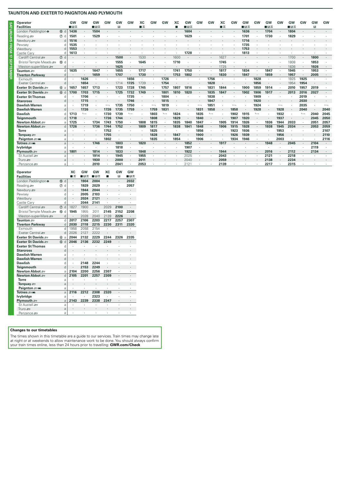| <b>Operator</b><br><b>Facilities</b> |                  | GW<br>∎⊡ਨ | GW                       | GW<br>∎⊓ਸ਼ਨ | GW   | GW<br>$\mathbb{R}$ | <b>GW</b>                | ХC<br>■ま | GW             | GW            | xс<br>г | GW<br>■日素 | GW      | GW                       | XС<br>■ま | GW   | GW<br>∎⊡⊼ | GW                       | GW<br>■日素 | <b>GW</b>                | <b>GW</b><br>■日素 | <b>GW</b>                | <b>GW</b><br>$\mathbb{R}$ | GW                       |
|--------------------------------------|------------------|-----------|--------------------------|-------------|------|--------------------|--------------------------|----------|----------------|---------------|---------|-----------|---------|--------------------------|----------|------|-----------|--------------------------|-----------|--------------------------|------------------|--------------------------|---------------------------|--------------------------|
| London Paddington $\Theta$           | 15 d             | 1436      |                          | 1504        |      |                    |                          |          |                |               |         | 1604      |         |                          |          |      | 1636      |                          | 1704      |                          | 1804             |                          |                           |                          |
| Reading                              | $(7)$ d          | 1501      |                          | 1529        |      |                    |                          |          |                |               |         | 1629      |         |                          |          |      | 1701      |                          | 1730      |                          | 1829             |                          |                           |                          |
| Newbury s                            | d                | 1516      |                          |             |      |                    |                          |          |                |               |         |           |         |                          |          |      | 1716      |                          |           |                          |                  |                          |                           |                          |
| Pewsey                               |                  | 1535      |                          |             |      |                    |                          |          |                |               |         |           |         |                          |          |      | 1735      |                          |           |                          |                  |                          |                           |                          |
| Westbury                             |                  | 1553      |                          |             |      |                    |                          |          |                |               |         |           |         |                          |          |      | 1753      |                          |           |                          |                  |                          |                           |                          |
| Castle Carv                          |                  | 1613      |                          |             |      |                    |                          |          |                |               |         | 1728      |         |                          |          |      | 1813      |                          |           |                          |                  |                          |                           |                          |
| Cardiff Central                      | $\circledcirc$ d |           |                          |             |      | 1500               |                          | 1530     |                |               | 1600    |           |         |                          | 1627     |      |           |                          |           |                          | 1700             |                          | 1800                      |                          |
| Bristol Temple Meads                 | 10 d             |           |                          |             |      | 1555               |                          | 1645     |                |               | 1710    |           |         |                          | 1745     |      |           |                          |           |                          | 1808             |                          | 1853                      |                          |
| Weston-super-Mare                    | d                |           |                          |             |      | 1625               |                          |          |                |               |         |           |         |                          | 1725     |      |           |                          |           | $\bullet$                | 1836             |                          | 1926                      |                          |
| Taunton so                           | $\mathsf{d}$     | 1635      |                          | 1647        |      | 1655               |                          | 1717     |                |               | 1741    | 1750      |         |                          | 1817     |      | 1834      |                          | 1847      |                          | 1945             |                          | 1953                      |                          |
| <b>Tiverton Parkway</b>              | d                |           | $\cdot$                  | 1659        |      | 1707               | $\cdot$                  | 1730     | $\bullet$      |               | 1753    | 1802      |         |                          | 1830     |      | 1847      | $\cdot$                  | 1859      | $\sim$                   | 1957             | $\cdot$                  | 2005                      | $\sim$                   |
| Exmouth                              | $\mathsf{d}$     |           | 1626                     |             |      |                    | 1656                     |          |                | 1726          |         |           |         | 1756                     |          |      | $\cdot$   | 1828                     | $\cdot$   | $\cdot$                  | 1925             | 1925                     | $\cdot$                   |                          |
| Exeter Central                       | d                |           | 1654                     | $\cdot$     |      | 1714               | 1725                     | 1739     | $\blacksquare$ | 1754          |         |           |         | 1828                     | $\cdot$  |      | $\cdot$   | 1856                     | $\cdot$   | $\cdot$                  | 1954             | 1954                     | $\sim$                    |                          |
| Exeter St Davids                     | 6a               | 1657      | 1657                     | 1713        |      | 1723               | 1728                     | 1745     | $\cdot$        | 1757          | 1807    | 1816      |         | 1831                     | 1844     |      | 1900      | 1859                     | 1914      |                          | 2010             | 1957                     | 2019                      |                          |
| Exeter St Davids                     | 6d               | 1700      | 1703                     | 1715        |      | 1725               | 1732                     | 1749     |                | 1801          | 1810    | 1820      |         | 1835                     | 1847     |      | 1902      | 1906                     | 1917      |                          | 2013             | 2016                     | 2027                      |                          |
| <b>Exeter St Thomas</b>              | d                |           | 1706                     |             |      |                    | 1735                     |          |                | 1804          |         |           |         | 1838                     |          |      |           | 1909                     |           |                          |                  | 2019                     |                           |                          |
| <b>Starcross</b>                     | $\mathsf{d}$     |           | 1715                     |             |      |                    | 1746                     |          |                | 1815          |         |           |         | 1847                     |          |      |           | 1920                     |           |                          |                  | 2030                     | $\cdot$                   |                          |
| <b>Dawlish Warren</b>                | a                |           | 1719                     |             |      | 1735               | 1750                     |          |                | 1819          |         |           |         | 1851                     |          |      |           | 1924                     |           | $\overline{\phantom{0}}$ |                  | 2035                     |                           | $\overline{\phantom{0}}$ |
| <b>Dawlish Warren</b>                | $\mathsf{d}$     |           | 1726                     | $\cdot$     | 1726 | 1735               | 1759                     |          | 1759           | 1831          |         | $\cdot$   | 1831    | 1858                     | $\cdot$  | 1858 | $\cdot$   | 1928                     |           | 1928                     |                  | 2040                     | $\cdot$                   | 2040                     |
| <b>Dawlish</b>                       | n                | 1713      | $\overline{\phantom{a}}$ |             | 1730 | 1739               | $\overline{\phantom{a}}$ |          | 1803           | $\longmapsto$ | 1824    |           | 1835    | $\overline{\phantom{a}}$ |          | 1902 | 1915      | $\overline{\phantom{a}}$ |           | 1932                     |                  | $\overline{\phantom{a}}$ | 2040                      | 2045                     |
| Teianmouth                           |                  | 1718      | $\cdot$                  | $\bullet$   | 1736 | 1744               |                          |          | 1808           |               | 1829    | $\cdot$   | 1840    |                          |          | 1907 | 1920      |                          |           | 1937                     |                  |                          | 2045                      | 2050                     |
| Newton Abbot                         |                  | 1725      |                          | 1734        | 1743 | 1750               |                          | 1808     | 1815           |               | 1835    | 1840      | 1847    |                          | 1905     | 1914 | 1926      |                          | 1936      | 1944                     | 2033             |                          | 2051                      | 2057                     |
| Newton Abbot $\equiv$                |                  | 1726      |                          | 1736        | 1744 | 1752               |                          | 1809     | 1817           | $\cdot$       | 1838    | 1841      | 1848    |                          | 1906     | 1915 | 1928      |                          | 1938      | 1945                     | 2034             |                          | 2053                      | 2059                     |
| <b>Torre</b>                         | a                |           |                          |             | 1752 |                    |                          |          | 1825           |               |         |           | 1856    |                          |          | 1923 | 1936      |                          |           | 1953                     |                  |                          |                           | 2107                     |
| Torquay $\mathcal{F}$                |                  |           |                          |             | 1755 |                    |                          |          | 1828           |               | 1847    |           | 1900    |                          |          | 1926 | 1939      |                          |           | 1956                     |                  |                          |                           | 2110                     |
| Paignton = Mi                        | a                |           |                          |             | 1802 |                    |                          |          | 1835           |               | 1854    |           | 1906    |                          |          | 1934 | 1946      |                          |           | 2003                     |                  |                          |                           | 2116                     |
| Totnes sam                           | $\overline{a}$   |           |                          | 1746        |      | 1803               |                          | 1820     |                |               |         | 1852      |         |                          | 1917     |      |           |                          | 1948      | $\cdot$                  | 2045             |                          | 2104                      |                          |
| lvybridge                            | $\overline{a}$   |           |                          |             |      | 1818               |                          |          |                |               |         | 1907      |         |                          |          |      |           |                          |           |                          |                  |                          | 2119                      |                          |
| Plymouth =                           |                  | 1801      |                          | 1814        |      | 1833               |                          | 1848     |                |               |         | 1922      | $\cdot$ |                          | 1944     |      |           |                          | 2016      | $\blacksquare$           | 2112             |                          | 2134                      |                          |
| St Austell s                         | $\overline{a}$   |           |                          | 1914        |      | 1945               |                          | 1955     |                |               |         | 2025      |         |                          | 2043     |      |           |                          | 2121      | $\cdot$                  | 2218             |                          |                           |                          |
| Truro $\equiv$                       | a                |           |                          | 1930        |      | 2000               |                          | 2011     |                |               |         | 2040      |         |                          | 2059     |      |           |                          | 2138      | $\cdot$                  | 2234             |                          |                           |                          |
| Penzance s                           | a                |           |                          | 2010        |      | 2041               |                          | 2053     |                |               |         | 2121      |         |                          | 2139     |      |           |                          | 2217      |                          | 2315             |                          |                           |                          |

| Operator<br><b>Facilities</b> |                     | XC<br>∎ਨ             | GW<br>⊞ਸ਼ਨ | GW<br>∎⊪ਸ਼ਨ          | XC<br>■              | GW<br>R        | GW<br>∎⊡ਨ            |
|-------------------------------|---------------------|----------------------|------------|----------------------|----------------------|----------------|----------------------|
| London Paddington $\bullet$   | (fi) d              |                      | 1904       | 2004                 | $\cdot$              | ٠              | 2032                 |
|                               |                     |                      |            |                      |                      |                |                      |
| Reading s                     | d<br>$\circledR$    | ï                    | 1929       | 2029                 |                      | ï              | 2057                 |
| Newbury s                     | d                   |                      | 1944       | 2044                 | $\cdot$              | ï              | $\cdot$              |
| Pewsey                        | d                   |                      | 2005       | 2103                 | ï                    |                |                      |
| Westbury                      | d                   |                      | 2024       | 2121                 |                      |                | $\ddot{\phantom{0}}$ |
| Castle Cary                   | d                   | ï                    | 2044       | 2141                 |                      |                | ٠                    |
| Cardiff Central               | (7)<br>d            | 1827                 | 1900       |                      | 2029                 | 2100           |                      |
| Bristol Temple Meads          | <b>10</b><br>d      | 1945                 | 1955       | 2011                 | 2145                 | 2152           | 2208                 |
| Weston-super-Mare             | d                   |                      | 2028       | 2040                 | 2139                 | 2226           |                      |
| Taunton se                    | d                   | 2017                 | 2106       | 2203                 | 2217                 | 2257           | 2307                 |
| <b>Tiverton Parkway</b>       | d                   | 2030                 | 2118       | 2215                 | 2230                 | 2311           | 2320                 |
| Fxmouth                       | d                   | 1958                 | 2058       | 2154                 | ï                    | ï              | ï                    |
| Fxeter Central                | d                   | 2026                 | 2127       | 2222                 |                      |                |                      |
| Exeter St Davids              | $6$<br>a            | 2044                 | 2132       | 2229                 | 2244                 | 2326           | 2335                 |
| Exeter St Davids              | $\mathsf{d}$<br>$6$ | 2046                 | 2136       | 2232                 | 2249                 | ï              | $\blacksquare$       |
| <b>Exeter St Thomas</b>       | d                   |                      |            |                      |                      |                |                      |
| <b>Starcross</b>              | d                   |                      | ٠          |                      |                      | ï              | $\cdot$              |
| <b>Dawlish Warren</b>         | a                   |                      | ï          | ï                    |                      |                |                      |
| <b>Dawlish Warren</b>         | d                   |                      | ٠          |                      | $\cdot$              | ٠              |                      |
| <b>Dawlish</b>                | d                   | ï                    | 2148       | 2244                 | ï                    | ï              | ٠                    |
| <b>Teignmouth</b>             | d                   |                      | 2153       | 2249                 |                      | ٠              |                      |
| Newton Abbot ₽                | a                   | 2104                 | 2200       | 2256                 | 2307                 | ï              | ٠                    |
| Newton Abbot ₽                | $\mathsf{d}$        | 2105                 | 2201       | 2257                 | 2309                 | $\overline{a}$ |                      |
| <b>Torre</b>                  | a                   |                      |            | ï                    | ï                    |                |                      |
| Torquay $\equiv$              | a                   |                      | ï          |                      |                      | ï              |                      |
| Paignton = Mi                 | a                   |                      |            | í.                   |                      |                | ٠                    |
| Totnes <del>s</del> ma        | a                   | 2116                 | 2212       | 2308                 | 2320                 | $\overline{a}$ |                      |
| lvybridge                     | a                   |                      |            | 2323                 |                      |                |                      |
| Plymouth s                    | a                   | 2143                 | 2239       | 2338                 | 2347                 |                | ٠                    |
| St Austell s                  | a                   |                      |            |                      |                      | ï              | ٠                    |
| Truro s                       | a                   | $\ddot{\phantom{0}}$ | ٠          | $\ddot{\phantom{0}}$ | $\ddot{\phantom{0}}$ | ٠              | $\ddot{\phantom{0}}$ |
| Penzance s                    | a                   | ï                    |            | ٠                    |                      |                | ٠                    |

## **Changes to our timetables**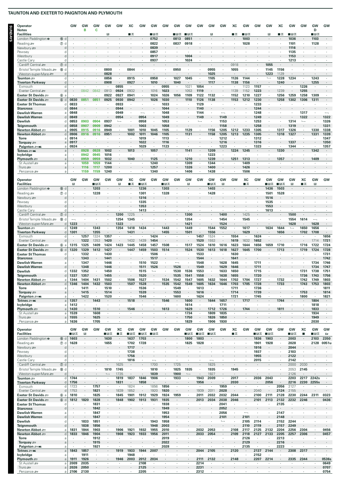| Operator                                        |                     | GW               | GW           | GW           | GW             | GW                               | ХC           | GW           | GW                    | GW              | GW                       | GW                           | GW                               | GW           | GW                        | XC                  | GW              | GW                              | GW                   | XC           | GW                               | GW                    | GW           | GW           |
|-------------------------------------------------|---------------------|------------------|--------------|--------------|----------------|----------------------------------|--------------|--------------|-----------------------|-----------------|--------------------------|------------------------------|----------------------------------|--------------|---------------------------|---------------------|-----------------|---------------------------------|----------------------|--------------|----------------------------------|-----------------------|--------------|--------------|
| <b>Notes</b><br><b>Facilities</b>               |                     |                  | в            | c            | R              |                                  | ■≖           |              | ∎⊟ਨ                   |                 | ■⊟ਨ                      | ▉β                           |                                  | R            |                           | ■≖                  | ∎⊟ਨ             |                                 | П                    | ■≖           | ∎в≂                              |                       | D<br>∎в≂     |              |
| London Paddington $\Theta$                      | 15 d                |                  |              |              |                |                                  |              |              | 0752                  |                 | 0813                     | 0851                         |                                  |              |                           |                     | 1003            |                                 |                      |              | 1036                             |                       | 1103         |              |
| Reading s                                       | $\circledcirc$ d    |                  |              |              |                |                                  |              |              | 0822                  |                 | 0837                     | 0918                         |                                  |              |                           |                     | 1028            |                                 |                      |              | 1101                             |                       | 1128         |              |
| Newbury se<br>Pewsey                            | d<br>d              |                  |              |              |                |                                  |              |              | 0839<br>0857          |                 |                          |                              |                                  |              |                           |                     |                 |                                 |                      |              | 1116<br>1135                     |                       |              |              |
| Westbury                                        | d                   |                  |              |              |                |                                  |              |              | 0917                  |                 |                          | 1004                         |                                  |              |                           |                     |                 |                                 |                      |              | 1153                             |                       |              |              |
| Castle Cary                                     | d                   |                  |              |              |                |                                  |              |              | 0937                  |                 |                          | 1024                         |                                  |              |                           |                     |                 |                                 |                      |              | 1213                             |                       |              |              |
| Cardiff Central<br>Bristol Temple Meads         | ⑦ d<br><b></b> ⊕ d  |                  |              |              | 0800           | ٠                                | 0844         |              | $\cdot$               | $\cdot$         | 0950                     | $\cdot$                      |                                  | 0955         | ٠                         | 0918<br>1055        |                 | $\cdot$                         | 1055<br>1145         | 1156         | $\cdot$                          |                       |              |              |
| Weston-super-Mare s                             | d                   |                  |              |              | 0828           |                                  |              |              |                       |                 |                          |                              |                                  | 1025         |                           |                     |                 |                                 | 1223                 | 1129         |                                  |                       |              |              |
| Taunton <i>s</i> ⊟                              | d                   |                  |              | ×.           | 0856           | $\cdot$                          | 0915         |              | 0958                  | $\cdot$         | 1027                     | 1045                         |                                  | 1105         |                           | 1126                | 1144            | $\cdot$                         | $\overline{a}$       | 1228         | 1234                             |                       | 1243         |              |
| <b>Tiverton Parkway</b><br>Exmouth              | d<br>d              |                  |              | ×            | 0908           | 0855                             | 0927         |              | 1010                  | 0955            | 1040                     | 1021                         | 1054                             | 1117         | ٠<br>$\cdot$              | 1138                | 1156<br>1123    | 1157                            | $\cdot$              | 1240         | $\cdot$<br>¥                     | 1226                  | 1255         |              |
| Exeter Central                                  | d                   |                  | 0842         | 0842         | 0913           | 0924                             | 0932         |              | 1016                  | 1023            |                          | 1053                         | 1119                             |              |                           | 1139                | 1152            | 1223                            |                      | 1239         |                                  | 1255                  |              |              |
| Exeter St Davids                                | 6a                  |                  |              |              | 0922           | 0927                             | 0941         |              | 1024                  | 1026            | 1056                     | 1109                         | 1122                             | 1132         | $\ddot{\phantom{a}}$      | 1152                | 1210            | 1227                            | $\ddot{\phantom{a}}$ | 1256         | 1259                             | 1258                  | 1309         |              |
| Exeter St Davids<br><b>Exeter St Thomas</b>     | 6d<br>d             | 0830<br>0833     | 0851         | 0851         | 0925<br>٠      | 0930<br>0933                     | 0942         | $\cdot$      | 1026                  | 1030<br>1033    | ٠                        | 1110                         | 1126<br>1129                     | 1138         | ï                         | 1153                | 1212            | 1230<br>1233                    | ٠                    | 1258         | 1302                             | 1306                  | 1311         |              |
| <b>Starcross</b>                                |                     | 0844             |              |              |                | 0944                             |              |              |                       | 1044            |                          |                              | 1140                             |              |                           |                     |                 | 1244                            |                      |              |                                  |                       |              |              |
| <b>Dawlish Warren</b>                           | a                   | 0848             | ×            |              |                | 0949                             |              |              |                       | 1048            |                          |                              | 1144                             |              |                           |                     |                 | 1248                            |                      |              |                                  | 1317                  |              |              |
| <b>Dawlish Warren</b><br><b>Dawlish</b>         |                     | 0849<br>0853     | 0903         | 0904         | 0937           | 0954<br>$\overline{\phantom{a}}$ | $\cdot$      | 0954<br>0958 |                       | 1049<br>1053    |                          |                              | 1149<br>$\overline{\phantom{a}}$ |              | 1149<br>1153              |                     |                 | 1249<br>1253                    |                      |              | 1314                             | 1322<br>$\longmapsto$ |              | 1322<br>1326 |
| Teignmouth                                      |                     | 0858             | 0907         | 0909         | 0942           |                                  |              | 1003         |                       | 1058            |                          |                              |                                  |              | 1158                      |                     |                 | 1258                            |                      |              | 1319                             |                       |              | 1331         |
| <b>Newton Abbot</b>                             | a                   | 0905             | 0915         | 0916         | 0949           | $\cdot$                          | 1001         | 1010         | 1045                  | 1105            | $\cdot$                  | 1129                         |                                  | 1156         | 1205                      | 1212                | 1233            | 1305                            | $\cdot$              | 1317         | 1326                             | $\cdot$               | 1330         | 1338         |
| Newton Abbot =<br><b>Torre</b>                  | d<br>a              | 0906<br>0914     | 0916<br>ч.   | 0916         | 0951           |                                  | 1002         | 1011<br>1019 | 1046<br>$\cdot$       | 1105<br>1113    |                          | 1131                         |                                  | 1158         | 1205<br>1212              | 1213                | 1235            | 1305<br>1312                    | ٠                    | 1318         | 1327<br>$\cdot$                  |                       | 1331         | 1339<br>1347 |
| Torquay $\equiv$                                | a                   | 0917             |              |              |                |                                  |              | 1022         |                       | 1116            |                          |                              |                                  |              | 1216                      |                     |                 | 1316                            |                      |              | 1337                             |                       |              | 1350         |
| Paignton = mi                                   | a                   | 0924             |              |              |                |                                  |              | 1029         |                       | 1123            |                          |                              |                                  |              | 1223                      |                     |                 | 1323                            |                      |              | 1344                             |                       |              | 1357         |
| Totnes <i>≊</i> ∋w≼<br>lvybridge                | $\mathsf{a}$<br>a   |                  | 0928<br>0942 | 0928<br>0945 | 1002<br>1016   |                                  | 1013         |              | 1057                  |                 |                          | 1141<br>$\ddot{\phantom{a}}$ |                                  | 1209<br>1223 | ٠                         | 1224                | 1245            |                                 |                      | 1330         |                                  |                       | 1342         |              |
| Plymouth =                                      | a                   |                  | 0959         | 0959         | 1032           | $\cdot$                          | 1040         |              | 1125                  |                 |                          | 1210                         |                                  | 1239         | $\cdot$                   | 1251                | 1313            |                                 |                      | 1357         |                                  |                       | 1409         |              |
| St Austell s                                    | a                   | $\cdot$          | 1059         | 1059         | 1144           | ٠                                | ٠            |              | 1240                  | $\cdot$         | $\cdot$                  | 1309                         | $\cdot$                          | 1344         | ٠                         |                     | 1409            | ٠                               |                      |              |                                  |                       |              |              |
| Truro $\equiv$<br>Penzance se                   | a<br>a              |                  | 1116<br>1159 | 1117<br>1159 | 1200<br>1240   |                                  |              |              | 1257<br>1340          |                 |                          | 1326<br>1406                 |                                  | 1400<br>1438 |                           |                     | 1426<br>1506    |                                 |                      |              |                                  |                       |              |              |
|                                                 |                     |                  |              |              |                |                                  |              |              |                       |                 |                          |                              |                                  |              |                           |                     |                 |                                 |                      |              |                                  |                       |              |              |
| Operator<br><b>Facilities</b>                   |                     | GW<br>B          | GW           | GW<br>■B*    | GW             | GW<br>R                          | XC<br>∎ रू   | GW<br>∎в≂    | GW                    | GW<br>■B*       | GW                       | GW<br>П                      | GW                               | GW<br>∎в≂    | GW<br>R                   | GW                  | XC<br>■≖        | GW                              | GW<br>■⊓∓            | GW<br>∎в≂    | GW<br>R                          | XC<br>■≖              | GW<br>R      | GW           |
| London Paddington $\Theta$                      | 15 d                |                  |              | 1203         |                |                                  |              | 1236         |                       | 1303            |                          |                              |                                  | 1403         |                           |                     |                 |                                 | 1436                 | 1503         |                                  |                       |              |              |
| Reading s                                       | $\circledcirc$ d    | ٠                |              | 1228         |                |                                  | $\cdot$      | 1301         | ٠                     | 1328            |                          | ٠                            |                                  | 1428         | ٠                         |                     | $\cdot$         | $\cdot$                         | 1501                 | 1528         | ٠                                |                       |              |              |
| Newbury s                                       | d                   |                  |              |              |                |                                  |              | 1316         |                       |                 |                          |                              |                                  |              |                           |                     |                 |                                 | 1516                 |              |                                  |                       |              |              |
| Pewsey<br>Westbury                              | d<br>d              |                  |              |              |                |                                  |              | 1335<br>1353 |                       |                 |                          |                              |                                  |              |                           |                     |                 |                                 | 1535<br>1553         |              |                                  |                       |              |              |
| Castle Cary                                     | d                   |                  |              |              |                |                                  | ٠            | 1413         |                       |                 |                          |                              |                                  |              |                           |                     |                 |                                 | 1613                 |              |                                  |                       |              |              |
| Cardiff Central s                               | $\circledcirc$ d    |                  |              |              |                | 1200                             | 1225         |              |                       |                 |                          | 1300                         |                                  |              | 1400                      |                     | 1425            |                                 |                      |              | 1500                             |                       |              |              |
| Bristol Temple Meads                            | ⑩<br>d              | $\longleftarrow$ |              |              |                | 1254                             | 1345         |              |                       |                 |                          | 1354                         |                                  |              | 1454                      |                     | 1545            |                                 |                      |              | 1554                             | 1614                  |              |              |
| Weston-super-Mare s<br>Taunton <i>s</i> ⊟       | d<br>d              | 1223<br>1249     | ٠            | 1343         | $\cdot$        | 1323<br>1354                     | 1418         | 1434         |                       | 1443            | $\cdot$                  | 1421<br>1449                 | $\cdot$                          | 1544         | 1524<br>1552              | $\cdot$             | 1617            | $\cdot$                         | 1634                 | 1644         | 1628<br>$\overline{\phantom{a}}$ | $\cdot$<br>1650       | 1628<br>1656 | ٠            |
| <b>Tiverton Parkway</b>                         | d                   | 1301             |              | 1355         | ٠              | $\blacksquare$                   | 1431         | $\cdot$      |                       | 1455            |                          | 1501                         |                                  | 1556         | $\cdot$                   |                     | 1629            |                                 | $\cdot$              | 1656         | $\ddot{\phantom{a}}$             | 1702                  | 1708         |              |
| Exmouth                                         | d                   |                  | 1257         | 1324         | 1357           | ٠                                |              |              | 1424                  |                 | ٠                        |                              | 1457                             | 1524         | $\cdot$                   | 1554                |                 | 1624                            | ٠                    |              |                                  |                       |              | 1656         |
| Exeter Central                                  | d                   |                  | 1322         | 1353         | 1420           |                                  | 1432         | 1439         | 1454                  |                 |                          |                              | 1520                             | 1553         |                           | 1619                | 1632            | 1652                            |                      |              |                                  |                       | 1714         | 1721         |
| Exeter St Davids<br>Exeter St Davids            | 60a<br>6 d          | 1315<br>1320     | 1325<br>1329 | 1409<br>1412 | 1424<br>1427   | 1423                             | 1445<br>1447 | 1458<br>1459 | 1457<br>1503          | 1508<br>1514    |                          | 1517<br>1524                 | 1524<br>1530                     | 1610<br>1613 | 1616<br>1618              | 1623<br>1627        | 1644<br>1645    | 1656<br>1700                    | 1659                 | 1710<br>1713 | ٠                                | 1716<br>1719          | 1722<br>1724 | 1724<br>1728 |
| <b>Exeter St Thomas</b>                         | d                   |                  | 1332         | ٠            | 1430           |                                  |              |              | 1506                  |                 | ٠                        | $\cdot$                      | 1533                             |              | $\cdot$                   | 1630                |                 |                                 |                      |              |                                  |                       |              | 1731         |
| <b>Starcross</b>                                | d                   |                  | 1343         |              | 1441           |                                  |              |              | 1517                  |                 |                          |                              | 1544                             |              |                           | 1641                |                 |                                 |                      |              |                                  |                       |              | 1742         |
| <b>Dawlish Warren</b>                           | a                   |                  | 1347         |              | 1446           |                                  |              | 1510         | 1522                  |                 | $\overline{\phantom{0}}$ |                              | 1548                             | ٠            | 1628                      | 1645                | $\cdot$         | 1711                            |                      |              |                                  |                       | 1734         | 1746         |
| <b>Dawlish Warren</b><br><b>Dawlish</b>         | d<br>d              | 1332             | 1348<br>1352 |              | 1446<br>1450   |                                  |              | 1511<br>1515 | 1526<br>$\longmapsto$ |                 | 1526<br>1530             | 1536                         | 1549<br>1553                     |              | 1629<br>1633              | 1646<br>1650        |                 | 1711<br>1715                    |                      |              |                                  | 1731                  | 1734<br>1738 | 1747<br>1751 |
| Teignmouth                                      | d                   | 1337             | 1357         |              | 1455           |                                  |              | 1520         |                       |                 | 1535                     | 1541                         | 1558                             |              | 1638                      | 1655                |                 | 1720                            |                      |              |                                  | 1736                  | 1743         | 1756         |
| Newton Abbot ≔                                  |                     | 1344             | 1404         | 1431         | 1502           |                                  | 1506         | 152          |                       | 1534            | 1542                     | 154                          | 605                              | 632          | 1644                      | 1702                | 1704            | 172                             |                      | 132          |                                  | 1742                  | 1749         | 1803         |
| Newton Abbot =<br><b>Torre</b>                  | d<br>a              | 1346             | 1404<br>1411 | 1432<br>٠    | 1503<br>1510   | ٠                                | 1507         | 1528<br>1536 | ٠                     | 1535            | 1542<br>1549             | 1549<br>×                    | 1605<br>1613                     | 1634<br>٠    | 1646                      | 1703<br>1711        | 1705            | 1728<br>1736                    | ٠                    | 1733         |                                  | 1743<br>٠             | 1753         | 1803<br>1811 |
| Torquay $\equiv$                                | a                   |                  | 1415         | ٠            | 1514           |                                  |              | 1539         |                       |                 | 1553                     | $\cdot$                      | 1616                             |              |                           | 1714                |                 | 1739                            |                      |              |                                  | 1753                  |              | 1814         |
| Paignton = Mi                                   | a                   | $\cdot$          | 1422         | $\cdot$      | 1520           | $\cdot$                          | $\cdot$      | 1546         | $\cdot$               | $\cdot$         | 1600                     | $\cdot$                      | 1624                             | $\cdot$      | $\cdot$                   | 1721                | $\cdot$         | 1745                            | $\cdot$              | $\cdot$      | $\cdot$                          | 1800                  | $\cdot$      | 1821         |
| Totnes <i>≊</i> ∋ww<br>lvybridge                | $\mathsf{a}$<br>a   | 1357<br>1412     | ٠<br>$\cdot$ | 1443<br>٠    | $\cdot$        | ٠                                | 1518         | ٠            | ٠                     | 1546<br>$\cdot$ | $\blacksquare$           | 1600<br>1614                 | $\cdot$<br>$\cdot$               | 1644<br>٠    | 1657<br>1711              | $\blacksquare$<br>٠ | 1717<br>$\cdot$ | $\cdot$<br>٠                    | ÷,<br>٠              | 1744         |                                  | $\cdot$<br>٠          | 1804<br>1818 | $\cdot$<br>٠ |
| Plymouth $\equiv$                               | a                   | 1430             | ٠            | 1510         |                |                                  | 1546         |              |                       | 1613            |                          | 1629                         |                                  | 1712         | 1726                      |                     | 1744            |                                 |                      | 1811         |                                  | $\cdot$               | 1833         |              |
| St Austell s                                    | a                   | 1539             | ٠            | 1608         |                |                                  |              | ٠            |                       |                 | ٠                        | 1734                         | $\cdot$                          | 1809         | 1835                      | ٠                   |                 | ï                               |                      |              | ٠                                |                       | 1934         | ٠            |
| Truro $\equiv$<br>Penzance s                    | a<br>a              | 1555<br>1636     | ٠            | 1625<br>1705 | $\cdot$        |                                  | $\cdot$      | $\cdot$      |                       | $\cdot$         | ٠                        | 1750<br>1829                 | $\sim$                           | 1826<br>1906 | 1850<br>1930              | $\cdot$             | $\cdot$         | $\cdot$                         | ٠                    |              | ٠                                | ٠                     | 1949<br>2030 | ٠            |
|                                                 |                     |                  |              |              |                |                                  |              |              |                       |                 |                          |                              |                                  |              |                           |                     |                 |                                 |                      |              |                                  |                       |              |              |
| Operator                                        |                     | GW<br>∎в≂        | GW<br>B      | GW           | GW<br>■੩≂      | XC<br>∎ ऊ                        | GW<br>∎в≂    | GW<br>∎B⊼    | GW<br>∎⊟∓             | GW              | GW                       | GW<br>⊞ਸ਼ਨ                   | GW                               | GW<br>∎⊟∓    | GW                        | XC<br>∎≖            | GW              | GW                              | GW                   | GW           | GW<br>■⊓≂                        | XC<br>п               | GW<br>∎в≂    | GW<br>酉      |
| <b>Facilities</b><br>London Paddington $\Theta$ | 15 d                | 1603             | $\cdot$      | ٠            | 1630           |                                  | 1637         | 1703         |                       |                 |                          | 1800                         | ∎в≂<br>1803                      |              |                           |                     |                 | ∎в≂<br>1836                     | ∎в≂<br>1903          |              | 2003                             |                       | 2103         | 2350         |
| Reading s                                       | $\circledcirc$<br>d | 1628             | ٠            | ٠            | 1655           | $\cdot$                          | 1702         | 1728         |                       |                 |                          | 1825                         | 1828                             |              |                           |                     |                 | 1901                            | 1928                 |              | 2028                             | ٠                     | 2128         | 0051u        |
| Newbury s                                       | d                   |                  |              |              |                |                                  | 1717         |              |                       |                 |                          |                              |                                  |              |                           |                     |                 | 1916                            |                      |              | 2044                             |                       |              |              |
| Pewsey<br>Westbury                              | d<br>d              | ٠                |              |              |                |                                  | 1738<br>1756 | ٠            |                       |                 |                          | ٠                            |                                  |              |                           |                     |                 | 1937<br>1955                    | $\cdot$              |              | 2103<br>2122                     |                       |              |              |
| Castle Cary                                     | d                   | ٠                |              |              |                | ٠                                | 1816         | ٠            |                       |                 |                          |                              |                                  |              |                           |                     |                 | 2015                            | ٠                    |              | 2142                             |                       |              |              |
| Cardiff Central                                 | $\circledcirc$ d    |                  |              |              |                | 1625                             |              |              | 1700                  |                 | 1725                     | ٠                            |                                  | 1825         |                           |                     |                 |                                 | $\cdot$              |              | 2000                             | 2030                  |              |              |
| Bristol Temple Meads                            | <b>®</b><br>d       | $\cdot$          |              |              | 1810           | 1745                             | $\cdot$      | ٠            | 1810                  | $\cdot$         | 1825                     | 1935                         | $\cdot$                          | 1935         | $\cdot$                   | 1945                |                 |                                 |                      |              | 2053                             | 2145                  |              |              |
| Weston-super-Mare<br>Taunton #                  | d<br>d              | 1744             | ٠            | $\cdot$      | $\overline{a}$ | 1735<br>1819                     | 1837         | 1846         | 1839<br>1906          |                 | 1900<br>1933             | $\longmapsto$                | 1943                             | 1927<br>2009 | $\blacksquare$<br>$\cdot$ | $\cdot$<br>2017     |                 | 2036                            | 2043                 | ٠            | 2126<br>2203                     | 2217                  | 2242s        | ٠            |
| <b>Tiverton Parkway</b>                         | d                   | 1756             |              |              | $\cdot$        | 1831                             |              | 1858         | $\cdot$               | $\cdot$         |                          | $\cdot$                      | 1956                             |              |                           | 2030                | $\cdot$         |                                 | 2056                 |              | 2216                             | 2230                  | 2255s        |              |
| Exmouth                                         | d                   | 1723             | $\cdot$      | 1757         | $\cdot$        | $\cdot$                          | 1824         | $\cdot$      | 1856                  | 1856            | ٠                        | $\cdot$                      | $\cdot$                          | $\cdot$      | 1959                      | $\cdot$             | $\cdot$         |                                 | $\cdot$              | 2056         | 2127                             | $\cdot$               |              | ٠            |
| Exeter Central                                  | d                   | 1753             |              | 1821         |                | 1839                             | 1852         | $\cdot$      | 1920                  | 1920            | ٠                        |                              | 1939                             | 2011         | 2028                      | $\blacksquare$      |                 | 2040                            | $\cdot$              | 2124         | 2155                             | $\cdot$               |              |              |
| Exeter St Davids<br>Exeter St Davids            | 6a<br>6d            | 1810<br>1812     | ٠<br>1820    | 1825<br>1828 | $\cdot$        | 1845<br>1848                     | 1901<br>1902 | 1912<br>1913 | 1929<br>1931          | 1924<br>1935    | 1959                     | ×                            | 2011<br>2013                     | 2032<br>2034 | 2032<br>2038              | 2044<br>2046        |                 | 2100<br>2101                    | 2111<br>2113         | 2128<br>2132 | 2230<br>2232                     | 2244<br>2246          | 2311         | 0323<br>0436 |
| <b>Exeter St Thomas</b>                         | d                   | $\cdot$          | $\cdot$      | 1831         | $\cdot$        |                                  |              |              | ٠                     | 1938            | ٠                        | ٠                            |                                  |              | 2041                      | ٠                   | $\cdot$         | $\cdot$                         |                      | 2135         | ٠                                |                       |              | $\cdot$      |
| <b>Starcross</b>                                | d                   |                  |              | 1842         |                |                                  |              |              |                       | 1949            |                          |                              |                                  |              | 2052                      |                     |                 |                                 |                      |              |                                  |                       |              |              |
| <b>Dawlish Warren</b>                           | a                   | $\blacksquare$   |              | 1847         | $\cdot$        |                                  |              |              |                       | 1953            | ٠                        |                              |                                  |              | 2056                      | ٠                   |                 | ï                               | ٠                    | 2147         | ٠                                |                       |              |              |
| <b>Dawlish Warren</b><br><b>Dawlish</b>         | d<br>d              | $\cdot$          | 1833         | 1847<br>1851 | ¥              |                                  |              |              | 1943                  | 1954<br>1958    | ٠                        |                              |                                  |              | 2101<br>$\longmapsto$     |                     | 2101<br>2105    | 2114                            | ٠                    | 2148<br>2152 | 2244                             | ٠                     |              |              |
| Teignmouth                                      | d                   | $\blacksquare$   | 1838         | 1856         |                |                                  |              |              | 1948                  | 2003            |                          |                              |                                  |              |                           |                     | 2110            | 2119                            |                      | 2157         | 2249                             | $\cdot$               |              |              |
| Newton Abbot <i>≊</i>                           | a                   | 1831             | 1844         | 1903         | $\cdot$        | 1906                             | 1921         | 1932         | 1955                  | 2010            | ٠                        |                              | 2032                             | 2053         | $\cdot$                   | 2108                | 2117            | 2125                            | 2132                 | 2204         | 2256                             | 2304                  |              | 0456         |
| <b>Newton Abbot</b>                             | d                   | 1833             | 1846         | 1904         | $\cdot$        | 1908                             | 1923         | 1933         | 1956                  | 2011            | ×.                       |                              | 2033                             | 2054         | $\epsilon$                | 2109                | 2118            | 2127                            | 2133                 | 2205         | 2257                             | 2306                  |              | 0457         |
| <b>Torre</b><br>Torquay $\equiv$                | a<br>a              | $\cdot$          | $\cdot$      | 1912<br>1915 | $\cdot$        | ٠                                | $\cdot$      | $\cdot$      |                       | 2019<br>2022    | ٠                        | ٠                            |                                  | ٠            | ٠                         |                     | 2126<br>2129    | $\cdot$<br>$\ddot{\phantom{a}}$ | ٠                    | 2213<br>2216 | ٠                                | ٠                     |              | ٠            |
| Paignton = Mi                                   | a                   | $\blacksquare$   |              | 1921         | ٠              |                                  |              |              |                       | 2028            | ٠                        |                              |                                  |              |                           |                     | 2135            |                                 |                      | 2223         | $\cdot$                          |                       |              |              |
| Totnes <i>≊</i> ∋₩                              | $\mathsf{a}$        | 1843             | 1857         |              | ÷,             | 1919                             | 1933         | 1944         | 2007                  |                 | $\ddot{\phantom{a}}$     |                              | 2044                             | 2105         | ÷,                        | 2120                |                 | 2137                            | 2144                 |              | 2308                             | 2317                  |              |              |
| lvybridge                                       | a<br>a              | 1911             | 1911<br>1926 | ٠<br>٠       | ٠<br>$\cdot$   | 1946                             | 1948<br>2003 | 2012         | 2034                  |                 |                          | ٠                            | 2111                             | 2132         | ٠<br>٠                    | ٠<br>2148           |                 | 2152<br>2207                    | ٠<br>2214            |              | ٠<br>2335                        | ٠<br>2344             |              | 0536s        |
| Plymouth $\equiv$<br>St Austell s               | a                   | 2009             | 2035         | $\cdot$      | $\blacksquare$ |                                  | $\cdot$      | 2108         | $\cdot$               |                 | ٠                        |                              | 2214                             | ٠            |                           |                     | $\cdot$         | ×                               |                      |              | ٠                                |                       |              | 0649         |
| Truro s                                         | a                   | 2026             | 2050         |              |                |                                  |              | 2125         |                       |                 |                          |                              | 2231                             |              |                           |                     |                 |                                 |                      |              |                                  |                       |              | 0707         |
| Penzance s                                      | a                   | 2106             | 2130         | ٠            | $\cdot$        |                                  | $\cdot$      | 2205         | $\cdot$               | $\epsilon$      | $\cdot$                  |                              | 2312                             | $\cdot$      | $\cdot$                   |                     |                 | ٠                               |                      |              |                                  |                       |              | 0754         |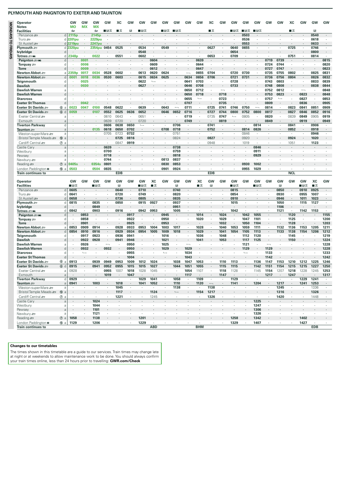| Operator<br><b>Notes</b>                                                                                                                                                                                                                                                                                                                                                                                                                                  |                  | GW<br><b>MO</b> | <b>GW</b><br><b>MX</b> | GW<br><b>MX</b>             | GW                       | XC           | GW             | GW                       | GW                       | GW                       | GW            | GW                       | GW            | ХC                       | GW           | GW            | GW      | GW           | GW                       | GW             | ХC           | GW                       | <b>GW</b> | GW   |
|-----------------------------------------------------------------------------------------------------------------------------------------------------------------------------------------------------------------------------------------------------------------------------------------------------------------------------------------------------------------------------------------------------------------------------------------------------------|------------------|-----------------|------------------------|-----------------------------|--------------------------|--------------|----------------|--------------------------|--------------------------|--------------------------|---------------|--------------------------|---------------|--------------------------|--------------|---------------|---------|--------------|--------------------------|----------------|--------------|--------------------------|-----------|------|
| <b>Facilities</b>                                                                                                                                                                                                                                                                                                                                                                                                                                         |                  | 酉               |                        | 酉                           | ∎⊟ਨ                      | ∎≖           | П              | ∎⊪ਸ਼ਨ                    |                          | ∎в≂                      | ∎⊪ਸ਼ਲ         |                          |               | ∎                        |              | ∎в≂           | ∎в≂     | ■■ਨ          |                          |                | ∎ѫ           |                          | B         |      |
| Penzance s                                                                                                                                                                                                                                                                                                                                                                                                                                                |                  | $d$ 2115p       |                        | 2145p                       |                          |              |                |                          |                          |                          |               |                          |               |                          |              |               | 0503    |              |                          |                |              |                          | 0540      |      |
| Truro $\equiv$                                                                                                                                                                                                                                                                                                                                                                                                                                            |                  | $d$ 2201pu      |                        | 2229 <sub>pu</sub>          |                          |              |                |                          |                          |                          |               |                          |               |                          |              |               | 0536    |              |                          |                |              |                          | 0618      |      |
| St Austell s                                                                                                                                                                                                                                                                                                                                                                                                                                              |                  | d 2219pu        |                        | <b>2247pu</b>               |                          |              |                |                          |                          |                          |               |                          |               |                          |              |               | 0553    |              |                          |                |              |                          | 0633      |      |
| Plymouth <i>s</i> ≡                                                                                                                                                                                                                                                                                                                                                                                                                                       |                  | d 2320pu        |                        | 2354pu                      | 0454                     | 0525         | ٠              | 0534                     | $\cdot$                  | 0549                     |               |                          |               | 0627                     | ٠            | 0640          | 0655    |              |                          | ٠              | 0725         | $\cdot$                  | 0746      |      |
| lvybridge                                                                                                                                                                                                                                                                                                                                                                                                                                                 | d                |                 |                        |                             |                          |              |                | 0548                     |                          |                          |               |                          |               |                          |              | 0654          |         |              |                          |                |              |                          | 0800      |      |
| Totnes = mi                                                                                                                                                                                                                                                                                                                                                                                                                                               | d                | 2348p           |                        | 0022                        |                          | 0551         | ٠              | 0602                     |                          |                          |               |                          |               | 0653                     |              | 0709          |         |              |                          |                | 0751         |                          | 0814      |      |
| Paignton = Mi                                                                                                                                                                                                                                                                                                                                                                                                                                             | d                | ×,              | 0001                   |                             |                          |              |                |                          | 0604                     |                          |               |                          | 0639          |                          |              |               |         |              | 0719                     | 0739           |              |                          |           | 0815 |
| Torquay 2                                                                                                                                                                                                                                                                                                                                                                                                                                                 | d                | ×               | 0006                   | ×                           |                          |              |                |                          | 0609                     |                          |               |                          | 0644          | $\cdot$                  |              |               |         |              | 0724                     | 0744           |              |                          |           | 0820 |
| <b>Torre</b>                                                                                                                                                                                                                                                                                                                                                                                                                                              | d                |                 | 0009                   |                             |                          |              |                |                          | 0612                     |                          |               |                          | 0647          |                          |              |               |         |              | 0727                     | 0747           |              |                          |           |      |
| Newton Abbot . ≡                                                                                                                                                                                                                                                                                                                                                                                                                                          | a                | 2359p           | 0017                   | 0034                        | 0528                     | 0602         |                | 0613                     | 0620                     | 0624                     |               |                          | 0655          | 0704                     |              | 0720          | 0730    |              | 0735                     | 0755           | 0802         |                          | 0825      |      |
| Newton Abbot ≅                                                                                                                                                                                                                                                                                                                                                                                                                                            | d                | 0001            | 0018                   | 0036                        | 0530                     | 0603         |                | 0615                     | 0634                     | 0625                     |               | 0634                     | 0656          | 0706                     |              | 0721          | 0731    |              | 0736                     | 0756           | 0804         |                          | 0826      |      |
| Teignmouth                                                                                                                                                                                                                                                                                                                                                                                                                                                | d                |                 | 0025                   | ×                           |                          |              |                | 0622                     | $\overline{\phantom{a}}$ |                          |               | 0641                     | 0703          |                          | ٠            | 0728          |         |              | 0743                     | 0803           | ٠            | $\cdot$                  | 0833      |      |
| <b>Dawlish</b>                                                                                                                                                                                                                                                                                                                                                                                                                                            | d                |                 | 0030                   |                             |                          |              |                | 0627                     |                          |                          |               | 0646                     | 0708          |                          |              | 0733          |         |              | 0748                     | 0808           |              |                          | 0838      |      |
| Dawlish Warren                                                                                                                                                                                                                                                                                                                                                                                                                                            | <b>a</b>         |                 |                        |                             |                          |              |                |                          |                          |                          |               | 0650                     | 0712          |                          |              |               |         |              | 0752                     | 0812           |              | $\overline{\phantom{0}}$ |           |      |
| <b>Dawlish Warren</b>                                                                                                                                                                                                                                                                                                                                                                                                                                     |                  |                 |                        |                             |                          |              |                |                          |                          |                          |               | 0650                     | 0718          |                          | 0718         |               |         |              | 0753                     | 0823           |              | 0823                     |           |      |
|                                                                                                                                                                                                                                                                                                                                                                                                                                                           | d                |                 |                        |                             |                          |              |                |                          |                          |                          |               |                          |               |                          |              |               |         |              |                          | $\overline{a}$ |              |                          |           |      |
| <b>Starcross</b>                                                                                                                                                                                                                                                                                                                                                                                                                                          | d                |                 |                        |                             |                          |              |                |                          |                          |                          |               | 0655                     | $\longmapsto$ |                          | 0723         |               |         |              | 0757                     |                |              | 0827                     | $\cdot$   |      |
| <b>Exeter St Thomas</b>                                                                                                                                                                                                                                                                                                                                                                                                                                   | d                |                 | 0042                   |                             |                          |              |                |                          |                          |                          |               | 0707                     |               |                          | 0735         |               |         |              | 0809                     |                |              | 0836                     |           |      |
| Exeter St Davids                                                                                                                                                                                                                                                                                                                                                                                                                                          | 6a               | 0023            | 0047                   | 0100                        | 0548                     | 0622         |                | 0639                     |                          | 0643                     |               | 0711                     |               | 0725                     | 0741         | 0746          | 0750    |              | 0814                     |                | 0823         | 0841                     | 0851      |      |
| Exeter St Davids                                                                                                                                                                                                                                                                                                                                                                                                                                          | 6d               | 0059            |                        | 0107                        | 0552                     | 0625         | 0636           | 0652                     | $\cdot$                  | 0646                     | 0652          | 0716                     |               | 0727                     | 0744         | 0800          | 0752    | 0800         | 0817                     | $\cdot$        | 0827         | 0846                     | 0852      |      |
| Exeter Central                                                                                                                                                                                                                                                                                                                                                                                                                                            | a                |                 |                        | ×                           | 0610                     | 0643         | ٠              | 0651                     | ×                        | $\cdot$                  |               | 0719                     |               | 0735                     | 0747         | $\longmapsto$ | 0805    | ٠            | 0820                     | ٠              | 0839         | 0849                     | 0905      |      |
| Exmouth                                                                                                                                                                                                                                                                                                                                                                                                                                                   | a                |                 |                        |                             | 0639                     | 0720         | $\cdot$        | 0720                     |                          |                          |               | 0749                     |               |                          | 0819         |               |         |              | 0849                     |                |              | 0919                     |           |      |
| <b>Tiverton Parkway</b>                                                                                                                                                                                                                                                                                                                                                                                                                                   | d                |                 |                        |                             | 0606                     | 0638         | 0650           | $\overline{\phantom{a}}$ | $\cdot$                  | ï                        | 0706          | ٠                        |               | 0741                     | ٠            | ٠             | ٠       | 0814         |                          | ٠              | 0841         |                          | 0906      |      |
| Taunton <i>s</i> ⊟                                                                                                                                                                                                                                                                                                                                                                                                                                        | a                |                 |                        | 0135                        | 0618                     | 0650         | 0702           |                          |                          | 0708                     | 0718          |                          |               | 0752                     |              |               | 0814    | 0826         |                          |                | 0852         |                          | 0918      |      |
| Weston-super-Mare                                                                                                                                                                                                                                                                                                                                                                                                                                         | a                |                 |                        | ×                           | 0705                     | 0723         | 0732           | $\cdot$                  | $\cdot$                  | ٠                        | 0751          | ٠                        | $\cdot$       | ×                        | ٠            | ٠             | 0846    | ٠            | $\blacksquare$           | ٠              | ٠            | $\cdot$                  | 0946      |      |
| Bristol Temple Meads                                                                                                                                                                                                                                                                                                                                                                                                                                      | <b>10</b><br>a   |                 |                        |                             |                          | 0725         | 0816           |                          |                          |                          | 0824          |                          |               | 0827                     |              |               | 0920    |              |                          |                | 0924         |                          | 1020      |      |
|                                                                                                                                                                                                                                                                                                                                                                                                                                                           |                  |                 |                        | $\mathcal{L}_{\mathcal{A}}$ | $\ddot{\phantom{a}}$     | 0847         | 0919           | $\cdot$                  | $\cdot$                  | $\cdot$                  |               | ٠                        |               | 0948                     | $\cdot$      |               | 1019    | $\cdot$      |                          | $\cdot$        | 1051         | $\cdot$                  | 1123      |      |
| Cardiff Central                                                                                                                                                                                                                                                                                                                                                                                                                                           | $^{\circledR}$ a |                 |                        |                             |                          |              |                |                          |                          |                          |               |                          |               |                          |              |               |         |              |                          |                |              |                          |           |      |
| Castle Cary                                                                                                                                                                                                                                                                                                                                                                                                                                               | a                |                 |                        |                             | 0639                     |              |                |                          |                          |                          | 0738          |                          |               |                          |              |               |         | 0846         |                          |                |              |                          |           |      |
| Westbury                                                                                                                                                                                                                                                                                                                                                                                                                                                  | a                |                 |                        |                             | 0700                     |              |                |                          |                          |                          | 0759          |                          |               |                          |              |               |         | 0911         |                          |                |              |                          |           |      |
|                                                                                                                                                                                                                                                                                                                                                                                                                                                           |                  |                 |                        |                             | 0718                     |              |                |                          |                          |                          | 0818          |                          |               |                          |              |               |         | 0929         |                          |                |              |                          |           |      |
|                                                                                                                                                                                                                                                                                                                                                                                                                                                           | a                |                 |                        |                             |                          |              |                |                          |                          |                          |               |                          |               |                          |              |               |         |              |                          |                |              |                          |           |      |
|                                                                                                                                                                                                                                                                                                                                                                                                                                                           | a                |                 |                        |                             | 0744                     |              |                |                          |                          | 0813                     | 0837          |                          |               |                          |              |               |         |              |                          |                |              |                          |           |      |
| Pewsey<br>Newbury s<br>Reading s                                                                                                                                                                                                                                                                                                                                                                                                                          | $\circledcirc$ a | 0405s           |                        | 0354s                       | 0801                     |              |                |                          |                          | 0830                     | 0853          |                          |               |                          |              |               | 0930    | 1002         |                          |                |              |                          |           |      |
| London Paddington $\bullet$                                                                                                                                                                                                                                                                                                                                                                                                                               | ⑮ a              | 0503            |                        | 0504                        | 0835                     | $\cdot$      |                |                          | $\cdot$                  | 0901                     | 0924          | ٠                        |               |                          |              |               | 0955    | 1029         |                          |                |              |                          |           |      |
| <b>Train continues to</b>                                                                                                                                                                                                                                                                                                                                                                                                                                 |                  |                 |                        |                             |                          | <b>EDB</b>   |                |                          |                          |                          |               |                          |               | <b>EDB</b>               |              |               |         |              |                          |                | <b>NCI</b>   |                          |           |      |
|                                                                                                                                                                                                                                                                                                                                                                                                                                                           |                  |                 |                        |                             |                          |              |                |                          |                          |                          |               |                          |               |                          |              |               |         |              |                          |                |              |                          |           |      |
| Operator                                                                                                                                                                                                                                                                                                                                                                                                                                                  |                  | GW              | GW                     | GW                          | GW                       | GW           | GW             | GW                       | XC                       | GW                       | GW            | GW                       | XC            | GW                       | GW           | GW            | GW      | GW           | GW                       | GW             | GW           | GW                       | XC        |      |
| <b>Facilities</b>                                                                                                                                                                                                                                                                                                                                                                                                                                         |                  | ■⊓≂             |                        | ∎⊞क्र                       |                          | B            |                | ■⊓≂                      | ∎ क्र                    |                          | B             |                          | ■≖            | Β                        |              | ■⊓≂           |         | ∎в≂          |                          | R              |              | ■⊟⊼                      | ∎ ऊ       |      |
|                                                                                                                                                                                                                                                                                                                                                                                                                                                           | d                | 0605            |                        |                             |                          | 0640         | $\blacksquare$ | 0710                     |                          | $\cdot$                  | 0740          |                          |               |                          |              | 0815          |         |              | $\cdot$                  | 0850           | $\cdot$      | 0910                     | 0925      |      |
| Penzance s<br>Truro s                                                                                                                                                                                                                                                                                                                                                                                                                                     | d                | 0641            |                        | $\cdot$                     |                          | 0720         | $\epsilon$     | 0749                     | $\cdot$                  | $\cdot$                  | 0820          | ٠                        |               |                          | ٠            | 0854          |         |              | $\cdot$                  | 0930           | ٠            | 0955                     | 1007      |      |
| St Austell s                                                                                                                                                                                                                                                                                                                                                                                                                                              | d                | 0658            |                        |                             |                          | 0736         |                | 0805                     |                          |                          | 0835          |                          |               |                          |              | 0910          |         |              |                          | 0946           |              | 1011                     | 1023      |      |
|                                                                                                                                                                                                                                                                                                                                                                                                                                                           | d                | 0815            |                        | 0835                        |                          | 0850         | ٠              | 0915                     | 0927                     | $\cdot$                  | 0937          | ٠                        |               |                          | ٠            | 1015          | ×       |              | $\cdot$                  | 1050           | $\cdot$      | 1115                     | 1127      |      |
|                                                                                                                                                                                                                                                                                                                                                                                                                                                           | d                |                 |                        | 0849                        |                          |              |                |                          |                          |                          | 0951          |                          |               |                          |              |               |         |              |                          | 1106           |              |                          |           |      |
| Plymouth <i>s</i> ≡<br>lvybridge<br>Totnes <i>s</i> mi                                                                                                                                                                                                                                                                                                                                                                                                    | d                | 0842            |                        | 0903                        |                          | 0916         | ٠              | 0942                     | 0953                     | ٠                        | 1005          |                          |               |                          | ٠            | 1042          |         |              |                          | 1121           | $\cdot$      | 1142                     | 1153      |      |
|                                                                                                                                                                                                                                                                                                                                                                                                                                                           | d                |                 | 0853                   |                             |                          |              | 0917           |                          |                          | 0945                     |               |                          | 1014          |                          | 1024         |               | 1042    | 1055         |                          |                | 1120         |                          |           |      |
|                                                                                                                                                                                                                                                                                                                                                                                                                                                           | d                | ٠               | 0858                   | ٠                           |                          |              | 0922           | $\cdot$                  |                          | 0950                     | $\cdot$       | ٠                        | 1020          | $\cdot$                  | 1029         | $\cdot$       | 1047    | 1101         |                          |                | 1125         |                          |           |      |
|                                                                                                                                                                                                                                                                                                                                                                                                                                                           | d                |                 | 0901                   |                             |                          |              | 0925           |                          |                          | 0953                     |               |                          |               |                          | 1032         |               | 1050    | 1104         |                          |                | 1128         |                          |           |      |
|                                                                                                                                                                                                                                                                                                                                                                                                                                                           | a                | 0853            | 0909                   | 0914                        |                          | 0928         | 0933           | 0953                     | 1004                     | 1003                     | 1017          |                          | 1028          |                          | 1040         | 1053          | 1059    | 1111         |                          | 1132           | 1136         | 1153                     | 1205      |      |
|                                                                                                                                                                                                                                                                                                                                                                                                                                                           | d                | 0854            | 0910                   | 0916                        | $\cdot$                  | 0929         | 0934           | 0954                     | 1005                     | 1009                     | 1018          | ٠                        | 1029          | $\cdot$                  | 1041         | 1054          | 1105    | 1113         |                          | 1133           | 1138         | 1154                     | 1206      |      |
|                                                                                                                                                                                                                                                                                                                                                                                                                                                           | d                |                 | 0917                   |                             |                          |              |                |                          |                          |                          |               | ٠                        |               | $\cdot$                  |              |               | 1112    |              | $\blacksquare$           |                |              |                          |           |      |
|                                                                                                                                                                                                                                                                                                                                                                                                                                                           | d                |                 | 0922                   | 0923<br>0928                |                          | 0936<br>0941 | 0941<br>0946   |                          |                          | 1016<br>1021             |               |                          | 1036<br>1041  |                          | 1048<br>1053 |               | 1117    | 1120<br>1125 |                          |                | 1145<br>1150 |                          |           |      |
|                                                                                                                                                                                                                                                                                                                                                                                                                                                           |                  | ٠               |                        |                             |                          |              |                |                          |                          |                          |               |                          |               |                          |              |               |         |              |                          |                |              |                          |           |      |
|                                                                                                                                                                                                                                                                                                                                                                                                                                                           | a                |                 | 0926                   | ٠                           | $\overline{\phantom{0}}$ |              | 0950           |                          |                          | 1025                     |               | $\overline{\phantom{0}}$ |               |                          |              |               | 1121    |              | $\overline{\phantom{0}}$ |                |              |                          |           |      |
|                                                                                                                                                                                                                                                                                                                                                                                                                                                           | d                |                 | 0932                   |                             | 0932                     |              | 0950           |                          |                          | 1029                     |               | 1029                     |               |                          |              |               | 1129    |              | 1129                     |                |              |                          |           |      |
|                                                                                                                                                                                                                                                                                                                                                                                                                                                           | d                | ٠               | $\overline{a}$         | ٠                           | ٠                        | $\cdot$      | 0955           | ٠                        |                          | $\overline{\phantom{a}}$ | $\cdot$       | 1034                     |               |                          |              |               |         | ٠            | 1133                     | $\cdot$        |              |                          |           |      |
|                                                                                                                                                                                                                                                                                                                                                                                                                                                           | d                |                 |                        |                             |                          |              | 1004           |                          |                          |                          |               | 1043                     |               |                          |              |               |         |              | 1142                     |                |              |                          |           |      |
|                                                                                                                                                                                                                                                                                                                                                                                                                                                           | 6a               | 0913            |                        | 0939                        | 0949                     | 0953         | 1009           | 1012                     | 1024                     | $\cdot$                  | 1038          | 1047                     | 1053          |                          | 1110         | 1113          |         | 1136         | 1147                     | 1153           | 1210         | 1212                     | 1225      |      |
|                                                                                                                                                                                                                                                                                                                                                                                                                                                           | 6d               | 0915            |                        | 0941                        | 0952                     | 0955         | 1015           | 1015                     | 1027                     |                          | 1044          | 1051                     | 1055          |                          | 1115         | 1115          |         | 1142         | 1151                     | 1154           | 1215         | 1215                     | 1227      |      |
|                                                                                                                                                                                                                                                                                                                                                                                                                                                           | a                | 09.58           |                        | ٠                           | 0955                     | 1007         | 1018           | 1028                     | 1045                     | $\cdot$                  |               | 1054                     | 1107          | $\cdot$                  | 1118         | 1128          |         | 1145         | 1154                     | 1207           | 1218         | 1228                     | 1245      |      |
|                                                                                                                                                                                                                                                                                                                                                                                                                                                           | $\alpha$         |                 |                        |                             | 1019                     |              | 1047           | $\ddot{\phantom{1}}$     | $\epsilon$               |                          |               | 1117                     | $\cdot$       |                          | 1147         |               |         |              | 1217                     |                | 1247         |                          |           |      |
|                                                                                                                                                                                                                                                                                                                                                                                                                                                           | d                | 0929            | $\cdot$                | $\cdot$                     | $\cdot$                  | $\cdot$      | $\cdot$        | 1029                     | 1041                     | $\cdot$                  | 1058          | $\cdot$                  | 1109          | $\cdot$                  | $\cdot$      | 1129          | $\cdot$ | ٠            | $\cdot$                  | $\cdot$        | $\cdot$      | 1229                     | 1241      |      |
|                                                                                                                                                                                                                                                                                                                                                                                                                                                           | a                | 0941            | $\cdot$                | 1003                        | $\cdot$                  | 1018         | $\epsilon$     | 1041                     | 1052                     | $\cdot$                  | 1110          | $\cdot$                  | 1120          | $\overline{\phantom{m}}$ | $\cdot$      | 1141          |         | 1204         | $\cdot$                  | 1217           | $\cdot$      | 1241                     | 1253      |      |
|                                                                                                                                                                                                                                                                                                                                                                                                                                                           |                  | $\cdot$         | $\cdot$                | $\sim$                      | $\cdot$                  | 1045         | $\cdot$        | $\cdot$                  | $\cdot$                  | $\cdot$                  | 1138          | $\cdot$                  | $\cdot$       | 1138                     | $\cdot$      | $\cdot$       | $\cdot$ | $\cdot$      | $\cdot$                  | 1245           | $\cdot$      | $\cdot$                  | 1336      |      |
|                                                                                                                                                                                                                                                                                                                                                                                                                                                           | a                |                 |                        |                             |                          |              |                |                          |                          |                          | $\longmapsto$ |                          |               |                          |              |               |         |              |                          |                |              |                          |           |      |
|                                                                                                                                                                                                                                                                                                                                                                                                                                                           |                  |                 |                        |                             |                          | 1117         |                |                          | 1124                     |                          |               |                          | 1154          | 1217                     |              |               |         |              |                          | 1316           |              |                          | 1326      |      |
|                                                                                                                                                                                                                                                                                                                                                                                                                                                           | $\circledcirc$ a | ٠               |                        | ٠                           | $\cdot$                  | 1221         | ٠              | ٠                        | 1245                     | ٠                        | $\cdot$       | ٠                        | $\cdot$       | 1326                     | ٠            | ٠             | ٠       | $\cdot$      | $\cdot$                  | 1420           | $\cdot$      | $\cdot$                  | 1448      |      |
|                                                                                                                                                                                                                                                                                                                                                                                                                                                           | a                | ×,              |                        | 1024                        | $\cdot$                  |              | ×.             |                          | $\cdot$                  | $\cdot$                  |               |                          |               |                          |              |               |         | 1225         | $\epsilon$               | $\cdot$        |              |                          |           |      |
|                                                                                                                                                                                                                                                                                                                                                                                                                                                           | a                | ٠               |                        | 1044                        | $\cdot$                  | $\cdot$      | ٠              | ٠                        | $\cdot$                  | ٠                        |               | ٠                        |               | $\cdot$                  | ٠            |               | ٠       | 1247         | $\blacksquare$           | ٠              |              |                          |           |      |
|                                                                                                                                                                                                                                                                                                                                                                                                                                                           | a                |                 |                        | 1101                        |                          |              |                |                          |                          |                          |               |                          |               |                          |              |               |         | 1306         |                          |                |              |                          |           |      |
| Paignton = Wi<br>Torquay =<br><b>Torre</b><br>Newton Abbot æ<br>Newton Abbot ≞<br>Teianmouth<br><b>Dawlish</b><br><b>Dawlish Warren</b><br><b>Dawlish Warren</b><br><b>Starcross</b><br><b>Exeter St Thomas</b><br>Exeter St Davids<br>Exeter St Davids<br>Exeter Central ஊ<br>Exmouth<br><b>Tiverton Parkway</b><br>Taunton #<br>Weston-super-Mare<br>Bristol Temple Meads = 10 a<br>Cardiff Central s<br>Castle Cary<br>Westbury<br>Pewsey<br>Newbury s | a                | ٠               |                        | 1121                        | ٠                        |              | ٠              | ٠                        |                          |                          |               |                          |               |                          |              |               | ٠       | 1326         | $\epsilon$               | ٠              | $\cdot$      |                          |           |      |
| Reading                                                                                                                                                                                                                                                                                                                                                                                                                                                   | $\circledcirc$ a | 1058            |                        | 1138                        |                          |              |                | 1201                     |                          |                          |               |                          |               |                          |              | 1258          |         | 1342         |                          |                |              | 1402                     |           |      |

## **Changes to our timetables**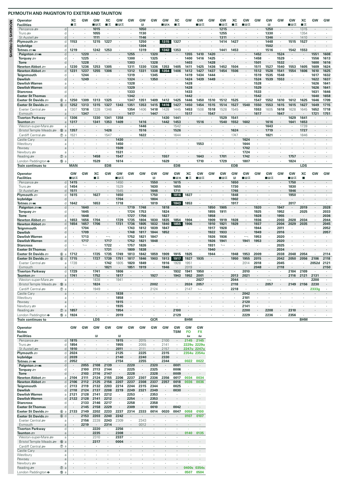|                    | Operator<br><b>Facilities</b>                  |                                     | ХC<br>∎≖        | GW             | GW<br>∎⊪∓          | XC<br>ᠼ         | GW<br>∎⊟∓       | GW                 | <b>GW</b><br>R  | GW                       | GW<br>∎в×       | xс<br>∎⊶                                       | GW               | GW<br>∎в≂                     | GW           | GW<br>⊟ਸ਼ਲ     | ХC<br>∎ म्र          | GW<br>■В        | GW           | GW<br>R                                | GW           | <b>GW</b><br>∎⊟ਨ | XC<br>∎≖     | GW           | GW           |
|--------------------|------------------------------------------------|-------------------------------------|-----------------|----------------|--------------------|-----------------|-----------------|--------------------|-----------------|--------------------------|-----------------|------------------------------------------------|------------------|-------------------------------|--------------|----------------|----------------------|-----------------|--------------|----------------------------------------|--------------|------------------|--------------|--------------|--------------|
| MONDAYS TO FRIDAYS | Penzance s<br>Truro æ                          | d<br>d                              | $\cdot$<br>٠    |                | 1015<br>1055       |                 |                 | $\cdot$            | 1050<br>1130    |                          |                 |                                                |                  |                               |              | 1215<br>1255   | ٠                    |                 |              | 1250<br>1330                           |              | $\cdot$          | 1315<br>1354 |              |              |
|                    | St Austell s                                   | d                                   |                 |                | 1111               |                 |                 |                    | 1146            |                          |                 |                                                |                  |                               |              | 1311           |                      |                 |              | 1346                                   |              |                  | 1410         |              |              |
|                    | Plymouth $\equiv$                              | d                                   | 1153            | ٠              | 1215               | 1227            |                 | ٠                  | 1250            | ٠                        | 1315            | 1327                                           |                  |                               |              | 1414           | 1427                 |                 |              | 1448                                   |              | 1515             | 1527         |              |              |
|                    | lvybridge<br>Totnes <i>a</i> mi                | d                                   |                 |                |                    |                 |                 |                    | 1304<br>1319    |                          | 1342            |                                                |                  |                               |              |                |                      |                 |              | 1502                                   |              |                  |              |              |              |
|                    | Paignton = W                                   | d<br>d                              | 1219            | 1220           | 1242               | 1253            |                 | 1255               |                 | 1320                     |                 | 1353                                           | 1355             | 1410                          | 1420         | 1441           | 1453                 |                 | 1452         | 1516<br>٠                              | 1524         | 1542             | 1553         | 1551         | 1608         |
|                    | Torquay set                                    | d                                   | $\cdot$         | 1225           | ٠                  |                 |                 | 1300               | $\cdot$         | 1325                     |                 | ٠                                              | 1400             | 1416                          | 1425         |                |                      | ٠               | 1458         | ٠                                      | 1529         |                  | ٠            | 1556         | 1613         |
|                    | <b>Torre</b><br><b>Newton Abbot</b>            | a                                   | 1230            | 1228<br>1236   | 1253               | 1305            | $\cdot$         | 1303<br>1311       | 1330            | 1328<br>1336             | 1353            | 1405                                           | 1403<br>1411     | 1425                          | 1428<br>1436 | 1452           | 1504                 | $\cdot$         | 1501<br>1511 | 1527                                   | 1532<br>1540 | 1553             | 1605         | 1600<br>1609 | 1616<br>1624 |
|                    | Newton Abbot =                                 | $\mathsf{d}$                        | 1231            | 1237           | 1255               | 1306            |                 | 1312               | 1331            | 1338                     | 1354            | 1406                                           | 1412             | 1427                          | 1437         | 1454           | 1506                 |                 | 1512         | 1528                                   | 1541         | 1554             | 1606         | 1610         | 1625         |
|                    | Teignmouth                                     | d                                   |                 | 1244           |                    |                 |                 | 1319               |                 | 1345                     |                 |                                                | 1419             | 1434                          | 1444         |                |                      |                 | 1519         | 1535                                   | 1548         | $\cdot$          |              | 1617         | 1632         |
|                    | <b>Dawlish</b><br><b>Dawlish Warren</b>        | d<br>a                              |                 | 1249           |                    |                 |                 | 1324<br>1328       |                 | 1350                     |                 |                                                | 1424<br>1428     | 1439                          | 1449         |                |                      |                 | 1524<br>1528 | 1539<br>٠                              | 1553         |                  |              | 1622<br>1626 | 1637<br>1641 |
|                    | <b>Dawlish Warren</b>                          | d                                   |                 |                |                    |                 |                 | 1329               |                 |                          |                 |                                                | 1428             |                               |              |                |                      |                 | 1529         |                                        |              |                  |              | 1626         | 1641         |
|                    | <b>Starcross</b>                               | d                                   | $\cdot$         |                |                    |                 |                 | 1333<br>1342       |                 |                          |                 |                                                | 1433             | $\cdot$                       |              |                |                      |                 | 1533         | ٠                                      |              |                  |              | 1631         | 1646         |
|                    | <b>Exeter St Thomas</b><br>Exeter St Davids    | d<br>6a                             | 1250            | 1309           | 1313               | 1325            |                 | 1347               | 1351            | 1409                     | 1412            | 1425                                           | 1442<br>1446     | 1450                          | 1510         | 1512           | 1525                 |                 | 1542<br>1547 | 1552                                   | 1610         | 1612             | 1625         | 1640<br>1646 | 1658<br>1709 |
|                    | Exeter St Davids                               | $\circledR$<br>d                    | 1252            | 1313           | 1315               | 1327            | 1343            | 1351               | 1353            | 1415                     | 1416            | 1427                                           | 1450             | 1454                          | 1515         | 1514           | 1527                 | 1540            | 1550         | 1553                                   | 1615         | 1615             | 1627         | 1649         | 1715         |
|                    | Exeter Central                                 | a                                   | 1307            | 1316           | 1328               | 1346            |                 | 1354               | 1406            | 1418                     | 1428            | 1445                                           | 1453             | 1508                          | 1518         | 1528           | 1545                 |                 | 1553         | 1605                                   | 1618         | 1628             | 1645         | 1652         | 1718         |
|                    | Exmouth<br><b>Tiverton Parkway</b>             | $\overline{a}$<br>d                 | 1306            | 1347           | 1330               | 1341            | 1358            | 1417<br>$\cdot$    |                 | 1447                     | 1430            | 1441                                           | 1517<br>٠        |                               | 1547         | 1529           | 1541                 |                 | 1617         | $\cdot$                                | 1647         | 1629             | 1641         | 1721         | 1751<br>٠    |
|                    | Taunton <i>s</i> ⊟                             | $\overline{a}$                      | 1317            |                | 1341               | 1353            | 1409            | $\cdot$            | 1416            |                          | 1442            | 1453                                           |                  | 1516                          |              | 1540           | 1552                 | 1602            |              | 1616                                   |              | 1641             | 1653         |              |              |
|                    | Weston-super-Mare s                            | a                                   | $\cdot$<br>1357 | $\cdot$        | $\cdot$            | $\cdot$<br>1426 | ٠               | $\cdot$            | 1446            | $\blacksquare$           | $\cdot$         | 1542                                           |                  | $\cdot$                       | ٠            |                | $\cdot$<br>1624      | ٠               | $\cdot$      | 1643                                   |              | $\cdot$          | 1739         | $\cdot$      | $\cdot$      |
|                    | Bristol Temple Meads<br>Cardiff Central s      | $^{\circ}$<br>a<br>⑦ a              | 1521            |                |                    | 1547            | ٠               |                    | 1516<br>1622    | ٠                        |                 | 1526<br>1644                                   | ٠                |                               |              |                | 1747                 |                 |              | 1719<br>1821                           |              | $\cdot$          | 1727<br>1846 |              |              |
|                    | Castle Cary                                    | a                                   |                 |                |                    |                 | 1430            |                    |                 |                          |                 |                                                |                  |                               |              |                |                      | 1624            |              |                                        |              |                  |              |              |              |
|                    | Westbury                                       | a                                   |                 |                |                    |                 | 1450            | ٠                  |                 |                          |                 |                                                |                  | 1553                          |              |                | ٠                    | 1644            |              |                                        |              |                  |              |              |              |
|                    | Pewsey<br>Newbury se                           | $\overline{a}$<br>$\overline{a}$    |                 |                |                    |                 | 1509<br>1531    |                    |                 |                          |                 |                                                |                  |                               |              |                |                      | 1702<br>1724    |              |                                        |              |                  |              |              |              |
|                    | Reading                                        | $^\circledR$<br>a                   |                 |                | 1458               |                 | 1547            |                    |                 |                          | 1557            |                                                |                  | 1643                          |              | 1701           |                      | 1742            |              |                                        |              | 1757             |              |              |              |
|                    | London Paddington $\bullet$                    | ⑮ a                                 | $\cdot$         |                | 1529               | $\cdot$         | 1614            | $\lambda$          |                 |                          | 1629            | $\cdot$                                        | $\cdot$          | 1710                          | $\cdot$      | 1729           | $\cdot$              | 1807            |              |                                        |              | 1824             | $\lambda$    |              |              |
|                    | <b>Train continues to</b>                      |                                     | <b>MAN</b>      |                |                    | <b>EDB</b>      |                 |                    |                 |                          |                 | <b>EDB</b>                                     |                  |                               |              |                | <b>EDB</b>           |                 |              |                                        |              |                  | LDS          |              |              |
|                    | Operator                                       |                                     | GW              | GW             | XC                 | GW              | GW              | GW                 | GW              | GW                       | GW              | GW                                             | xс               | <b>GW</b>                     | GW           | GW             | GW                   | GW              | GW           | GW                                     | GW           | GW               | XC           | GW           | GW           |
|                    | <b>Facilities</b><br>Penzance s                | d                                   | ■⊓∓<br>1415     |                | ∎ क्र              |                 | ∎⊟ਨ<br>1450     |                    |                 | B<br>1550                | $\cdot$         | $\blacksquare$ $\blacksquare$ $\times$<br>1615 | ∎ क्र            | ∎в≂                           |              | ⊟ਸ਼ਨ           | $\mathbb{R}$<br>1650 | ∎в              |              | ∎в≂                                    |              | ∎B⊶<br>1750      | п            |              |              |
|                    | Truro se                                       | d                                   | 1454            |                |                    |                 | 1529            | ٠                  |                 | 1630                     | $\cdot$         | 1655                                           |                  |                               |              |                | 1730                 |                 |              |                                        |              | 1830             | ٠            |              |              |
|                    | St Austell                                     | d                                   | 1511            |                |                    |                 | 1545            |                    |                 | 1646                     |                 | 1711                                           |                  |                               |              |                | 1746                 |                 |              |                                        |              | 1846             |              |              |              |
|                    | Plymouth $\equiv$<br>lvybridge                 | d<br>d                              | 1615            | $\cdot$        | 1627               | $\cdot$         | 1650<br>1704    | $\cdot$            | ٠               | 1750<br>1804             | $\cdot$         | 1816                                           | 1827             |                               | $\cdot$      | $\cdot$        | 1848<br>1902         | $\cdot$         |              | ٠                                      | $\cdot$      | 1950             |              |              | ٠            |
|                    | Totnes = Mi                                    | d                                   | 1642            |                | 1653               |                 | 1718            |                    |                 | 1819                     | $\cdot$         | 1843                                           | 1853             |                               |              |                | 1917                 |                 |              | ٠                                      |              | 2017             |              |              |              |
|                    | Paignton = W<br>Torquay =                      | d<br>d                              | $\cdot$         | 1640<br>1645   |                    |                 |                 | 1719<br>1724       | 1748<br>1753    | ٠                        | 1818<br>1824    |                                                |                  | $\cdot$                       | 1850<br>1855 | 1905<br>1911   | ٠                    |                 | 1920<br>1925 | $\ddot{\phantom{0}}$<br>$\blacksquare$ | 1947<br>1952 | $\cdot$          | 2019<br>2025 |              | 2028<br>2033 |
|                    | <b>Torre</b>                                   | d                                   |                 | 1648           |                    |                 |                 | 1727               | 1756            |                          | 1827            |                                                |                  |                               | 1858         |                |                      |                 | 1928         |                                        | 1955         |                  |              |              | 2036         |
|                    | Newton Abbot                                   | $\mathbf{a}$                        | 1653            | 1656           | 1704               |                 | 1729            | 1735               | 1804            | 1830                     | 1835            | 1854                                           | 1904             |                               | 1909         | 1919           | 1928                 | $\cdot$         | 1936         | $\blacksquare$                         | 2003         | 2028             | 2034         |              | 2044         |
|                    | Newton Abbot <i>s</i><br>Teignmouth            | d<br>d                              | 1654            | 1657<br>1704   | 1706<br>٠          |                 | 1731            | 1736<br>1743       | 1805<br>1812    | 1832<br>1839             | 1840<br>1847    | 1855                                           | 1906             | $\cdot$<br>$\cdot$            | 1910<br>1917 | 1921<br>1928   | 1929<br>٠            | $\cdot$         | 1937<br>1944 | ×,<br>٠                                | 2004<br>2011 | 2029<br>$\cdot$  | 2035<br>٠    | $\cdot$      | 2045<br>2052 |
|                    | <b>Dawlish</b>                                 | d                                   |                 | 1709           |                    |                 |                 | 1748               | 1817            | 1844                     | 1852            |                                                |                  |                               | 1922         | 1933           |                      |                 | 1949         |                                        | 2016         |                  |              |              | 2057         |
|                    | <b>Dawlish Warren</b><br><b>Dawlish Warren</b> | a<br>d                              |                 | 1713<br>1717   | ٠                  | 1717            |                 | 1752<br>1752       | 1821<br>1821    | 1847<br>1848             |                 |                                                |                  |                               | 1926<br>1926 | 1936<br>1941   | ٠                    | 1941            | 1953<br>1953 | ٠                                      | 2020<br>2020 |                  |              |              |              |
|                    | <b>Starcross</b>                               | d                                   |                 | $\overline{a}$ | ٠                  | 1722            | ٠               | 1757               | 1826            |                          |                 |                                                |                  |                               | 1931         | $\overline{a}$ | ٠                    |                 |              | ٠                                      | 2025         | ٠                |              |              |              |
|                    | <b>Exeter St Thomas</b>                        | d                                   |                 |                |                    | 1731            |                 | 1809               | 1838            |                          |                 |                                                |                  |                               | 1940         |                |                      |                 |              |                                        | 2034         |                  |              |              |              |
|                    | Exeter St Davids<br>Exeter St Davids           | $^{\circ}$<br>a<br>$\circledR$<br>d | 1712<br>1715    | $\cdot$        | 1725<br>1727       | 1735<br>1739    | 1749<br>1751    | 1813<br>1817       | 1842<br>1846    | 1859<br>1903             | 1909<br>1913    | 1915<br>1917                                   | 1925<br>1927     | $\cdot$<br>1935               | 1944         |                | 1948<br>1950         | 1953<br>1955    | 2009<br>2015 | $\cdot$<br>٠                           | 2038<br>2042 | 2048<br>2050     | 2054<br>2056 | 2106         | 2114<br>2118 |
|                    | Exeter Central                                 | a                                   | 1728            |                | $\cdot$            | 1742            | 1805            | 1820               | 1849            | $\ddot{\phantom{a}}$     | 1916            | 1928                                           | 1951             | $\cdot$                       |              |                | ٠                    | 2014            | 2018         | $\blacksquare$                         | 2045         | $\cdot$          |              | 2052d        | 2121         |
|                    | Exmouth                                        | $\overline{a}$                      |                 |                |                    | 1821            |                 | 1851               | 1919            |                          | 1946            |                                                | 2019             |                               |              |                |                      |                 | 2048         |                                        | 2118         |                  |              |              | 2150         |
|                    | <b>Tiverton Parkway</b><br>Taunton <b>e</b>    | d  <br>$\alpha$                     | 1729<br>1741    |                | 1741<br>1752       |                 | 1806<br>1817    |                    |                 | 1927                     |                 | 1932<br>1943                                   | 1941<br>1952     | 1950<br>2001                  |              |                | 2013                 | 2010<br>2021    |              |                                        |              | 2104<br>2116     | 2109<br>2121 | 2131         | ٠            |
|                    | Weston-super-Mare                              | a                                   | $\cdot$         | ٠              | 1838               | $\cdot$         | 1941            | $\cdot$            |                 |                          |                 |                                                |                  | 2027                          |              |                | 2044                 |                 |              | $\overline{\phantom{0}}$               |              |                  |              | 2200         | ٠            |
|                    | Bristol Temple Meads                           | $^{\circ}$<br>$\mathsf{a}$          |                 |                | 1824               |                 |                 |                    |                 | 2002                     |                 |                                                | 2024             | 2057                          |              |                | 2118                 |                 |              | 2057                                   |              | 2149             | 2156         | 2230         |              |
|                    | Cardiff Central s<br>Castle Cary               | $\circledcirc$ a<br>$\mathsf{a}$    | $\cdot$         |                | 1949               | $\cdot$         | ٠<br>1838       | $\cdot$            | $\cdot$         | 2124                     |                 | $\cdot$                                        | 2147             | $\longmapsto$                 |              |                | 2218<br>٠            | $\cdot$<br>2042 |              | ٠<br>$\cdot$                           |              |                  | $\cdot$      | 2333g        | ٠<br>×.      |
|                    | Westbury                                       | a                                   | ٠               |                | ٠                  |                 | 1858            |                    |                 |                          |                 | ٠                                              |                  |                               |              |                | ٠                    | 2101            |              | ٠                                      |              |                  | $\cdot$      |              | ٠            |
|                    | Pewsey                                         | a                                   |                 |                |                    |                 | 1915            |                    |                 |                          |                 | $\cdot$                                        |                  |                               |              |                |                      | 2120            |              |                                        |              |                  |              |              |              |
|                    | Newbury s<br>Reading                           | a<br>℗<br>a                         | $\cdot$<br>1857 |                | ٠                  |                 | 1935<br>1954    | ٠                  |                 |                          |                 | 2100                                           |                  |                               |              |                | ٠                    | 2141<br>2200    | ٠            | ٠<br>2208                              |              | 2310             |              |              |              |
|                    | London Paddington $\Theta$                     | 15 a                                | 1924            |                | ٠                  | $\cdot$         | 2019            | ٠                  |                 | ٠                        |                 | 2129                                           |                  |                               |              |                |                      | 2229            | $\cdot$      | 2236                                   | ٠            | 2356             | ٠            |              |              |
|                    | <b>Train continues to</b>                      |                                     |                 |                | LDS                |                 |                 |                    |                 | <b>GCR</b>               |                 |                                                | <b>BHM</b>       |                               |              |                |                      |                 |              |                                        |              |                  | <b>BHM</b>   |              |              |
|                    | Operator                                       |                                     | GW              | GW             | GW                 | GW              | GW              | GW                 | GW              | GW                       | GW              | GW                                             | GW               | GW                            |              |                |                      |                 |              |                                        |              |                  |              |              |              |
|                    | <b>Notes</b>                                   |                                     |                 |                |                    |                 |                 |                    |                 |                          |                 | <b>TSM</b>                                     | <b>FO</b><br>酉   | <b>FX</b>                     |              |                |                      |                 |              |                                        |              |                  |              |              |              |
|                    | <b>Facilities</b><br>Penzance s                | $\mathsf{d}$                        | 1815            |                | R                  |                 | B<br>1915       | $\cdot$            | 2015            | $\overline{\phantom{a}}$ | 2100            | $\cdot$                                        | 2145             | 囱<br>2145                     |              |                |                      |                 |              |                                        |              |                  |              |              |              |
|                    | Truro se                                       | d                                   | 1854            |                | ٠                  |                 | 1955            | $\cdot$            | 2055            | ٠                        | 2141            | ٠                                              | 2229u 2229u      |                               |              |                |                      |                 |              |                                        |              |                  |              |              |              |
|                    | St Austell s<br>Plymouth $\equiv$              | d<br>d                              | 1910<br>2024    | $\cdot$        | $\cdot$<br>$\cdot$ | $\cdot$         | 2011<br>2125    | $\cdot$<br>$\cdot$ | 2111<br>2225    | $\cdot$                  | 2157<br>2315    | $\cdot$                                        |                  | 2247u 2247u<br>2354u 2354u    |              |                |                      |                 |              |                                        |              |                  |              |              |              |
|                    | lvybridge                                      | d                                   | 2039            |                |                    |                 | 2140            |                    | 2240            |                          | 2330            |                                                | ×                | $\mathcal{A}^{\mathcal{A}}$ . |              |                |                      |                 |              |                                        |              |                  |              |              |              |
|                    | Totnes = Mi                                    | d                                   | 2052<br>$\cdot$ | 2055           | 2108               | 2139            | 2154            | $\cdot$<br>2220    | 2255            | ٠<br>2320                | 2344<br>$\cdot$ | ٠<br>0001                                      | 0022<br>$\alpha$ | 0022<br>$\sim$                |              |                |                      |                 |              |                                        |              |                  |              |              |              |
|                    | Paignton = Mi<br>Torquay stra                  | $\mathsf{d}$<br>d                   | $\cdot$         | 2100           | 2113               | 2144            | ٠               | 2225               | $\epsilon$      | 2325                     | $\cdot$         | 0006                                           | $\sim$           | 16                            |              |                |                      |                 |              |                                        |              |                  |              |              |              |
|                    | <b>Torre</b>                                   | d                                   | $\cdot$         | 2103           | 2116               | 2147            |                 | 2228               |                 | 2328                     | $\cdot$         | 0009                                           | $\lambda$        | $\mathbf{a}$ , $\mathbf{a}$   |              |                |                      |                 |              |                                        |              |                  |              |              |              |
|                    | Newton Abbot 2<br><b>Newton Abbot</b>          | a<br>d                              | 2104<br>2106    | 2111<br>2112   | 2124<br>2125       | 2155<br>2156    | 2206<br>2207    | 2237<br>2237       | 2307<br>2308    | 2336<br>2337             | 2356<br>2357    | 0017<br>0018                                   | 0034<br>0036     | 0034<br>0036                  |              |                |                      |                 |              |                                        |              |                  |              |              |              |
|                    | Teignmouth                                     | d                                   | 2113            | 2119           | 2132               | 2203            | 2214            | 2244               | 2315            | 2344                     | $\cdot$         | 0025                                           | ×                | 14                            |              |                |                      |                 |              |                                        |              |                  |              |              |              |
|                    | <b>Dawlish</b>                                 | d                                   | 2118            | 2124           | 2137               | 2208            | 2219<br>$\cdot$ | 2249               | 2321            | 2349                     |                 | 0030                                           |                  |                               |              |                |                      |                 |              |                                        |              |                  |              |              |              |
|                    | <b>Dawlish Warren</b><br><b>Dawlish Warren</b> | a<br>d                              | 2121<br>2122    | 2128<br>2128   | 2141<br>2141       | 2212<br>2212    |                 | 2253<br>2254       | ٠               | 2353<br>2353             | $\cdot$<br>٠    | ٠                                              |                  |                               |              |                |                      |                 |              |                                        |              |                  |              |              |              |
|                    | <b>Starcross</b>                               | d                                   |                 | 2133           | 2146               | 2217            | ٠               | 2258               | ٠               | 2358                     | $\cdot$         | ٠                                              |                  |                               |              |                |                      |                 |              |                                        |              |                  |              |              |              |
|                    | <b>Exeter St Thomas</b><br>Exeter St Davids    | d<br>6a                             | $\cdot$<br>2133 | 2145<br>2149   | 2158<br>2202       | 2229<br>2233    | ٠<br>2237       | 2309<br>2314       | $\cdot$<br>2333 | 0010<br>0014             | $\cdot$<br>0020 | 0042<br>0047                                   | ×<br>0058        | $\sim$<br>0100                |              |                |                      |                 |              |                                        |              |                  |              |              |              |
|                    | Exeter St Davids                               | 6d                                  | $\cdot$         | 2153           | 2203               | 2240            | 2242            | $\cdot$            |                 |                          |                 |                                                | 0107             | 0107                          |              |                |                      |                 |              |                                        |              |                  |              |              |              |
|                    | Exeter Central                                 | a                                   | $\cdot$         | 2156           | 2228               | 2243            | 2309            | $\cdot$            | 2343            | ٠                        | $\cdot$         | ٠                                              | ×                |                               |              |                |                      |                 |              |                                        |              |                  |              |              |              |
|                    | Exmouth<br><b>Tiverton Parkway</b>             | a<br>d                              | $\cdot$<br>٠    | 2219           | $\cdot$<br>2220    | 2314<br>$\cdot$ | $\cdot$<br>2256 | $\cdot$<br>$\cdot$ | 0012            | $\cdot$                  |                 |                                                |                  |                               |              |                |                      |                 |              |                                        |              |                  |              |              |              |
|                    | Taunton <b>ær</b>                              | $\rm{a}$                            | ٠               | $\sim$         | 2235               | $\sim$          | 2308            | $\epsilon$         | $\sim$          | $\cdot$                  | $\cdot$         | $\sim$                                         | 0140             | 0135                          |              |                |                      |                 |              |                                        |              |                  |              |              |              |
|                    | $M$ onton quant $M$                            |                                     |                 |                | 2210               |                 | 7227            |                    |                 |                          |                 |                                                |                  |                               |              |                |                      |                 |              |                                        |              |                  |              |              |              |

Weston-super-Mare <del>a</del> a a 2310 **2337** . . . . . . . .<br>Bristol Temple Meads a **①** a . . **2317** . **0004** . . . . . . . . . Cardiff Central ﷺ پہلے کی استعمال کی اللہ علیہ کا اللہ علیہ کا اللہ علیہ کا اللہ علیہ کا اللہ علیہ کا اللہ علی<br>اللہ علیہ کا اللہ علیہ کا اللہ علیہ کا اللہ علیہ کا اللہ علیہ کا اللہ علیہ کا اللہ علیہ کا اللہ علیہ کا اللہ Pewsey a a construction and construction and construction and construction and construction and construction and construction and construction and construction and construction and construction and construction and constr London Paddington T Ď a **· · · · · · · · · · 0507 0504**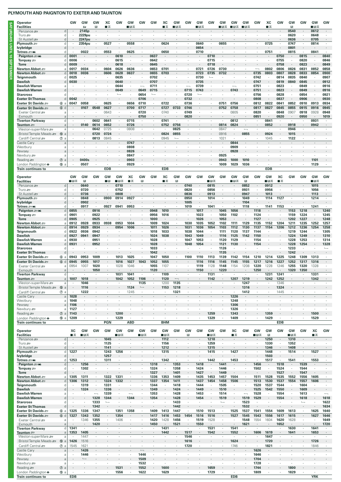| Operator<br><b>Facilities</b>                                                                 |                  | GW             | GW<br>the    | GW<br>R      | XC<br>■≖     | GW                       | GW<br>∎⊪ਸ਼ਲ              | GW            | GW                       | XC<br>п<br>ᠼ             | GW<br>■⊓⊼                | GW           | GW<br>■⊓⊼    | GW             | GV<br>HRT⊶       | GW<br>∎⊪क    | GW<br>■B₩                | G٧           | XC<br>∎ ऊ    | GW           | GW<br>R              | GW           | GW<br>∎в≂       | GW             |
|-----------------------------------------------------------------------------------------------|------------------|----------------|--------------|--------------|--------------|--------------------------|--------------------------|---------------|--------------------------|--------------------------|--------------------------|--------------|--------------|----------------|------------------|--------------|--------------------------|--------------|--------------|--------------|----------------------|--------------|-----------------|----------------|
| Penzance s                                                                                    | d                |                | 2145p        |              |              |                          |                          |               |                          |                          |                          |              |              |                |                  |              |                          |              |              |              | 0540                 |              | 0612            |                |
| Truro s                                                                                       | d                |                | 2229pu       |              |              |                          | $\overline{\phantom{a}}$ |               |                          | $\overline{\phantom{a}}$ |                          |              | $\cdot$      |                |                  |              |                          |              |              |              | 0620                 | $\cdot$      | 0648            |                |
| St Austell s                                                                                  | d                |                | 2247pu       |              |              |                          |                          |               |                          |                          |                          |              |              |                |                  |              |                          |              |              |              | 0636                 |              | 0705            |                |
| Plymouth $\equiv$                                                                             | d                | ٠              | 2354pu       | $\cdot$      | 0527         | $\cdot$                  | 0558                     |               |                          | 0624                     | ٠                        |              | 0640         | $\cdot$        | 0655             |              |                          |              | 0725         | $\cdot$      | 0747                 |              | 0814            | ٠              |
| lvybridge                                                                                     | d                |                |              |              |              |                          |                          |               |                          |                          |                          |              | 0654         | $\cdot$        |                  |              |                          |              |              |              | 0801                 | $\cdot$      |                 | $\cdot$        |
| Totnes <i>≌</i> ∋⊯n<br>Paignton = M                                                           | d                | 0001           | 0022         |              | 0553         | $\cdot$<br>0610          | 0625                     |               | 0637                     | 0650                     |                          |              | 0710         | 0710           |                  |              |                          |              | 0751         | 0750         | 0815                 | 0815         | 0841            | 0840           |
| Torquay =                                                                                     | d<br>C           | 0006           | ٠            |              |              | 0615                     | ٠                        |               | 0642                     | ٠                        |                          |              | ٠            | 0715           |                  |              |                          |              |              | 0755         | $\cdot$              | 0820         | ٠               | 0846           |
| <b>Torre</b>                                                                                  | d                | 0009           |              |              |              | 0618                     |                          |               | 0645                     |                          |                          |              |              | 0718           |                  |              |                          |              |              | 0758         | $\blacksquare$       | 0823         |                 | 0849           |
| Newton Abbot æ                                                                                | a                | 0017           | 0034         | $\epsilon$   | 0604         | 0626                     | 0636                     |               | 0653                     | 0701                     |                          |              | 0721         | 0726           | 0730             |              |                          |              | 0802         | 0806         | 0826                 | 0831         | 0852            | 0858           |
| Newton Abbot =                                                                                | d                | 0018           | 0036         |              | 0606         | 0628                     | 0637                     |               | 0655                     | 0703                     |                          |              | 0723         | 0735           | 0732             |              |                          | 0735         | 0803         | 0807         | 0828                 | 0833         | 0854            | 0900           |
| Teignmouth                                                                                    | C                | 0025           |              | $\cdot$      |              | 0635                     | ٠                        |               | 0702                     |                          |                          |              | 0730         | $\overline{a}$ |                  |              |                          | 0742         |              | 0814         | 0835                 | 0840         |                 | 0907           |
| <b>Dawlish</b>                                                                                | d                | 0030           |              |              |              | 0640                     |                          |               | 0707                     |                          |                          |              | 0735         |                |                  |              |                          | 0747         |              | 0819         | 0840                 | 0845         |                 | 0912           |
| Dawlish Warren                                                                                | a                |                |              |              |              | 0644                     | ٠                        |               | 0711                     |                          |                          |              | 0739         |                |                  |              |                          | 0751         | $\cdot$      | 0823         | ٠                    | 0849         |                 | 0916           |
| Dawlish Warren                                                                                | d                |                |              |              |              | 0649                     |                          | 0649          | 0715                     |                          |                          | 0715         | 0743         |                |                  | 0743         |                          | 0751         |              | 0823         |                      | 0849         |                 | 0916           |
| <b>Starcross</b>                                                                              | d                |                |              |              |              | $\overline{\phantom{a}}$ | ٠                        | 0654          | $\overline{\phantom{a}}$ |                          |                          | 0720         |              |                |                  |              |                          | 0756         | $\cdot$      | 0828         | $\cdot$              | 0854         | ٠               | 0921           |
| <b>Exeter St Thomas</b>                                                                       | d                | 0042           |              |              |              |                          |                          | 0706          |                          |                          |                          | 0732         |              |                |                  |              |                          | 0808         |              | 0837         | $\cdot$              | 0906         |                 | 0930           |
| Exeter St Davids                                                                              | 6a               | 0047           | 0058         | $\cdot$      | 0625         | $\cdot$                  | 0656                     | 0710          | $\cdot$                  | 0722                     |                          | 0736         |              |                | 0751             | 0756         |                          | 0812         | 0822         | 0841         | 0852                 | 0910         | 0913            | 0934           |
| Exeter St Davids                                                                              | 6d               |                | 0107         | 0548         | 0627         |                          | 0700                     | 0717          |                          | 0727                     | 0733                     | 0746         |              |                | 0752             | 0758         |                          | 0817         | 0827         | 0845         | 0855                 | 0915         | 0916            | 0945           |
| Exeter Central                                                                                | a                |                | ٠            | $\cdot$      | 0643         | $\cdot$                  | ٠                        | 0720          | $\cdot$                  | 0740                     | ٠                        | 0749         | $\cdot$      |                |                  | 0805         | ٠                        | 0820         | $\cdot$      | 0848         | 0907                 | 0918         | 0928            | 0948           |
| Exmouth                                                                                       | a                |                |              |              |              |                          |                          | 0750          |                          |                          |                          | 0820         |              |                |                  |              |                          | 0851         |              | 0920         | $\cdot$              | 0950         |                 | 1019           |
| <b>Tiverton Parkway</b>                                                                       | d                |                |              | 0602         | 0641         | $\cdot$                  | 0715                     |               |                          | 0741                     | ×                        |              | ٠            |                |                  | 0812         | $\cdot$                  | ٠            | 0841         |              | $\cdot$              |              | 0931            | $\cdot$        |
| Taunton <i>s</i> ⊟                                                                            | a                |                | 0140         | 0614         | 0652         | $\cdot$                  | 0726                     |               |                          | 0752                     | 0756                     |              |              |                | 0814             | 0824         |                          | $\cdot$      | 0852         |              | 0918                 |              | 0942            | ٠              |
| Weston-super-Mare =                                                                           | a                |                |              | 0642         | 0725         | $\cdot$                  | 0808                     |               |                          |                          | 0825                     |              |              |                | 0847             |              | $\overline{\phantom{0}}$ |              |              | ٠            | 0946                 |              |                 |                |
| Bristol Temple Meads                                                                          | <b>⑩</b> a       |                |              | 0720         | 0724         |                          |                          |               |                          | 0824                     | 0855                     |              |              |                | 0916             |              | 0855                     |              | 0924         |              | 1015                 |              |                 |                |
| Cardiff Central s                                                                             | $\circledcirc$ a |                | ٠            | 0813         | 0845         | $\cdot$                  | $\cdot$                  |               |                          | 0945                     | $\overline{a}$           |              |              |                | 102 <sup>7</sup> | $\cdot$      |                          |              | 1045         |              | 1122                 |              |                 |                |
| Castle Cary                                                                                   | a                |                |              |              |              |                          | 0747                     |               |                          |                          |                          |              |              |                |                  | 0844         |                          |              |              |              |                      |              |                 |                |
| Westbury                                                                                      | a                |                |              |              |              |                          | 0808                     |               |                          |                          |                          |              |              |                |                  | 0909         |                          |              |              |              |                      |              |                 |                |
| Pewsey                                                                                        | a                |                |              |              |              |                          | 0826                     |               |                          |                          |                          |              |              |                |                  | 0928         |                          |              |              |              |                      |              |                 |                |
| Newbury s                                                                                     | a                |                |              |              |              |                          | 0847                     |               |                          |                          |                          |              |              |                | 0925             |              |                          |              |              |              |                      |              |                 |                |
| Reading                                                                                       | $\circledcirc$ a |                | 0400s        |              |              |                          | 0903                     |               |                          |                          |                          |              |              |                | 0943             | 1000         | 1010                     |              |              |              |                      |              | 1101            |                |
| London Paddington $\bullet$                                                                   | ⑮ a              |                | 0507         |              |              |                          | 0929                     | $\cdot$       |                          |                          |                          |              |              |                | 1009             | 1029         | 1036                     |              |              |              |                      |              | 1129            |                |
| <b>Train continues to</b>                                                                     |                  |                |              |              | <b>EDB</b>   |                          |                          |               |                          | <b>EDB</b>               |                          |              |              |                |                  |              |                          |              | <b>EDB</b>   |              |                      |              |                 |                |
|                                                                                               |                  |                |              |              |              |                          |                          |               |                          |                          |                          |              |              |                |                  |              |                          |              |              |              |                      |              |                 |                |
| Operator                                                                                      |                  | GW             | GW           | GW           | GW           | GW                       | XC                       | GW            | GW                       | XC                       | GW                       | GW           | GW           | GW             | GW               | GW           | GW                       | GW           | GW           | XC           | GW                   | GW           | GW              | GW             |
| <b>Facilities</b>                                                                             |                  | ■⊟ਨ            | B            |              | - R          | ∎⊪ਸ਼ਨ                    | ■舌                       | B             |                          | ∎ѫ                       | B                        |              |              | ∎в≂            |                  | ⊟⊓∓          | R                        |              | ⊟ਸ਼ਨ         | ∎ਨ           |                      |              | ∎в≂             |                |
| Penzance s                                                                                    | d                |                | 0640         |              |              | 0710                     |                          |               |                          |                          |                          | 0740         |              | 0815           |                  |              | 0852                     |              | 0912         |              |                      |              | 1015            |                |
| Truro s                                                                                       | d                | ٠              | 0720         | $\cdot$      |              | 0752                     |                          |               |                          |                          |                          | 0820         | ٠            | 0856           | ٠                | ٠            | 0931                     | ٠            | 0956         |              |                      |              | 1056            |                |
| St Austell s<br>Plymouth $\equiv$                                                             | d<br>d           | ٠              | 0736<br>0848 | ÷<br>$\cdot$ | 0900         | 0808<br>0914             | 0927                     |               |                          | ×                        | $\cdot$                  | 0836<br>0950 | $\cdot$      | 0913<br>1014   | ٠                | ٠            | 0947<br>1049             | $\cdot$      | 1013<br>1114 | 1127         |                      |              | 1113<br>1214    | ٠              |
| lvybridge                                                                                     | d                |                | 0902         |              |              |                          |                          |               |                          |                          |                          | 1005         |              |                |                  |              | 1104                     |              |              |              |                      |              |                 |                |
| Totnes <i>≌</i> ∋mw                                                                           |                  |                | 0917         | $\cdot$      | 0927         | 0941                     | 0953                     |               |                          | $\cdot$                  |                          | 1019         | $\cdot$      | 1041           | $\cdot$          |              | 1118                     | ٠            | 1141         | 1153         | $\ddot{\phantom{a}}$ |              | 1241            | ٠              |
|                                                                                               |                  |                |              |              |              |                          |                          |               |                          |                          |                          |              |              |                | 1045             |              |                          | 1118         |              |              |                      | 1218         |                 | 1240           |
|                                                                                               | d                |                |              |              |              |                          |                          |               |                          |                          |                          |              |              |                |                  |              |                          |              |              |              |                      |              |                 |                |
| Paignton = M                                                                                  | d                | 0855           |              | 0916         |              |                          | ٠                        |               | 0948                     | 1010                     | $\cdot$                  | $\cdot$      | 1017         | $\cdot$        |                  | 1056         | $\cdot$                  |              | $\cdot$      |              | 1153                 |              | ٠               |                |
| Torquay =                                                                                     | C<br>d           | 0901           | ٠<br>٠       | 0922         |              |                          |                          |               | 0956<br>1000             | 1016                     |                          |              | 1023         |                | 1050             | 1102         |                          | 1124         |              |              | 1159                 | 1224         |                 | 1245           |
| <b>Torre</b>                                                                                  | a                | 0905           |              | 0925         |              |                          |                          |               |                          |                          |                          |              | 1026         |                | 1053             |              |                          | 1127         |              |              | 1202                 | 1227         |                 | 1248           |
| Newton Abbot <i>s</i> ∋<br>Newton Abbot ஊ                                                     | d                | 0912<br>0914   | 0928<br>0929 | 0933<br>0934 | 0938         | 0953<br>0954             | 1004<br>1006             |               | 1009<br>1011             | 1024<br>1026             |                          | 1030<br>1031 | 1035<br>1036 | 1052<br>1054   | 1102<br>1103     | 1111<br>1112 | 1129<br>1130             | 1135<br>1137 | 1152<br>1154 | 1204<br>1206 | 1211<br>1212         | 1235<br>1236 | 1252<br>1254    | 1257<br>1258   |
| Teignmouth                                                                                    | d                | 0922           | 0936         | 0942         |              |                          |                          |               | 1018                     | 1033                     |                          | 1038         | 1044         |                | 1111             | 1120         | 1137                     | 1144         |              |              | 1219                 | 1244         |                 | 1305           |
| Dawlish                                                                                       | d                | 0927           | 0941         | 0947         |              |                          |                          |               | 1024                     | 1038                     |                          | 1043         | 1049         |                | 1116             | 1125         | 1142                     | 1150         |              |              | 1224                 | 1249         |                 | 1310           |
| Dawlish Warren                                                                                | a                | 0930           | $\cdot$      | 0951         |              |                          |                          |               | 1028                     | $\cdot$                  |                          | 1047         | 1053         |                | 1120             | 1129         | $\cdot$                  | 1154         |              |              | 1228                 | 1253         |                 | 1314           |
| <b>Dawlish Warren</b>                                                                         | d                | 0931           |              | 0952         |              |                          |                          |               | 1028                     |                          |                          | 1048         | 1054         |                | 1121             | 1130         |                          | 1154         |              |              | 1228                 | 1254         |                 | 1328           |
| <b>Starcross</b>                                                                              | d                |                |              |              |              |                          |                          |               | 1033                     |                          |                          |              | $\cdot$      |                | 1126             |              |                          |              |              |              | 1233                 |              |                 | $\overline{a}$ |
| <b>Exeter St Thomas</b>                                                                       | d                |                |              |              |              |                          |                          |               | 1042                     |                          |                          |              |              |                | 1135             |              |                          |              |              |              | 1242                 |              |                 |                |
| Exeter St Davids                                                                              | <b>⑥</b> a       | 0943           | 0953         | 1009         |              | 1013                     | 1025                     |               | 1047                     | 1050                     | $\cdot$                  | 1100         | 1110         | 1113           | 1139             | 1142         | 1154                     | 1210         | 1214         | 1225         | 1248                 | 1309         | 1313            | ٠              |
| Exeter St Davids =                                                                            | 6d               | 0945           | 0955         | 1017         |              | 1016                     | 1027                     | 1043          | 1052                     | 1055                     |                          |              | 1116         | 1116           | 1145             | 1145         | 1155                     | 1217         | 1216         | 1227         | 1252                 | 1317         | 1316            |                |
| Exeter Central                                                                                | a                | 0954           | 1007         | 1020         |              | 1028                     | 1046                     |               | 1055                     | 1107                     |                          |              | 1119         | 1128           | 1148             | 1154         | 1208                     | 1220         | 1228         | 1246         | 1255                 | 1320         | 1328            |                |
| EXMOUTH                                                                                       | а                |                |              | 1050         |              |                          |                          |               | H∠u                      |                          |                          |              | טפוו         |                | 1220             |              |                          | 1250         |              |              | 1320                 | 1350         |                 |                |
| <b>Tiverton Parkway</b>                                                                       | d                | $\blacksquare$ |              | $\cdot$      |              | 1031                     | 1041                     | $\cdot$       | $\cdot$                  | 1109                     | $\cdot$                  |              | ٠            | 1131           | $\cdot$          |              | $\cdot$                  | $\cdot$      | 1231         | 1241         | $\blacksquare$       | $\cdot$      | 1331            |                |
| Taunton #                                                                                     | a                | 1007           | 1018         | ٠            |              | 1042                     | 1052                     | 1106          | $\cdot$                  | 1120                     | $\overline{\phantom{m}}$ |              |              | 1142           | $\cdot$          | 1207         | 1219                     | ٠            | 1242         | 1252         | $\cdot$              |              | 1342            | $\cdot$        |
| Weston-super-Mare                                                                             | $\mathsf{a}$     |                | 1046         | ٠            | ٠            | $\cdot$                  | ٠                        | 1135          | $\cdot$                  | 1200                     | 1135                     | ٠            |              | $\cdot$        | $\cdot$          |              | 1247                     | $\cdot$      | $\cdot$      | 1346         | $\cdot$              |              | ٠               |                |
| Bristol Temple Meads                                                                          | $^{\circledR}$ a | $\sim$         | 1116         | $\cdot$      |              |                          | 1124                     | $\longmapsto$ |                          | 1153                     | 1218                     |              |              |                |                  |              | 1316                     | $\cdot$      |              | 1324         | $\cdot$              |              |                 |                |
| Cardiff Central s                                                                             | $\circledcirc$ a | $\cdot$        | 1222         | ×.           |              | $\cdot$                  | 1245                     | $\cdot$       | $\cdot$                  | ٠                        | 1321                     | $\cdot$      | $\cdot$      | $\cdot$        | $\cdot$          | $\cdot$      | 1412                     | $\epsilon$   | $\cdot$      | 1445         | $\cdot$              |              |                 |                |
| Castle Cary                                                                                   | a                | 1028           | $\cdot$      | $\cdot$      |              |                          | ÷,                       | $\cdot$       |                          | ٠                        |                          |              |              |                |                  | 1226         | $\cdot$                  | $\cdot$      |              | ×.           | $\cdot$              |              |                 |                |
| Westbury                                                                                      | a                | 1048           | ٠            | ٠            |              | ٠                        | ٠                        | ٠             |                          | ٠                        | ٠                        |              | ٠            | ٠              |                  | 1248         | $\cdot$                  | ٠            |              | ٠            | ٠                    |              | ٠               | $\cdot$        |
| Pewsey                                                                                        | a                | 1106           | $\cdot$      |              |              |                          |                          |               |                          |                          |                          |              |              |                |                  | 1306         | ٠                        |              |              |              |                      |              |                 |                |
| Newbury s                                                                                     | a                | 1127           | $\cdot$      |              |              | $\epsilon$               |                          |               |                          |                          |                          |              |              | $\epsilon$     |                  | 1326         | $\cdot$                  |              | $\cdot$      |              |                      |              |                 |                |
|                                                                                               | $\circledcirc$ a | 1143           | $\cdot$      |              |              | 1200                     |                          |               |                          |                          |                          |              |              | 1259           |                  | 1343         | $\cdot$                  |              | 1359         |              |                      |              | 1500            |                |
|                                                                                               | $15 a$           | 1209           | $\cdot$      | à.           |              | 1229                     | $\cdot$                  |               |                          | ×                        |                          |              | $\cdot$      | 1329           | $\cdot$          | 1409         | $\cdot$                  | ×            | 1429         | $\cdot$      | ٠                    |              | 1529            |                |
|                                                                                               |                  |                |              |              | PGN          |                          | <b>ABD</b>               |               |                          | <b>BHM</b>               |                          |              |              |                |                  |              |                          |              |              | <b>EDB</b>   |                      |              |                 |                |
|                                                                                               |                  |                |              |              |              |                          |                          |               |                          |                          |                          |              |              |                |                  |              |                          |              |              |              |                      |              |                 |                |
|                                                                                               |                  | XC             | GW           | GW           | GW           | GW                       | GW                       | GW            | GW                       | GW                       | GW                       | GW           | GW           | GW             | GW               | XC           | GW                       | GW           | GW           | GW           | GW                   | GW           | ХC              | GW             |
| Reading<br>London Paddington $\bullet$<br>Train continues to<br>Operator<br><b>Facilities</b> |                  | ■≖             | ∎в≂          |              |              | ■日素                      |                          | ∎в≂           |                          | ∎в≂                      |                          | R            |              | ∎в≂            |                  | ∎ रू         |                          | ■⊓≂          | П            |              | ■日素                  |              | ■天              |                |
| Penzance s                                                                                    | d                | $\cdot$        |              | $\cdot$      | 1045         | $\cdot$                  |                          |               |                          | 1112                     | $\cdot$                  |              |              | 1218           |                  |              |                          |              | 1250         | $\cdot$      | 1310                 |              |                 |                |
| Truro se                                                                                      | d                | $\cdot$        |              | ×.           | 1125         | $\epsilon$               |                          |               |                          | 1156                     | $\cdot$                  |              | ٠            | 1259           | ٠                |              |                          |              | 1330         | $\epsilon$   | 1352                 |              |                 |                |
| St Austell s                                                                                  | d                |                |              | ٠            | 1141         | $\cdot$                  |                          | ٠             |                          | 1212                     | $\cdot$<br>$\cdot$       |              |              | 1315           | ٠<br>$\cdot$     |              | ٠                        |              | 1346         | ٠            | 1408                 | $\cdot$      |                 |                |
| Plymouth =<br><b>Ivybridge</b>                                                                | d<br>d           | 1227           | $\cdot$      |              | 1243<br>1257 | 1256<br>$\cdot$          |                          | ٠             |                          | 1315<br>٠                | $\cdot$                  |              |              | 1415<br>٠      | $\cdot$          | 1427<br>٠    | $\cdot$                  |              | 1448<br>1503 | $\cdot$<br>٠ | 1514<br>$\cdot$      |              | 1527<br>$\cdot$ |                |

| lvybridge                   | d                             |            |        |                          | 1257          |      |         |         |      |         |      |      |         |      |      |            |              |      | 1503    |      |      |                          |            |      |
|-----------------------------|-------------------------------|------------|--------|--------------------------|---------------|------|---------|---------|------|---------|------|------|---------|------|------|------------|--------------|------|---------|------|------|--------------------------|------------|------|
| Totnes = mi                 | d                             | 1253       |        |                          | 1311          |      |         |         |      | 1342    |      |      |         | 1442 |      | 1453       |              |      | 1517    |      | 1541 |                          | 1553       |      |
| Paignton = Mi               | d                             |            | 1256   |                          |               |      |         |         | 1318 | $\cdot$ | 1353 |      | 1418    |      | 1441 |            | $\cdot$      | 1456 |         | 1518 |      | 1539                     | $\cdot$    |      |
| Torquay $\equiv$            | d.                            |            | 1302   |                          |               |      |         |         | 1324 |         | 1358 |      | 1424    |      | 1446 |            |              | 1502 |         | 1524 |      | 1544                     |            |      |
| <b>Torre</b>                | d                             |            |        |                          |               |      |         |         | 1327 | $\cdot$ | 1401 |      | 1427    |      | 1449 |            |              |      |         | 1527 |      | 1547                     |            |      |
| Newton Abbot <b>≥</b>       | a                             | 1305       | 1311   |                          | 1322          | 1331 |         |         | 1336 | 1353    | 1409 |      | 1435    | 1453 | 1457 | 1504       |              | 1511 | 1528    | 1535 | 1552 | 1556                     | 1605       |      |
| Newton Abbot                | d                             | 1306       | 1312   | $\blacksquare$           | 1324          | 1332 | $\cdot$ |         | 1337 | 1354    | 1411 |      | 1437    | 1454 | 1458 | 1506       | $\mathbf{r}$ | 1513 | 1530    | 1537 | 1554 | 1557                     | 1606       |      |
| Teignmouth                  | d                             |            | 1319   | $\cdot$                  | 1331          |      |         |         | 1344 |         | 1418 |      | 1444    |      | 1505 | ٠          |              | 1520 | 1537    | 1544 |      | 1604                     |            |      |
| <b>Dawlish</b>              | d                             |            | 1324   | $\cdot$                  | 1336          |      |         |         | 1349 |         | 1424 |      | 1449    |      | 1510 |            | $\cdot$      | 1525 | 1542    | 1550 |      | 1609                     |            |      |
| <b>Dawlish Warren</b>       | a                             |            |        | $\overline{\phantom{0}}$ | 1339          |      |         |         | 1353 |         | 1428 |      | 1453    |      | 1514 |            | ⊸            | 1528 |         | 1554 |      | 1613                     |            |      |
| <b>Dawlish Warren</b>       | d                             |            |        | 1328                     | 1344          |      | 1344    |         | 1354 |         | 1428 |      | 1454    |      | 1519 | $\cdot$    | 1519         | 1529 |         | 1554 |      | 1618                     | $\bullet$  | 1618 |
| <b>Starcross</b>            | d                             |            |        | 1333                     | $\longmapsto$ |      |         |         |      |         | 1433 |      |         |      |      |            | 1523         |      |         |      |      | $\overline{\phantom{a}}$ |            | 1622 |
| <b>Exeter St Thomas</b>     | d                             |            |        | 1342                     |               |      |         |         |      |         | 1442 |      |         |      |      |            | 1532         |      |         |      |      |                          |            | 1634 |
| Exeter St Davids            | 6a                            | 1325       | 1336   | 1347                     |               | 1351 | 1358    |         | 1409 | 1413    | 1447 |      | 1510    | 1513 |      | 1525       | 1537         | 1541 | 1554    | 1609 | 1613 |                          | 1625       | 1640 |
| Exeter St Davids            | 6 d                           | 1327       | 1343   | 1352                     |               | 1354 |         | $\cdot$ | 1417 | 1416    | 1453 | 1454 | 1516    | 1516 |      | 1527       | 1545         | 1543 | 1556    | 1617 | 1615 |                          | 1627       | 1646 |
| Exeter Central              | a                             |            | 1346   | 1355                     |               | 1406 |         |         | 1420 | 1428    | 1456 |      | 1519    | 1528 |      |            | 1548         | 1554 | 1604    | 1620 | 1628 |                          |            | 1649 |
| Exmouth                     | a                             |            | $\sim$ | 1420                     |               |      |         |         | 1450 | $\cdot$ | 1521 |      | 1550    |      |      | $\cdot$    | 1621         |      | $\cdot$ | 1652 |      |                          |            | 1720 |
| <b>Tiverton Parkwav</b>     | d                             | 1341       |        |                          |               |      |         |         |      | 1431    |      |      |         | 1531 |      | 1541       |              |      |         |      | 1630 |                          | 1641       |      |
| Taunton <b>Strate</b>       | a                             | 1353       | 1405   | $\cdot$                  |               |      |         |         |      | 1442    |      | 1517 | $\cdot$ | 1542 |      | 1552       | $\cdot$      | 1606 | 1619    |      | 1641 |                          | 1653       |      |
| Weston-super-Mare           | a                             |            | 1447   |                          |               |      |         |         |      |         |      | 1546 |         |      |      |            |              |      | 1647    |      |      |                          |            |      |
| Bristol Temple Meads        | $\circledR$<br>$\overline{a}$ | 1426       | 1516   |                          |               |      |         |         |      |         |      | 1616 |         |      |      | 1624       |              |      | 1720    |      |      |                          | 1726       |      |
| Cardiff Central             | $\circledcirc$ a              | 1545       | 1621   | $\cdot$                  |               |      |         |         |      |         |      | 1720 |         |      |      | 1746       | ٠            |      | 1821    |      |      |                          | 1846       |      |
| Castle Cary                 | a                             |            | 1426   |                          |               |      |         |         |      |         |      |      |         |      |      |            |              | 1626 |         |      |      |                          |            |      |
| Westbury                    | a                             |            | 1446   |                          |               |      |         | 1446    |      |         |      |      |         |      |      |            |              | 1646 |         |      |      |                          |            |      |
| Pewsey                      | a                             |            |        |                          |               |      |         | 1509    |      |         |      |      |         |      |      |            |              | 1704 |         |      |      |                          |            |      |
| Newbury stra                | a                             |            |        |                          |               |      |         | 1532    |      |         |      |      |         |      |      |            |              | 1728 |         |      |      |                          |            |      |
| Reading $\equiv$            | $\circledcirc$ a              |            |        |                          |               | 1531 | $\cdot$ | 1552    |      | 1600    |      |      |         | 1659 |      |            |              | 1744 |         | ٠    | 1800 |                          |            |      |
| London Paddington $\bullet$ | ⑮ a                           |            |        |                          |               | 1556 |         | 1622    |      | 1629    |      |      |         | 1729 |      |            |              | 1809 |         |      | 1829 |                          |            |      |
| <b>Train continues to</b>   |                               | <b>EDB</b> |        |                          |               |      |         |         |      |         |      |      |         |      |      | <b>EDB</b> |              |      |         |      |      |                          | <b>YRK</b> |      |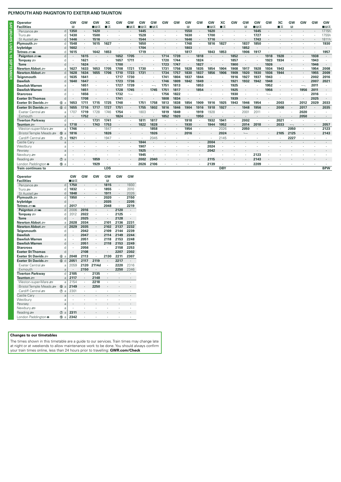| <b>Operator</b>             |                  | GW   | GW   | GW      | XC         | GW   | GW                       | GW   | GW      | GW   | GW   | GW           | GW   | GW   | XC         | GW   | GW               | <b>GW</b> | GW   | XC   | GW   | <b>GW</b> | GW   | GW         |
|-----------------------------|------------------|------|------|---------|------------|------|--------------------------|------|---------|------|------|--------------|------|------|------------|------|------------------|-----------|------|------|------|-----------|------|------------|
| <b>Facilities</b>           |                  | в    |      | ⊟⊓ੜ     | ∎≖         |      | ⊞⊓ਸਨ                     | 口日志  | ∎B      |      |      | $\mathbb{E}$ |      | ⊟ਸ਼ਨ | ■≖         |      | B                | ∎⊡ਨ       |      | ∎≖   | R    |           |      | ∎⊡ਨ        |
| Penzance s                  | d <sub>1</sub>   | 1350 |      | 1420    |            |      |                          | 1445 | $\cdot$ |      |      | 1550         |      | 1620 |            |      |                  | 1645      |      |      |      |           |      | 1715h      |
| Truro <del>so</del>         | d                | 1430 |      | 1500    |            |      |                          | 1528 |         |      |      | 1630         |      | 1700 |            |      |                  | 1727      |      |      |      |           |      | 1755h      |
| St Austell s                | d                | 1446 |      | 1516    |            |      |                          | 1544 |         |      |      | 1646         |      | 1716 |            |      |                  | 1743      |      |      |      |           |      | 1811h      |
| Plymouth $\equiv$           | d                | 1548 |      | 1615    | 1627       |      |                          | 1650 |         |      |      | 1748         |      | 1816 | 1827       |      | 1837             | 1850      |      |      |      |           |      | 1930       |
| lvybridge                   |                  | 1602 |      |         |            |      |                          | 1704 |         |      |      | 1803         |      |      |            |      | 1852             |           |      |      |      |           |      | $\cdot$    |
| Totnes = Mi                 |                  | 1615 |      | 1642    | 1653       |      |                          | 1719 |         |      |      | 1817         |      | 1843 | 1853       | ٠    | 1906             | 1917      |      |      |      |           |      | 1957       |
| Paignton = Mi               | $\mathsf{d}$     |      | 1615 |         |            | 1652 | 1705                     |      |         | 1714 | 1739 | ٠            | 1818 |      |            | 1852 |                  |           | 1918 | 1928 |      |           | 1938 | $\cdot$    |
| Torquay $\equiv$            | d                |      | 1621 |         |            | 1657 | 1711                     |      |         | 1720 | 1744 |              | 1824 |      |            | 1857 |                  |           | 1923 | 1934 |      |           | 1943 |            |
| <b>Torre</b>                | d                |      | 1624 | $\cdot$ |            | 1700 |                          |      |         | 1723 | 1747 | $\cdot$      | 1827 |      |            | 1900 | $\cdot$          |           | 1926 |      |      |           | 1946 | $\cdot$    |
| Newton Abbot <b>≥</b>       | a                | 1627 | 1633 | 1653    | 1705       | 1708 | 1721                     | 1730 |         | 1731 | 1756 | 1828         | 1835 | 1854 | 1904       | 1908 | 1917             | 1928      | 1934 | 1943 |      |           | 1954 | 2008       |
| Newton Abbot <b>≥</b>       | d                | 1628 | 1634 | 1655    | 1706       | 1710 | 1723                     | 1731 |         | 1734 | 1757 | 1830         | 1837 | 1856 | 1906       | 1909 | 1920             | 1930      | 1936 | 1944 |      |           | 1955 | 2009       |
| Teignmouth                  | n                | 1635 | 1641 |         |            | 1717 | 1730                     |      |         | 1741 | 1804 | 1837         | 1844 |      |            | 1916 | 1927             | 1937      | 1943 |      |      |           | 2002 | 2016       |
| <b>Dawlish</b>              |                  | 1640 | 1647 |         |            | 1723 | 1736                     |      |         | 1746 | 1809 | 1842         | 1849 |      |            | 1921 | 1932             | 1942      | 1948 |      |      |           | 2007 | 2021       |
| <b>Dawlish Warren</b>       | a                |      | 1651 |         |            | 1727 | 1739                     |      |         | 1751 | 1813 |              | 1853 |      |            | 1925 |                  |           | 1952 |      |      |           | 2011 |            |
| <b>Dawlish Warren</b>       | d                |      | 1651 |         |            | 1728 | 1745                     |      | 1745    | 1751 | 1817 |              | 1854 |      |            | 1925 |                  |           | 1956 |      |      | 1956      | 2011 |            |
| <b>Starcross</b>            | n                |      | 1656 |         |            | 1732 | $\overline{\phantom{a}}$ |      |         | 1756 | 1822 |              |      |      |            | 1930 |                  |           |      |      |      |           | 2016 |            |
| <b>Exeter St Thomas</b>     | $\mathsf{d}$     |      | 1708 |         |            | 1741 | $\cdot$                  |      |         | 1808 | 1834 |              |      |      |            | 1939 |                  |           |      |      |      |           | 2025 | $\cdot$    |
| Exeter St Davids            | 6 a              | 1653 | 1711 | 1715    | 1725       | 1748 |                          | 1751 | 1758    | 1813 | 1838 | 1854         | 1909 | 1916 | 1925       | 1943 | 1946             | 1954      |      | 2003 |      | 2012      | 2029 | 2033       |
| Exeter St Davids            | 6d               | 1655 | 1716 | 1717    | 1727       | 1751 | ۰.                       | 1755 | 1802    | 1816 | 1846 | 1904         | 1916 | 1918 | 1927       |      | 1948             | 1956      |      | 2008 |      | 2017      |      | 2035       |
| Exeter Central              | a                | 1707 | 1719 | 1728    | 1746       | 1754 |                          | 1803 |         | 1819 | 1849 |              | 1919 | 1928 |            |      | 200 <sup>°</sup> | 201'      |      |      |      | 2020      |      |            |
| Exmouth                     | a                |      | 1752 |         |            | 1824 |                          |      |         | 1852 | 1920 | $\cdot$      | 1950 |      |            |      |                  |           |      |      |      | 2050      |      |            |
| <b>Tiverton Parkway</b>     | d                |      |      | 1731    | 1741       |      |                          | 1811 | 1817    |      |      | 1918         |      | 1932 | 1941       |      | 2002             |           |      | 2021 |      |           |      |            |
| Taunton #                   |                  | 1718 |      | 1743    | 1753       |      |                          | 1822 | 1828    |      |      | 1930         |      | 1944 | 1952       |      | 2014             | 2018      |      | 2033 |      |           |      | 2057       |
| Weston-super-Mare           | a                | 1746 |      |         | 1847       |      |                          |      | 1858    | ٠    |      | 1954         |      |      | 2026       |      | 2050             |           |      |      | 2050 | $\cdot$   |      | 2123       |
| Bristol Temple Meads        | $10 a$           | 1816 |      |         | 1826       |      |                          |      | 1926    |      |      | 2016         |      |      | 2024       |      |                  |           |      | 2105 | 2125 |           |      | 2143       |
| Cardiff Central s           | $(7)$ a          | 1921 |      |         | 1947       |      |                          |      | 2045    |      |      |              |      |      | 2145       |      |                  |           |      |      | 2227 |           |      |            |
| Castle Cary                 | a                |      |      |         |            |      |                          | 1844 | $\cdot$ |      |      |              |      | 2004 |            |      |                  |           |      |      |      |           |      |            |
| Westbury                    | a                |      |      |         |            |      |                          | 1907 |         |      |      |              |      | 2024 |            |      |                  |           |      |      |      |           |      |            |
| Pewsev                      | a                |      |      |         |            |      |                          | 1925 | $\cdot$ |      |      |              |      | 2042 |            |      |                  |           |      |      |      |           |      |            |
| Newbury s                   | a                |      |      |         |            |      |                          | 1945 |         |      |      |              |      |      |            |      |                  | 2123      |      |      |      |           |      |            |
| Reading s                   | $\circledcirc$ a |      |      | 1859    |            |      |                          | 2002 | 2040    |      |      |              |      | 2115 |            |      |                  | 2143      |      |      |      |           |      |            |
| London Paddington $\bullet$ | <b>15</b> a      |      |      | 1929    |            |      |                          | 2026 | 2106    |      |      |              |      | 2139 |            |      |                  | 2209      |      |      |      |           |      |            |
| <b>Train continues to</b>   |                  |      |      |         | <b>LDS</b> |      |                          |      |         |      |      |              |      |      | <b>DBY</b> |      |                  |           |      |      |      |           |      | <b>BPW</b> |

| <b>Operator</b><br><b>Facilities</b> |                     | GW<br>∎⊡ਨ | GW      | GW             | GW<br>R | GW      | GW      |
|--------------------------------------|---------------------|-----------|---------|----------------|---------|---------|---------|
| Penzance s                           | $\mathsf{d}$        | 1750      |         | ï              | 1815    | ï       | 1930    |
| Truro $\equiv$                       | d                   | 1832      | ï       | ï              | 1855    | ï       | 2010    |
| St Austell s                         | $\mathsf{d}$        | 1848      |         | ï              | 1911    | ï       | 2026    |
| Plymouth $\equiv$                    | d                   | 1950      | ï       | ï              | 2020    | ï       | 2150    |
| lvybridge                            | d                   |           |         |                | 2035    | ï       | 2205    |
| Totnes <i>≌</i> ∋₩                   | d                   | 2017      | ï       | ٠              | 2048    | ï       | 2219    |
| Paignton = mi                        | d                   | 2006      | 2016    |                |         | 2120    |         |
| Torquay $\equiv$                     | d                   | 2012      | 2022    | ï              | ï       | 2125    |         |
| <b>Torre</b>                         | $\mathsf{d}$        | ï         | 2025    |                |         | 2128    |         |
| Newton Abbot                         | a                   | 2028      | 2034    | ï              | 2101    | 2136    | 2231    |
| Newton Abbot                         | $\overline{d}$      | 2029      | 2035    |                | 2102    | 2137    | 2232    |
| Teignmouth                           | d                   |           | 2042    | ï              | 2109    | 2144    | 2239    |
| <b>Dawlish</b>                       | d                   | ٠         | 2047    | $\cdot$        | 2114    | 2149    | 2244    |
| <b>Dawlish Warren</b>                | a                   | ï         | 2051    | ï              | 2118    | 2153    | 2248    |
| <b>Dawlish Warren</b>                | d                   |           | 2051    | ä,             | 2118    | 2153    | 2249    |
| <b>Starcross</b>                     | d                   | ï         | 2056    | ï              | ï       | 2158    | 2253    |
| <b>Exeter St Thomas</b>              | d                   | ï         | 2108    |                |         | 2207    | 2302    |
| Exeter St Davids                     | $6$<br>a            | 2048      | 2113    |                | 2130    | 2211    | 2307    |
| Exeter St Davids                     | $\mathsf{d}$<br>$6$ | 2051      | 2117    | 2119           |         | 2217    |         |
| Exeter Central                       | a                   | 2059      | 2120    | 2114d          | ï       | 2220    | 2316    |
| Exmouth                              | a                   |           | 2150    |                |         | 2250    | 2346    |
| <b>Tiverton Parkway</b>              | d                   | 2105      | ï       | 2135           | ٠       |         | ٠       |
| Taunton <i>s</i> ∋                   | a                   | 2117      | $\cdot$ | 2148           |         | $\cdot$ | $\cdot$ |
| Weston-super-Mare                    | a                   | 2154      | ٠       | 2218           | ٠       | ï       | ï       |
| Bristol Temple Meads                 | <b>10</b><br>a      | 2149      |         | 2250           |         | ï       |         |
| Cardiff Central                      | $\circled7$<br>a    | 2301      |         |                | ٠       | ï       | ٠       |
| Castle Carv                          | a                   |           |         | ä,             |         |         |         |
| Westbury                             | a                   | ä,        | ï       | ï              |         | ï       | ï       |
| Pewsey                               | a                   |           | ٠       | $\cdot$        |         | $\cdot$ | ٠       |
| Newbury s                            | a                   |           | ï       | ï              | ٠       | ï       | ٠       |
| Reading                              | $\circledD$<br>a    | 2311      |         | $\blacksquare$ |         | $\cdot$ | ٠       |
| London Paddington $\bullet$          | $(5)$<br>a          | 2342      | ï       |                | ٠       | ٠       |         |

## **Changes to our timetables**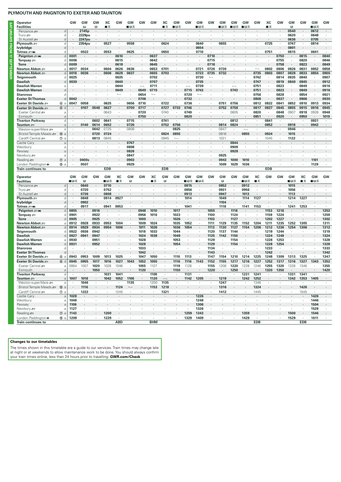| Operator<br><b>Facilities</b>                                                                                                                                                               |                          | GW           | GW<br>that       | GW<br>R              | XC<br>■≖     | GW             | GW<br>∎⊓ਡ     | GW         | GW                       | ХC<br>■≖         | GW<br>■⊓≂      | GW           | <b>GW</b><br>■B₩ | GW             | GW<br>∎в≂ | GW<br>■⊓≂ | GW<br>■⊓⊼                | GW      | XC<br>∎ѫ     | GW      | GW<br>R         | <b>GW</b> | GW<br>∎в     | GW                   |
|---------------------------------------------------------------------------------------------------------------------------------------------------------------------------------------------|--------------------------|--------------|------------------|----------------------|--------------|----------------|---------------|------------|--------------------------|------------------|----------------|--------------|------------------|----------------|-----------|-----------|--------------------------|---------|--------------|---------|-----------------|-----------|--------------|----------------------|
| Penzance s                                                                                                                                                                                  | d                        |              | 2145p            | $\cdot$              |              |                |               |            |                          |                  |                |              |                  |                |           |           |                          |         |              |         | 0540            |           | 0612         |                      |
| Truro $\equiv$                                                                                                                                                                              | d                        |              | 2229pu           | $\cdot$              |              |                |               |            |                          |                  |                |              |                  |                |           |           |                          |         | ٠            |         | 0620            |           | 0648         | $\cdot$              |
| St Austell s                                                                                                                                                                                | d<br>d                   |              | 2247pu<br>2354pu |                      | 0527         |                | 0558          |            |                          | 0624             |                |              | 0640             |                | 0655      |           |                          |         | 0725         |         | 0636<br>0747    |           | 0705<br>0814 | $\cdot$              |
| Plymouth $\equiv$<br>lvybridge                                                                                                                                                              | d                        |              |                  |                      |              |                |               |            |                          |                  |                |              | 0654             |                |           |           |                          |         |              |         | 0801            |           |              |                      |
| Totnes ാ‱                                                                                                                                                                                   | d                        |              | 0022             | ٠                    | 0553         |                | 0625          |            |                          | 0650             |                |              | 0710             | ٠              |           |           |                          |         | 0751         |         | 0815            |           | 0841         | ٠                    |
| Paignton = Wi                                                                                                                                                                               | $\mathsf{d}$             | 0001         |                  |                      |              | 0610           |               |            | 0637                     |                  |                |              |                  | 0710           |           |           |                          |         |              | 0750    |                 | 0815      |              | 0840                 |
| Torquay $\equiv$                                                                                                                                                                            | d                        | 0006         | $\cdot$          |                      |              | 0615           | $\cdot$       |            | 0642                     |                  |                |              | $\cdot$          | 0715           |           |           |                          |         | ٠            | 0755    | $\cdot$         | 0820      | $\cdot$      | 0846                 |
| <b>Torre</b>                                                                                                                                                                                | d                        | 0009         |                  |                      |              | 0618           |               |            | 0645                     |                  |                |              |                  | 0718           |           |           |                          |         |              | 0758    |                 | 0823      | $\cdot$      | 0849                 |
| Newton Abbot                                                                                                                                                                                | a                        | 0017         | 0034             | ٠                    | 0604         | 0626           | 0636          |            | 0653                     | 0701             |                |              | 0721             | 0726           | 0730      |           |                          |         | 0802         | 0806    | 0826            | 0831      | 0852         | 0858                 |
| Newton Abbot                                                                                                                                                                                | d                        | 0018         | 0036             | $\ddot{\phantom{a}}$ | 0606         | 0628           | 0637          |            | 0655                     | 0703             |                |              | 0723             | 0735           | 0732      |           |                          | 0735    | 0803         | 0807    | 0828            | 0833      | 0854         | 0900                 |
| Teignmouth                                                                                                                                                                                  | d                        | 0025         | $\cdot$          |                      |              | 0635           | $\cdot$       |            | 0702                     | $\cdot$          |                |              | 0730             | $\overline{a}$ |           |           |                          | 0742    |              | 0814    | 0835            | 0840      | $\cdot$      | 0907                 |
| <b>Dawlish</b>                                                                                                                                                                              | d                        | 0030         |                  |                      |              | 0640           |               |            | 0707                     |                  |                |              | 0735             |                |           |           |                          | 0747    |              | 0819    | 0840            | 0845      |              | 0912                 |
| <b>Dawlish Warren</b>                                                                                                                                                                       | a                        |              |                  |                      |              | 0644           |               |            | 0711                     |                  |                |              | 0739             |                |           |           |                          | 0751    |              | 0823    | $\cdot$         | 0849      | ٠            | 0916                 |
| <b>Dawlish Warren</b>                                                                                                                                                                       | d                        |              |                  |                      |              | 0649           |               | 0649       | 0715                     |                  |                | 0715         | 0743             |                |           | 0743      |                          | 0751    |              | 0823    |                 | 0849      |              | 0916                 |
| <b>Starcross</b>                                                                                                                                                                            | d                        |              |                  |                      |              | $\overline{a}$ |               | 0654       | $\overline{\phantom{a}}$ |                  |                | 0720         | $\overline{a}$   |                |           | ٠         |                          | 0756    |              | 0828    | $\cdot$         | 0854      | $\cdot$      | 0921                 |
| <b>Exeter St Thomas</b>                                                                                                                                                                     | d                        | 0042         |                  |                      |              |                |               | 0706       |                          |                  |                | 0732         |                  |                |           | ٠         |                          | 0808    |              | 0837    |                 | 0906      | $\cdot$      | 0930                 |
| Exeter St Davids                                                                                                                                                                            | 6a                       | 0047         | 0058             | ٠                    | 0625         | ٠              | 0656          | 0710       | ٠                        | 0722             |                | 0736         |                  |                | 0751      | 0756      |                          | 0812    | 0822         | 0841    | 0852            | 0910      | 0913         | 0934                 |
| Exeter St Davids =                                                                                                                                                                          | 6 d                      |              | 0107             | 0548                 | 0627         |                | 0700          | 0717       |                          | 0727             | 0733           | 0746         |                  |                | 0752      | 0758      |                          | 0817    | 0827         | 0845    | 0855            | 0915      | 0916         | 0945                 |
| Exeter Central                                                                                                                                                                              | a                        |              |                  |                      | 0643         | ٠              |               | 0720       | ٠                        | 0740             |                | 0749         | $\cdot$          |                |           | 0805      |                          | 0820    | $\cdot$      | 0848    | 0907            | 0918      | 0928         | 0948                 |
| Exmouth                                                                                                                                                                                     | a                        |              |                  | 0602                 |              |                | 0715          | 0750       |                          | 0741             |                | 0820         |                  |                |           | 0812      |                          | 0851    |              | 0920    |                 | 0950      |              | 1019                 |
| <b>Tiverton Parkway</b><br>Taunton <i>s</i>                                                                                                                                                 | d<br>$\mathsf{a}$        |              | 0140             | 0614                 | 0641<br>0652 | ٠              | 0726          |            | ٠                        | 0752             | 0756           |              |                  |                | 0814      | 0824      |                          | $\cdot$ | 0841<br>0852 |         | $\cdot$<br>0918 |           | 0931<br>0942 |                      |
| Weston-super-Mare                                                                                                                                                                           | a                        |              |                  | 0642                 | 0725         | ٠              | 0808          |            |                          |                  | 0825           |              |                  |                | 0847      | ٠         | $\overline{\phantom{0}}$ | $\cdot$ | ٠            |         | 0946            |           | $\cdot$      |                      |
| Bristol Temple Meads                                                                                                                                                                        | <b>10</b><br>a           |              |                  | 0720                 | 0724         |                |               |            |                          | 0824             | 0855           |              |                  |                | 0916      |           | 0855                     |         | 0924         |         | 1015            |           |              |                      |
| Cardiff Central s                                                                                                                                                                           | $\circledcirc$ a         |              | $\cdot$          | 0813                 | 0845         | $\cdot$        | $\cdot$       |            | $\cdot$                  | 0945             | $\overline{a}$ |              |                  | $\cdot$        | 1021      | $\cdot$   |                          | $\cdot$ | 1045         | $\cdot$ | 1122            |           | $\cdot$      |                      |
| Castle Carv                                                                                                                                                                                 | a                        |              |                  |                      |              |                | 0747          |            |                          |                  |                |              |                  |                |           | 0844      |                          |         |              |         |                 |           |              |                      |
| Westbury                                                                                                                                                                                    | a                        |              |                  |                      |              | ٠              | 0808          |            |                          |                  |                |              |                  |                | $\cdot$   | 0909      |                          |         |              |         |                 |           |              |                      |
| Pewsey                                                                                                                                                                                      | a                        |              |                  |                      |              |                | 0826          |            |                          |                  |                |              |                  |                |           | 0928      |                          |         |              |         |                 |           |              |                      |
| Newbury se                                                                                                                                                                                  | a                        |              |                  |                      |              |                | 0847          |            |                          |                  |                |              |                  |                | 0925      |           |                          |         |              |         |                 |           |              |                      |
| Reading                                                                                                                                                                                     | $^\circledR$<br>$\rm{a}$ |              | 0400s            |                      |              |                | 0903          |            |                          |                  |                |              |                  |                | 0943      | 1000      | 1010                     |         |              |         |                 |           | 1101         |                      |
| London Paddington $\Theta$                                                                                                                                                                  | ⑮ a                      | $\cdot$      | 0507             | $\cdot$              |              | $\cdot$        | 0929          | $\cdot$    |                          |                  |                |              |                  |                | 1009      | 1029      | 1036                     |         |              |         |                 |           | 1129         |                      |
|                                                                                                                                                                                             |                          |              |                  |                      |              |                |               |            |                          |                  |                |              |                  |                |           |           |                          |         |              |         |                 |           |              |                      |
| <b>Train continues to</b>                                                                                                                                                                   |                          |              |                  |                      | <b>EDB</b>   |                |               |            |                          | <b>EDB</b>       |                |              |                  |                |           |           |                          |         | <b>EDB</b>   |         |                 |           |              |                      |
| Operator                                                                                                                                                                                    |                          | GW           | GW               | GW                   | GW           | XC             | GW            | GW         | XC                       | GW               | GW             | GW           | GW               | GW             | GW        | GW        | GW                       | ХC      | GW           | GW      | GW              | XC        | GW           | GW                   |
| <b>Facilities</b>                                                                                                                                                                           |                          | ■⊓⊼          | B                |                      | ∎⊟ਨ          | ∎ѫ             | Π             |            | ∎≂                       | B                |                | ■੩≂          | ■⊓≂              |                | B         |           | ■⊓≂                      | ∎≂      |              |         | ∎в≂             | ∎ѫ        | ∎в≂          |                      |
| Penzance s                                                                                                                                                                                  | d                        |              | 0640             | $\cdot$              | 0710         |                |               |            |                          |                  |                | 0815         |                  |                | 0852      | ٠         | 0912                     |         |              |         | 1015            |           |              |                      |
| Truro $\equiv$                                                                                                                                                                              | d                        |              | 0720             | $\cdot$              | 0752         | ٠              |               |            |                          |                  |                | 0856         |                  |                | 0931      | ٠         | 0956                     |         |              |         | 1056            |           |              |                      |
| St Austell ≞                                                                                                                                                                                | d                        |              | 0736             | $\cdot$              | 0808         |                |               |            |                          |                  |                | 0913         |                  |                | 0947      |           | 1013                     |         |              |         | 1113            |           |              |                      |
| Plymouth $\equiv$                                                                                                                                                                           | d                        |              | 0848             |                      | 0914         | 0927           |               |            |                          |                  |                | 1014         |                  |                | 1049      |           | 1114                     | 1127    |              |         | 1214            | 1227      |              |                      |
| lvybridge                                                                                                                                                                                   | d<br>d                   |              | 0902             | ٠                    |              |                |               |            |                          |                  |                |              | $\cdot$          |                | 1104      |           |                          |         |              |         |                 |           |              |                      |
| Totnes <i>≌</i> ∋mki                                                                                                                                                                        | d                        | 0855         | 0917             | 0916                 | 0941         | 0953           |               | 0948       | 1010                     | $\cdot$          | 1017           | 1041         |                  | 1055           | 1118      | 1118      | 1141                     | 1153    | 1153         | 1218    | 1241            | 1253      | $\cdot$      | 1253                 |
| Paignton <i>s</i> wi<br>Torquay $\equiv$                                                                                                                                                    | d                        | 0901         | $\sim$           | 0922                 |              |                |               | 0956       | 1016                     | $\cdot$          | 1023           | $\cdot$      |                  | 1100           | $\cdot$   | 1124      |                          |         | 1159         | 1224    |                 |           |              | 1259                 |
| <b>Torre</b>                                                                                                                                                                                | d                        | 0905         |                  | 0925                 |              |                |               | 1000       | $\cdot$                  |                  | 1026           |              |                  | 1103           |           | 1127      |                          |         | 1202         | 1227    |                 |           |              | 1302                 |
|                                                                                                                                                                                             | a                        | 0912         | 0928             | 0933                 | 0953         | 1004           |               | 1009       | 1024                     |                  | 1035           | 1052         |                  | 1111           | 1129      | 1135      | 1152                     | 1204    | 1211         | 1235    | 1252            | 1305      |              | 1311                 |
|                                                                                                                                                                                             | $\mathsf{d}$             | 0914         | 0929             | 0934                 | 0954         | 1006           |               | 1011       | 1026                     |                  | 1036           | 1054         |                  | 1113           | 1130      | 1137      | 1154                     | 1206    | 1212         | 1236    | 1254            | 1306      |              |                      |
|                                                                                                                                                                                             | d                        | 0922         | 0936             | 0942                 |              | ٠              |               | 1018       | 1033                     | $\cdot$          | 1044           | ٠            | $\blacksquare$   | 1120           | 1137      | 1144      |                          |         | 1219         | 1244    | $\cdot$         |           | $\cdot$      |                      |
|                                                                                                                                                                                             |                          | 0927         | 0941             | 0947                 |              |                |               | 1024       | 1038                     |                  | 1049           |              |                  | 1125           | 1142      | 1150      |                          |         | 1224         | 1249    |                 |           |              | 1312<br>1319<br>1324 |
| Newton Abbot <b>£</b><br>Newton Abbot ≞<br>Teignmouth<br><b>Dawlish</b><br><b>Dawlish Warren</b>                                                                                            | a                        | 0930         | ٠                | 0951                 |              |                |               | 1028       | $\cdot$                  | $\cdot$          | 1053           | $\cdot$      |                  | 1129           |           | 1154      |                          |         | 1228         | 1253    |                 |           |              | 1328                 |
| <b>Dawlish Warren</b>                                                                                                                                                                       | d                        | 0931         |                  | 0952                 |              |                |               | 1028       |                          |                  | 1054           |              |                  | 1129           |           | 1154      |                          |         | 1228         | 1254    |                 |           |              | 1328                 |
| <b>Starcross</b>                                                                                                                                                                            | d                        |              | $\cdot$          |                      |              |                |               | 1033       | $\cdot$                  |                  |                |              |                  | 1134           | $\cdot$   |           |                          |         | 1233         | $\cdot$ |                 |           |              | 1333                 |
|                                                                                                                                                                                             | d                        |              |                  |                      |              |                |               | 1042       | ٠                        |                  |                |              |                  | 1143           |           |           |                          |         | 1242         |         |                 |           |              |                      |
| <b>Exeter St Thomas</b><br>Exeter St Davids                                                                                                                                                 | 6a                       | 0943         | 0953             | 1009                 | 1013         | 1025           |               | 1047       | 1050                     | $\cdot$          | 1110           | 1113         |                  | 1147           | 1154      | 1210      | 1214                     | 1225    | 1248         | 1309    | 1313            | 1325      | $\cdot$      | 1342<br>1347         |
|                                                                                                                                                                                             | 6d                       | 0945         | 0955             | 1017                 | 1016         | 1027           | 1043          | 1052       | 1055                     |                  | 1116           | 1116         | 1143             | 1152           | 1155      | 1217      | 1216                     | 1227    | 1252         | 1317    | 1316            | 1327      | 1343         |                      |
|                                                                                                                                                                                             | a                        | 0954         | 1007             | 1020                 | 1028         | 1046           |               | 1055       | 1107                     |                  | 1119           | 1128         |                  | 1155           | 1208      | 1220      | 1228                     | 1246    | 1255         | 1320    | 1328            | 1346      | $\cdot$      |                      |
|                                                                                                                                                                                             | $\mathsf{a}$             |              | $\cdot$          | 1050                 |              |                |               | 1120       |                          |                  | 1150           |              |                  | 1220           |           | 1250      |                          |         | 1320         | 1350    |                 |           |              |                      |
|                                                                                                                                                                                             | d                        |              | ٠                |                      | 1031         | 1041           |               | ٠          | 1109                     |                  | ٠              | 1131         |                  |                | $\cdot$   |           | 1231                     | 1241    | ٠            |         | 1331            | 1341      | ٠            |                      |
|                                                                                                                                                                                             | a                        | 1007         | 1018             | $\cdot$              | 1042         | 1052           | 1106          | $\cdot$    | 1120                     | $\longleftarrow$ | ٠              | 1142         | 1205             | $\cdot$        | 1219      | ٠         | 1242                     | 1252    | ٠            | $\cdot$ | 1342            | 1353      | 1405         |                      |
|                                                                                                                                                                                             | a                        |              | 1046             | $\cdot$              |              |                | 1135          | ٠          | 1200                     | 1135             | ٠              |              |                  | ×              | 1247      | ٠         |                          | 1346    | ٠            | $\cdot$ |                 |           |              |                      |
|                                                                                                                                                                                             | $10 a$                   |              | 1116             |                      |              | 1124           | $\longmapsto$ |            | 1153                     | 1218             |                |              |                  |                | 1316      |           |                          | 1324    |              |         |                 | 1426      | $\cdot$      |                      |
|                                                                                                                                                                                             | $\circledcirc$ a         |              | 1222             | ä,                   | $\cdot$      | 1245           | $\cdot$       | $\epsilon$ | $\cdot$                  | 1321             | $\cdot$        |              | $\epsilon$       | ٠              | 1412      |           |                          | 1445    | $\cdot$      |         | $\cdot$         | 1545      | $\cdot$      |                      |
|                                                                                                                                                                                             | $\rm{a}$                 | 1028         | $\cdot$          | $\ddot{\phantom{0}}$ |              |                | $\cdot$       |            |                          | $\cdot$          | $\cdot$        |              | 1226             | $\cdot$        |           |           |                          |         | $\cdot$      |         |                 |           | 1426         |                      |
| Exeter St Davids<br>Exeter Central<br>Exmouth<br><b>Tiverton Parkway</b><br>Taunton <b>27</b><br>Weston-super-Mare<br>Bristol Temple Meads<br>Cardiff Central se<br>Castle Cary<br>Westbury | $\rm{a}$                 | 1048         | $\cdot$          | ٠                    | $\cdot$      | ٠              |               | ٠          | ٠                        | ٠                | ٠              |              | 1248             | $\cdot$        | $\cdot$   | ٠         |                          | ٠       | ٠            |         | ٠               | $\cdot$   | 1446         |                      |
|                                                                                                                                                                                             | $\rm{a}$                 | 1106         |                  |                      |              |                |               |            |                          |                  |                |              | 1306             |                |           |           |                          |         |              |         |                 |           | 1504         |                      |
| Pewsey<br>Newbury s                                                                                                                                                                         | $\rm{a}$                 | 1127         | ٠                |                      |              |                |               |            |                          |                  |                | ٠            | 1326             | ٠              |           |           |                          |         |              |         | $\cdot$         |           | 1528         | 1352<br>1355<br>1420 |
| Reading<br>London Paddington $\Theta$                                                                                                                                                       | $\circledcirc$ a<br>16 a | 1143<br>1209 | ٠<br>٠           | ٠                    | 1200<br>1229 | ٠              |               |            |                          |                  |                | 1259<br>1329 | 1343<br>1409     | ٠              | ٠         | ٠         | 1359<br>1429             | $\cdot$ |              |         | 1500<br>1529    | $\cdot$   | 1546<br>1611 |                      |

## **Changes to our timetables**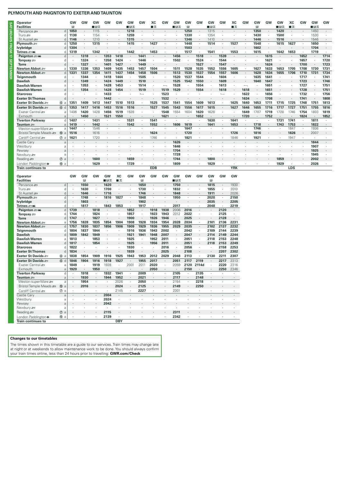| <b>Operator</b>            |                  | GV   | GW      | GW        | GW   | GW   | GW   | GW   | XC         | GW   | GW   | GW           | GW   | GW      | GW   | XC         | GW                       | GW   | GW   | GW   | XC   | GW   | GW      | GW   |
|----------------------------|------------------|------|---------|-----------|------|------|------|------|------------|------|------|--------------|------|---------|------|------------|--------------------------|------|------|------|------|------|---------|------|
| <b>Facilities</b>          |                  | в    |         | ∎⊓ਸ       |      |      | ∎в≂  |      | ■≖         |      | ∎в≖  | $\mathbb{R}$ |      | ∎⊡⊼     |      | ■天         |                          | R    |      | ■日素  | ■≖   |      | ∎⊟ਨ     |      |
| Penzance s                 | d                | 1050 |         | 1115      |      |      | 1218 |      |            |      |      | 1250         |      | 1315    |      |            |                          | 1350 |      | 1420 |      |      | 1450    |      |
| Truro æ                    | d                | 1130 |         | 1154      |      |      | 1259 |      |            |      |      | 1330         |      | 1354    |      |            |                          | 1430 |      | 1500 |      |      | 1530    |      |
| St Austell s               | d                | 1146 |         | 1210      |      |      | 1315 |      |            |      |      | 1346         |      | 1410    |      |            |                          | 1446 |      | 1516 |      |      | 1546    |      |
| Plymouth $\equiv$          | d                | 1250 | $\cdot$ | 1315      |      |      | 1415 |      | 1427       |      |      | 1448         |      | 1514    |      | 1527       |                          | 1548 |      | 1615 | 1627 |      | 1650    |      |
| lvybridge                  | d                | 1304 | $\cdot$ |           |      |      |      |      |            |      |      | 1503         |      |         |      |            |                          | 1602 |      |      |      |      | 1704    |      |
| Totnes ാ‱                  | d                | 1319 | $\cdot$ | 1342      |      |      | 1442 |      | 1453       |      |      | 1517         |      | 1541    |      | 1553       |                          | 1615 |      | 1642 | 1653 |      | 1719    |      |
| Paignton = Mi              | d                |      | 1318    | $\cdot$   | 1353 | 1418 |      | 1441 |            |      | 1456 |              | 1518 | $\cdot$ | 1539 |            |                          |      | 1615 |      |      | 1652 | $\cdot$ | 1714 |
| Torquay $\mathcal{F}$      | d                |      | 1324    |           | 1358 | 1424 |      | 1446 |            |      | 1502 |              | 1524 | $\cdot$ | 1544 |            |                          |      | 1621 |      |      | 1657 |         | 1720 |
| <b>Torre</b>               | $\mathsf{d}$     |      | 1327    | $\cdot$   | 1401 | 1427 |      | 1449 |            |      |      |              | 1527 | $\cdot$ | 1547 |            |                          |      | 1624 |      |      | 1700 | $\cdot$ | 1723 |
| Newton Abbot .             | a                | 1330 | 1336    | 1353      | 1409 | 1435 | 1453 | 1457 | 1504       |      | 1511 | 1528         | 1535 | 1552    | 1556 | 1605       | $\cdot$                  | 1627 | 1633 | 1653 | 1705 | 1708 | 1730    | 1731 |
| Newton Abbot =             | d                | 1331 | 1337    | 1354      | 1411 | 1437 | 1454 | 1458 | 1506       |      | 1513 | 1530         | 1537 | 1554    | 1557 | 1606       | $\cdot$                  | 1628 | 1634 | 1655 | 1706 | 1710 | 1731    | 1734 |
| Teignmouth                 | d                |      | 1344    |           | 1418 | 1444 |      | 1505 |            |      | 1520 | 1537         | 1544 |         | 1604 |            | $\cdot$                  | 1635 | 1641 |      |      | 1717 |         | 1741 |
| <b>Dawlish</b>             | $\mathsf{d}$     |      | 1349    |           | 1424 | 1449 |      | 1510 |            |      | 1525 | 1542         | 1550 |         | 1609 |            |                          | 1640 | 1647 |      |      | 1723 |         | 1746 |
| Dawlish Warren             | a                |      | 1353    |           | 1428 | 1453 |      | 1514 |            |      | 1528 |              | 1554 |         | 1613 |            | $\overline{\phantom{0}}$ |      | 1651 |      |      | 1727 |         | 1751 |
| <b>Dawlish Warren</b>      | $\mathsf{d}$     |      | 1354    |           | 1428 | 1454 |      | 1519 |            | 1519 | 1529 |              | 1554 |         | 1618 |            | 1618                     |      | 1651 |      |      | 1728 |         | 1751 |
| <b>Starcross</b>           | d                |      |         |           | 1433 |      |      |      |            | 1523 |      |              |      |         |      |            | 1622                     |      | 1656 |      |      | 1732 |         | 1756 |
| <b>Exeter St Thomas</b>    | d                |      |         |           | 1442 |      |      |      |            | 1532 |      |              |      |         |      |            | 1634                     |      | 1708 |      |      | 1741 | $\cdot$ | 1808 |
| Exeter St Davids           | 6a               | 1351 | 1409    | 1413      | 1447 | 1510 | 1513 |      | 1525       | 1537 | 1541 | 1554         | 1609 | 1613    |      | 1625       | 1640                     | 1653 | 171' | 1715 | 1725 | 1748 | 1751    | 1813 |
| Exeter St Davids           | 6d               | 1353 | 1417    | 1416      | 1453 | 1516 | 1516 |      | 1527       | 1545 | 1543 | 1556         | 1617 | 1615    |      | 1627       | 1646                     | 1655 | 1716 | 1717 | 1727 | 1751 | 1755    | 1816 |
| Exeter Central             | a                | 1406 | 1420    | 1428      | 1456 | 1519 | 1528 |      |            | 1548 | 1554 | 1604         | 1620 | 1628    |      |            | 1649                     | 1707 | 1719 | 1728 | 1746 | 1754 | 1803    | 1819 |
| Exmouth                    | $\overline{a}$   |      | 1450    | $\bullet$ | 1521 | 1550 |      |      |            | 1621 |      |              | 1652 |         |      |            | 1720                     |      | 1752 |      |      | 1824 | $\cdot$ | 1852 |
| <b>Tiverton Parkway</b>    | d                | 1407 |         | 1431      |      |      | 1531 |      | 1541       |      |      |              |      | 1630    |      | 1641       | $\cdot$                  |      |      | 1731 | 1741 |      | 1811    |      |
| Taunton <b>Strate</b>      | a                | 1419 | $\cdot$ | 1442      |      |      | 1542 |      | 1552       |      | 1606 | 1619         |      | 1641    |      | 1653       | $\cdot$                  | 1718 |      | 1743 | 1753 |      | 1822    |      |
| Weston-super-Mare          | a                | 1447 |         | 1546      |      |      |      |      |            |      |      | 1647         |      |         |      |            |                          | 1746 |      |      | 1847 |      | 1936    |      |
| Bristol Temple Meads       | $① a$            | 1516 |         | 1616      |      |      |      |      | 1624       |      |      | 1720         |      |         |      | 1726       |                          | 1816 |      |      | 1826 |      | 2007    |      |
| Cardiff Central            | $\circledcirc$ a | 1621 | $\cdot$ | 1720      |      |      |      |      | 1746       |      |      | 1821         |      |         |      | 1846       | $\cdot$                  | 1921 |      |      | 1947 |      |         |      |
| Castle Cary                | $\overline{a}$   |      |         |           |      |      |      |      |            |      | 1626 |              |      |         |      |            |                          |      |      |      |      |      | 1844    |      |
| Westbury                   | a                |      |         |           |      |      |      |      |            |      | 1646 |              |      |         |      |            |                          |      |      |      |      |      | 1907    |      |
| Pewsey                     | a                |      |         |           |      |      |      |      |            |      | 1704 |              |      |         |      |            |                          |      |      |      |      |      | 1925    |      |
| Newbury se                 | a                |      |         |           |      |      |      |      |            |      | 1728 |              |      |         |      |            |                          |      |      |      |      |      | 1945    |      |
| Reading s                  | $\circledcirc$ a |      |         | 1600      |      |      | 1659 |      |            |      | 1744 |              |      | 1800    |      |            |                          |      |      | 1859 |      |      | 2002    |      |
| London Paddington $\Theta$ | <b>66</b> a      |      |         | 1629      |      |      | 1729 |      |            |      | 1809 |              |      | 1829    |      |            |                          |      |      | 1929 |      |      | 2026    |      |
| <b>Train continues to</b>  |                  |      |         |           |      |      |      |      | <b>EDB</b> |      |      |              |      |         |      | <b>YRK</b> |                          |      |      |      | LDS  |      |         |      |

| Operator                    |        | GW      | GW             | GW         | <b>GW</b>            | XC                   | GW                   | GW   | GW      | GW                   | <b>GW</b> | <b>GW</b>            | GW                       | GW      | GW           | GW                   |
|-----------------------------|--------|---------|----------------|------------|----------------------|----------------------|----------------------|------|---------|----------------------|-----------|----------------------|--------------------------|---------|--------------|----------------------|
| <b>Facilities</b>           |        |         | B              |            | ■日素                  | ∎≖                   |                      | в    |         |                      | ∎⊡ਨ       |                      |                          | R       |              |                      |
| Penzance s                  | d      |         | 1550           | $\epsilon$ | 1620                 | ÷                    | $\cdot$              | 1650 |         | $\mathbf{r}$         | 1750      |                      | $\overline{\phantom{a}}$ | 1815    |              | 1930                 |
| Truro se                    | d      | ٠       | 1630           | ٠          | 1700                 | $\cdot$              | $\ddot{\phantom{0}}$ | 1730 | $\cdot$ | $\ddot{\phantom{a}}$ | 1832      | $\ddot{\phantom{a}}$ |                          | 1855    | $\cdot$      | 2010                 |
| St Austell s                | d      |         | 1646           |            | 1716                 |                      | $\cdot$              | 1746 |         | $\cdot$              | 1848      |                      |                          | 1911    |              | 2026                 |
| Plvmouth =                  | d      | ٠       | 1748           | $\cdot$    | 1816                 | 1827                 | ٠                    | 1848 |         | $\ddot{\phantom{a}}$ | 1950      |                      |                          | 2020    | ٠            | 2150                 |
| lvybridge                   | d      | ٠       | 1803           | ٠          | $\cdot$              | ٠                    | ٠                    | 1902 | $\cdot$ | $\cdot$              | ٠         | $\cdot$              | $\blacksquare$           | 2035    | ٠            | 2205                 |
| Totnes ാ‱                   | d      | ٠       | 1817           |            | 1843                 | 1853                 | ٠                    | 1917 |         |                      | 2017      |                      |                          | 2048    |              | 2219                 |
| Paignton = Mi               | d      | 1739    |                | 1818       | $\cdot$              | ٠                    | 1852                 | ٠    | 1918    | 1938                 | 2006      | 2016                 | ÷.                       | $\cdot$ | 2120         |                      |
| Torquay =                   | d      | 1744    | $\blacksquare$ | 1824       | $\ddot{\phantom{a}}$ | ٠                    | 1857                 | ×.   | 1923    | 1943                 | 2012      | 2022                 |                          | ٠       | 2125         |                      |
| <b>Torre</b>                | d      | 1747    |                | 1827       |                      | $\cdot$              | 1900                 | ٠    | 1926    | 1946                 | $\cdot$   | 2025                 |                          | $\cdot$ | 2128         |                      |
| Newton Abbot ₽              | a      | 1756    | 1828           | 1835       | 1854                 | 1904                 | 1908                 | 1928 | 1934    | 1954                 | 2028      | 2034                 | $\cdot$                  | 2101    | 2136         | 2231                 |
| Newton Abbot                | d      | 1757    | 1830           | 1837       | 1856                 | 1906                 | 1909                 | 1929 | 1936    | 1955                 | 2029      | 2035                 | $\cdot$                  | 2102    | 2137         | 2232                 |
| Teignmouth                  | d      | 1804    | 1837           | 1844       |                      |                      | 1916                 | 1936 | 1943    | 2002                 |           | 2042                 |                          | 2109    | 2144         | 2239                 |
| <b>Dawlish</b>              | d      | 1809    | 1842           | 1849       | $\cdot$              | $\cdot$              | 1921                 | 1941 | 1948    | 2007                 | $\cdot$   | 2047                 | $\blacksquare$           | 2114    | 2149         | 2244                 |
| Dawlish Warren              | a      | 1813    |                | 1853       | ٠                    | ٠                    | 1925                 |      | 1952    | 2011                 | ٠         | 2051                 |                          | 2118    | 2153         | 2248                 |
| <b>Dawlish Warren</b>       | d      | 1817    |                | 1854       | ٠                    | ٠                    | 1925                 | ٠    | 1956    | 2011                 | ٠         | 2051                 | $\blacksquare$           | 2118    | 2153         | 2249                 |
| <b>Starcross</b>            | d      | 1822    |                |            |                      | ٠                    | 1930                 |      |         | 2016                 | $\cdot$   | 2056                 |                          |         | 2158         | 2253                 |
| <b>Exeter St Thomas</b>     | d      | 1834    |                | $\cdot$    | $\cdot$              | ٠                    | 1939                 |      | $\cdot$ | 2025                 | ٠         | 2108                 | $\cdot$                  | $\cdot$ | 2207         | 2302                 |
| Exeter St Davids            | 6a     | 1838    | 1854           | 1909       | 1916                 | 1925                 | 1943                 | 1953 | 2012    | 2029                 | 2048      | 2113                 |                          | 2130    | 2211         | 2307                 |
| Exeter St Davids            | 6 d    | 1846    | 1904           | 1916       | 1918                 | 1927                 |                      | 1955 | 2017    |                      | 2051      | 2117                 | 2119                     |         | 2217         | 2313                 |
| Fxeter Central              | a      | 1849    |                | 1919       | 1928                 |                      | 2001                 | 2011 | 2020    |                      | 2059      | 2120                 | 2114d                    |         | 2220         | 2316                 |
| Exmouth                     | a      | 1920    |                | 1950       | $\cdot$              | ٠                    | ٠                    | ٠    | 2050    | ٠                    | ٠         | 2150                 | ٠                        | ٠       | 2250         | 2346                 |
| <b>Tiverton Parkway</b>     | d      |         | 1918           | $\cdot$    | 1932                 | 1941                 | $\ddot{\phantom{0}}$ | 2009 |         |                      | 2105      |                      | 2135                     | $\cdot$ |              |                      |
| Taunton <i>≅</i>            | a      | $\cdot$ | 1930           | $\cdot$    | 1944                 | 1952                 | $\blacksquare$       | 2021 | ٠       | ٠                    | 2117      | $\blacksquare$       | 2148                     | ٠       | $\cdot$      | $\cdot$              |
| Weston-super-Mare           | a      | ٠       | 1954           |            | $\cdot$              | 2026                 | $\ddot{\phantom{0}}$ | 2050 |         | $\ddot{\phantom{a}}$ | 2154      | $\cdot$              | 2218                     | $\cdot$ |              |                      |
| Bristol Temple Meads        | $10$ a | $\cdot$ | 2016           | $\cdot$    | $\cdot$              | 2024                 | ٠                    | 2125 |         | $\mathbf{r}$         | 2149      | $\cdot$              | 2250                     | $\cdot$ | $\mathbf{r}$ | ٠                    |
| Cardiff Central             | $①$ a  | $\cdot$ | ٠              |            |                      | 2145                 | ٠                    | 2227 |         | $\cdot$              | 2301      | ٠                    |                          | ٠       | $\cdot$      | ٠                    |
| Castle Cary                 | a      | $\cdot$ |                | $\cdot$    | 2004                 | $\ddot{\phantom{0}}$ | $\cdot$              |      |         |                      |           |                      |                          | $\cdot$ |              | $\ddot{\phantom{a}}$ |
| Westbury                    | a      |         |                | ٠          | 2024                 | ٠                    |                      |      |         |                      |           |                      |                          |         |              |                      |
| Pewsev                      | a      | $\cdot$ |                | ٠          | 2042                 | $\cdot$              |                      |      |         |                      | ٠         |                      |                          | $\cdot$ | ٠            | $\sim$               |
| Newbury s                   | a      |         |                |            |                      |                      |                      |      |         |                      |           |                      |                          |         |              |                      |
| Reading                     | $①$ a  |         |                |            | 2115                 | ٠                    |                      |      |         |                      | 2311      |                      |                          |         |              | $\cdot$              |
| London Paddington $\bullet$ | 15 a   |         |                |            | 2139                 |                      | ٠                    |      |         | $\cdot$              | 2342      | ٠                    |                          |         |              |                      |
| <b>Train continues to</b>   |        |         |                |            |                      | <b>DBY</b>           |                      |      |         |                      |           |                      |                          |         |              |                      |

## **Changes to our timetables**